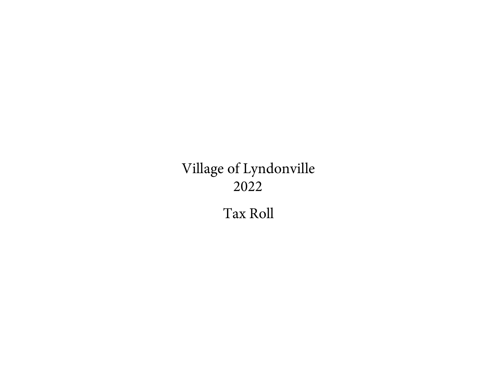# Village of Lyndonville 2022

Tax Roll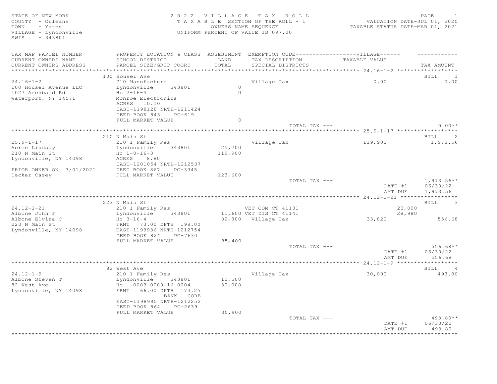SWIS - 343801

## STATE OF NEW YORK SALL STATE OF NEW YORK STATE OF NEW YORK STATE OF NEW YORK STATE OF NEW YORK SALL STATES OF D COUNTY - Orleans T A X A B L E SECTION OF THE ROLL - 1 VALUATION DATE-JUL 01, 2020 TOWN - Yates **The State of the September COWNERS NAME SEQUENCE** TAXABLE STATUS DATE-MAR 01, 2021 VILLAGE - Lyndonville UNIFORM PERCENT OF VALUE IS 097.00

| TAX MAP PARCEL NUMBER                     | PROPERTY LOCATION & CLASS ASSESSMENT |          | EXEMPTION CODE------------------VILLAGE------ |               |                                        |
|-------------------------------------------|--------------------------------------|----------|-----------------------------------------------|---------------|----------------------------------------|
| CURRENT OWNERS NAME                       | SCHOOL DISTRICT                      | LAND     | TAX DESCRIPTION                               | TAXABLE VALUE |                                        |
| CURRENT OWNERS ADDRESS                    | PARCEL SIZE/GRID COORD               | TOTAL    | SPECIAL DISTRICTS                             |               | TAX AMOUNT                             |
| ***********************                   | ***********************************  |          |                                               |               |                                        |
|                                           | 100 Housel Ave                       |          |                                               |               | BILL 1                                 |
| $24.16 - 1 - 2$                           | 710 Manufacture                      | $\circ$  | Village Tax                                   | 0.00          | 0.00                                   |
| 100 Housel Avenue LLC<br>1027 Archbald Rd | Lyndonville<br>343801<br>Hc $2-16-4$ | $\Omega$ |                                               |               |                                        |
| Waterport, NY 14571                       | Monroe Electronics                   |          |                                               |               |                                        |
|                                           | ACRES 10.10                          |          |                                               |               |                                        |
|                                           | EAST-1198128 NRTH-1211424            |          |                                               |               |                                        |
|                                           | DEED BOOK 843<br>$PG-619$            |          |                                               |               |                                        |
|                                           | FULL MARKET VALUE                    | $\circ$  |                                               |               |                                        |
|                                           |                                      |          | TOTAL TAX ---                                 |               | $0.00**$                               |
|                                           |                                      |          |                                               |               |                                        |
|                                           | 210 N Main St                        |          |                                               |               | $\sim$ 2<br>BILL                       |
| $25.9 - 1 - 17$                           | 210 1 Family Res                     |          | Village Tax                                   | 119,900       | 1,973.56                               |
| Acree Lindsay                             | Lyndonville<br>343801                | 25,700   |                                               |               |                                        |
| 210 N Main St                             | $Hc$ $1-8-16-3$                      | 119,900  |                                               |               |                                        |
| Lyndonville, NY 14098                     | ACRES<br>8.80                        |          |                                               |               |                                        |
|                                           | EAST-1201054 NRTH-1212537            |          |                                               |               |                                        |
| PRIOR OWNER ON 3/01/2021                  | DEED BOOK 867<br>PG-3345             |          |                                               |               |                                        |
| Decker Casey                              | FULL MARKET VALUE                    | 123,600  | TOTAL TAX ---                                 |               | $1,973.56**$                           |
|                                           |                                      |          |                                               | DATE #1       | 06/30/22                               |
|                                           |                                      |          |                                               | AMT DUE       | 1,973.56                               |
|                                           |                                      |          |                                               |               |                                        |
|                                           | 223 N Main St                        |          |                                               |               | <b>BILL</b><br>$\overline{\mathbf{3}}$ |
| $24.12 - 1 - 21$                          | 210 1 Family Res                     |          | VET COM CT 41131                              | 20,000        |                                        |
| Albone John F                             | Lyndonville<br>343801                |          | 11,600 VET DIS CT 41141                       | 28,980        |                                        |
| Albone Elvira C                           | $Hc \t3-16-4$                        |          | 82,800 Village Tax                            | 33,820        | 556.68                                 |
| 223 N Main St                             | FRNT 73.00 DPTH 198.00               |          |                                               |               |                                        |
| Lyndonville, NY 14098                     | EAST-1199936 NRTH-1212754            |          |                                               |               |                                        |
|                                           | DEED BOOK 824<br>PG-7630             |          |                                               |               |                                        |
|                                           | FULL MARKET VALUE                    | 85,400   |                                               |               |                                        |
|                                           |                                      |          | TOTAL TAX ---                                 |               | $556.68**$                             |
|                                           |                                      |          |                                               | DATE #1       | 06/30/22                               |
|                                           |                                      |          |                                               | AMT DUE       | 556.68                                 |
|                                           | 82 West Ave                          |          |                                               |               | BILL 4                                 |
| $24.12 - 1 - 9$                           | 210 1 Family Res                     |          | Village Tax                                   | 30,000        | 493.80                                 |
| Albone Steven T                           | Lyndonville<br>343801                | 10,500   |                                               |               |                                        |
| 82 West Ave                               | $Hc - 0003 - 0000 - 16 - 0004$       | 30,000   |                                               |               |                                        |
| Lyndonville, NY 14098                     | FRNT 66.00 DPTH 173.25               |          |                                               |               |                                        |
|                                           | BANK CORE                            |          |                                               |               |                                        |
|                                           | EAST-1198990 NRTH-1212252            |          |                                               |               |                                        |
|                                           | DEED BOOK 864<br>PG-2639             |          |                                               |               |                                        |
|                                           | FULL MARKET VALUE                    | 30,900   |                                               |               |                                        |
|                                           |                                      |          | TOTAL TAX ---                                 |               | 493.80**                               |
|                                           |                                      |          |                                               | DATE #1       | 06/30/22                               |
|                                           |                                      |          |                                               | AMT DUE       | 493.80                                 |
|                                           |                                      |          |                                               |               | *********                              |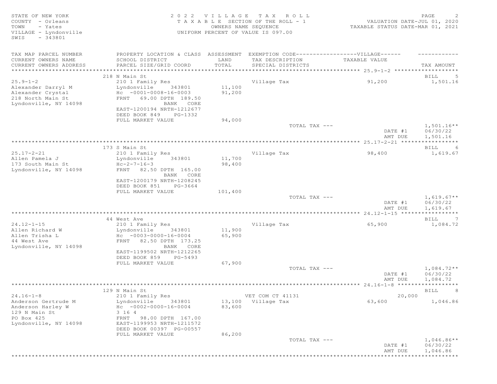| STATE OF NEW YORK<br>COUNTY - Orleans<br>TOWN<br>- Yates<br>VILLAGE - Lyndonville<br>$-343801$<br>SWIS              |                                                                                                                                                                                                  |                            | 2022 VILLAGE TAX ROLL<br>TAXABLE SECTION OF THE ROLL - 1<br>OWNERS NAME SEQUENCE<br>UNIFORM PERCENT OF VALUE IS 097.00 | VALUATION DATE-JUL 01, 2020<br>TAXABLE STATUS DATE-MAR 01, 2021 | PAGE<br>-2                           |
|---------------------------------------------------------------------------------------------------------------------|--------------------------------------------------------------------------------------------------------------------------------------------------------------------------------------------------|----------------------------|------------------------------------------------------------------------------------------------------------------------|-----------------------------------------------------------------|--------------------------------------|
| TAX MAP PARCEL NUMBER<br>CURRENT OWNERS NAME<br>CURRENT OWNERS ADDRESS                                              | PROPERTY LOCATION & CLASS ASSESSMENT EXEMPTION CODE-----------------VILLAGE------<br>SCHOOL DISTRICT<br>PARCEL SIZE/GRID COORD                                                                   | LAND<br>TOTAL              | TAX DESCRIPTION<br>SPECIAL DISTRICTS                                                                                   | TAXABLE VALUE                                                   | TAX AMOUNT                           |
|                                                                                                                     | 218 N Main St                                                                                                                                                                                    |                            |                                                                                                                        |                                                                 | BILL<br>-5                           |
| $25.9 - 1 - 2$<br>Alexander Darryl M<br>Alexander Crystal<br>218 North Main St<br>Lyndonville, NY 14098             | 210 1 Family Res<br>Lyndonville<br>343801<br>$Hc - 0001 - 0008 - 16 - 0003$<br>FRNT 69.00 DPTH 189.50<br>BANK CORE<br>EAST-1200194 NRTH-1212677<br>DEED BOOK 849<br>PG-1332<br>FULL MARKET VALUE | 11,100<br>91,200<br>94,000 | Village Tax                                                                                                            | 91,200                                                          | 1,501.16                             |
|                                                                                                                     |                                                                                                                                                                                                  |                            | TOTAL TAX ---                                                                                                          | DATE #1<br>AMT DUE                                              | $1,501.16**$<br>06/30/22<br>1,501.16 |
|                                                                                                                     |                                                                                                                                                                                                  |                            |                                                                                                                        |                                                                 |                                      |
|                                                                                                                     | 173 S Main St                                                                                                                                                                                    |                            |                                                                                                                        |                                                                 | BILL<br>-6                           |
| $25.17 - 2 - 21$<br>Allen Pamela J<br>173 South Main St<br>Lyndonville, NY 14098                                    | 210 1 Family Res<br>Lyndonville<br>343801<br>$Hc-2-7-16-3$<br>82.50 DPTH 165.00<br>FRNT<br>BANK CORE<br>EAST-1200179 NRTH-1208245<br>DEED BOOK 851<br>PG-3664                                    | 11,700<br>98,400           | Village Tax                                                                                                            | 98,400                                                          | 1,619.67                             |
|                                                                                                                     | FULL MARKET VALUE                                                                                                                                                                                | 101,400                    | TOTAL TAX ---                                                                                                          | DATE #1                                                         | $1,619.67**$<br>06/30/22             |
|                                                                                                                     |                                                                                                                                                                                                  |                            |                                                                                                                        | AMT DUE                                                         | 1,619.67<br>***********              |
|                                                                                                                     | 44 West Ave                                                                                                                                                                                      |                            |                                                                                                                        |                                                                 | BILL<br>$\overline{7}$               |
| $24.12 - 1 - 15$<br>Allen Richard W<br>Allen Trisha L<br>44 West Ave<br>Lyndonville, NY 14098                       | 210 1 Family Res<br>Lyndonville<br>343801<br>$Hc - 0003 - 0000 - 16 - 0004$<br>FRNT 82.50 DPTH 173.25<br>BANK CORE<br>EAST-1199502 NRTH-1212265<br>DEED BOOK 859<br>PG-5493<br>FULL MARKET VALUE | 11,900<br>65,900<br>67,900 | Village Tax<br>TOTAL TAX ---                                                                                           | 65,900                                                          | 1,084.72<br>$1,084.72**$             |
|                                                                                                                     |                                                                                                                                                                                                  |                            |                                                                                                                        | DATE #1                                                         | 06/30/22                             |
|                                                                                                                     |                                                                                                                                                                                                  |                            |                                                                                                                        | AMT DUE                                                         | 1,084.72                             |
|                                                                                                                     | ******************************                                                                                                                                                                   |                            |                                                                                                                        |                                                                 |                                      |
| $24.16 - 1 - 8$<br>Anderson Gertrude M<br>Anderson Harley W<br>129 N Main St<br>PO Box 425<br>Lyndonville, NY 14098 | 129 N Main St<br>210 1 Family Res<br>Lyndonville<br>343801<br>$Hc - 0002 - 0000 - 16 - 0004$<br>3 16 4<br>FRNT 98.00 DPTH 167.00<br>EAST-1199953 NRTH-1211572<br>DEED BOOK 00397 PG-00557        | 83,600                     | VET COM CT 41131<br>13,100 Village Tax                                                                                 | 20,000<br>63,600                                                | BILL<br>-8<br>1,046.86               |
|                                                                                                                     | FULL MARKET VALUE                                                                                                                                                                                | 86,200                     | TOTAL TAX ---                                                                                                          | DATE #1<br>AMT DUE                                              | $1,046.86**$<br>06/30/22<br>1,046.86 |
| *****************                                                                                                   |                                                                                                                                                                                                  |                            |                                                                                                                        |                                                                 | ****************                     |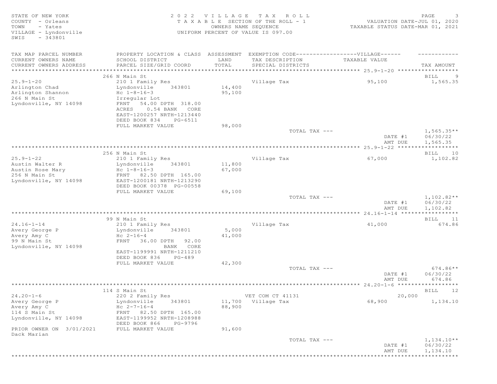SWIS - 343801

## STATE OF NEW YORK SALL RESOLUTION OF A SALL A G EXAMPLE A SALL CHARGE STATE OF NEW YORK SALL PAGE SALL PAGE SA COUNTY - Orleans T A X A B L E SECTION OF THE ROLL - 1 VALUATION DATE-JUL 01, 2020 TOWN - Yates OWNERS NAME SEQUENCE TAXABLE STATUS DATE-MAR 01, 2021 VILLAGE - Lyndonville UNIFORM PERCENT OF VALUE IS 097.00

| TOTAL<br>PARCEL SIZE/GRID COORD<br>TAX AMOUNT<br>CURRENT OWNERS ADDRESS<br>SPECIAL DISTRICTS<br>266 N Main St<br>BILL<br>- 9<br>$25.9 - 1 - 20$<br>210 1 Family Res<br>Village Tax<br>95,100<br>1,565.35<br>Arlington Chad<br>343801<br>14,400<br>Lyndonville<br>Arlington Shannon<br>95,100<br>Hc $1 - 8 - 16 - 3$<br>266 N Main St<br>Irregular Lot<br>Lyndonville, NY 14098<br>FRNT 54.00 DPTH 318.00<br>0.54 BANK CORE<br>ACRES<br>EAST-1200257 NRTH-1213440<br>DEED BOOK 834<br>PG-6511<br>FULL MARKET VALUE<br>98,000<br>$1,565.35**$<br>TOTAL TAX ---<br>DATE #1<br>06/30/22<br>AMT DUE<br>1,565.35<br>256 N Main St<br>BILL 10<br>$25.9 - 1 - 22$<br>Village Tax<br>210 1 Family Res<br>67,000<br>1,102.82<br>Austin Walter R<br>Lyndonville<br>343801<br>11,800<br>67,000<br>Austin Rose Mary<br>Hc $1 - 8 - 16 - 3$<br>256 N Main St<br>FRNT 82.50 DPTH 165.00<br>Lyndonville, NY 14098<br>EAST-1200181 NRTH-1213290<br>DEED BOOK 00378 PG-00558<br>FULL MARKET VALUE<br>69,100<br>$1,102.82**$<br>TOTAL TAX ---<br>06/30/22<br>DATE #1<br>AMT DUE<br>1,102.82<br>99 N Main St<br>BILL 11<br>$24.16 - 1 - 14$<br>Village Tax<br>210 1 Family Res<br>41,000<br>674.86<br>Avery George P<br>Lyndonville 343801<br>5,000<br>Avery Amy C<br>$Hc 2-16-4$<br>41,000<br>FRNT 36.00 DPTH 92.00<br>99 N Main St<br>Lyndonville, NY 14098<br>BANK CORE<br>EAST-1199991 NRTH-1211210<br>DEED BOOK 836<br>PG-489<br>42,300<br>FULL MARKET VALUE<br>$674.86**$<br>TOTAL TAX ---<br>DATE #1<br>06/30/22<br>AMT DUE<br>674.86<br>114 S Main St<br>BILL 12<br>$24.20 - 1 - 6$<br>220 2 Family Res<br>VET COM CT 41131<br>20,000<br>11,700 Village Tax<br>343801<br>68,900<br>1,134.10<br>Avery George P<br>Lyndonville<br>$Hc 2-7-16-4$<br>88,900<br>Avery Amy C<br>FRNT 82.50 DPTH 165.00<br>114 S Main St<br>EAST-1199952 NRTH-1208988<br>Lyndonville, NY 14098<br>DEED BOOK 866<br>PG-9796<br>PRIOR OWNER ON 3/01/2021<br>FULL MARKET VALUE<br>91,600<br>Dack Marian<br>TOTAL TAX ---<br>$1,134.10**$<br>DATE #1<br>06/30/22<br>AMT DUE<br>1,134.10 | TAX MAP PARCEL NUMBER<br>CURRENT OWNERS NAME | PROPERTY LOCATION & CLASS ASSESSMENT EXEMPTION CODE----------------VILLAGE------<br>SCHOOL DISTRICT | LAND | TAX DESCRIPTION | TAXABLE VALUE |  |
|--------------------------------------------------------------------------------------------------------------------------------------------------------------------------------------------------------------------------------------------------------------------------------------------------------------------------------------------------------------------------------------------------------------------------------------------------------------------------------------------------------------------------------------------------------------------------------------------------------------------------------------------------------------------------------------------------------------------------------------------------------------------------------------------------------------------------------------------------------------------------------------------------------------------------------------------------------------------------------------------------------------------------------------------------------------------------------------------------------------------------------------------------------------------------------------------------------------------------------------------------------------------------------------------------------------------------------------------------------------------------------------------------------------------------------------------------------------------------------------------------------------------------------------------------------------------------------------------------------------------------------------------------------------------------------------------------------------------------------------------------------------------------------------------------------------------------------------------------------------------------------------------------------------------------------------------------------------------------------------------------------------------------------------------------|----------------------------------------------|-----------------------------------------------------------------------------------------------------|------|-----------------|---------------|--|
|                                                                                                                                                                                                                                                                                                                                                                                                                                                                                                                                                                                                                                                                                                                                                                                                                                                                                                                                                                                                                                                                                                                                                                                                                                                                                                                                                                                                                                                                                                                                                                                                                                                                                                                                                                                                                                                                                                                                                                                                                                                  |                                              |                                                                                                     |      |                 |               |  |
|                                                                                                                                                                                                                                                                                                                                                                                                                                                                                                                                                                                                                                                                                                                                                                                                                                                                                                                                                                                                                                                                                                                                                                                                                                                                                                                                                                                                                                                                                                                                                                                                                                                                                                                                                                                                                                                                                                                                                                                                                                                  |                                              |                                                                                                     |      |                 |               |  |
|                                                                                                                                                                                                                                                                                                                                                                                                                                                                                                                                                                                                                                                                                                                                                                                                                                                                                                                                                                                                                                                                                                                                                                                                                                                                                                                                                                                                                                                                                                                                                                                                                                                                                                                                                                                                                                                                                                                                                                                                                                                  |                                              |                                                                                                     |      |                 |               |  |
|                                                                                                                                                                                                                                                                                                                                                                                                                                                                                                                                                                                                                                                                                                                                                                                                                                                                                                                                                                                                                                                                                                                                                                                                                                                                                                                                                                                                                                                                                                                                                                                                                                                                                                                                                                                                                                                                                                                                                                                                                                                  |                                              |                                                                                                     |      |                 |               |  |
|                                                                                                                                                                                                                                                                                                                                                                                                                                                                                                                                                                                                                                                                                                                                                                                                                                                                                                                                                                                                                                                                                                                                                                                                                                                                                                                                                                                                                                                                                                                                                                                                                                                                                                                                                                                                                                                                                                                                                                                                                                                  |                                              |                                                                                                     |      |                 |               |  |
|                                                                                                                                                                                                                                                                                                                                                                                                                                                                                                                                                                                                                                                                                                                                                                                                                                                                                                                                                                                                                                                                                                                                                                                                                                                                                                                                                                                                                                                                                                                                                                                                                                                                                                                                                                                                                                                                                                                                                                                                                                                  |                                              |                                                                                                     |      |                 |               |  |
|                                                                                                                                                                                                                                                                                                                                                                                                                                                                                                                                                                                                                                                                                                                                                                                                                                                                                                                                                                                                                                                                                                                                                                                                                                                                                                                                                                                                                                                                                                                                                                                                                                                                                                                                                                                                                                                                                                                                                                                                                                                  |                                              |                                                                                                     |      |                 |               |  |
|                                                                                                                                                                                                                                                                                                                                                                                                                                                                                                                                                                                                                                                                                                                                                                                                                                                                                                                                                                                                                                                                                                                                                                                                                                                                                                                                                                                                                                                                                                                                                                                                                                                                                                                                                                                                                                                                                                                                                                                                                                                  |                                              |                                                                                                     |      |                 |               |  |
|                                                                                                                                                                                                                                                                                                                                                                                                                                                                                                                                                                                                                                                                                                                                                                                                                                                                                                                                                                                                                                                                                                                                                                                                                                                                                                                                                                                                                                                                                                                                                                                                                                                                                                                                                                                                                                                                                                                                                                                                                                                  |                                              |                                                                                                     |      |                 |               |  |
|                                                                                                                                                                                                                                                                                                                                                                                                                                                                                                                                                                                                                                                                                                                                                                                                                                                                                                                                                                                                                                                                                                                                                                                                                                                                                                                                                                                                                                                                                                                                                                                                                                                                                                                                                                                                                                                                                                                                                                                                                                                  |                                              |                                                                                                     |      |                 |               |  |
|                                                                                                                                                                                                                                                                                                                                                                                                                                                                                                                                                                                                                                                                                                                                                                                                                                                                                                                                                                                                                                                                                                                                                                                                                                                                                                                                                                                                                                                                                                                                                                                                                                                                                                                                                                                                                                                                                                                                                                                                                                                  |                                              |                                                                                                     |      |                 |               |  |
|                                                                                                                                                                                                                                                                                                                                                                                                                                                                                                                                                                                                                                                                                                                                                                                                                                                                                                                                                                                                                                                                                                                                                                                                                                                                                                                                                                                                                                                                                                                                                                                                                                                                                                                                                                                                                                                                                                                                                                                                                                                  |                                              |                                                                                                     |      |                 |               |  |
|                                                                                                                                                                                                                                                                                                                                                                                                                                                                                                                                                                                                                                                                                                                                                                                                                                                                                                                                                                                                                                                                                                                                                                                                                                                                                                                                                                                                                                                                                                                                                                                                                                                                                                                                                                                                                                                                                                                                                                                                                                                  |                                              |                                                                                                     |      |                 |               |  |
|                                                                                                                                                                                                                                                                                                                                                                                                                                                                                                                                                                                                                                                                                                                                                                                                                                                                                                                                                                                                                                                                                                                                                                                                                                                                                                                                                                                                                                                                                                                                                                                                                                                                                                                                                                                                                                                                                                                                                                                                                                                  |                                              |                                                                                                     |      |                 |               |  |
|                                                                                                                                                                                                                                                                                                                                                                                                                                                                                                                                                                                                                                                                                                                                                                                                                                                                                                                                                                                                                                                                                                                                                                                                                                                                                                                                                                                                                                                                                                                                                                                                                                                                                                                                                                                                                                                                                                                                                                                                                                                  |                                              |                                                                                                     |      |                 |               |  |
|                                                                                                                                                                                                                                                                                                                                                                                                                                                                                                                                                                                                                                                                                                                                                                                                                                                                                                                                                                                                                                                                                                                                                                                                                                                                                                                                                                                                                                                                                                                                                                                                                                                                                                                                                                                                                                                                                                                                                                                                                                                  |                                              |                                                                                                     |      |                 |               |  |
|                                                                                                                                                                                                                                                                                                                                                                                                                                                                                                                                                                                                                                                                                                                                                                                                                                                                                                                                                                                                                                                                                                                                                                                                                                                                                                                                                                                                                                                                                                                                                                                                                                                                                                                                                                                                                                                                                                                                                                                                                                                  |                                              |                                                                                                     |      |                 |               |  |
|                                                                                                                                                                                                                                                                                                                                                                                                                                                                                                                                                                                                                                                                                                                                                                                                                                                                                                                                                                                                                                                                                                                                                                                                                                                                                                                                                                                                                                                                                                                                                                                                                                                                                                                                                                                                                                                                                                                                                                                                                                                  |                                              |                                                                                                     |      |                 |               |  |
|                                                                                                                                                                                                                                                                                                                                                                                                                                                                                                                                                                                                                                                                                                                                                                                                                                                                                                                                                                                                                                                                                                                                                                                                                                                                                                                                                                                                                                                                                                                                                                                                                                                                                                                                                                                                                                                                                                                                                                                                                                                  |                                              |                                                                                                     |      |                 |               |  |
|                                                                                                                                                                                                                                                                                                                                                                                                                                                                                                                                                                                                                                                                                                                                                                                                                                                                                                                                                                                                                                                                                                                                                                                                                                                                                                                                                                                                                                                                                                                                                                                                                                                                                                                                                                                                                                                                                                                                                                                                                                                  |                                              |                                                                                                     |      |                 |               |  |
|                                                                                                                                                                                                                                                                                                                                                                                                                                                                                                                                                                                                                                                                                                                                                                                                                                                                                                                                                                                                                                                                                                                                                                                                                                                                                                                                                                                                                                                                                                                                                                                                                                                                                                                                                                                                                                                                                                                                                                                                                                                  |                                              |                                                                                                     |      |                 |               |  |
|                                                                                                                                                                                                                                                                                                                                                                                                                                                                                                                                                                                                                                                                                                                                                                                                                                                                                                                                                                                                                                                                                                                                                                                                                                                                                                                                                                                                                                                                                                                                                                                                                                                                                                                                                                                                                                                                                                                                                                                                                                                  |                                              |                                                                                                     |      |                 |               |  |
|                                                                                                                                                                                                                                                                                                                                                                                                                                                                                                                                                                                                                                                                                                                                                                                                                                                                                                                                                                                                                                                                                                                                                                                                                                                                                                                                                                                                                                                                                                                                                                                                                                                                                                                                                                                                                                                                                                                                                                                                                                                  |                                              |                                                                                                     |      |                 |               |  |
|                                                                                                                                                                                                                                                                                                                                                                                                                                                                                                                                                                                                                                                                                                                                                                                                                                                                                                                                                                                                                                                                                                                                                                                                                                                                                                                                                                                                                                                                                                                                                                                                                                                                                                                                                                                                                                                                                                                                                                                                                                                  |                                              |                                                                                                     |      |                 |               |  |
|                                                                                                                                                                                                                                                                                                                                                                                                                                                                                                                                                                                                                                                                                                                                                                                                                                                                                                                                                                                                                                                                                                                                                                                                                                                                                                                                                                                                                                                                                                                                                                                                                                                                                                                                                                                                                                                                                                                                                                                                                                                  |                                              |                                                                                                     |      |                 |               |  |
|                                                                                                                                                                                                                                                                                                                                                                                                                                                                                                                                                                                                                                                                                                                                                                                                                                                                                                                                                                                                                                                                                                                                                                                                                                                                                                                                                                                                                                                                                                                                                                                                                                                                                                                                                                                                                                                                                                                                                                                                                                                  |                                              |                                                                                                     |      |                 |               |  |
|                                                                                                                                                                                                                                                                                                                                                                                                                                                                                                                                                                                                                                                                                                                                                                                                                                                                                                                                                                                                                                                                                                                                                                                                                                                                                                                                                                                                                                                                                                                                                                                                                                                                                                                                                                                                                                                                                                                                                                                                                                                  |                                              |                                                                                                     |      |                 |               |  |
|                                                                                                                                                                                                                                                                                                                                                                                                                                                                                                                                                                                                                                                                                                                                                                                                                                                                                                                                                                                                                                                                                                                                                                                                                                                                                                                                                                                                                                                                                                                                                                                                                                                                                                                                                                                                                                                                                                                                                                                                                                                  |                                              |                                                                                                     |      |                 |               |  |
|                                                                                                                                                                                                                                                                                                                                                                                                                                                                                                                                                                                                                                                                                                                                                                                                                                                                                                                                                                                                                                                                                                                                                                                                                                                                                                                                                                                                                                                                                                                                                                                                                                                                                                                                                                                                                                                                                                                                                                                                                                                  |                                              |                                                                                                     |      |                 |               |  |
|                                                                                                                                                                                                                                                                                                                                                                                                                                                                                                                                                                                                                                                                                                                                                                                                                                                                                                                                                                                                                                                                                                                                                                                                                                                                                                                                                                                                                                                                                                                                                                                                                                                                                                                                                                                                                                                                                                                                                                                                                                                  |                                              |                                                                                                     |      |                 |               |  |
|                                                                                                                                                                                                                                                                                                                                                                                                                                                                                                                                                                                                                                                                                                                                                                                                                                                                                                                                                                                                                                                                                                                                                                                                                                                                                                                                                                                                                                                                                                                                                                                                                                                                                                                                                                                                                                                                                                                                                                                                                                                  |                                              |                                                                                                     |      |                 |               |  |
|                                                                                                                                                                                                                                                                                                                                                                                                                                                                                                                                                                                                                                                                                                                                                                                                                                                                                                                                                                                                                                                                                                                                                                                                                                                                                                                                                                                                                                                                                                                                                                                                                                                                                                                                                                                                                                                                                                                                                                                                                                                  |                                              |                                                                                                     |      |                 |               |  |
|                                                                                                                                                                                                                                                                                                                                                                                                                                                                                                                                                                                                                                                                                                                                                                                                                                                                                                                                                                                                                                                                                                                                                                                                                                                                                                                                                                                                                                                                                                                                                                                                                                                                                                                                                                                                                                                                                                                                                                                                                                                  |                                              |                                                                                                     |      |                 |               |  |
|                                                                                                                                                                                                                                                                                                                                                                                                                                                                                                                                                                                                                                                                                                                                                                                                                                                                                                                                                                                                                                                                                                                                                                                                                                                                                                                                                                                                                                                                                                                                                                                                                                                                                                                                                                                                                                                                                                                                                                                                                                                  |                                              |                                                                                                     |      |                 |               |  |
|                                                                                                                                                                                                                                                                                                                                                                                                                                                                                                                                                                                                                                                                                                                                                                                                                                                                                                                                                                                                                                                                                                                                                                                                                                                                                                                                                                                                                                                                                                                                                                                                                                                                                                                                                                                                                                                                                                                                                                                                                                                  |                                              |                                                                                                     |      |                 |               |  |
|                                                                                                                                                                                                                                                                                                                                                                                                                                                                                                                                                                                                                                                                                                                                                                                                                                                                                                                                                                                                                                                                                                                                                                                                                                                                                                                                                                                                                                                                                                                                                                                                                                                                                                                                                                                                                                                                                                                                                                                                                                                  |                                              |                                                                                                     |      |                 |               |  |
|                                                                                                                                                                                                                                                                                                                                                                                                                                                                                                                                                                                                                                                                                                                                                                                                                                                                                                                                                                                                                                                                                                                                                                                                                                                                                                                                                                                                                                                                                                                                                                                                                                                                                                                                                                                                                                                                                                                                                                                                                                                  |                                              |                                                                                                     |      |                 |               |  |
|                                                                                                                                                                                                                                                                                                                                                                                                                                                                                                                                                                                                                                                                                                                                                                                                                                                                                                                                                                                                                                                                                                                                                                                                                                                                                                                                                                                                                                                                                                                                                                                                                                                                                                                                                                                                                                                                                                                                                                                                                                                  |                                              |                                                                                                     |      |                 |               |  |
|                                                                                                                                                                                                                                                                                                                                                                                                                                                                                                                                                                                                                                                                                                                                                                                                                                                                                                                                                                                                                                                                                                                                                                                                                                                                                                                                                                                                                                                                                                                                                                                                                                                                                                                                                                                                                                                                                                                                                                                                                                                  |                                              |                                                                                                     |      |                 |               |  |
|                                                                                                                                                                                                                                                                                                                                                                                                                                                                                                                                                                                                                                                                                                                                                                                                                                                                                                                                                                                                                                                                                                                                                                                                                                                                                                                                                                                                                                                                                                                                                                                                                                                                                                                                                                                                                                                                                                                                                                                                                                                  |                                              |                                                                                                     |      |                 |               |  |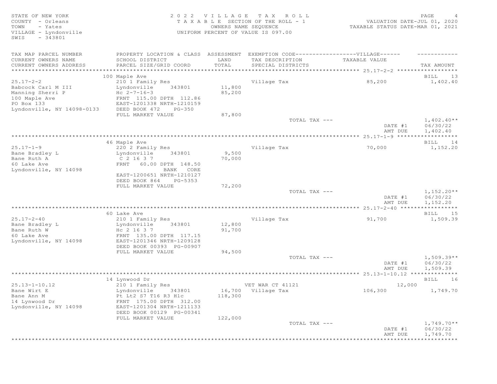STATE OF NEW YORK 2 0 2 2 V I L L A G E T A X R O L L PAGE 4 COUNTY - Orleans T A X A B L E SECTION OF THE ROLL - 1 VALUATION DATE-JUL 01, 2020 TOWN - Yates OWNERS NAME SEQUENCE TAXABLE STATUS DATE-MAR 01, 2021 UNIFORM PERCENT OF VALUE IS 097.00 SWIS - 343801 TAX MAP PARCEL NUMBER PROPERTY LOCATION & CLASS ASSESSMENT EXEMPTION CODE-----------------VILLAGE------ -----------CURRENT OWNERS NAME SCHOOL DISTRICT LAND TAX DESCRIPTION TAXABLE VALUE CURRENT OWNERS ADDRESS PARCEL SIZE/GRID COORD TOTAL SPECIAL DISTRICTS TAX AMOUNT \*\*\*\*\*\*\*\*\*\*\*\*\*\*\*\*\*\*\*\*\*\*\*\*\*\*\*\*\*\*\*\*\*\*\*\*\*\*\*\*\*\*\*\*\*\*\*\*\*\*\*\*\*\*\*\*\*\*\*\*\*\*\*\*\*\*\*\*\*\*\*\*\*\*\*\*\*\*\*\*\*\*\*\*\*\*\*\*\*\*\*\*\*\*\*\*\*\*\*\*\*\*\* 25.17-2-2 \*\*\*\*\*\*\*\*\*\*\*\*\*\*\*\*\*\* 100 Maple Ave BILL 13 25.17-2-2 210 1 Family Res Village Tax 85,200 1,402.40 Babcock Carl M III Lyndonville 343801 11,800 Manning Sherri P  $HC$   $2-7-16-3$   $85,200$ 100 Maple Ave FRNT 115.00 DPTH 112.86 PO Box 133 EAST-1201338 NRTH-1210159 Lyndonville, NY 14098-0133 DEED BOOK 472 PG-350 87,800 FULL MARKET VALUE TOTAL TAX  $---$  1,402.40\*\* DATE #1 06/30/22 AMT DUE 1,402.40 \*\*\*\*\*\*\*\*\*\*\*\*\*\*\*\*\*\*\*\*\*\*\*\*\*\*\*\*\*\*\*\*\*\*\*\*\*\*\*\*\*\*\*\*\*\*\*\*\*\*\*\*\*\*\*\*\*\*\*\*\*\*\*\*\*\*\*\*\*\*\*\*\*\*\*\*\*\*\*\*\*\*\*\*\*\*\*\*\*\*\*\*\*\*\*\*\*\*\*\*\*\*\* 25.17-1-9 \*\*\*\*\*\*\*\*\*\*\*\*\*\*\*\*\*\* 46 Maple Ave BILL 14 25.17-1-9 220 2 Family Res Village Tax 70,000 1,152.20 Bane Bradley L Lyndonville 343801 9,500 Bane Ruth A  $C$  2 16 3 7 70,000 60 Lake Ave FRNT 60.00 DPTH 148.50 Lyndonville, NY 14098 BANK CORE EAST-1200651 NRTH-1210127 DEED BOOK 864 PG-5353 FULL MARKET VALUE 72,200 TOTAL TAX  $---$  1,152.20\*\*<br>DATE #1 06/30/22  $06/30/22$  AMT DUE 1,152.20 \*\*\*\*\*\*\*\*\*\*\*\*\*\*\*\*\*\*\*\*\*\*\*\*\*\*\*\*\*\*\*\*\*\*\*\*\*\*\*\*\*\*\*\*\*\*\*\*\*\*\*\*\*\*\*\*\*\*\*\*\*\*\*\*\*\*\*\*\*\*\*\*\*\*\*\*\*\*\*\*\*\*\*\*\*\*\*\*\*\*\*\*\*\*\*\*\*\*\*\*\*\*\* 25.17-2-40 \*\*\*\*\*\*\*\*\*\*\*\*\*\*\*\*\* 60 Lake Ave BILL 15 25.17-2-40 210 1 Family Res Village Tax 91,700 1,509.39 Bane Bradley L Charles and Lyndonville 343801 12,800 Bane Ruth W  $He$  2 16 3 7 91,700 60 Lake Ave FRNT 135.00 DPTH 117.15 Lyndonville, NY 14098 EAST-1201346 NRTH-1209128 DEED BOOK 00393 PG-00907 FULL MARKET VALUE 94,500 TOTAL TAX --- 1,509.39\*\* DATE #1 06/30/22 AMT DUE 1,509.39 \*\*\*\*\*\*\*\*\*\*\*\*\*\*\*\*\*\*\*\*\*\*\*\*\*\*\*\*\*\*\*\*\*\*\*\*\*\*\*\*\*\*\*\*\*\*\*\*\*\*\*\*\*\*\*\*\*\*\*\*\*\*\*\*\*\*\*\*\*\*\*\*\*\*\*\*\*\*\*\*\*\*\*\*\*\*\*\*\*\*\*\*\*\*\*\*\*\*\*\*\*\*\* 25.13-1-10.12 \*\*\*\*\*\*\*\*\*\*\*\*\*\* 14 Lynwood Dr BILL 16 25.13-1-10.12 210 1 Family Res 20 VET WAR CT 41121 25.13-1-10.12 25.000 Bane Wirt E Lyndonville 343801 16,700 Village Tax 106,300 1,749.70 Bane Ann M Pt Lt2 S7 T16 R3 Hlc 118,300 Bane Wirt E<br>
Bane Ann M<br>
14 Lynwood Dr<br>
14 Lynwood Dr<br>
14 Lynwood Dr<br>
14 Lynwood Dr<br>
14 EXST-1201304 NRTH-1211133 Lyndonville, NY 14098 EAST-1201304 NRTH-1211133 DEED BOOK 00129 PG-00341 FULL MARKET VALUE 122,000 TOTAL TAX  $-- 1,749.70**$  DATE #1 06/30/22 AMT DUE 1,749.70 \*\*\*\*\*\*\*\*\*\*\*\*\*\*\*\*\*\*\*\*\*\*\*\*\*\*\*\*\*\*\*\*\*\*\*\*\*\*\*\*\*\*\*\*\*\*\*\*\*\*\*\*\*\*\*\*\*\*\*\*\*\*\*\*\*\*\*\*\*\*\*\*\*\*\*\*\*\*\*\*\*\*\*\*\*\*\*\*\*\*\*\*\*\*\*\*\*\*\*\*\*\*\*\*\*\*\*\*\*\*\*\*\*\*\*\*\*\*\*\*\*\*\*\*\*\*\*\*\*\*\*\*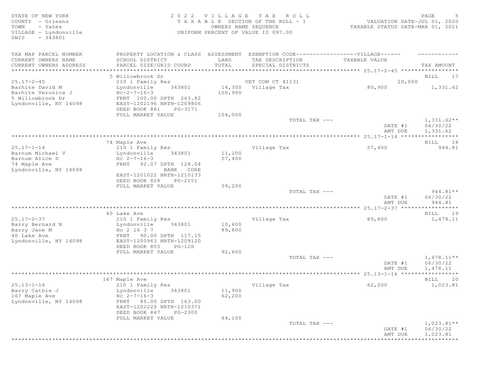| STATE OF NEW YORK<br>COUNTY - Orleans<br>TOWN<br>- Yates<br>VILLAGE - Lyndonville<br>$-343801$<br>SWIS | 2 0 2 2<br>TAXABLE         | VILLAGE    | T A X<br>ROLL<br>SECTION OF THE ROLL - 1<br>OWNERS NAME SEQUENCE<br>UNIFORM PERCENT OF VALUE IS 097.00 | VALUATION DATE-JUL 01, 2020<br>TAXABLE STATUS DATE-MAR 01, 2021 | PAGE<br>-5             |
|--------------------------------------------------------------------------------------------------------|----------------------------|------------|--------------------------------------------------------------------------------------------------------|-----------------------------------------------------------------|------------------------|
| TAX MAP PARCEL NUMBER                                                                                  | PROPERTY LOCATION & CLASS  | ASSESSMENT | EXEMPTION CODE-------------------VILLAGE------                                                         |                                                                 |                        |
| CURRENT OWNERS NAME                                                                                    | SCHOOL DISTRICT            | LAND       | TAX DESCRIPTION                                                                                        | TAXABLE VALUE                                                   |                        |
| CURRENT OWNERS ADDRESS                                                                                 | PARCEL SIZE/GRID COORD     | TOTAL      | SPECIAL DISTRICTS                                                                                      |                                                                 | TAX AMOUNT             |
| ***************************                                                                            |                            |            |                                                                                                        |                                                                 |                        |
|                                                                                                        | 5 Willowbrook Dr           |            |                                                                                                        |                                                                 | BILL<br>17             |
| $25.17 - 2 - 45$                                                                                       | 210 1 Family Res           |            | VET COM CT 41131                                                                                       | 20,000                                                          |                        |
| Barhite David M                                                                                        | 343801<br>Lyndonville      |            | 14,300 Village Tax                                                                                     | 80,900                                                          | 1,331.62               |
| Barhite Veronica J                                                                                     | $Hc-2-7-16-3$              | 100,900    |                                                                                                        |                                                                 |                        |
| 5 Willowbrook Dr                                                                                       | FRNT 100.00 DPTH 263.82    |            |                                                                                                        |                                                                 |                        |
| Lyndonville, NY 14098                                                                                  | EAST-1202196 NRTH-1209806  |            |                                                                                                        |                                                                 |                        |
|                                                                                                        | DEED BOOK 861<br>PG-3171   |            |                                                                                                        |                                                                 |                        |
|                                                                                                        | FULL MARKET VALUE          | 104,000    | TOTAL TAX ---                                                                                          |                                                                 | $1,331.62**$           |
|                                                                                                        |                            |            |                                                                                                        | DATE #1<br>AMT DUE                                              | 06/30/22<br>1,331.62   |
|                                                                                                        |                            |            |                                                                                                        |                                                                 |                        |
|                                                                                                        | 74 Maple Ave               |            |                                                                                                        |                                                                 | 18<br>BILL             |
| $25.17 - 1 - 14$                                                                                       | 210 1 Family Res           |            | Village Tax                                                                                            | 57,400                                                          | 944.81                 |
| Barnum Michael V                                                                                       | 343801<br>Lyndonville      | 11,200     |                                                                                                        |                                                                 |                        |
| Barnum Alice D                                                                                         | $Hc 2-7-16-3$              | 57,400     |                                                                                                        |                                                                 |                        |
| 74 Maple Ave                                                                                           | FRNT 92.07 DPTH 128.04     |            |                                                                                                        |                                                                 |                        |
| Lyndonville, NY 14098                                                                                  | BANK CORE                  |            |                                                                                                        |                                                                 |                        |
|                                                                                                        | EAST-1201022 NRTH-1210133  |            |                                                                                                        |                                                                 |                        |
|                                                                                                        | DEED BOOK 828<br>PG-2151   |            |                                                                                                        |                                                                 |                        |
|                                                                                                        | FULL MARKET VALUE          | 59,200     |                                                                                                        |                                                                 |                        |
|                                                                                                        |                            |            | TOTAL TAX ---                                                                                          |                                                                 | $944.81**$             |
|                                                                                                        |                            |            |                                                                                                        | DATE #1                                                         | 06/30/22               |
|                                                                                                        |                            |            |                                                                                                        | AMT DUE                                                         | 944.81                 |
|                                                                                                        |                            |            |                                                                                                        |                                                                 | ***********            |
| $25.17 - 2 - 37$                                                                                       | 40 Lake Ave                |            |                                                                                                        | 89,800                                                          | BILL<br>19<br>1,478.11 |
|                                                                                                        | 210 1 Family Res<br>343801 | 10,600     | Village Tax                                                                                            |                                                                 |                        |
| Barry Bernard N<br>Barry Jane M                                                                        | Lyndonville<br>Hc 2 16 3 7 | 89,800     |                                                                                                        |                                                                 |                        |
| 40 Lake Ave                                                                                            | FRNT 90.00 DPTH 117.15     |            |                                                                                                        |                                                                 |                        |
| Lyndonville, NY 14098                                                                                  | EAST-1200963 NRTH-1209120  |            |                                                                                                        |                                                                 |                        |
|                                                                                                        | DEED BOOK 855<br>PG-120    |            |                                                                                                        |                                                                 |                        |
|                                                                                                        | FULL MARKET VALUE          | 92,600     |                                                                                                        |                                                                 |                        |
|                                                                                                        |                            |            | TOTAL TAX ---                                                                                          |                                                                 | $1,478.11**$           |
|                                                                                                        |                            |            |                                                                                                        | DATE #1                                                         | 06/30/22               |
|                                                                                                        |                            |            |                                                                                                        | AMT DUE                                                         | 1,478.11               |
|                                                                                                        |                            |            |                                                                                                        |                                                                 | ***********            |
|                                                                                                        | 167 Maple Ave              |            |                                                                                                        |                                                                 | BILL<br>20             |
| $25.13 - 1 - 16$                                                                                       | 210 1 Family Res           |            | Village Tax                                                                                            | 62,200                                                          | 1,023.81               |
| Barry Cathie J                                                                                         | Lyndonville<br>343801      | 11,900     |                                                                                                        |                                                                 |                        |
| 167 Maple Ave                                                                                          | $Hc 2-7-16-3$              | 62,200     |                                                                                                        |                                                                 |                        |
| Lyndonville, NY 14098                                                                                  | FRNT 85.00 DPTH 163.00     |            |                                                                                                        |                                                                 |                        |
|                                                                                                        | EAST-1202220 NRTH-1210371  |            |                                                                                                        |                                                                 |                        |
|                                                                                                        | DEED BOOK 847<br>PG-2300   |            |                                                                                                        |                                                                 |                        |
|                                                                                                        | FULL MARKET VALUE          | 64,100     |                                                                                                        |                                                                 |                        |
|                                                                                                        |                            |            | TOTAL TAX ---                                                                                          |                                                                 | $1,023.81**$           |
|                                                                                                        |                            |            |                                                                                                        | DATE #1                                                         | 06/30/22               |
|                                                                                                        |                            |            |                                                                                                        | AMT DUE                                                         | 1,023.81               |
|                                                                                                        |                            |            |                                                                                                        |                                                                 | ***********            |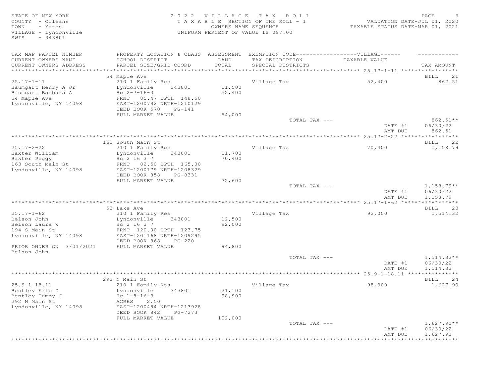STATE OF NEW YORK 2 0 2 2 V I L L A G E T A X R O L L PAGE 6 COUNTY - Orleans T A X A B L E SECTION OF THE ROLL - 1<br>TOWN - Yates COUNTER DATE: DESCRIPTION OF THE ROLL - 1 TOWN - Yates OWNERS NAME SEQUENCE TAXABLE STATUS DATE-MAR 01, 2021 UNIFORM PERCENT OF VALUE IS 097.00 SWIS - 343801 TAX MAP PARCEL NUMBER PROPERTY LOCATION & CLASS ASSESSMENT EXEMPTION CODE------------------VILLAGE------ ------------ CURRENT OWNERS NAME SCHOOL DISTRICT LAND TAX DESCRIPTION TAXABLE VALUE PARCEL SIZE/GRID COORD TOTAL SPECIAL DISTRICTS TAX AMOUNT \*\*\*\*\*\*\*\*\*\*\*\*\*\*\*\*\*\*\*\*\*\*\*\*\*\*\*\*\*\*\*\*\*\*\*\*\*\*\*\*\*\*\*\*\*\*\*\*\*\*\*\*\*\*\*\*\*\*\*\*\*\*\*\*\*\*\*\*\*\*\*\*\*\*\*\*\*\*\*\*\*\*\*\*\*\*\*\*\*\*\*\*\*\*\*\*\*\*\*\*\*\*\* 25.17-1-11 \*\*\*\*\*\*\*\*\*\*\*\*\*\*\*\*\* 54 Maple Ave BILL 21 25.17-1-11 210 1 Family Res Village Tax 52,400 862.51 Baumgart Henry A Jr Lyndonville 343801 11,500 Baumgart Barbara A  $He$   $2-7-16-3$  52,400 54 Maple Ave FRNT 85.47 DPTH 148.50 Lyndonville, NY 14098 EAST-1200792 NRTH-1210129 DEED BOOK 570 PG-141<br>FULL MARKET VALUE 54,000 FULL MARKET VALUE 54,000<br>TOTAL TAX --- $TOTAL$   $TAX$   $---$  862.51\*\* DATE #1 06/30/22 AMT DUE  $862.51$ \*\*\*\*\*\*\*\*\*\*\*\*\*\*\*\*\*\*\*\*\*\*\*\*\*\*\*\*\*\*\*\*\*\*\*\*\*\*\*\*\*\*\*\*\*\*\*\*\*\*\*\*\*\*\*\*\*\*\*\*\*\*\*\*\*\*\*\*\*\*\*\*\*\*\*\*\*\*\*\*\*\*\*\*\*\*\*\*\*\*\*\*\*\*\*\*\*\*\*\*\*\*\* 25.17-2-22 \*\*\*\*\*\*\*\*\*\*\*\*\*\*\*\*\* 163 South Main St **BILL 22** 25.17-2-22 210 1 Family Res Village Tax 70,400 1,158.79 Lyndonville 343801 11,700<br>Hc 2 16 3 7 70,400 Baxter Peggy<br>163 South Main St 163 South Main St FRNT 82.50 DPTH 165.00 Lyndonville, NY 14098 EAST-1200179 NRTH-1208329 DEED BOOK 858 PG-8331 FULL MARKET VALUE 72,600<br>TOTAL TAX --- $T$ OTAL TAX  $---$  1,158.79\*\* DATE #1 06/30/22<br>AMT DUE 1.158.79 AMT DUE 1, 158.79 \*\*\*\*\*\*\*\*\*\*\*\*\*\*\*\*\*\*\*\*\*\*\*\*\*\*\*\*\*\*\*\*\*\*\*\*\*\*\*\*\*\*\*\*\*\*\*\*\*\*\*\*\*\*\*\*\*\*\*\*\*\*\*\*\*\*\*\*\*\*\*\*\*\*\*\*\*\*\*\*\*\*\*\*\*\*\*\*\*\*\*\*\*\*\*\*\*\*\*\*\*\*\* 25.17-1-62 \*\*\*\*\*\*\*\*\*\*\*\*\*\*\*\*\* 53 Lake Ave BILL 23 25.17-1-62 210 1 Family Res 210 1 Family Res 210 1 Family Res 25.17-1-62 32,000 1,514.32 Eyndonville 343801 12,500<br>Hc 2 16 3 7 92,000 Belson Laura W<br>194 S Main St FRNT 120.00 DPTH 123.75 Lyndonville, NY 14098 EAST-1201168 NRTH-1209295 DEED BOOK 868 PG-220 PRIOR OWNER ON  $3/01/2021$  FULL MARKET VALUE 94,800 Belson John  $T$ OTAL TAX  $---$  1,514.32\*\* DATE #1 06/30/22<br>AMT DUE 1,514.32 AMT DUE 1, 514.32 \*\*\*\*\*\*\*\*\*\*\*\*\*\*\*\*\*\*\*\*\*\*\*\*\*\*\*\*\*\*\*\*\*\*\*\*\*\*\*\*\*\*\*\*\*\*\*\*\*\*\*\*\*\*\*\*\*\*\*\*\*\*\*\*\*\*\*\*\*\*\*\*\*\*\*\*\*\*\*\*\*\*\*\*\*\*\*\*\*\*\*\*\*\*\*\*\*\*\*\*\*\*\* 25.9-1-18.11 \*\*\*\*\*\*\*\*\*\*\*\*\*\*\* 292 N Main St Bill 24 25.9-1-18.11 210 1 Family Res Village Tax 98,900 1,627.90 Lyndonville 343801 21,100<br>Hc 1-8-16-3 98,900 Bentley Tammy J $_{\rm HC}$  1-8-16-3  $_{\rm HC}$  98,900 292 N Main St **ACRES** 2.50 Lyndonville, NY 14098 EAST-1200484 NRTH-1213928 DEED BOOK 842 PG-7273<br>FULL MARKET VALUE 102.000 FULL MARKET VALUE  $\texttt{TOTAL TAX}$   $-- \texttt{1,627.90**}$  DATE #1 06/30/22 AMT DUE 1, 627.90 \*\*\*\*\*\*\*\*\*\*\*\*\*\*\*\*\*\*\*\*\*\*\*\*\*\*\*\*\*\*\*\*\*\*\*\*\*\*\*\*\*\*\*\*\*\*\*\*\*\*\*\*\*\*\*\*\*\*\*\*\*\*\*\*\*\*\*\*\*\*\*\*\*\*\*\*\*\*\*\*\*\*\*\*\*\*\*\*\*\*\*\*\*\*\*\*\*\*\*\*\*\*\*\*\*\*\*\*\*\*\*\*\*\*\*\*\*\*\*\*\*\*\*\*\*\*\*\*\*\*\*\*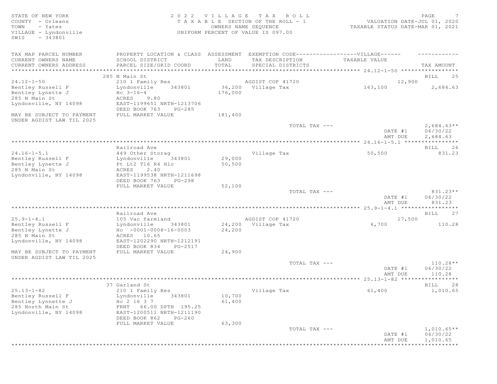STATE OF NEW YORK 2 0 2 2 V I L L A G E T A X R O L L PAGE 7 COUNTY - Orleans T A X A B L E SECTION OF THE ROLL - 1 VALUATION DATE-JUL 01, 2020 TOWN - Yates OWNERS NAME SEQUENCE TAXABLE STATUS DATE-MAR 01, 2021 VILLAGE - Lyndonville UNIFORM PERCENT OF VALUE IS 097.00 SWIS - 343801 TAX MAP PARCEL NUMBER PROPERTY LOCATION & CLASS ASSESSMENT EXEMPTION CODE-------------------VILLAGE------ ----------CURRENT OWNERS NAME SCHOOL DISTRICT LAND TAX DESCRIPTION TAXABLE VALUE CURRENT OWNERS ADDRESS PARCEL SIZE/GRID COORD TOTAL SPECIAL DISTRICTS TAX AMOUNT \*\*\*\*\*\*\*\*\*\*\*\*\*\*\*\*\*\*\*\*\*\*\*\*\*\*\*\*\*\*\*\*\*\*\*\*\*\*\*\*\*\*\*\*\*\*\*\*\*\*\*\*\*\*\*\*\*\*\*\*\*\*\*\*\*\*\*\*\*\*\*\*\*\*\*\*\*\*\*\*\*\*\*\*\*\*\*\*\*\*\*\*\*\*\*\*\*\*\*\*\*\*\* 24.12-1-50 \*\*\*\*\*\*\*\*\*\*\*\*\*\*\*\*\* 285 N Main St Bill 25 and the state of the state of the state of the state of the state of the state of the state of the state of the state of the state of the state of the state of the state of the state of the state of t 24.12-1-50 210 1 Family Res AGDIST COF 41720 12,900 Bentley Russell F Lyndonville 343801 36,200 Village Tax 163,100 2,684.63 Bentley Lynette J  $\overline{H}$  Hc 3-16-4  $\overline{176,000}$ 285 N Main St **ACRES** 9.80 Lyndonville, NY 14098 EAST-1199651 NRTH-1213706 DEED BOOK 763 PG-285 MAY BE SUBJECT TO PAYMENT FULL MARKET VALUE UNDER AGDIST LAW TIL 2025  $\texttt{TOTAL TAX}$   $- \texttt{2,684.63**}$ DATE #1 06/30/22<br>AMT DUE 2,684.63 AMT DUE 2, 684.63 \*\*\*\*\*\*\*\*\*\*\*\*\*\*\*\*\*\*\*\*\*\*\*\*\*\*\*\*\*\*\*\*\*\*\*\*\*\*\*\*\*\*\*\*\*\*\*\*\*\*\*\*\*\*\*\*\*\*\*\*\*\*\*\*\*\*\*\*\*\*\*\*\*\*\*\*\*\*\*\*\*\*\*\*\*\*\*\*\*\*\*\*\*\*\*\*\*\*\*\*\*\*\* 24.16-1-5.1 \*\*\*\*\*\*\*\*\*\*\*\*\*\*\*\* Railroad Ave BILL 26 24.16-1-5.1 449 Other Storag Village Tax 50,500 831.23 Bentley Russell F Lyndonville 343801 29,000 Bentley Lynette J Pt Lt2 T16 R4 Hlc 50,500 285 N Main St **ACRES** 2.40 Lyndonville, NY 14098 EAST-1199538 NRTH-1211698 DEED BOOK 763 PG-298<br>FULL MARKET VALUE 52,100 FULL MARKET VALUE 52,100<br>TOTAL TAX --- $T$ OTAL TAX  $---$  831.23\*\* DATE #1 06/30/22<br>AMT DUE 831.23 AMT DUE 831.23 \*\*\*\*\*\*\*\*\*\*\*\*\*\*\*\*\*\*\*\*\*\*\*\*\*\*\*\*\*\*\*\*\*\*\*\*\*\*\*\*\*\*\*\*\*\*\*\*\*\*\*\*\*\*\*\*\*\*\*\*\*\*\*\*\*\*\*\*\*\*\*\*\*\*\*\*\*\*\*\*\*\*\*\*\*\*\*\*\*\*\*\*\*\*\*\*\*\*\*\*\*\*\* 25.9-1-4.1 \*\*\*\*\*\*\*\*\*\*\*\*\*\*\*\*\* Railroad Ave BILL 27<br>105 Vac farmland Ave BILL 27<br>Bontlow Bussall E 17,500 25.9-1-4.1 105 Vac farmland agDIST COF 41720 17,500<br>
24,200 Village Tax 6,700 110.28<br>
24,200 Dentley Lynette J Hc -0001-0008-16-0003 24,200 24,200 Bentley Russell F Lyndonville 343801 24,200 Village Tax 6,700 110.28 Bentley Lynette J Hc -0001-0008-16-0003 24,200 285 N Main St **ACRES** 10.65 Lyndonville, NY 14098 EAST-1202290 NRTH-1212191 DEED BOOK 834 PG-2517 MAY BE SUBJECT TO PAYMENT FULL MARKET VALUE  $24,900$ UNDER AGDIST LAW TIL 2025  $T$ OTAL TAX  $---$  110.28\*\* DATE #1 06/30/22 **AMT DUE** 110.28 \*\*\*\*\*\*\*\*\*\*\*\*\*\*\*\*\*\*\*\*\*\*\*\*\*\*\*\*\*\*\*\*\*\*\*\*\*\*\*\*\*\*\*\*\*\*\*\*\*\*\*\*\*\*\*\*\*\*\*\*\*\*\*\*\*\*\*\*\*\*\*\*\*\*\*\*\*\*\*\*\*\*\*\*\*\*\*\*\*\*\*\*\*\*\*\*\*\*\*\*\*\*\* 25.13-1-82 \*\*\*\*\*\*\*\*\*\*\*\*\*\*\*\*\* 37 Garland St 28 and 2012 12:30 and 2012 12:30 and 2012 12:30 and 2012 12:30 and 2012 12:30 and 2012 12:30 and 2013 12:30 and 2013 12:30 and 2013 12:30 and 2013 12:30 and 2013 12:30 and 2013 12:30 and 2013 12:30 and 2013 1 25.13-1-82 210 1 Family Res Village Tax 61,400 1,010.65 Bentley Russell F Lyndonville 343801 10,700 Bentley Lynnette J  $HC$  2 16 3 7 61,400 Bentley Lynnette J<br>
285 North Main St<br>
285 North Main St<br>
285 North Main St<br>
285 Tuyndonville, NY 14098<br>
285T-1200511 NRTH-1211190 EAST-1200511 NRTH-1211190 DEED BOOK 862 PG-260 FULL MARKET VALUE 63,300<br>TOTAL TAX --- $\texttt{TOTAL TAX}$   $-- \texttt{1,010.65**}$ DATE #1 06/30/22<br>AMT DUE 1,010.65 AMT DUE 1,010.65 \*\*\*\*\*\*\*\*\*\*\*\*\*\*\*\*\*\*\*\*\*\*\*\*\*\*\*\*\*\*\*\*\*\*\*\*\*\*\*\*\*\*\*\*\*\*\*\*\*\*\*\*\*\*\*\*\*\*\*\*\*\*\*\*\*\*\*\*\*\*\*\*\*\*\*\*\*\*\*\*\*\*\*\*\*\*\*\*\*\*\*\*\*\*\*\*\*\*\*\*\*\*\*\*\*\*\*\*\*\*\*\*\*\*\*\*\*\*\*\*\*\*\*\*\*\*\*\*\*\*\*\*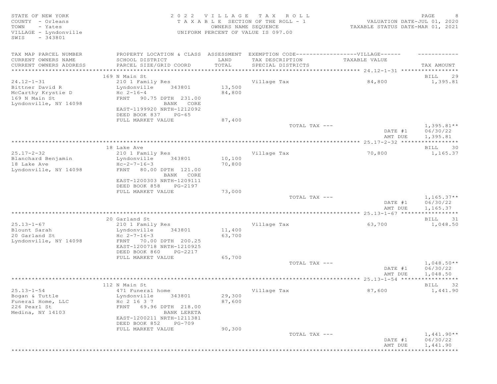| STATE OF NEW YORK<br>COUNTY - Orleans<br>TOWN<br>- Yates<br>VILLAGE - Lyndonville<br>$-343801$<br>SWIS |                                                                                   | 2022 VILLAGE<br>OWNERS NAME SEQUENCE | TAX ROLL<br>TAXABLE SECTION OF THE ROLL - 1<br>UNIFORM PERCENT OF VALUE IS 097.00 | VALUATION DATE-JUL 01, 2020<br>TAXABLE STATUS DATE-MAR 01, 2021 | PAGE<br>8                            |
|--------------------------------------------------------------------------------------------------------|-----------------------------------------------------------------------------------|--------------------------------------|-----------------------------------------------------------------------------------|-----------------------------------------------------------------|--------------------------------------|
| TAX MAP PARCEL NUMBER                                                                                  | PROPERTY LOCATION & CLASS ASSESSMENT EXEMPTION CODE-----------------VILLAGE------ |                                      |                                                                                   |                                                                 |                                      |
| CURRENT OWNERS NAME<br>CURRENT OWNERS ADDRESS                                                          | SCHOOL DISTRICT<br>PARCEL SIZE/GRID COORD                                         | LAND<br>TOTAL                        | TAX DESCRIPTION<br>SPECIAL DISTRICTS                                              | TAXABLE VALUE                                                   | TAX AMOUNT                           |
|                                                                                                        |                                                                                   |                                      |                                                                                   |                                                                 |                                      |
|                                                                                                        | 169 N Main St                                                                     |                                      |                                                                                   |                                                                 | 29<br>BILL                           |
| $24.12 - 1 - 31$                                                                                       | 210 1 Family Res                                                                  |                                      | Village Tax                                                                       | 84,800                                                          | 1,395.81                             |
| Bittner David R<br>McCarthy Krystie D                                                                  | Lyndonville<br>343801<br>$Hc 2-16-4$                                              | 13,500<br>84,800                     |                                                                                   |                                                                 |                                      |
| 169 N Main St                                                                                          | FRNT 90.75 DPTH 231.00                                                            |                                      |                                                                                   |                                                                 |                                      |
| Lyndonville, NY 14098                                                                                  | BANK CORE                                                                         |                                      |                                                                                   |                                                                 |                                      |
|                                                                                                        | EAST-1199920 NRTH-1212092                                                         |                                      |                                                                                   |                                                                 |                                      |
|                                                                                                        | DEED BOOK 837<br>PG-65<br>FULL MARKET VALUE                                       | 87,400                               |                                                                                   |                                                                 |                                      |
|                                                                                                        |                                                                                   |                                      | TOTAL TAX ---                                                                     |                                                                 | $1,395.81**$                         |
|                                                                                                        |                                                                                   |                                      |                                                                                   | DATE #1                                                         | 06/30/22                             |
|                                                                                                        |                                                                                   |                                      |                                                                                   | AMT DUE                                                         | 1,395.81                             |
|                                                                                                        | 18 Lake Ave                                                                       |                                      |                                                                                   |                                                                 | BILL<br>30                           |
| $25.17 - 2 - 32$                                                                                       | 210 1 Family Res                                                                  |                                      | Village Tax                                                                       | 70,800                                                          | 1,165.37                             |
| Blanchard Benjamin                                                                                     | 343801<br>Lyndonville                                                             | 10,100                               |                                                                                   |                                                                 |                                      |
| 18 Lake Ave                                                                                            | $Hc-2-7-16-3$                                                                     | 70,800                               |                                                                                   |                                                                 |                                      |
| Lyndonville, NY 14098                                                                                  | 80.00 DPTH 121.00<br>FRNT<br>BANK CORE                                            |                                      |                                                                                   |                                                                 |                                      |
|                                                                                                        | EAST-1200303 NRTH-1209111                                                         |                                      |                                                                                   |                                                                 |                                      |
|                                                                                                        | DEED BOOK 858<br>PG-2197                                                          |                                      |                                                                                   |                                                                 |                                      |
|                                                                                                        | FULL MARKET VALUE                                                                 | 73,000                               |                                                                                   |                                                                 |                                      |
|                                                                                                        |                                                                                   |                                      | TOTAL TAX ---                                                                     | DATE #1<br>AMT DUE                                              | $1,165.37**$<br>06/30/22<br>1,165.37 |
|                                                                                                        |                                                                                   |                                      |                                                                                   |                                                                 | * * * * * * * * * * *                |
|                                                                                                        | 20 Garland St                                                                     |                                      |                                                                                   |                                                                 | BILL<br>31                           |
| $25.13 - 1 - 67$                                                                                       | 210 1 Family Res                                                                  |                                      | Village Tax                                                                       | 63,700                                                          | 1,048.50                             |
| Blount Sarah<br>20 Garland St                                                                          | 343801<br>Lyndonville<br>Hc $2 - 7 - 16 - 3$                                      | 11,400<br>63,700                     |                                                                                   |                                                                 |                                      |
| Lyndonville, NY 14098                                                                                  | 70.00 DPTH 200.25<br>FRNT                                                         |                                      |                                                                                   |                                                                 |                                      |
|                                                                                                        | EAST-1200718 NRTH-1210925                                                         |                                      |                                                                                   |                                                                 |                                      |
|                                                                                                        | DEED BOOK 860<br>PG-2217                                                          |                                      |                                                                                   |                                                                 |                                      |
|                                                                                                        | FULL MARKET VALUE                                                                 | 65,700                               |                                                                                   |                                                                 |                                      |
|                                                                                                        |                                                                                   |                                      | TOTAL TAX ---                                                                     | DATE #1                                                         | $1,048.50**$<br>06/30/22             |
|                                                                                                        |                                                                                   |                                      |                                                                                   | AMT DUE                                                         | 1,048.50                             |
|                                                                                                        |                                                                                   |                                      |                                                                                   |                                                                 | * * * * * * * * * * *                |
|                                                                                                        | 112 N Main St                                                                     |                                      |                                                                                   |                                                                 | BILL<br>32                           |
| $25.13 - 1 - 54$<br>Bogan & Tuttle                                                                     | 471 Funeral home<br>Lyndonville<br>343801                                         | 29,300                               | Village Tax                                                                       | 87,600                                                          | 1,441.90                             |
| Funeral Home, LLC                                                                                      | Hc 2 16 3 7                                                                       | 87,600                               |                                                                                   |                                                                 |                                      |
| 226 Pearl St                                                                                           | FRNT 69.96 DPTH 218.00                                                            |                                      |                                                                                   |                                                                 |                                      |
| Medina, NY 14103                                                                                       | BANK LERETA                                                                       |                                      |                                                                                   |                                                                 |                                      |
|                                                                                                        | EAST-1200211 NRTH-1211381                                                         |                                      |                                                                                   |                                                                 |                                      |
|                                                                                                        | DEED BOOK 852<br>PG-709<br>FULL MARKET VALUE                                      | 90,300                               |                                                                                   |                                                                 |                                      |
|                                                                                                        |                                                                                   |                                      | TOTAL TAX ---                                                                     |                                                                 | $1,441.90**$                         |
|                                                                                                        |                                                                                   |                                      |                                                                                   | DATE #1                                                         | 06/30/22                             |
|                                                                                                        |                                                                                   |                                      |                                                                                   | AMT DUE                                                         | 1,441.90                             |
|                                                                                                        |                                                                                   |                                      |                                                                                   |                                                                 | ***********                          |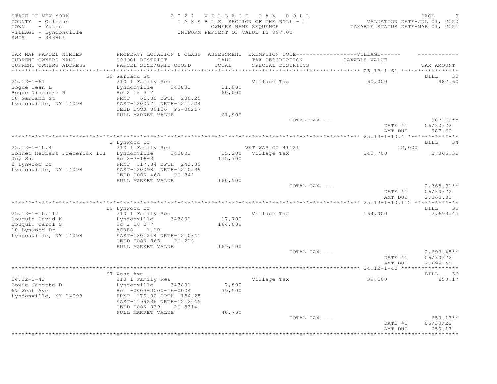STATE OF NEW YORK 2 0 2 2 V I L L A G E T A X R O L L PAGE 9 COUNTY - Orleans T A X A B L E SECTION OF THE ROLL - 1<br>TOWN - Yates COUNTRIS NAME SECUENCE TOWN - Yates OWNERS NAME SEQUENCE TAXABLE STATUS DATE-MAR 01, 2021 VILLAGE - Lyndonville UNIFORM PERCENT OF VALUE IS 097.00 SWIS - 343801 TAX MAP PARCEL NUMBER PROPERTY LOCATION & CLASS ASSESSMENT EXEMPTION CODE-------------------VILLAGE------ ----------CURRENT OWNERS NAME SCHOOL DISTRICT LAND TAX DESCRIPTION TAXABLE VALUE CURRENT OWNERS ADDRESS PARCEL SIZE/GRID COORD TOTAL SPECIAL DISTRICTS TAX AMOUNT \*\*\*\*\*\*\*\*\*\*\*\*\*\*\*\*\*\*\*\*\*\*\*\*\*\*\*\*\*\*\*\*\*\*\*\*\*\*\*\*\*\*\*\*\*\*\*\*\*\*\*\*\*\*\*\*\*\*\*\*\*\*\*\*\*\*\*\*\*\*\*\*\*\*\*\*\*\*\*\*\*\*\*\*\*\*\*\*\*\*\*\*\*\*\*\*\*\*\*\*\*\*\* 25.13-1-61 \*\*\*\*\*\*\*\*\*\*\*\*\*\*\*\*\* 50 Garland St BILL 33 25.13-1-61 210 1 Family Res Village Tax 60,000 987.60 Bogue Jean L<br>Bogue Ninandre R<br>Bogue Ninandre R<br>Bogue Sofarland St<br>Bogue Rent 66.00 DPTH 200.25<br>Bogue Contract Contract Contract Contract Contract Contract Contract Contract Contract Contract Contract Contract Contract Cont  $H_C$  2 16 3 7 50 Garland St FRNT 66.00 DPTH 200.25 Lyndonville, NY 14098 EAST-1200771 NRTH-1211324 DEED BOOK 00106 PG-00217 FULL MARKET VALUE 61,900<br>TOTAL TAX --- TOTAL TAX --- 987.60\*\* DATE #1 06/30/22 AMT DUE 987.60 \*\*\*\*\*\*\*\*\*\*\*\*\*\*\*\*\*\*\*\*\*\*\*\*\*\*\*\*\*\*\*\*\*\*\*\*\*\*\*\*\*\*\*\*\*\*\*\*\*\*\*\*\*\*\*\*\*\*\*\*\*\*\*\*\*\*\*\*\*\*\*\*\*\*\*\*\*\*\*\*\*\*\*\*\*\*\*\*\*\*\*\*\*\*\*\*\*\*\*\*\*\*\* 25.13-1-10.4 \*\*\*\*\*\*\*\*\*\*\*\*\*\*\* 2 Lynwood Dr BILL 34 25.13-1-10.4 210 1 Family Res VET WAR CT 41121 21,000 Bohnet Herbert Frederick III Lyndonville 343801 15,200 Village Tax 143,700 2,365.31  $Joy$  Sue  $Hc$   $2-7-16-3$   $155,700$ 2 Lynwood Dr FRNT 117.34 DPTH 243.00 Lyndonville, NY 14098 EAST-1200981 NRTH-1210539 DEED BOOK 468 PG-348 FULL MARKET VALUE  $160,500$ <br>TOTAL TAX --- $T$ OTAL TAX  $---$  2,365.31\*\* DATE #1 06/30/22<br>AMT DUE 2,365.31 AMT DUE 2, 365.31 \*\*\*\*\*\*\*\*\*\*\*\*\*\*\*\*\*\*\*\*\*\*\*\*\*\*\*\*\*\*\*\*\*\*\*\*\*\*\*\*\*\*\*\*\*\*\*\*\*\*\*\*\*\*\*\*\*\*\*\*\*\*\*\*\*\*\*\*\*\*\*\*\*\*\*\*\*\*\*\*\*\*\*\*\*\*\*\*\*\*\*\*\*\*\*\*\*\*\*\*\*\*\* 25.13-1-10.112 \*\*\*\*\*\*\*\*\*\*\*\*\* 10 Lynwood Dr BILL 35 25.13-1-10.112 210 1 Family Res Village Tax 164,000 2,699.45 Bouquin David K Lyndonville 343801 17,700 Bouquin Carol S  $Hc$  2 16 3 7 164,000 10 Lynwood Dr ACRES 1.10 Lyndonville, NY 14098 EAST-1201214 NRTH-1210841 DEED BOOK 863 PG-216 FULL MARKET VALUE 169,100<br>TOTAL TAX --- $\overline{\text{TOTAL TAX}}$   $---$  2,699.45\*\* DATE #1 06/30/22 AMT DUE 2, 699.45 \*\*\*\*\*\*\*\*\*\*\*\*\*\*\*\*\*\*\*\*\*\*\*\*\*\*\*\*\*\*\*\*\*\*\*\*\*\*\*\*\*\*\*\*\*\*\*\*\*\*\*\*\*\*\*\*\*\*\*\*\*\*\*\*\*\*\*\*\*\*\*\*\*\*\*\*\*\*\*\*\*\*\*\*\*\*\*\*\*\*\*\*\*\*\*\*\*\*\*\*\*\*\* 24.12-1-43 \*\*\*\*\*\*\*\*\*\*\*\*\*\*\*\*\* er by the set of the set of the set of the set of the set of the set of the set of the set of the set of the set of the set of the set of the set of the set of the set of the set of the set of the set of the set of the set 24.12-1-43 210 1 Family Res Village Tax 39,500 650.17 Bowie Janette D Lyndonville 343801 7,800 67 West Ave Hc -0003-0000-16-0004 39,500 Lyndonville, NY 14098 FRNT 170.00 DPTH 154.25 EAST-1199236 NRTH-1212045 DEED BOOK 839 PG-8314<br>FULL MARKET VALUE 40,700 FULL MARKET VALUE  $40,700$  TOTAL TAX --- $T$ OTAL TAX  $---$  650.17\*\* DATE #1 06/30/22 AMT DUE 650.17 \*\*\*\*\*\*\*\*\*\*\*\*\*\*\*\*\*\*\*\*\*\*\*\*\*\*\*\*\*\*\*\*\*\*\*\*\*\*\*\*\*\*\*\*\*\*\*\*\*\*\*\*\*\*\*\*\*\*\*\*\*\*\*\*\*\*\*\*\*\*\*\*\*\*\*\*\*\*\*\*\*\*\*\*\*\*\*\*\*\*\*\*\*\*\*\*\*\*\*\*\*\*\*\*\*\*\*\*\*\*\*\*\*\*\*\*\*\*\*\*\*\*\*\*\*\*\*\*\*\*\*\*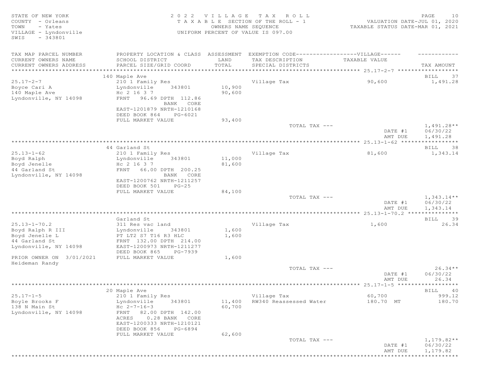| STATE OF NEW YORK<br>COUNTY - Orleans<br>TOWN<br>- Yates<br>VILLAGE - Lyndonville<br>$-343801$<br>SWIS                         | 2 0 2 2                                                                                                                                                                                     | VILLAGE                    | TAX ROLL<br>TAXABLE SECTION OF THE ROLL - 1<br>OWNERS NAME SEQUENCE<br>UNIFORM PERCENT OF VALUE IS 097.00 | VALUATION DATE-JUL 01, 2020<br>TAXABLE STATUS DATE-MAR 01, 2021 | PAGE<br>10                           |
|--------------------------------------------------------------------------------------------------------------------------------|---------------------------------------------------------------------------------------------------------------------------------------------------------------------------------------------|----------------------------|-----------------------------------------------------------------------------------------------------------|-----------------------------------------------------------------|--------------------------------------|
| TAX MAP PARCEL NUMBER<br>CURRENT OWNERS NAME<br>CURRENT OWNERS ADDRESS                                                         | PROPERTY LOCATION & CLASS ASSESSMENT EXEMPTION CODE----------------VILLAGE------<br>SCHOOL DISTRICT<br>PARCEL SIZE/GRID COORD                                                               | LAND<br>TOTAL              | TAX DESCRIPTION<br>SPECIAL DISTRICTS                                                                      | TAXABLE VALUE                                                   | TAX AMOUNT                           |
|                                                                                                                                | 140 Maple Ave                                                                                                                                                                               |                            |                                                                                                           |                                                                 | 37<br>BILL                           |
| $25.17 - 2 - 7$<br>Boyce Cari A<br>140 Maple Ave<br>Lyndonville, NY 14098                                                      | 210 1 Family Res<br>Lyndonville<br>343801<br>Hc 2 16 3 7<br>96.69 DPTH 112.86<br>FRNT<br>BANK CORE<br>EAST-1201879 NRTH-1210168<br>DEED BOOK 864<br>PG-6021<br>FULL MARKET VALUE            | 10,900<br>90,600<br>93,400 | Village Tax                                                                                               | 90,600                                                          | 1,491.28                             |
|                                                                                                                                |                                                                                                                                                                                             |                            | TOTAL TAX ---                                                                                             | DATE #1<br>AMT DUE                                              | $1,491.28**$<br>06/30/22<br>1,491.28 |
|                                                                                                                                |                                                                                                                                                                                             |                            |                                                                                                           |                                                                 |                                      |
|                                                                                                                                | 44 Garland St                                                                                                                                                                               |                            |                                                                                                           |                                                                 | BILL<br>38                           |
| $25.13 - 1 - 62$<br>Boyd Ralph<br>Boyd Jenelle<br>44 Garland St<br>Lyndonville, NY 14098                                       | 210 1 Family Res<br>Lyndonville<br>343801<br>Hc 2 16 3 7<br>66.00 DPTH 200.25<br>FRNT<br>BANK CORE<br>EAST-1200762 NRTH-1211257<br>DEED BOOK 501<br>$PG-25$                                 | 11,000<br>81,600           | Village Tax                                                                                               | 81,600                                                          | 1,343.14                             |
|                                                                                                                                | FULL MARKET VALUE                                                                                                                                                                           | 84,100                     | TOTAL TAX ---                                                                                             | DATE #1<br>AMT DUE                                              | $1,343.14**$<br>06/30/22<br>1,343.14 |
|                                                                                                                                |                                                                                                                                                                                             |                            |                                                                                                           |                                                                 |                                      |
|                                                                                                                                | Garland St                                                                                                                                                                                  |                            |                                                                                                           |                                                                 | BILL<br>39                           |
| $25.13 - 1 - 70.2$<br>Boyd Ralph R III<br>Boyd Jenelle L<br>44 Garland St<br>Lyndonville, NY 14098<br>PRIOR OWNER ON 3/01/2021 | 311 Res vac land<br>Lyndonville<br>343801<br>PT LT2 S7 T16 R3 HLC<br>FRNT 132.00 DPTH 214.00<br>EAST-1200973 NRTH-1211277<br>DEED BOOK 865<br>PG-7939<br>FULL MARKET VALUE                  | 1,600<br>1,600<br>1,600    | Village Tax                                                                                               | 1,600                                                           | 26.34                                |
| Heideman Randy                                                                                                                 |                                                                                                                                                                                             |                            |                                                                                                           |                                                                 |                                      |
|                                                                                                                                |                                                                                                                                                                                             |                            | TOTAL TAX ---                                                                                             | DATE #1<br>AMT DUE                                              | $26.34**$<br>06/30/22<br>26.34       |
|                                                                                                                                |                                                                                                                                                                                             |                            |                                                                                                           |                                                                 |                                      |
| $25.17 - 1 - 5$<br>Boyle Brooks F<br>138 N Main St<br>Lyndonville, NY 14098                                                    | 20 Maple Ave<br>210 1 Family Res<br>Lyndonville<br>343801<br>$Hc 2-7-16-3$<br>FRNT<br>82.00 DPTH 142.00<br>0.28 BANK CORE<br>ACRES<br>EAST-1200333 NRTH-1210121<br>DEED BOOK 856<br>PG-6894 | 11,400<br>60,700           | Village Tax<br>RW340 Reassessed Water                                                                     | 60,700<br>180.70 MT                                             | BILL<br>40<br>999.12<br>180.70       |
|                                                                                                                                | FULL MARKET VALUE                                                                                                                                                                           | 62,600                     | TOTAL TAX ---                                                                                             | DATE #1<br>AMT DUE                                              | $1,179.82**$<br>06/30/22<br>1,179.82 |
| ***************                                                                                                                |                                                                                                                                                                                             |                            |                                                                                                           |                                                                 | ****************                     |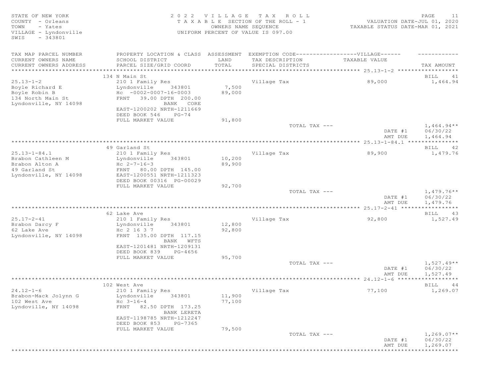| STATE OF NEW YORK<br>COUNTY - Orleans<br>- Yates<br>TOWN<br>VILLAGE - Lyndonville |                                                                                  | 2022 VILLAGE<br>OWNERS NAME SEQUENCE | TAX ROLL<br>T A X A B L E SECTION OF THE ROLL - 1<br>UNIFORM PERCENT OF VALUE IS 097.00 | VALUATION DATE-JUL 01, 2020<br>TAXABLE STATUS DATE-MAR 01, 2021 | PAGE<br>11             |
|-----------------------------------------------------------------------------------|----------------------------------------------------------------------------------|--------------------------------------|-----------------------------------------------------------------------------------------|-----------------------------------------------------------------|------------------------|
| $-343801$<br>SWIS                                                                 |                                                                                  |                                      |                                                                                         |                                                                 |                        |
| TAX MAP PARCEL NUMBER                                                             | PROPERTY LOCATION & CLASS ASSESSMENT EXEMPTION CODE----------------VILLAGE------ |                                      |                                                                                         |                                                                 |                        |
| CURRENT OWNERS NAME                                                               | SCHOOL DISTRICT                                                                  | LAND                                 | TAX DESCRIPTION                                                                         | TAXABLE VALUE                                                   |                        |
| CURRENT OWNERS ADDRESS                                                            | PARCEL SIZE/GRID COORD                                                           | TOTAL                                | SPECIAL DISTRICTS                                                                       |                                                                 | TAX AMOUNT             |
| ***********************                                                           | 134 N Main St                                                                    |                                      |                                                                                         |                                                                 | BILL<br>41             |
| $25.13 - 1 - 2$                                                                   | 210 1 Family Res                                                                 |                                      | Village Tax                                                                             | 89,000                                                          | 1,464.94               |
| Boyle Richard E                                                                   | Lyndonville<br>343801                                                            | 7,500                                |                                                                                         |                                                                 |                        |
| Boyle Robin B                                                                     | $HC -0002 -0007 -16 -0003$                                                       | 89,000                               |                                                                                         |                                                                 |                        |
| 134 North Main St                                                                 | FRNT 39.00 DPTH 200.00                                                           |                                      |                                                                                         |                                                                 |                        |
| Lyndonville, NY 14098                                                             | BANK CORE                                                                        |                                      |                                                                                         |                                                                 |                        |
|                                                                                   | EAST-1200202 NRTH-1211669<br>DEED BOOK 546<br>$PG-74$                            |                                      |                                                                                         |                                                                 |                        |
|                                                                                   | FULL MARKET VALUE                                                                | 91,800                               |                                                                                         |                                                                 |                        |
|                                                                                   |                                                                                  |                                      | TOTAL TAX ---                                                                           |                                                                 | $1,464.94**$           |
|                                                                                   |                                                                                  |                                      |                                                                                         | DATE #1                                                         | 06/30/22               |
|                                                                                   |                                                                                  |                                      |                                                                                         | AMT DUE                                                         | 1,464.94               |
|                                                                                   | 49 Garland St                                                                    |                                      |                                                                                         |                                                                 |                        |
| $25.13 - 1 - 84.1$                                                                | 210 1 Family Res                                                                 |                                      | Village Tax                                                                             | 89,900                                                          | BILL 42<br>1,479.76    |
| Brabon Cathleen M                                                                 | Lyndonville<br>343801                                                            | 10,200                               |                                                                                         |                                                                 |                        |
| Brabon Alton A                                                                    | $Hc 2-7-16-3$                                                                    | 89,900                               |                                                                                         |                                                                 |                        |
| 49 Garland St                                                                     | FRNT 80.00 DPTH 145.00                                                           |                                      |                                                                                         |                                                                 |                        |
| Lyndonville, NY 14098                                                             | EAST-1200551 NRTH-1211323                                                        |                                      |                                                                                         |                                                                 |                        |
|                                                                                   | DEED BOOK 00316 PG-00029<br>FULL MARKET VALUE                                    | 92,700                               |                                                                                         |                                                                 |                        |
|                                                                                   |                                                                                  |                                      | TOTAL TAX ---                                                                           |                                                                 | $1,479.76**$           |
|                                                                                   |                                                                                  |                                      |                                                                                         | DATE #1                                                         | 06/30/22               |
|                                                                                   |                                                                                  |                                      |                                                                                         | AMT DUE                                                         | 1,479.76               |
|                                                                                   |                                                                                  |                                      |                                                                                         |                                                                 | * * * * * * * * * * *  |
| $25.17 - 2 - 41$                                                                  | 62 Lake Ave<br>210 1 Family Res                                                  |                                      | Village Tax                                                                             | 92,800                                                          | BILL<br>43<br>1,527.49 |
| Brabon Darcy F                                                                    | 343801<br>Lyndonville                                                            | 12,800                               |                                                                                         |                                                                 |                        |
| 62 Lake Ave                                                                       | Hc 2 16 3 7                                                                      | 92,800                               |                                                                                         |                                                                 |                        |
| Lyndonville, NY 14098                                                             | FRNT 135.00 DPTH 117.15                                                          |                                      |                                                                                         |                                                                 |                        |
|                                                                                   | BANK WFTS                                                                        |                                      |                                                                                         |                                                                 |                        |
|                                                                                   | EAST-1201481 NRTH-1209131                                                        |                                      |                                                                                         |                                                                 |                        |
|                                                                                   | DEED BOOK 839<br>PG-4656                                                         |                                      |                                                                                         |                                                                 |                        |
|                                                                                   | FULL MARKET VALUE                                                                | 95,700                               | TOTAL TAX ---                                                                           |                                                                 | $1,527.49**$           |
|                                                                                   |                                                                                  |                                      |                                                                                         | DATE #1                                                         | 06/30/22               |
|                                                                                   |                                                                                  |                                      |                                                                                         | AMT DUE                                                         | 1,527.49               |
|                                                                                   |                                                                                  |                                      |                                                                                         |                                                                 | ***********            |
|                                                                                   | 102 West Ave                                                                     |                                      |                                                                                         |                                                                 | BILL<br>44             |
| $24.12 - 1 - 6$<br>Brabon-Mack Jolynn G                                           | 210 1 Family Res<br>Lyndonville<br>343801                                        | 11,900                               | Village Tax                                                                             | 77,100                                                          | 1,269.07               |
| 102 West Ave                                                                      | $Hc \t3-16-4$                                                                    | 77,100                               |                                                                                         |                                                                 |                        |
| Lyndoville, NY 14098                                                              | FRNT 82.50 DPTH 173.25                                                           |                                      |                                                                                         |                                                                 |                        |
|                                                                                   | BANK LERETA                                                                      |                                      |                                                                                         |                                                                 |                        |
|                                                                                   | EAST-1198785 NRTH-1212247                                                        |                                      |                                                                                         |                                                                 |                        |
|                                                                                   | DEED BOOK 853<br>PG-7365                                                         |                                      |                                                                                         |                                                                 |                        |
|                                                                                   | FULL MARKET VALUE                                                                | 79,500                               |                                                                                         |                                                                 |                        |
|                                                                                   |                                                                                  |                                      | TOTAL TAX ---                                                                           | DATE #1                                                         | $1,269.07**$           |
|                                                                                   |                                                                                  |                                      |                                                                                         | AMT DUE                                                         | 06/30/22<br>1,269.07   |
|                                                                                   |                                                                                  |                                      |                                                                                         |                                                                 | ***********            |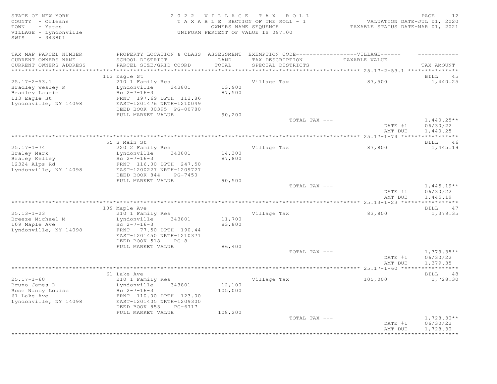STATE OF NEW YORK 2 0 2 2 V I L L A G E T A X R O L L PAGE 12 COUNTY - Orleans T A X A B L E SECTION OF THE ROLL - 1 VALUATION DATE-JUL 01, 2020 TOWN - Yates OWNERS NAME SEQUENCE TAXABLE STATUS DATE-MAR 01, 2021 VILLAGE - Lyndonville UNIFORM PERCENT OF VALUE IS 097.00 SWIS - 343801 TAX MAP PARCEL NUMBER PROPERTY LOCATION & CLASS ASSESSMENT EXEMPTION CODE-------------------VILLAGE------ ----------CURRENT OWNERS NAME SCHOOL DISTRICT LAND TAX DESCRIPTION TAXABLE VALUE CURRENT OWNERS ADDRESS PARCEL SIZE/GRID COORD TOTAL SPECIAL DISTRICTS TAX AMOUNT \*\*\*\*\*\*\*\*\*\*\*\*\*\*\*\*\*\*\*\*\*\*\*\*\*\*\*\*\*\*\*\*\*\*\*\*\*\*\*\*\*\*\*\*\*\*\*\*\*\*\*\*\*\*\*\*\*\*\*\*\*\*\*\*\*\*\*\*\*\*\*\*\*\*\*\*\*\*\*\*\*\*\*\*\*\*\*\*\*\*\*\*\*\*\*\*\*\*\*\*\*\*\* 25.17-2-53.1 \*\*\*\*\*\*\*\*\*\*\*\*\*\*\* and the state of the state of the state of the state of the state of the state of the state of the state of the state of the state of the state of the state of the state of the state of the state of the state of the state 25.17-2-53.1 210 1 Family Res Village Tax 87,500 1,440.25 Bradley Wesley R Man and Lyndonville 343801 13,900 Bradley Laurie  $HC$   $2-7-16-3$   $87,500$ Bradley Wesley R<br>
Bradley Laurie Hc 2-7-16-3<br>
113 Eagle St<br>
Lyndonyille, NY 14098<br>
EAST-1201476 NRTH-1210049 Lyndonville, NY 14098 DEED BOOK 00395 PG-00780 FULL MARKET VALUE 90,200<br>TOTAL TAX --- $T$ OTAL TAX  $---$  1,440.25\*\* DATE #1 06/30/22<br>AMT DUE 1,440.25 AMT DUE 1, 440.25 \*\*\*\*\*\*\*\*\*\*\*\*\*\*\*\*\*\*\*\*\*\*\*\*\*\*\*\*\*\*\*\*\*\*\*\*\*\*\*\*\*\*\*\*\*\*\*\*\*\*\*\*\*\*\*\*\*\*\*\*\*\*\*\*\*\*\*\*\*\*\*\*\*\*\*\*\*\*\*\*\*\*\*\*\*\*\*\*\*\*\*\*\*\*\*\*\*\*\*\*\*\*\* 25.17-1-74 \*\*\*\*\*\*\*\*\*\*\*\*\*\*\*\*\* 55 S Main St Bill and St Bill and St Bill and St Bill and St Bill and St Bill and St Bill and St Bill and St Bill and St Bill and St Bill and St Bill and St Bill and St Bill and St Bill and St Bill and St Bill and St Bill 25.17-1-74 220 2 Family Res Village Tax 87,800 1,445.19 Braley Mark Lyndonville 343801 14,300 Braley Kelley  $HC$   $2-7-16-3$   $87,800$ 12324 Alps Rd FRNT 116.00 DPTH 247.50 Lyndonville, NY 14098 EAST-1200227 NRTH-1209727 DEED BOOK 844 PG-7450 FULL MARKET VALUE 90,500<br>TOTAL TAX --- $T$ OTAL TAX  $---$  1,445.19\*\* DATE #1 06/30/22<br>AMT DUE 1,445.19 AMT DUE 1, 445.19 \*\*\*\*\*\*\*\*\*\*\*\*\*\*\*\*\*\*\*\*\*\*\*\*\*\*\*\*\*\*\*\*\*\*\*\*\*\*\*\*\*\*\*\*\*\*\*\*\*\*\*\*\*\*\*\*\*\*\*\*\*\*\*\*\*\*\*\*\*\*\*\*\*\*\*\*\*\*\*\*\*\*\*\*\*\*\*\*\*\*\*\*\*\*\*\*\*\*\*\*\*\*\* 25.13-1-23 \*\*\*\*\*\*\*\*\*\*\*\*\*\*\*\*\* 109 Maple Ave BILL 47 25.13-1-23 210 1 Family Res Village Tax 83,800 1,379.35 Breeze Michael M Lyndonville 343801 11,700 109 Maple Ave  $\text{Hc}$   $2-7-16-3$  83,800 Lyndonville, NY 14098 FRNT 77.50 DPTH 190.44 EAST-1201450 NRTH-1210371 DEED BOOK 518 PG-8<br>FULL MARKET VALUE 86,400 FULL MARKET VALUE 86,400<br>TOTAL TAX --- $T$ OTAL TAX  $---$  1,379.35\*\* DATE #1 06/30/22 AMT DUE 1, 379.35 \*\*\*\*\*\*\*\*\*\*\*\*\*\*\*\*\*\*\*\*\*\*\*\*\*\*\*\*\*\*\*\*\*\*\*\*\*\*\*\*\*\*\*\*\*\*\*\*\*\*\*\*\*\*\*\*\*\*\*\*\*\*\*\*\*\*\*\*\*\*\*\*\*\*\*\*\*\*\*\*\*\*\*\*\*\*\*\*\*\*\*\*\*\*\*\*\*\*\*\*\*\*\* 25.17-1-60 \*\*\*\*\*\*\*\*\*\*\*\*\*\*\*\*\* 61 Lake Ave BILL 48 25.17-1-60 210 1 Family Res Village Tax 105,000 1,728.30 Bruno James D Lyndonville 343801 12,100 Rose Nancy Louise  $He$   $2-7-16-3$   $105,000$ 61 Lake Ave FRNT 110.00 DPTH 123.00 Lyndonville, NY 14098 EAST-1201405 NRTH-1209300 DEED BOOK 853 PG-6717 FULL MARKET VALUE  $108,200$ <br>TOTAL TAX --- $\texttt{TOTAL TAX}$   $\texttt{--}$   $\texttt{--}$   $\texttt{1,728.30**}$ DATE #1 06/30/22<br>AMT DUE 1,728.30 AMT DUE 1, 728.30 \*\*\*\*\*\*\*\*\*\*\*\*\*\*\*\*\*\*\*\*\*\*\*\*\*\*\*\*\*\*\*\*\*\*\*\*\*\*\*\*\*\*\*\*\*\*\*\*\*\*\*\*\*\*\*\*\*\*\*\*\*\*\*\*\*\*\*\*\*\*\*\*\*\*\*\*\*\*\*\*\*\*\*\*\*\*\*\*\*\*\*\*\*\*\*\*\*\*\*\*\*\*\*\*\*\*\*\*\*\*\*\*\*\*\*\*\*\*\*\*\*\*\*\*\*\*\*\*\*\*\*\*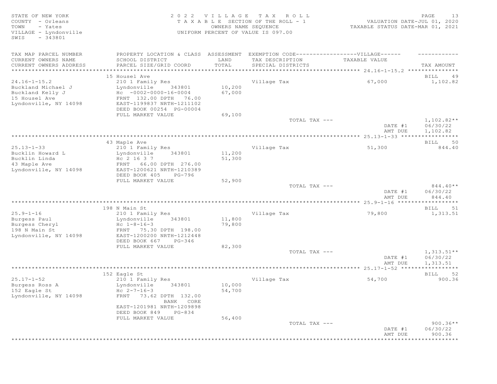STATE OF NEW YORK 2 0 2 2 V I L L A G E T A X R O L L PAGE 13 COUNTY - Orleans T A X A B L E SECTION OF THE ROLL - 1<br>TOWN - Yates COUNTRIS NAME SECUENCE TOWN - Yates OWNERS NAME SEQUENCE TAXABLE STATUS DATE-MAR 01, 2021 UNIFORM PERCENT OF VALUE IS 097.00 SWIS - 343801 TAX MAP PARCEL NUMBER PROPERTY LOCATION & CLASS ASSESSMENT EXEMPTION CODE-------------------VILLAGE------ ----------CURRENT OWNERS NAME SCHOOL DISTRICT LAND TAX DESCRIPTION TAXABLE VALUE CURRENT OWNERS ADDRESS PARCEL SIZE/GRID COORD TOTAL SPECIAL DISTRICTS TAX AMOUNT \*\*\*\*\*\*\*\*\*\*\*\*\*\*\*\*\*\*\*\*\*\*\*\*\*\*\*\*\*\*\*\*\*\*\*\*\*\*\*\*\*\*\*\*\*\*\*\*\*\*\*\*\*\*\*\*\*\*\*\*\*\*\*\*\*\*\*\*\*\*\*\*\*\*\*\*\*\*\*\*\*\*\*\*\*\*\*\*\*\*\*\*\*\*\*\*\*\*\*\*\*\*\* 24.16-1-15.2 \*\*\*\*\*\*\*\*\*\*\*\*\*\*\* 15 Housel Ave BILL 49 24.16-1-15.2 210 1 Family Res Village Tax 67,000 1,102.82 Buckland Michael J Lyndonville 343801 10,200 Buckland Kelly J Hc -0002-0000-16-0004 67,000 15 Housel Ave FRNT 132.00 DPTH 76.00 Lyndonville, NY 14098 EAST-1199837 NRTH-1211102 DEED BOOK 00254 PG-00004<br>FULL MARKET VALUE 69,100 FULL MARKET VALUE 69,100<br>TOTAL TAX --- $T$ OTAL TAX  $---$  1,102.82\*\* DATE #1 06/30/22<br>AMT DUE 1,102.82 AMT DUE 1, 102.82 \*\*\*\*\*\*\*\*\*\*\*\*\*\*\*\*\*\*\*\*\*\*\*\*\*\*\*\*\*\*\*\*\*\*\*\*\*\*\*\*\*\*\*\*\*\*\*\*\*\*\*\*\*\*\*\*\*\*\*\*\*\*\*\*\*\*\*\*\*\*\*\*\*\*\*\*\*\*\*\*\*\*\*\*\*\*\*\*\*\*\*\*\*\*\*\*\*\*\*\*\*\*\* 25.13-1-33 \*\*\*\*\*\*\*\*\*\*\*\*\*\*\*\*\* 43 Maple Ave BILL 50 25.13-1-33 210 1 Family Res Village Tax 51,300 844.40 Exprediction 11,200<br>Buckling 2 16 3 7 1,300 Bucklin Linda<br>43 Maple Ave 43 Maple Ave FRNT 66.00 DPTH 276.00 Lyndonville, NY 14098 EAST-1200621 NRTH-1210389 DEED BOOK 405 PG-796 FULL MARKET VALUE 52,900<br>TOTAL TAX ---TOTAL TAX  $---$  844.40\*\* DATE #1 06/30/22<br>AMT DUE 844.40 AMT DUE 844.40 \*\*\*\*\*\*\*\*\*\*\*\*\*\*\*\*\*\*\*\*\*\*\*\*\*\*\*\*\*\*\*\*\*\*\*\*\*\*\*\*\*\*\*\*\*\*\*\*\*\*\*\*\*\*\*\*\*\*\*\*\*\*\*\*\*\*\*\*\*\*\*\*\*\*\*\*\*\*\*\*\*\*\*\*\*\*\*\*\*\*\*\*\*\*\*\*\*\*\*\*\*\*\* 25.9-1-16 \*\*\*\*\*\*\*\*\*\*\*\*\*\*\*\*\*\* 198 N Main St Bill Storm (1988) and the set of the set of the set of the set of the set of the set of the set of the set of the set of the set of the set of the set of the set of the set of the set of the set of the set of 25.9-1-16 210 1 Family Res Village Tax 79,800 1,313.51 Burgess Paul **Example 19** Lyndonville 343801 11,800 Burgess Cheryl Hc 1-8-16-3 79,800 198 N Main St FRNT 75.30 DPTH 198.00 Lyndonville, NY 14098 EAST-1200200 NRTH-1212448 DEED BOOK 667 PG-346 FULL MARKET VALUE 82,300<br>TOTAL TAX --- $T$ OTAL TAX  $---$  1, 313.51\*\* DATE #1 06/30/22 AMT DUE 1, 313.51 \*\*\*\*\*\*\*\*\*\*\*\*\*\*\*\*\*\*\*\*\*\*\*\*\*\*\*\*\*\*\*\*\*\*\*\*\*\*\*\*\*\*\*\*\*\*\*\*\*\*\*\*\*\*\*\*\*\*\*\*\*\*\*\*\*\*\*\*\*\*\*\*\*\*\*\*\*\*\*\*\*\*\*\*\*\*\*\*\*\*\*\*\*\*\*\*\*\*\*\*\*\*\* 25.17-1-52 \*\*\*\*\*\*\*\*\*\*\*\*\*\*\*\*\* 152 Eagle St BILL 52 25.17-1-52 210 1 Family Res Village Tax 54,700 900.36 210 1 Family Res<br>Lyndonville 343801 10,000<br>Hc 2-7-16-3 54,700 Burgess Ross A<br>152 Eagle St<br>Lyndonville, NY 14098 Lyndonville, NY 14098 FRNT 73.62 DPTH 132.00 BANK CORE EAST-1201981 NRTH-1209898 DEED BOOK 849 PG-834<br>FULL MARKET VALUE 56,400 FULL MARKET VALUE  $TOTAL$   $TAX$   $---$  900.36\*\* DATE #1 06/30/22 AMT DUE 900.36 \*\*\*\*\*\*\*\*\*\*\*\*\*\*\*\*\*\*\*\*\*\*\*\*\*\*\*\*\*\*\*\*\*\*\*\*\*\*\*\*\*\*\*\*\*\*\*\*\*\*\*\*\*\*\*\*\*\*\*\*\*\*\*\*\*\*\*\*\*\*\*\*\*\*\*\*\*\*\*\*\*\*\*\*\*\*\*\*\*\*\*\*\*\*\*\*\*\*\*\*\*\*\*\*\*\*\*\*\*\*\*\*\*\*\*\*\*\*\*\*\*\*\*\*\*\*\*\*\*\*\*\*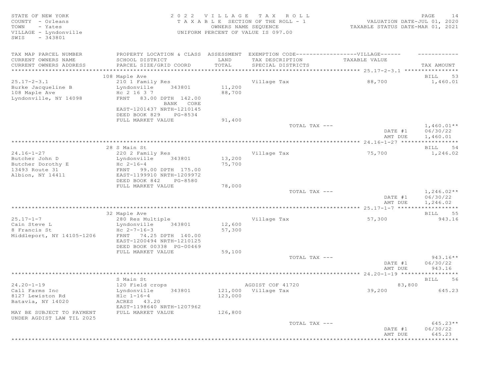| STATE OF NEW YORK<br>COUNTY - Orleans                         |                                                                                  | 2022 VILLAGE         | TAX ROLL<br>T A X A B L E SECTION OF THE ROLL - 1 | VALUATION DATE-JUL 01, 2020      | PAGE<br>14            |
|---------------------------------------------------------------|----------------------------------------------------------------------------------|----------------------|---------------------------------------------------|----------------------------------|-----------------------|
| - Yates<br>TOWN<br>VILLAGE - Lyndonville<br>$-343801$<br>SWIS |                                                                                  | OWNERS NAME SEQUENCE | UNIFORM PERCENT OF VALUE IS 097.00                | TAXABLE STATUS DATE-MAR 01, 2021 |                       |
| TAX MAP PARCEL NUMBER                                         | PROPERTY LOCATION & CLASS ASSESSMENT EXEMPTION CODE----------------VILLAGE------ |                      |                                                   |                                  |                       |
| CURRENT OWNERS NAME                                           | SCHOOL DISTRICT                                                                  | LAND                 | TAX DESCRIPTION                                   | TAXABLE VALUE                    |                       |
| CURRENT OWNERS ADDRESS                                        | PARCEL SIZE/GRID COORD                                                           | TOTAL                | SPECIAL DISTRICTS                                 |                                  | TAX AMOUNT            |
| ************************                                      |                                                                                  |                      |                                                   |                                  |                       |
|                                                               | 108 Maple Ave                                                                    |                      |                                                   |                                  | 53<br>BILL            |
| $25.17 - 2 - 3.1$                                             | 210 1 Family Res                                                                 |                      | Village Tax                                       | 88,700                           | 1,460.01              |
| Burke Jacqueline B                                            | Lyndonville<br>343801                                                            | 11,200               |                                                   |                                  |                       |
| 108 Maple Ave                                                 | Hc 2 16 3 7                                                                      | 88,700               |                                                   |                                  |                       |
| Lyndonville, NY 14098                                         | FRNT 83.00 DPTH 142.00<br>BANK CORE<br>EAST-1201437 NRTH-1210145                 |                      |                                                   |                                  |                       |
|                                                               | DEED BOOK 829<br>PG-8534                                                         |                      |                                                   |                                  |                       |
|                                                               | FULL MARKET VALUE                                                                | 91,400               |                                                   |                                  |                       |
|                                                               |                                                                                  |                      | TOTAL TAX ---                                     |                                  | $1,460.01**$          |
|                                                               |                                                                                  |                      |                                                   | DATE #1                          | 06/30/22              |
|                                                               |                                                                                  |                      |                                                   | AMT DUE                          | 1,460.01              |
|                                                               |                                                                                  |                      |                                                   |                                  |                       |
|                                                               | 28 S Main St                                                                     |                      |                                                   |                                  | BILL 54               |
| $24.16 - 1 - 27$                                              | 220 2 Family Res                                                                 |                      | Village Tax                                       | 75,700                           | 1,246.02              |
| Butcher John D                                                | Lyndonville<br>343801<br>$Hc 2-16-4$                                             | 13,200<br>75,700     |                                                   |                                  |                       |
| Butcher Dorothy E<br>13493 Route 31                           | FRNT 99.00 DPTH 175.00                                                           |                      |                                                   |                                  |                       |
| Albion, NY 14411                                              | EAST-1199910 NRTH-1209972                                                        |                      |                                                   |                                  |                       |
|                                                               | DEED BOOK 842<br>PG-8580                                                         |                      |                                                   |                                  |                       |
|                                                               | FULL MARKET VALUE                                                                | 78,000               |                                                   |                                  |                       |
|                                                               |                                                                                  |                      | TOTAL TAX ---                                     |                                  | $1,246.02**$          |
|                                                               |                                                                                  |                      |                                                   | DATE #1<br>AMT DUE               | 06/30/22<br>1,246.02  |
|                                                               |                                                                                  |                      |                                                   |                                  | * * * * * * * * * * * |
|                                                               | 32 Maple Ave                                                                     |                      |                                                   |                                  | BILL 55               |
| $25.17 - 1 - 7$                                               | 280 Res Multiple                                                                 |                      | Village Tax                                       | 57,300                           | 943.16                |
| Cain Steve L<br>8 Francis St                                  | 343801<br>Lyndonville<br>$Hc 2-7-16-3$                                           | 12,600<br>57,300     |                                                   |                                  |                       |
| Middleport, NY 14105-1206                                     | FRNT 74.25 DPTH 140.00                                                           |                      |                                                   |                                  |                       |
|                                                               | EAST-1200494 NRTH-1210125                                                        |                      |                                                   |                                  |                       |
|                                                               | DEED BOOK 00338 PG-00469                                                         |                      |                                                   |                                  |                       |
|                                                               | FULL MARKET VALUE                                                                | 59,100               |                                                   |                                  |                       |
|                                                               |                                                                                  |                      | TOTAL TAX ---                                     |                                  | $943.16**$            |
|                                                               |                                                                                  |                      |                                                   | DATE #1                          | 06/30/22              |
|                                                               |                                                                                  |                      |                                                   | AMT DUE                          | 943.16                |
|                                                               |                                                                                  |                      |                                                   |                                  |                       |
|                                                               | S Main St                                                                        |                      |                                                   |                                  | 56<br>BILL            |
| $24.20 - 1 - 19$                                              | 120 Field crops                                                                  |                      | AGDIST COF 41720                                  | 83,800                           |                       |
| Call Farms Inc<br>8127 Lewiston Rd                            | 343801<br>Lyndonville<br>$Hlc 1-16-4$                                            | 123,000              | 121,000 Village Tax                               | 39,200                           | 645.23                |
| Batavia, NY 14020                                             | ACRES 43.20                                                                      |                      |                                                   |                                  |                       |
|                                                               | EAST-1198640 NRTH-1207962                                                        |                      |                                                   |                                  |                       |
| MAY BE SUBJECT TO PAYMENT                                     | FULL MARKET VALUE                                                                | 126,800              |                                                   |                                  |                       |
| UNDER AGDIST LAW TIL 2025                                     |                                                                                  |                      |                                                   |                                  |                       |
|                                                               |                                                                                  |                      | TOTAL TAX ---                                     |                                  | $645.23**$            |
|                                                               |                                                                                  |                      |                                                   | DATE #1                          | 06/30/22              |
|                                                               |                                                                                  |                      |                                                   | AMT DUE                          | 645.23                |
|                                                               |                                                                                  |                      |                                                   |                                  | ********              |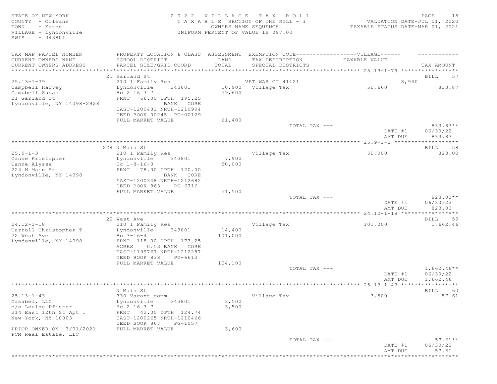| STATE OF NEW YORK<br>COUNTY - Orleans<br>TOWN<br>- Yates<br>VILLAGE - Lyndonville<br>$-343801$<br>SWIS | 2 0 2 2                                                                                                                                       |                   | VILLAGE TAX ROLL<br>T A X A B L E SECTION OF THE ROLL - 1<br>OWNERS NAME SEQUENCE<br>UNIFORM PERCENT OF VALUE IS 097.00 | VALUATION DATE-JUL 01, 2020<br>TAXABLE STATUS DATE-MAR 01, 2021 | 15<br>PAGE                     |
|--------------------------------------------------------------------------------------------------------|-----------------------------------------------------------------------------------------------------------------------------------------------|-------------------|-------------------------------------------------------------------------------------------------------------------------|-----------------------------------------------------------------|--------------------------------|
| TAX MAP PARCEL NUMBER                                                                                  | PROPERTY LOCATION & CLASS ASSESSMENT                                                                                                          |                   | EXEMPTION CODE-----------------VILLAGE------                                                                            |                                                                 |                                |
| CURRENT OWNERS NAME<br>CURRENT OWNERS ADDRESS                                                          | SCHOOL DISTRICT<br>PARCEL SIZE/GRID COORD                                                                                                     | LAND<br>TOTAL     | TAX DESCRIPTION<br>SPECIAL DISTRICTS                                                                                    | TAXABLE VALUE                                                   | TAX AMOUNT                     |
|                                                                                                        | 21 Garland St                                                                                                                                 |                   |                                                                                                                         |                                                                 | 57<br>BILL                     |
| $25.13 - 1 - 79$                                                                                       | 210 1 Family Res                                                                                                                              |                   | VET WAR CT 41121                                                                                                        | 8,940                                                           |                                |
| Campbell Harvey<br>Campbell Susan<br>21 Garland St                                                     | Lyndonville<br>343801<br>Hc 2 16 3 7<br>FRNT 66.00 DPTH 195.25                                                                                | 59,600            | 10,900 Village Tax                                                                                                      | 50,660                                                          | 833.87                         |
| Lyndonville, NY 14098-2928                                                                             | BANK CORE<br>EAST-1200481 NRTH-1210994<br>DEED BOOK 00245 PG-00129                                                                            |                   |                                                                                                                         |                                                                 |                                |
|                                                                                                        | FULL MARKET VALUE                                                                                                                             | 61,400            |                                                                                                                         |                                                                 |                                |
|                                                                                                        |                                                                                                                                               |                   | TOTAL TAX ---                                                                                                           | DATE #1<br>AMT DUE                                              | 833.87**<br>06/30/22<br>833.87 |
|                                                                                                        |                                                                                                                                               |                   |                                                                                                                         |                                                                 |                                |
|                                                                                                        | 224 N Main St                                                                                                                                 |                   |                                                                                                                         |                                                                 | BILL<br>58                     |
| $25.9 - 1 - 3$<br>Canne Kristopher<br>Canne Alyssa                                                     | 210 1 Family Res<br>Lyndonville<br>343801<br>Hc $1 - 8 - 16 - 3$                                                                              | 7,900<br>50,000   | Village Tax                                                                                                             | 50,000                                                          | 823.00                         |
| 224 N Main St<br>Lyndonville, NY 14098                                                                 | 78.00 DPTH 120.00<br>FRNT<br>BANK CORE                                                                                                        |                   |                                                                                                                         |                                                                 |                                |
|                                                                                                        | EAST-1200348 NRTH-1212682<br>DEED BOOK 863<br>PG-6716<br>FULL MARKET VALUE                                                                    | 51,500            |                                                                                                                         |                                                                 |                                |
|                                                                                                        |                                                                                                                                               |                   | TOTAL TAX ---                                                                                                           | DATE #1<br>AMT DUE                                              | 823.00**<br>06/30/22<br>823.00 |
|                                                                                                        |                                                                                                                                               |                   |                                                                                                                         |                                                                 |                                |
|                                                                                                        | 22 West Ave                                                                                                                                   |                   |                                                                                                                         |                                                                 | BILL<br>59                     |
| $24.12 - 1 - 18$<br>Carroll Christopher T<br>22 West Ave<br>Lyndonville, NY 14098                      | 210 1 Family Res<br>Lyndonville<br>343801<br>$Hc \t3-16-4$<br>FRNT 118.00 DPTH 173.25<br>0.53 BANK CORE<br>ACRES<br>EAST-1199767 NRTH-1212287 | 14,400<br>101,000 | Village Tax                                                                                                             | 101,000                                                         | 1,662.46                       |
|                                                                                                        | DEED BOOK 838<br>PG-6612                                                                                                                      |                   |                                                                                                                         |                                                                 |                                |
|                                                                                                        | FULL MARKET VALUE                                                                                                                             | 104,100           |                                                                                                                         |                                                                 |                                |
|                                                                                                        |                                                                                                                                               |                   | TOTAL TAX ---                                                                                                           |                                                                 | $1,662.46**$                   |
|                                                                                                        |                                                                                                                                               |                   |                                                                                                                         | DATE #1                                                         | 06/30/22                       |
|                                                                                                        |                                                                                                                                               |                   |                                                                                                                         | AMT DUE                                                         | 1,662.46                       |
|                                                                                                        | N Main St                                                                                                                                     |                   |                                                                                                                         |                                                                 | 60<br><b>BILL</b>              |
| $25.13 - 1 - 43$                                                                                       | 330 Vacant comm                                                                                                                               |                   | Village Tax                                                                                                             | 3,500                                                           | 57.61                          |
| Casabel, LLC                                                                                           | Lyndonville<br>343801                                                                                                                         | 3,500             |                                                                                                                         |                                                                 |                                |
| c/o Louise Pfister                                                                                     | Hc 2 16 3 7                                                                                                                                   | 3,500             |                                                                                                                         |                                                                 |                                |
| 214 East 12th St Apt 1<br>New York, NY 10003                                                           | 42.00 DPTH 124.74<br>FRNT<br>EAST-1200265 NRTH-1210466<br>DEED BOOK 867<br>PG-1057                                                            |                   |                                                                                                                         |                                                                 |                                |
| PRIOR OWNER ON 3/01/2021<br>PCM Real Estate, LLC                                                       | FULL MARKET VALUE                                                                                                                             | 3,600             |                                                                                                                         |                                                                 |                                |
|                                                                                                        |                                                                                                                                               |                   | TOTAL TAX ---                                                                                                           | DATE #1<br>AMT DUE                                              | $57.61**$<br>06/30/22<br>57.61 |
| * * * * * * * * * * * * * * * * *                                                                      |                                                                                                                                               |                   |                                                                                                                         |                                                                 | ***************                |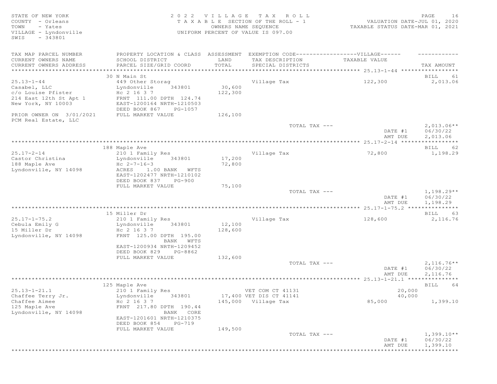STATE OF NEW YORK SALL RESOLUTION OF A SALL AND RESOLUTION OF A SALL CHARGE TO A LA G E T A X R O L L C LOCAL PAGE 26 COUNTY - Orleans T A X A B L E SECTION OF THE ROLL - 1 VALUATION DATE-JUL 01, 2020 TOWN - Yates OWNERS NAME SEQUENCE TAXABLE STATUS DATE-MAR 01, 2021 VILLAGE - Lyndonville UNIFORM PERCENT OF VALUE IS 097.00 SWIS - 343801 TAX MAP PARCEL NUMBER PROPERTY LOCATION & CLASS ASSESSMENT EXEMPTION CODE-------------------VILLAGE------ ----------CURRENT OWNERS NAME SCHOOL DISTRICT LAND TAX DESCRIPTION TAXABLE VALUE CURRENT OWNERS ADDRESS PARCEL SIZE/GRID COORD TOTAL SPECIAL DISTRICTS TAX AMOUNT \*\*\*\*\*\*\*\*\*\*\*\*\*\*\*\*\*\*\*\*\*\*\*\*\*\*\*\*\*\*\*\*\*\*\*\*\*\*\*\*\*\*\*\*\*\*\*\*\*\*\*\*\*\*\*\*\*\*\*\*\*\*\*\*\*\*\*\*\*\*\*\*\*\*\*\*\*\*\*\*\*\*\*\*\*\*\*\*\*\*\*\*\*\*\*\*\*\*\*\*\*\*\* 25.13-1-44 \*\*\*\*\*\*\*\*\*\*\*\*\*\*\*\*\* 30 N Main St Bill and the study of the study of the study of the study of the study of the study of the study of the study of the study of the study of the study of the study of the study of the study of the study of the s 25.13-1-44 449 Other Storag Village Tax 122,300 2,013.06 Casabel, LLC Lyndonville 343801 30,600  $c$  /  $\alpha$  Louise Pfister Hc 2 16 3 7 122,300 214 East 12th St Apt 1 FRNT 111.00 DPTH 124.74 New York, NY 10003 EAST-1200164 NRTH-1210503 DEED BOOK 867 PG-1057 PRIOR OWNER ON 3/01/2021 FULL MARKET VALUE 126,100 PCM Real Estate, LLC  $\texttt{TOTAL TAX}$   $---$  2,013.06\*\* DATE #1 06/30/22<br>AMT DUE 2,013.06 AMT DUE 2, 013.06 \*\*\*\*\*\*\*\*\*\*\*\*\*\*\*\*\*\*\*\*\*\*\*\*\*\*\*\*\*\*\*\*\*\*\*\*\*\*\*\*\*\*\*\*\*\*\*\*\*\*\*\*\*\*\*\*\*\*\*\*\*\*\*\*\*\*\*\*\*\*\*\*\*\*\*\*\*\*\*\*\*\*\*\*\*\*\*\*\*\*\*\*\*\*\*\*\*\*\*\*\*\*\* 25.17-2-14 \*\*\*\*\*\*\*\*\*\*\*\*\*\*\*\*\* 188 Maple Ave BILL 62 25.17-2-14 210 1 Family Res Village Tax 72,800 1,198.29 Castor Christina Lyndonville 343801 17,200 188 Maple Ave Hc 2-7-16-3 72,800 Lyndonville, NY 14098 ACRES 1.00 BANK WFTS EAST-1202477 NRTH-1210102 DEED BOOK 837 PG-900 FULL MARKET VALUE 75,100<br>TOTAL TAX --- $T$ OTAL TAX  $---$  1,198.29\*\* DATE #1 06/30/22 AMT DUE 1, 198.29 \*\*\*\*\*\*\*\*\*\*\*\*\*\*\*\*\*\*\*\*\*\*\*\*\*\*\*\*\*\*\*\*\*\*\*\*\*\*\*\*\*\*\*\*\*\*\*\*\*\*\*\*\*\*\*\*\*\*\*\*\*\*\*\*\*\*\*\*\*\*\*\*\*\*\*\*\*\*\*\*\*\*\*\*\*\*\*\*\*\*\*\*\*\*\*\*\*\*\*\*\*\*\* 25.17-1-75.2 \*\*\*\*\*\*\*\*\*\*\*\*\*\*\* 15 Miller Dr BILL 63 25.17-1-75.2 210 1 Family Res Village Tax 128,600 2,116.76 Cebula Emily G Lyndonville 343801 12,100 15 Miller Dr Hc 2 16 3 7 128,600 Lyndonville, NY 14098 FRNT 125.00 DPTH 195.00 BANK WFTS EAST-1200934 NRTH-1209452 DEED BOOK 829 PG-8862 FULL MARKET VALUE 132,600  $T$ OTAL TAX  $---$  2,116.76\*\* DATE #1 06/30/22 AMT DUE 2, 116.76 \*\*\*\*\*\*\*\*\*\*\*\*\*\*\*\*\*\*\*\*\*\*\*\*\*\*\*\*\*\*\*\*\*\*\*\*\*\*\*\*\*\*\*\*\*\*\*\*\*\*\*\*\*\*\*\*\*\*\*\*\*\*\*\*\*\*\*\*\*\*\*\*\*\*\*\*\*\*\*\*\*\*\*\*\*\*\*\*\*\*\*\*\*\*\*\*\*\*\*\*\*\*\* 25.13-1-21.1 \*\*\*\*\*\*\*\*\*\*\*\*\*\*\* 125 Maple Ave BILL 64 25.13-1-21.1 210 1 Family Res VET COM CT 41131 20,000 Chaffee Terry Jr. Lyndonville 343801 17,400 VET DIS CT 41141 40,000 Chaffee Aimee Hc 2 16 3 7 145,000 Village Tax 85,000 1,399.10 Chaffee Terry Jr.<br>
Chaffee Aimee Horney Horney Horney Horney Horney Horney Horney Horney Horney Horney Horney Horney Horney Horney Horney Horney Horney Horney Horney Horney Horney Horney Horney Horney Horney Horney Horney Lyndonville, NY 14098 EAST-1201601 NRTH-1210375 DEED BOOK 854 PG-719 FULL MARKET VALUE 149,500<br>TOTAL TAX --- $\texttt{TOTAL TAX}$   $\texttt{--}$   $\texttt{--}$   $\texttt{1,399.10**}$ DATE #1 06/30/22 AMT DUE 1, 399.10 \*\*\*\*\*\*\*\*\*\*\*\*\*\*\*\*\*\*\*\*\*\*\*\*\*\*\*\*\*\*\*\*\*\*\*\*\*\*\*\*\*\*\*\*\*\*\*\*\*\*\*\*\*\*\*\*\*\*\*\*\*\*\*\*\*\*\*\*\*\*\*\*\*\*\*\*\*\*\*\*\*\*\*\*\*\*\*\*\*\*\*\*\*\*\*\*\*\*\*\*\*\*\*\*\*\*\*\*\*\*\*\*\*\*\*\*\*\*\*\*\*\*\*\*\*\*\*\*\*\*\*\*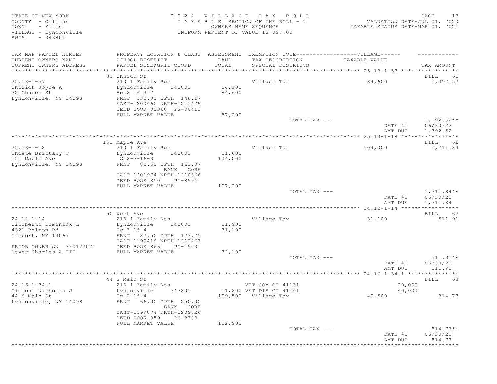STATE OF NEW YORK SALL RESOLUTION OF A SALL RESOLUTION OF A SALL CHARGE TRANSPORT OF A SALL PAGE TRANSPORT OF A SALL PAGE OF A VALUE OF A VALUE OF A VALUE OF A VALUE OF A VALUE OF A VALUE OF A VALUE OF A VALUE OF A VALUE O COUNTY - Orleans T A X A B L E SECTION OF THE ROLL - 1 VALUATION DATE-JUL 01, 2020 TOWN - Yates OWNERS NAME SEQUENCE TAXABLE STATUS DATE-MAR 01, 2021 TOWN - Yates<br>
VILLAGE - Lyndonville<br>
VILLAGE - Lyndonville<br>
UNIFORM PERCENT OF VALUE IS 097.00 SWIS - 343801 TAX MAP PARCEL NUMBER PROPERTY LOCATION & CLASS ASSESSMENT EXEMPTION CODE------------------VILLAGE------ ------------ CURRENT OWNERS NAME SCHOOL DISTRICT LAND TAX DESCRIPTION TAXABLE VALUE CURRENT OWNERS ADDRESS PARCEL SIZE/GRID COORD TOTAL SPECIAL DISTRICTS TAX AMOUNT \*\*\*\*\*\*\*\*\*\*\*\*\*\*\*\*\*\*\*\*\*\*\*\*\*\*\*\*\*\*\*\*\*\*\*\*\*\*\*\*\*\*\*\*\*\*\*\*\*\*\*\*\*\*\*\*\*\*\*\*\*\*\*\*\*\*\*\*\*\*\*\*\*\*\*\*\*\*\*\*\*\*\*\*\*\*\*\*\*\*\*\*\*\*\*\*\*\*\*\*\*\*\* 25.13-1-57 \*\*\*\*\*\*\*\*\*\*\*\*\*\*\*\*\* 32 Church St Bill and the set of the set of the set of the set of the set of the set of the set of the set of the set of the set of the set of the set of the set of the set of the set of the set of the set of the set of th 25.13-1-57 210 1 Family Res Village Tax 84,600 1,392.52 Chizick Joyce A Lyndonville 343801 14,200 32 Church St Hc 2 16 3 7 84,600 Lyndonville, NY 14098 FRNT 132.00 DPTH 148.17 EAST-1200460 NRTH-1211429 DEED BOOK 00360 PG-00413 ELLE LOOK 00000 IT 00113 87,200<br>FULL MARKET VALUE 87,200 TOTAL TAX --- $T$ OTAL TAX  $---$  1,392.52\*\* DATE #1 06/30/22<br>AMT DUE 1,392.52 AMT DUE 1, 392.52 \*\*\*\*\*\*\*\*\*\*\*\*\*\*\*\*\*\*\*\*\*\*\*\*\*\*\*\*\*\*\*\*\*\*\*\*\*\*\*\*\*\*\*\*\*\*\*\*\*\*\*\*\*\*\*\*\*\*\*\*\*\*\*\*\*\*\*\*\*\*\*\*\*\*\*\*\*\*\*\*\*\*\*\*\*\*\*\*\*\*\*\*\*\*\*\*\*\*\*\*\*\*\* 25.13-1-18 \*\*\*\*\*\*\*\*\*\*\*\*\*\*\*\*\* 151 Maple Ave BILL 66 25.13-1-18 210 1 Family Res Village Tax 104,000 1,711.84 Choate Brittany C Lyndonville 343801 11,600 151 Maple Ave C 2-7-16-3 104,000 Lyndonville, NY 14098 FRNT 82.50 DPTH 161.07 BANK CORE EAST-1201974 NRTH-1210366 DEED BOOK 850 PG-8994 FULL MARKET VALUE 107,200<br>TOTAL TAX --- $T$ OTAL TAX  $---$  1,711.84\*\* DATE #1 06/30/22<br>AMT DUE 1,711.84 AMT DUE 1, 711.84 \*\*\*\*\*\*\*\*\*\*\*\*\*\*\*\*\*\*\*\*\*\*\*\*\*\*\*\*\*\*\*\*\*\*\*\*\*\*\*\*\*\*\*\*\*\*\*\*\*\*\*\*\*\*\*\*\*\*\*\*\*\*\*\*\*\*\*\*\*\*\*\*\*\*\*\*\*\*\*\*\*\*\*\*\*\*\*\*\*\*\*\*\*\*\*\*\*\*\*\*\*\*\* 24.12-1-14 \*\*\*\*\*\*\*\*\*\*\*\*\*\*\*\*\* 50 West Ave 2008 and the set of the set of the set of the set of the set of the set of the set of the set of the set of the set of the set of the set of the set of the set of the set of the set of the set of the set of the 24.12-1-14 210 1 Family Res Village Tax 31,100 511.91 Ciliberto Dominick L Lyndonville 343801 11,900 4321 Bolton Rd Hc 3 16 4 31,100 Gasport, NY 14067 FRNT 82.50 DPTH 173.25 EAST-1199419 NRTH-1212263 PRIOR OWNER ON 3/01/2021 DEED BOOK 866 PG-1903 PRIOR OWNER ON 3/01/2021 <br>Beyer Charles A III FULL MARKET VALUE 32,100<br>TOTAL TAX --- TOTAL TAX --- 511.91\*\* DATE #1 06/30/22<br>AMT DUE 511.91 AMT DUE 511.91 \*\*\*\*\*\*\*\*\*\*\*\*\*\*\*\*\*\*\*\*\*\*\*\*\*\*\*\*\*\*\*\*\*\*\*\*\*\*\*\*\*\*\*\*\*\*\*\*\*\*\*\*\*\*\*\*\*\*\*\*\*\*\*\*\*\*\*\*\*\*\*\*\*\*\*\*\*\*\*\*\*\*\*\*\*\*\*\*\*\*\*\*\*\*\*\*\*\*\*\*\*\*\* 24.16-1-34.1 \*\*\*\*\*\*\*\*\*\*\*\*\*\*\* 44 S Main St and the set of the set of the set of the set of the set of the set of the set of the set of the set of the set of the set of the set of the set of the set of the set of the set of the set of the set of the set 24.16-1-34.1 210 1 Family Res VET COM CT 41131 20,000 Clemons Nicholas J Lyndonville 343801 11,200 VET DIS CT 41141 40,000 44 S Main St Hg-2-16-4 109,500 Village Tax 49,500 814.77 Lyndonville, NY 14098 FRNT 66.00 DPTH 250.00 BANK CORE EAST-1199874 NRTH-1209826 DEED BOOK 859 PG-8383 FULL MARKET VALUE  $112,900$  TOTAL TAX --- $T$ OTAL TAX  $---$  814.77\*\* DATE #1 06/30/22 AMT DUE 814.77 \*\*\*\*\*\*\*\*\*\*\*\*\*\*\*\*\*\*\*\*\*\*\*\*\*\*\*\*\*\*\*\*\*\*\*\*\*\*\*\*\*\*\*\*\*\*\*\*\*\*\*\*\*\*\*\*\*\*\*\*\*\*\*\*\*\*\*\*\*\*\*\*\*\*\*\*\*\*\*\*\*\*\*\*\*\*\*\*\*\*\*\*\*\*\*\*\*\*\*\*\*\*\*\*\*\*\*\*\*\*\*\*\*\*\*\*\*\*\*\*\*\*\*\*\*\*\*\*\*\*\*\*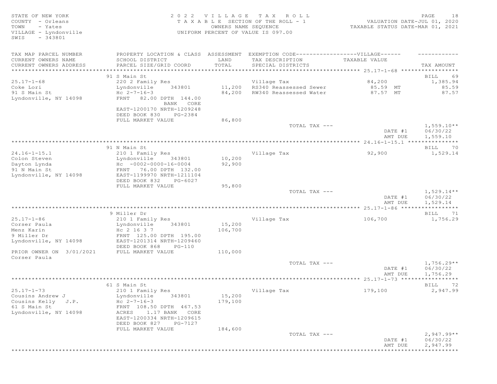STATE OF NEW YORK SALL RESOLUTION OF A SALL AND RESOLUTION OF A SALL CHARGE TO A LA G E T A X R O L L CHARGE TO COUNTY - Orleans T A X A B L E SECTION OF THE ROLL - 1 VALUATION DATE-JUL 01, 2020 TOWN - Yates OWNERS NAME SEQUENCE TAXABLE STATUS DATE-MAR 01, 2021 VILLAGE - Lyndonville UNIFORM PERCENT OF VALUE IS 097.00 SWIS - 343801 TAX MAP PARCEL NUMBER PROPERTY LOCATION & CLASS ASSESSMENT EXEMPTION CODE-------------------VILLAGE------ ----------CURRENT OWNERS NAME SCHOOL DISTRICT LAND TAX DESCRIPTION TAXABLE VALUE CURRENT OWNERS ADDRESS PARCEL SIZE/GRID COORD TOTAL SPECIAL DISTRICTS TAX AMOUNT \*\*\*\*\*\*\*\*\*\*\*\*\*\*\*\*\*\*\*\*\*\*\*\*\*\*\*\*\*\*\*\*\*\*\*\*\*\*\*\*\*\*\*\*\*\*\*\*\*\*\*\*\*\*\*\*\*\*\*\*\*\*\*\*\*\*\*\*\*\*\*\*\*\*\*\*\*\*\*\*\*\*\*\*\*\*\*\*\*\*\*\*\*\*\*\*\*\*\*\*\*\*\* 25.17-1-68 \*\*\*\*\*\*\*\*\*\*\*\*\*\*\*\*\* er of the state of the state of the state of the state of the state of the state of the state of the state of the state of the state of the state of the state of the state of the state of the state of the state of the stat 25.17-1-68 220 2 Family Res Village Tax 84,200 1,385.94 Coke Lori Lyndonville 343801 11,200 RS340 Reassessed Sewer 85.59 MT 85.59 91 S Main St Hc 2-7-16-3 84,200 RW340 Reassessed Water 87.57 MT 87.57 Lyndonville, NY 14098 FRNT 82.00 DPTH 144.00 BANK CORE EAST-1200170 NRTH-1209248 DEED BOOK 830 PG-2384 FULL MARKET VALUE 86,800<br>TOTAL TAX --- $\texttt{TOTAL TAX}$   $\texttt{--}$   $\texttt{--}$   $\texttt{1,559.10**}$ DATE #1 06/30/22<br>AMT DUE 1,559.10 AMT DUE 1, 559.10 \*\*\*\*\*\*\*\*\*\*\*\*\*\*\*\*\*\*\*\*\*\*\*\*\*\*\*\*\*\*\*\*\*\*\*\*\*\*\*\*\*\*\*\*\*\*\*\*\*\*\*\*\*\*\*\*\*\*\*\*\*\*\*\*\*\*\*\*\*\*\*\*\*\*\*\*\*\*\*\*\*\*\*\*\*\*\*\*\*\*\*\*\*\*\*\*\*\*\*\*\*\*\* 24.16-1-15.1 \*\*\*\*\*\*\*\*\*\*\*\*\*\*\* extending the Main St and St and St and St and St and St and St and St and St and St and St and St and St and St and St and St and St and St and St and St and St and St and St and St and St and St and St and St and St and 24.16-1-15.1 210 1 Family Res Village Tax 92,900 1,529.14 Colon Steven Lyndonville 343801 10,200 Dayton Lynda Hc -0002-0000-16-0004 92,900 Dayton Lynda<br>
91 N Main St<br>
132.00<br>
199970 NRTH-1211104<br>
200711104<br>
EAST-1199970 NRTH-1211104 Lyndonville, NY 14098 EAST-1199970 NRTH-1211104 DEED BOOK 832 PG-6027 FULL MARKET VALUE 95,800<br>TOTAL TAX --- $T$ OTAL TAX  $---$  1,529.14\*\* DATE #1 06/30/22 AMT DUE 1, 529.14 \*\*\*\*\*\*\*\*\*\*\*\*\*\*\*\*\*\*\*\*\*\*\*\*\*\*\*\*\*\*\*\*\*\*\*\*\*\*\*\*\*\*\*\*\*\*\*\*\*\*\*\*\*\*\*\*\*\*\*\*\*\*\*\*\*\*\*\*\*\*\*\*\*\*\*\*\*\*\*\*\*\*\*\*\*\*\*\*\*\*\*\*\*\*\*\*\*\*\*\*\*\*\* 25.17-1-86 \*\*\*\*\*\*\*\*\*\*\*\*\*\*\*\*\* 9 Miller Dr BILL 71 25.17-1-86 210 1 Family Res Village Tax 106,700 1,756.29 Corser Paula Corser Constant Lyndonville 343801 15,200 Menz Karin 1988 (No. 2 16 3 7 106,700  $\mu$  m  $\mu$  106,700  $\mu$ 9 Miller Dr FRNT 125.00 DPTH 195.00 Lyndonville, NY 14098 EAST-1201314 NRTH-1209460 DEED BOOK 868 PG-110 PRIOR OWNER ON 3/01/2021 FULL MARKET VALUE 110,000 Corser Paula  $T$ OTAL TAX  $---$  1,756.29\*\* DATE #1 06/30/22 AMT DUE 1, 756.29 \*\*\*\*\*\*\*\*\*\*\*\*\*\*\*\*\*\*\*\*\*\*\*\*\*\*\*\*\*\*\*\*\*\*\*\*\*\*\*\*\*\*\*\*\*\*\*\*\*\*\*\*\*\*\*\*\*\*\*\*\*\*\*\*\*\*\*\*\*\*\*\*\*\*\*\*\*\*\*\*\*\*\*\*\*\*\*\*\*\*\*\*\*\*\*\*\*\*\*\*\*\*\* 25.17-1-73 \*\*\*\*\*\*\*\*\*\*\*\*\*\*\*\*\* 61 S Main St Bill Books and the set of the set of the set of the set of the set of the set of the set of the set of the set of the set of the set of the set of the set of the set of the set of the set of the set of the set 25.17-1-73 210 1 Family Res Village Tax 179,100 2,947.99 Cousins Andrew J Lyndonville 343801 15,200 Cousins Kelly  $J.P.$  Hc  $2-7-16-3$  179,100 Cousins Andrew J<br>
Cousins Kelly J.P. Hc 2-7-16-3<br>
61 S Main St FRNT 108.50 DPTH 467.53<br>
Lyndonville, NY 14098 ACRES 1.17 BANK CORE ACRES 1.17 BANK CORE EAST-1200334 NRTH-1209615 DEED BOOK 827 PG-7127 FULL MARKET VALUE  $184,600$ <br>TOTAL TAX --- $\overline{\text{TOTAL TAX}}$   $---$  2,947.99\*\* DATE #1 06/30/22 AMT DUE 2, 947.99 \*\*\*\*\*\*\*\*\*\*\*\*\*\*\*\*\*\*\*\*\*\*\*\*\*\*\*\*\*\*\*\*\*\*\*\*\*\*\*\*\*\*\*\*\*\*\*\*\*\*\*\*\*\*\*\*\*\*\*\*\*\*\*\*\*\*\*\*\*\*\*\*\*\*\*\*\*\*\*\*\*\*\*\*\*\*\*\*\*\*\*\*\*\*\*\*\*\*\*\*\*\*\*\*\*\*\*\*\*\*\*\*\*\*\*\*\*\*\*\*\*\*\*\*\*\*\*\*\*\*\*\*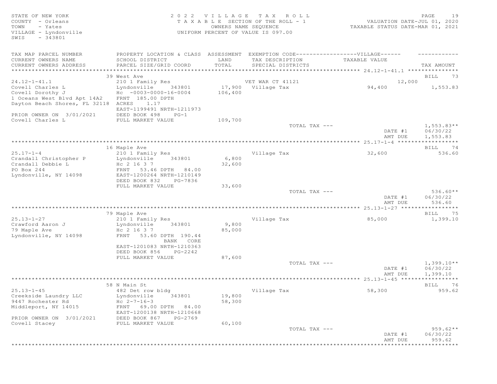STATE OF NEW YORK SALL RESOLUTION OF A SALL AND RESOLUTION OF A SALL CHARGE TRACK SALL CHARGE STATE OF A SALL PAGE TRACK OF A SALL CHARGE OF A SALL CHARGE OF A SALL CHARGE OF A SALL CHARGE OF A SALL CHARGE OF A SALL CHARGE COUNTY - Orleans T A X A B L E SECTION OF THE ROLL - 1 VALUATION DATE-JUL 01, 2020 TOWN - Yates OWNERS NAME SEQUENCE TAXABLE STATUS DATE-MAR 01, 2021 TOWN - Yates<br>
VILLAGE - Lyndonville UNIFORM PERCENT OF VALUE IS 097.00 SWIS - 343801 TAX MAP PARCEL NUMBER PROPERTY LOCATION & CLASS ASSESSMENT EXEMPTION CODE-------------------VILLAGE------ ----------CURRENT OWNERS NAME SCHOOL DISTRICT LAND TAX DESCRIPTION TAXABLE VALUE CURRENT OWNERS ADDRESS PARCEL SIZE/GRID COORD TOTAL SPECIAL DISTRICTS TAX AMOUNT \*\*\*\*\*\*\*\*\*\*\*\*\*\*\*\*\*\*\*\*\*\*\*\*\*\*\*\*\*\*\*\*\*\*\*\*\*\*\*\*\*\*\*\*\*\*\*\*\*\*\*\*\*\*\*\*\*\*\*\*\*\*\*\*\*\*\*\*\*\*\*\*\*\*\*\*\*\*\*\*\*\*\*\*\*\*\*\*\*\*\*\*\*\*\*\*\*\*\*\*\*\*\* 24.12-1-41.1 \*\*\*\*\*\*\*\*\*\*\*\*\*\*\* 39 West Ave 2008 and the set of the set of the set of the set of the set of the set of the set of the set of the set of the set of the set of the set of the set of the set of the set of the set of the set of the set of the 24.12-1-41.1 210 1 Family Res VET WAR CT 41121 22.000 Covell Charles L Lyndonville 343801 17,900 Village Tax 94,400 1,553.83 Covell Dorothy J Hc -0003-0000-16-0004 106,400 1 Oceans West Blvd Apt 14A2 FRNT 185.00 DPTH Dayton Beach Shores, FL 32118 ACRES 1.17<br>EAST-1199491 NRTH-1211973 EAST-1199491 NRTH-1211973 PRIOR OWNER ON 3/01/2021 DEED BOOK 498 PG-1 Covell Charles L FULL MARKET VALUE 109,700  $\texttt{TOTAL TAX}$   $- \texttt{1,553.83**}$  DATE #1 06/30/22 AMT DUE 1, 553.83 \*\*\*\*\*\*\*\*\*\*\*\*\*\*\*\*\*\*\*\*\*\*\*\*\*\*\*\*\*\*\*\*\*\*\*\*\*\*\*\*\*\*\*\*\*\*\*\*\*\*\*\*\*\*\*\*\*\*\*\*\*\*\*\*\*\*\*\*\*\*\*\*\*\*\*\*\*\*\*\*\*\*\*\*\*\*\*\*\*\*\*\*\*\*\*\*\*\*\*\*\*\*\* 25.17-1-4 \*\*\*\*\*\*\*\*\*\*\*\*\*\*\*\*\*\* 16 Maple Ave BILL 74 25.17-1-4 210 1 Family Res Village Tax 32,600 536.60 Crandall Christopher P Lyndonville 343801 6,800 Crandall Debbie L  $_{\rm HC}$  2 16 3 7  $_{\rm 32,600}$ PO Box 244 FRNT 53.46 DPTH 84.00 Lyndonville, NY 14098 EAST-1200264 NRTH-1210149 DEED BOOK 832 PG-7836 FULL MARKET VALUE 33,600<br>TOTAL TAX --- $TOTAL$   $TAX$   $---$  536.60\*\* DATE #1 06/30/22 AMT DUE 536.60 \*\*\*\*\*\*\*\*\*\*\*\*\*\*\*\*\*\*\*\*\*\*\*\*\*\*\*\*\*\*\*\*\*\*\*\*\*\*\*\*\*\*\*\*\*\*\*\*\*\*\*\*\*\*\*\*\*\*\*\*\*\*\*\*\*\*\*\*\*\*\*\*\*\*\*\*\*\*\*\*\*\*\*\*\*\*\*\*\*\*\*\*\*\*\*\*\*\*\*\*\*\*\* 25.13-1-27 \*\*\*\*\*\*\*\*\*\*\*\*\*\*\*\*\* 79 Maple Ave BILL 75 25.13-1-27 210 1 Family Res Village Tax 85,000 1,399.10 Crawford Aaron J Lyndonville 343801 9,800 79 Maple Ave Hc 2 16 3 7 85,000 Lyndonville, NY 14098 FRNT 53.60 DPTH 190.44 BANK CORE EAST-1201083 NRTH-1210363 DEED BOOK 856 PG-2242 FULL MARKET VALUE 87,600  $\texttt{TOTAL TAX}$   $\texttt{--}$   $\texttt{--}$   $\texttt{1,399.10**}$ DATE #1 06/30/22 AMT DUE 1, 399.10 \*\*\*\*\*\*\*\*\*\*\*\*\*\*\*\*\*\*\*\*\*\*\*\*\*\*\*\*\*\*\*\*\*\*\*\*\*\*\*\*\*\*\*\*\*\*\*\*\*\*\*\*\*\*\*\*\*\*\*\*\*\*\*\*\*\*\*\*\*\*\*\*\*\*\*\*\*\*\*\*\*\*\*\*\*\*\*\*\*\*\*\*\*\*\*\*\*\*\*\*\*\*\* 25.13-1-45 \*\*\*\*\*\*\*\*\*\*\*\*\*\*\*\*\* 58 N Main St Bill and the set of the set of the set of the set of the set of the set of the set of the set of the set of the set of the set of the set of the set of the set of the set of the set of the set of the set of th 25.13-1-45 482 Det row bldg Village Tax 58,300 959.62 Creekside Laundry LLC Lyndonville 343801 19,800 9447 Rochester Rd Hc 2-7-16-3 58,300 Middleport, NY 14015 FRNT 69.00 DPTH 84.00 EAST-1200138 NRTH-1210668 PRIOR OWNER ON 3/01/2021 DEED BOOK 867 PG-2769 PRIOR OWNER ON 3/01/2021 DEED BOOK 867 PG-2769<br>Covell Stacey FULL MARKET VALUE 60,100 TOTAL TAX --- $TOTAL$  tax  $---$  959.62\*\* DATE #1 06/30/22 AMT DUE 959.62 \*\*\*\*\*\*\*\*\*\*\*\*\*\*\*\*\*\*\*\*\*\*\*\*\*\*\*\*\*\*\*\*\*\*\*\*\*\*\*\*\*\*\*\*\*\*\*\*\*\*\*\*\*\*\*\*\*\*\*\*\*\*\*\*\*\*\*\*\*\*\*\*\*\*\*\*\*\*\*\*\*\*\*\*\*\*\*\*\*\*\*\*\*\*\*\*\*\*\*\*\*\*\*\*\*\*\*\*\*\*\*\*\*\*\*\*\*\*\*\*\*\*\*\*\*\*\*\*\*\*\*\*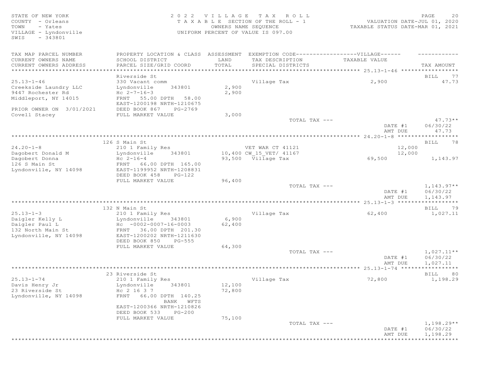SWIS - 343801

## STATE OF NEW YORK SALL STATE OF NEW YORK STATE OF NEW YORK SALL SERVICE SERVICE SERVICE SERVICE SERVICE SERVICE COUNTY - Orleans T A X A B L E SECTION OF THE ROLL - 1 VALUATION DATE-JUL 01, 2020 TOWN - Yates OWNERS NAME SEQUENCE TAXABLE STATUS DATE-MAR 01, 2021 VILLAGE - Lyndonville UNIFORM PERCENT OF VALUE IS 097.00

| TAX MAP PARCEL NUMBER<br>CURRENT OWNERS NAME           | PROPERTY LOCATION & CLASS ASSESSMENT EXEMPTION CODE-----------------VILLAGE------<br>SCHOOL DISTRICT | LAND   | TAX DESCRIPTION         | TAXABLE VALUE      |                      |
|--------------------------------------------------------|------------------------------------------------------------------------------------------------------|--------|-------------------------|--------------------|----------------------|
| CURRENT OWNERS ADDRESS<br>**************************** | PARCEL SIZE/GRID COORD                                                                               | TOTAL  | SPECIAL DISTRICTS       |                    | TAX AMOUNT           |
|                                                        |                                                                                                      |        |                         |                    |                      |
| $25.13 - 1 - 46$                                       | Riverside St                                                                                         |        | Village Tax             | 2,900              | BILL 77<br>47.73     |
| Creekside Laundry LLC                                  | 330 Vacant comm<br>343801                                                                            | 2,900  |                         |                    |                      |
| 9447 Rochester Rd                                      | Lyndonville<br>$Hc 2-7-16-3$                                                                         | 2,900  |                         |                    |                      |
| Middleport, NY 14015                                   | FRNT 55.00 DPTH 58.00                                                                                |        |                         |                    |                      |
|                                                        | EAST-1200198 NRTH-1210675                                                                            |        |                         |                    |                      |
| PRIOR OWNER ON 3/01/2021                               | DEED BOOK 867<br>PG-2769                                                                             |        |                         |                    |                      |
| Covell Stacey                                          | FULL MARKET VALUE                                                                                    | 3,000  |                         |                    |                      |
|                                                        |                                                                                                      |        | TOTAL TAX ---           |                    | $47.73**$            |
|                                                        |                                                                                                      |        |                         | DATE #1            | 06/30/22             |
|                                                        |                                                                                                      |        |                         | AMT DUE            | 47.73                |
|                                                        |                                                                                                      |        |                         |                    |                      |
|                                                        | 126 S Main St                                                                                        |        |                         |                    | BILL 78              |
| $24.20 - 1 - 8$                                        | 210 1 Family Res                                                                                     |        | VET WAR CT 41121        | 12,000             |                      |
| Dagobert Donald M                                      | Lyndonville<br>343801                                                                                |        | 10,400 CW 15 VET/ 41167 | 12,000             |                      |
| Dagobert Donna                                         | $Hc 2-16-4$                                                                                          |        | 93,500 Village Tax      | 69,500             | 1,143.97             |
| 126 S Main St                                          | FRNT 66.00 DPTH 165.00                                                                               |        |                         |                    |                      |
| Lyndonville, NY 14098                                  | EAST-1199952 NRTH-1208831                                                                            |        |                         |                    |                      |
|                                                        | DEED BOOK 458<br>$PG-122$                                                                            |        |                         |                    |                      |
|                                                        | FULL MARKET VALUE                                                                                    | 96,400 |                         |                    |                      |
|                                                        |                                                                                                      |        | TOTAL TAX ---           |                    | $1,143.97**$         |
|                                                        |                                                                                                      |        |                         | DATE #1            | 06/30/22             |
|                                                        |                                                                                                      |        |                         | AMT DUE            | 1,143.97             |
|                                                        |                                                                                                      |        |                         |                    |                      |
|                                                        | 132 N Main St                                                                                        |        |                         |                    | BILL 79              |
| $25.13 - 1 - 3$                                        | 210 1 Family Res                                                                                     |        | Village Tax             | 62,400             | 1,027.11             |
| Daigler Kelly L                                        | Lyndonville<br>343801                                                                                | 6,900  |                         |                    |                      |
| Daigler Paul L                                         | $Hc - 0002 - 0007 - 16 - 0003$                                                                       | 62,400 |                         |                    |                      |
| 132 North Main St                                      | FRNT 36.00 DPTH 201.30                                                                               |        |                         |                    |                      |
| Lyndonville, NY 14098                                  | EAST-1200202 NRTH-1211630                                                                            |        |                         |                    |                      |
|                                                        | DEED BOOK 850<br>$PG-555$                                                                            |        |                         |                    |                      |
|                                                        | FULL MARKET VALUE                                                                                    | 64,300 |                         |                    |                      |
|                                                        |                                                                                                      |        | TOTAL TAX ---           |                    | $1,027.11**$         |
|                                                        |                                                                                                      |        |                         | DATE #1            | 06/30/22             |
|                                                        |                                                                                                      |        |                         | AMT DUE            | 1,027.11             |
|                                                        |                                                                                                      |        |                         |                    |                      |
|                                                        | 23 Riverside St                                                                                      |        |                         |                    | BILL 80              |
| $25.13 - 1 - 74$                                       | 210 1 Family Res                                                                                     |        | Village Tax             | 72,800             | 1,198.29             |
| Davis Henry Jr                                         | Lyndonville<br>343801                                                                                | 12,100 |                         |                    |                      |
| 23 Riverside St                                        | Hc 2 16 3 7                                                                                          | 72,800 |                         |                    |                      |
| Lyndonville, NY 14098                                  | FRNT 66.00 DPTH 140.25                                                                               |        |                         |                    |                      |
|                                                        | BANK WFTS                                                                                            |        |                         |                    |                      |
|                                                        | EAST-1200366 NRTH-1210826<br>DEED BOOK 533<br>$PG-200$                                               |        |                         |                    |                      |
|                                                        |                                                                                                      |        |                         |                    |                      |
|                                                        |                                                                                                      |        |                         |                    |                      |
|                                                        | FULL MARKET VALUE                                                                                    | 75,100 |                         |                    |                      |
|                                                        |                                                                                                      |        | TOTAL TAX ---           |                    | $1,198.29**$         |
|                                                        |                                                                                                      |        |                         | DATE #1<br>AMT DUE | 06/30/22<br>1,198.29 |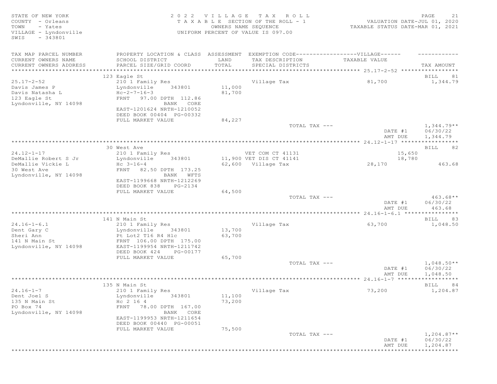| STATE OF NEW YORK<br>COUNTY - Orleans<br>TOWN<br>- Yates<br>VILLAGE - Lyndonville<br>$-343801$<br>SWIS |                                                                                   |        | 2022 VILLAGE TAX ROLL<br>TAXABLE SECTION OF THE ROLL - 1<br>OWNERS NAME SEQUENCE<br>UNIFORM PERCENT OF VALUE IS 097.00 | VALUATION DATE-JUL 01, 2020<br>TAXABLE STATUS DATE-MAR 01, 2021 | 21<br>PAGE                           |
|--------------------------------------------------------------------------------------------------------|-----------------------------------------------------------------------------------|--------|------------------------------------------------------------------------------------------------------------------------|-----------------------------------------------------------------|--------------------------------------|
| TAX MAP PARCEL NUMBER                                                                                  | PROPERTY LOCATION & CLASS ASSESSMENT EXEMPTION CODE-----------------VILLAGE------ |        |                                                                                                                        |                                                                 |                                      |
| CURRENT OWNERS NAME                                                                                    | SCHOOL DISTRICT                                                                   | LAND   | TAX DESCRIPTION                                                                                                        | TAXABLE VALUE                                                   |                                      |
| CURRENT OWNERS ADDRESS                                                                                 | PARCEL SIZE/GRID COORD                                                            | TOTAL  | SPECIAL DISTRICTS                                                                                                      |                                                                 | TAX AMOUNT                           |
|                                                                                                        |                                                                                   |        |                                                                                                                        |                                                                 |                                      |
| $25.17 - 2 - 52$                                                                                       | 123 Eagle St<br>210 1 Family Res                                                  |        | Village Tax                                                                                                            | 81,700                                                          | BILL<br>81<br>1,344.79               |
| Davis James P                                                                                          | Lyndonville<br>343801                                                             | 11,000 |                                                                                                                        |                                                                 |                                      |
| Davis Natasha L                                                                                        | $Hc-2-7-16-3$                                                                     | 81,700 |                                                                                                                        |                                                                 |                                      |
| 123 Eagle St                                                                                           | FRNT 97.00 DPTH 112.86                                                            |        |                                                                                                                        |                                                                 |                                      |
| Lyndonville, NY 14098                                                                                  | BANK CORE                                                                         |        |                                                                                                                        |                                                                 |                                      |
|                                                                                                        | EAST-1201624 NRTH-1210052                                                         |        |                                                                                                                        |                                                                 |                                      |
|                                                                                                        | DEED BOOK 00404 PG-00332                                                          |        |                                                                                                                        |                                                                 |                                      |
|                                                                                                        | FULL MARKET VALUE                                                                 | 84,227 |                                                                                                                        |                                                                 |                                      |
|                                                                                                        |                                                                                   |        | TOTAL TAX ---                                                                                                          | DATE #1<br>AMT DUE                                              | $1,344.79**$<br>06/30/22<br>1,344.79 |
|                                                                                                        |                                                                                   |        |                                                                                                                        |                                                                 |                                      |
|                                                                                                        | 30 West Ave                                                                       |        |                                                                                                                        |                                                                 | BILL<br>82                           |
| $24.12 - 1 - 17$                                                                                       | 210 1 Family Res                                                                  |        | VET COM CT 41131                                                                                                       | 15,650                                                          |                                      |
| DeMallie Robert S Jr                                                                                   | 343801<br>Lyndonville                                                             |        | 11,900 VET DIS CT 41141                                                                                                | 18,780                                                          |                                      |
| DeMallie Vickie L                                                                                      | $Hc \t3-16-4$                                                                     |        | 62,600 Village Tax                                                                                                     | 28,170                                                          | 463.68                               |
| 30 West Ave                                                                                            | FRNT 82.50 DPTH 173.25                                                            |        |                                                                                                                        |                                                                 |                                      |
| Lyndonville, NY 14098                                                                                  | BANK WFTS<br>EAST-1199668 NRTH-1212269                                            |        |                                                                                                                        |                                                                 |                                      |
|                                                                                                        | DEED BOOK 838<br>PG-2134                                                          |        |                                                                                                                        |                                                                 |                                      |
|                                                                                                        | FULL MARKET VALUE                                                                 | 64,500 |                                                                                                                        |                                                                 |                                      |
|                                                                                                        |                                                                                   |        | TOTAL TAX ---                                                                                                          |                                                                 | $463.68**$                           |
|                                                                                                        |                                                                                   |        |                                                                                                                        | DATE #1<br>AMT DUE                                              | 06/30/22<br>463.68                   |
|                                                                                                        |                                                                                   |        |                                                                                                                        |                                                                 |                                      |
|                                                                                                        | 141 N Main St                                                                     |        |                                                                                                                        |                                                                 | BILL 83                              |
| $24.16 - 1 - 6.1$                                                                                      | 210 1 Family Res                                                                  |        | Village Tax                                                                                                            | 63,700                                                          | 1,048.50                             |
| Dent Gary C                                                                                            | 343801<br>Lyndonville                                                             | 13,700 |                                                                                                                        |                                                                 |                                      |
| Sheri Ann<br>141 N Main St                                                                             | Pt Lot2 T16 R4 Hlc<br>FRNT 106.00 DPTH 175.00                                     | 63,700 |                                                                                                                        |                                                                 |                                      |
| Lyndonville, NY 14098                                                                                  | EAST-1199954 NRTH-1211742                                                         |        |                                                                                                                        |                                                                 |                                      |
|                                                                                                        | DEED BOOK 424<br>PG-00177                                                         |        |                                                                                                                        |                                                                 |                                      |
|                                                                                                        | FULL MARKET VALUE                                                                 | 65,700 |                                                                                                                        |                                                                 |                                      |
|                                                                                                        |                                                                                   |        | TOTAL TAX ---                                                                                                          |                                                                 | $1,048.50**$                         |
|                                                                                                        |                                                                                   |        |                                                                                                                        | DATE #1                                                         | 06/30/22                             |
|                                                                                                        |                                                                                   |        |                                                                                                                        | AMT DUE                                                         | 1,048.50                             |
|                                                                                                        |                                                                                   |        |                                                                                                                        |                                                                 | ***********                          |
| $24.16 - 1 - 7$                                                                                        | 135 N Main St<br>210 1 Family Res                                                 |        | Village Tax                                                                                                            | 73,200                                                          | BILL<br>84<br>1,204.87               |
| Dent Joel S                                                                                            | Lyndonville<br>343801                                                             | 11,100 |                                                                                                                        |                                                                 |                                      |
| 135 N Main St                                                                                          | Hc 2 16 4                                                                         | 73,200 |                                                                                                                        |                                                                 |                                      |
| PO Box 74                                                                                              | FRNT 78.00 DPTH 167.00                                                            |        |                                                                                                                        |                                                                 |                                      |
| Lyndonville, NY 14098                                                                                  | BANK CORE                                                                         |        |                                                                                                                        |                                                                 |                                      |
|                                                                                                        | EAST-1199953 NRTH-1211654                                                         |        |                                                                                                                        |                                                                 |                                      |
|                                                                                                        | DEED BOOK 00440 PG-00051                                                          |        |                                                                                                                        |                                                                 |                                      |
|                                                                                                        | FULL MARKET VALUE                                                                 | 75,500 |                                                                                                                        |                                                                 |                                      |
|                                                                                                        |                                                                                   |        | TOTAL TAX ---                                                                                                          | DATE #1                                                         | $1,204.87**$<br>06/30/22             |
|                                                                                                        |                                                                                   |        |                                                                                                                        |                                                                 |                                      |
|                                                                                                        |                                                                                   |        |                                                                                                                        | AMT DUE                                                         | 1,204.87                             |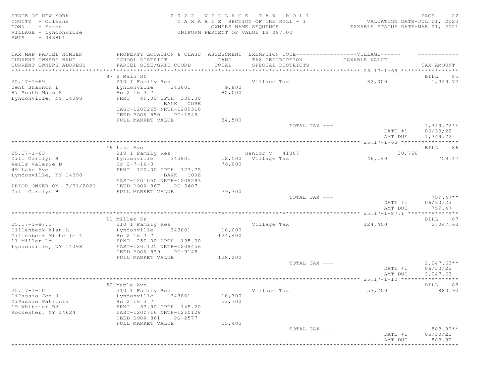| STATE OF NEW YORK<br>COUNTY - Orleans<br>TOWN<br>- Yates<br>VILLAGE - Lyndonville<br>$-343801$<br>SWIS |                                                                                   | OWNERS NAME SEQUENCE | 2022 VILLAGE TAX ROLL<br>T A X A B L E SECTION OF THE ROLL - 1<br>UNIFORM PERCENT OF VALUE IS 097.00 | VALUATION DATE-JUL 01, 2020<br>TAXABLE STATUS DATE-MAR 01, 2021 | PAGE<br>22                        |
|--------------------------------------------------------------------------------------------------------|-----------------------------------------------------------------------------------|----------------------|------------------------------------------------------------------------------------------------------|-----------------------------------------------------------------|-----------------------------------|
| TAX MAP PARCEL NUMBER                                                                                  | PROPERTY LOCATION & CLASS ASSESSMENT EXEMPTION CODE-----------------VILLAGE------ |                      |                                                                                                      |                                                                 |                                   |
| CURRENT OWNERS NAME<br>CURRENT OWNERS ADDRESS                                                          | SCHOOL DISTRICT<br>PARCEL SIZE/GRID COORD                                         | LAND<br>TOTAL        | TAX DESCRIPTION<br>SPECIAL DISTRICTS                                                                 | TAXABLE VALUE                                                   | TAX AMOUNT                        |
|                                                                                                        |                                                                                   |                      |                                                                                                      |                                                                 |                                   |
|                                                                                                        | 87 S Main St                                                                      |                      |                                                                                                      |                                                                 | 85<br>BILL                        |
| $25.17 - 1 - 69$                                                                                       | 210 1 Family Res                                                                  |                      | Village Tax                                                                                          | 82,000                                                          | 1,349.72                          |
| Dent Shannon L                                                                                         | Lyndonville<br>343801                                                             | 9,800                |                                                                                                      |                                                                 |                                   |
| 87 South Main St                                                                                       | Hc 2 16 3 7                                                                       | 82,000               |                                                                                                      |                                                                 |                                   |
| Lyndonville, NY 14098                                                                                  | FRNT 49.00 DPTH 330.00                                                            |                      |                                                                                                      |                                                                 |                                   |
|                                                                                                        | BANK CORE<br>EAST-1200265 NRTH-1209316<br>DEED BOOK 850<br>PG-1945                |                      |                                                                                                      |                                                                 |                                   |
|                                                                                                        | FULL MARKET VALUE                                                                 | 84,500               |                                                                                                      |                                                                 |                                   |
|                                                                                                        |                                                                                   |                      | TOTAL TAX ---                                                                                        |                                                                 | $1,349.72**$                      |
|                                                                                                        |                                                                                   |                      |                                                                                                      | DATE #1<br>AMT DUE                                              | 06/30/22<br>1,349.72              |
|                                                                                                        |                                                                                   |                      |                                                                                                      |                                                                 |                                   |
|                                                                                                        | 49 Lake Ave                                                                       |                      |                                                                                                      |                                                                 | BILL<br>86                        |
| $25.17 - 1 - 63$                                                                                       | 210 1 Family Res                                                                  |                      | Senior V 41807                                                                                       | 30,760                                                          |                                   |
| Dill Carolyn B                                                                                         | 343801<br>Lyndonville                                                             |                      | 12,500 Village Tax                                                                                   | 46,140                                                          | 759.47                            |
| Wells Valerie D                                                                                        | Hc $2 - 7 - 16 - 3$                                                               | 76,900               |                                                                                                      |                                                                 |                                   |
| 49 Lake Ave                                                                                            | FRNT 120.00 DPTH 123.75                                                           |                      |                                                                                                      |                                                                 |                                   |
| Lyndonville, NY 14098                                                                                  | BANK CORE                                                                         |                      |                                                                                                      |                                                                 |                                   |
|                                                                                                        | EAST-1201050 NRTH-1209293                                                         |                      |                                                                                                      |                                                                 |                                   |
| PRIOR OWNER ON 3/01/2021                                                                               | DEED BOOK 867<br>PG-3407                                                          |                      |                                                                                                      |                                                                 |                                   |
| Dill Carolyn B                                                                                         | FULL MARKET VALUE                                                                 | 79,300               |                                                                                                      |                                                                 |                                   |
|                                                                                                        |                                                                                   |                      | TOTAL TAX ---                                                                                        | DATE #1<br>AMT DUE                                              | $759.47**$<br>06/30/22<br>759.47  |
|                                                                                                        |                                                                                   |                      |                                                                                                      |                                                                 |                                   |
|                                                                                                        | 11 Miller Dr                                                                      |                      |                                                                                                      |                                                                 | BILL 87                           |
| $25.17 - 1 - 87.1$                                                                                     | 210 1 Family Res                                                                  |                      | Village Tax                                                                                          | 124,400                                                         | 2,047.63                          |
| Dillenbeck Alan L                                                                                      | 343801<br>Lyndonville                                                             | 18,000               |                                                                                                      |                                                                 |                                   |
| Dillenbeck Michelle L                                                                                  | Hc 2 16 3 7                                                                       | 124,400              |                                                                                                      |                                                                 |                                   |
| 11 Miller Dr                                                                                           | FRNT 250.00 DPTH 195.00                                                           |                      |                                                                                                      |                                                                 |                                   |
| Lyndonville, NY 14098                                                                                  | EAST-1201125 NRTH-1209456                                                         |                      |                                                                                                      |                                                                 |                                   |
|                                                                                                        | DEED BOOK 839<br>PG-9145                                                          |                      |                                                                                                      |                                                                 |                                   |
|                                                                                                        | FULL MARKET VALUE                                                                 | 128,200              |                                                                                                      |                                                                 |                                   |
|                                                                                                        |                                                                                   |                      | TOTAL TAX ---                                                                                        |                                                                 | $2,047.63**$                      |
|                                                                                                        |                                                                                   |                      |                                                                                                      | DATE #1                                                         | 06/30/22                          |
|                                                                                                        |                                                                                   |                      |                                                                                                      | AMT DUE                                                         | 2,047.63<br>* * * * * * * * * * * |
|                                                                                                        |                                                                                   |                      |                                                                                                      |                                                                 |                                   |
| $25.17 - 1 - 10$                                                                                       | 50 Maple Ave                                                                      |                      |                                                                                                      | 53,700                                                          | BILL<br>88<br>883.90              |
| DiPassio Joe J                                                                                         | 210 1 Family Res<br>Lyndonville<br>343801                                         | 10,300               | Village Tax                                                                                          |                                                                 |                                   |
| DiPassio Patricia                                                                                      | Hc 2 16 3 7                                                                       | 53,700               |                                                                                                      |                                                                 |                                   |
| 19 Whittier Rd                                                                                         | FRNT 67.90 DPTH 145.20                                                            |                      |                                                                                                      |                                                                 |                                   |
| Rochester, NY 14624                                                                                    | EAST-1200716 NRTH-1210128                                                         |                      |                                                                                                      |                                                                 |                                   |
|                                                                                                        | DEED BOOK 861<br>PG-2577                                                          |                      |                                                                                                      |                                                                 |                                   |
|                                                                                                        | FULL MARKET VALUE                                                                 | 55,400               |                                                                                                      |                                                                 |                                   |
|                                                                                                        |                                                                                   |                      | TOTAL TAX ---                                                                                        |                                                                 | 883.90**                          |
|                                                                                                        |                                                                                   |                      |                                                                                                      | DATE #1                                                         | 06/30/22                          |
|                                                                                                        |                                                                                   |                      |                                                                                                      | AMT DUE                                                         | 883.90                            |
|                                                                                                        |                                                                                   |                      |                                                                                                      | *****************************                                   |                                   |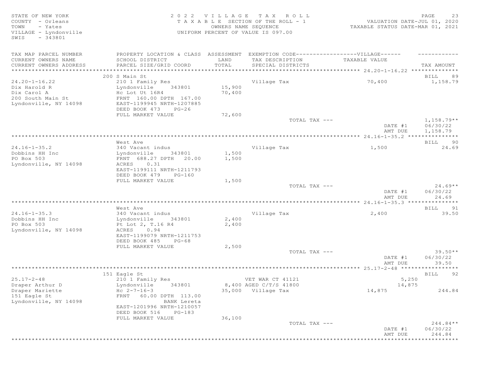STATE OF NEW YORK 2 0 2 2 V I L L A G E T A X R O L L PAGE 23 COUNTY - Orleans T A X A B L E SECTION OF THE ROLL - 1 VALUATION DATE-JUL 01, 2020 TOWN - Yates OWNERS NAME SEQUENCE TAXABLE STATUS DATE-MAR 01, 2021 VILLAGE - Lyndonville UNIFORM PERCENT OF VALUE IS 097.00 SWIS - 343801 TAX MAP PARCEL NUMBER PROPERTY LOCATION & CLASS ASSESSMENT EXEMPTION CODE-------------------VILLAGE------ ----------CURRENT OWNERS NAME SCHOOL DISTRICT LAND TAX DESCRIPTION TAXABLE VALUE CURRENT OWNERS ADDRESS PARCEL SIZE/GRID COORD TOTAL SPECIAL DISTRICTS TAX AMOUNT \*\*\*\*\*\*\*\*\*\*\*\*\*\*\*\*\*\*\*\*\*\*\*\*\*\*\*\*\*\*\*\*\*\*\*\*\*\*\*\*\*\*\*\*\*\*\*\*\*\*\*\*\*\*\*\*\*\*\*\*\*\*\*\*\*\*\*\*\*\*\*\*\*\*\*\*\*\*\*\*\*\*\*\*\*\*\*\*\*\*\*\*\*\*\*\*\*\*\*\*\*\*\* 24.20-1-16.22 \*\*\*\*\*\*\*\*\*\*\*\*\*\* 200 S Main St BILL 89 24.20-1-16.22 210 1 Family Res 210 Village Tax 70,400 1,158.79<br>
Dix Harold R Lyndonville 343801 15,900 Dix Harold R Lyndonville 343801 15,900<br>Dix Carol A Hc Lot Ut 16R4 70,400 Dix Carol A and He Lot Ut 16R4<br>200 South Main St FRNT 160.00 DPTH 167.00 200 South Main St FRNT 160.00 DPTH 167.00 Lyndonville, NY 14098 EAST-1199945 NRTH-1207885 DEED BOOK 473 PG-26 FULL MARKET VALUE 72,600<br>TOTAL TAX --- $\texttt{TOTAL TAX}$   $\texttt{--}$   $\texttt{--}$   $\texttt{1,158.79**}$ DATE #1 06/30/22<br>AMT DUE 1,158.79 AMT DUE 1, 158.79 \*\*\*\*\*\*\*\*\*\*\*\*\*\*\*\*\*\*\*\*\*\*\*\*\*\*\*\*\*\*\*\*\*\*\*\*\*\*\*\*\*\*\*\*\*\*\*\*\*\*\*\*\*\*\*\*\*\*\*\*\*\*\*\*\*\*\*\*\*\*\*\*\*\*\*\*\*\*\*\*\*\*\*\*\*\*\*\*\*\*\*\*\*\*\*\*\*\*\*\*\*\*\* 24.16-1-35.2 \*\*\*\*\*\*\*\*\*\*\*\*\*\*\* West Ave and the set of the set of the set of the set of the set of the set of the set of the set of the set of the set of the set of the set of the set of the set of the set of the set of the set of the set of the set of 24.16-1-35.2 340 Vacant indus Village Tax 1,500 24.69 Dobbins HH Inc Lyndonville 343801 1,500 PO Box 503 FRNT 688.27 DPTH 20.00 1,500 Lyndonville, NY 14098 ACRES 0.31 EAST-1199111 NRTH-1211793 DEED BOOK 479 PG-160<br>FULL MARKET VALUE FULL MARKET VALUE  $1,500$ <br>TOTAL TAX --- $T$ OTAL TAX  $---$  24.69\*\* DATE #1 06/30/22<br>AMT DUE 24.69 AMT DUE  $24.69$ \*\*\*\*\*\*\*\*\*\*\*\*\*\*\*\*\*\*\*\*\*\*\*\*\*\*\*\*\*\*\*\*\*\*\*\*\*\*\*\*\*\*\*\*\*\*\*\*\*\*\*\*\*\*\*\*\*\*\*\*\*\*\*\*\*\*\*\*\*\*\*\*\*\*\*\*\*\*\*\*\*\*\*\*\*\*\*\*\*\*\*\*\*\*\*\*\*\*\*\*\*\*\* 24.16-1-35.3 \*\*\*\*\*\*\*\*\*\*\*\*\*\*\* West Ave and the set of the set of the set of the set of the set of the set of the set of the set of the set of the set of the set of the set of the set of the set of the set of the set of the set of the set of the set of 24.16-1-35.3 340 Vacant indus village Tax 34.00 39.50<br>Dobbins HH Inc 39.50 Lyndonville 343801 2.400 Dobbins HH Inc Lyndonville 343801 2,400 Pt Lot 2, T.16 R4<br>ACRES 0.94 Lyndonville, NY 14098 EAST-1199079 NRTH-1211753 DEED BOOK 485 PG-68 FULL MARKET VALUE  $2,500$ <br>TOTAL TAX --- $TOTAL$   $TAX$   $---$  39.50\*\* DATE #1 06/30/22 AMT DUE 39.50 \*\*\*\*\*\*\*\*\*\*\*\*\*\*\*\*\*\*\*\*\*\*\*\*\*\*\*\*\*\*\*\*\*\*\*\*\*\*\*\*\*\*\*\*\*\*\*\*\*\*\*\*\*\*\*\*\*\*\*\*\*\*\*\*\*\*\*\*\*\*\*\*\*\*\*\*\*\*\*\*\*\*\*\*\*\*\*\*\*\*\*\*\*\*\*\*\*\*\*\*\*\*\* 25.17-2-48 \*\*\*\*\*\*\*\*\*\*\*\*\*\*\*\*\* 151 Eagle St BILL 92 25.17-2-48 210 1 Family Res VET WAR CT 41121 5,250 Draper Arthur D Lyndonville 343801 8,400 AGED C/T/S 41800 14,875 Draper Mariette Hc 2-7-16-3 35,000 Village Tax 14,875 244.84 FRNT 60.00 DPTH 113.00<br>BANK Lereta Lyndonville, NY 14098 EAST-1201996 NRTH-1210057 DEED BOOK 516 PG-183<br>FULL MARKET VALUE 36.100 FULL MARKET VALUE TOTAL TAX  $---$  244.84\*\* DATE #1 06/30/22 AMT DUE 244.84 \*\*\*\*\*\*\*\*\*\*\*\*\*\*\*\*\*\*\*\*\*\*\*\*\*\*\*\*\*\*\*\*\*\*\*\*\*\*\*\*\*\*\*\*\*\*\*\*\*\*\*\*\*\*\*\*\*\*\*\*\*\*\*\*\*\*\*\*\*\*\*\*\*\*\*\*\*\*\*\*\*\*\*\*\*\*\*\*\*\*\*\*\*\*\*\*\*\*\*\*\*\*\*\*\*\*\*\*\*\*\*\*\*\*\*\*\*\*\*\*\*\*\*\*\*\*\*\*\*\*\*\*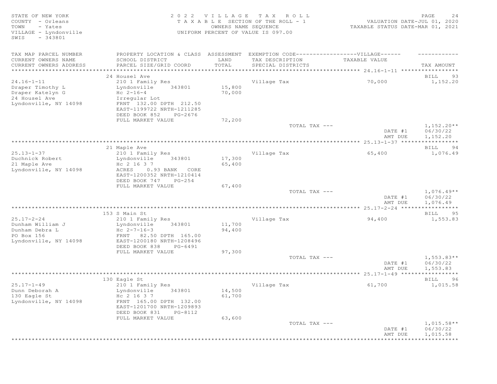STATE OF NEW YORK 2 0 2 2 V I L L A G E T A X R O L L PAGE 24 COUNTY - Orleans T A X A B L E SECTION OF THE ROLL - 1<br>TOWN - Yates COUNTRIS NAME SECUENCE TOWN - Yates OWNERS NAME SEQUENCE TAXABLE STATUS DATE-MAR 01, 2021 VILLAGE - Lyndonville UNIFORM PERCENT OF VALUE IS 097.00 SWIS - 343801 TAX MAP PARCEL NUMBER PROPERTY LOCATION & CLASS ASSESSMENT EXEMPTION CODE-------------------VILLAGE------ ----------CURRENT OWNERS NAME SCHOOL DISTRICT LAND TAX DESCRIPTION TAXABLE VALUE CURRENT OWNERS ADDRESS PARCEL SIZE/GRID COORD TOTAL SPECIAL DISTRICTS TAX AMOUNT \*\*\*\*\*\*\*\*\*\*\*\*\*\*\*\*\*\*\*\*\*\*\*\*\*\*\*\*\*\*\*\*\*\*\*\*\*\*\*\*\*\*\*\*\*\*\*\*\*\*\*\*\*\*\*\*\*\*\*\*\*\*\*\*\*\*\*\*\*\*\*\*\*\*\*\*\*\*\*\*\*\*\*\*\*\*\*\*\*\*\*\*\*\*\*\*\*\*\*\*\*\*\* 24.16-1-11 \*\*\*\*\*\*\*\*\*\*\*\*\*\*\*\*\* 24 Housel Ave BILL 93 24.16-1-11 210 1 Family Res Village Tax 70,000 1,152.20 Draper Timothy L Lyndonville 343801 15,800 Draper Katelyn G  $HC$   $2-16-4$   $70,000$ 24 Housel Ave Irregular Lot Lyndonville, NY 14098 FRNT 132.00 DPTH 212.50 EAST-1199722 NRTH-1211285 DEED BOOK 852 PG-2676 FULL MARKET VALUE 72,200  $T$ OTAL TAX  $---$  1,152.20\*\* DATE #1 06/30/22<br>AMT DUE 1,152.20 AMT DUE 1, 152.20 \*\*\*\*\*\*\*\*\*\*\*\*\*\*\*\*\*\*\*\*\*\*\*\*\*\*\*\*\*\*\*\*\*\*\*\*\*\*\*\*\*\*\*\*\*\*\*\*\*\*\*\*\*\*\*\*\*\*\*\*\*\*\*\*\*\*\*\*\*\*\*\*\*\*\*\*\*\*\*\*\*\*\*\*\*\*\*\*\*\*\*\*\*\*\*\*\*\*\*\*\*\*\* 25.13-1-37 \*\*\*\*\*\*\*\*\*\*\*\*\*\*\*\*\* 21 Maple Ave BILL 94 25.13-1-37 210 1 Family Res Village Tax 65,400 1,076.49 Duchnick Robert Lyndonville 343801 17,300 21 Maple Ave Hc 2 16 3 7 65,400 Lyndonville, NY 14098 ACRES 0.93 BANK CORE EAST-1200352 NRTH-1210414 DEED BOOK 747 PG-254<br>FULL MARKET VALUE 67,400 FULL MARKET VALUE 67,400<br>
TOTAL TAX --- $T$ OTAL TAX  $---$  1,076.49\*\* DATE #1 06/30/22 AMT DUE 1, 076.49 \*\*\*\*\*\*\*\*\*\*\*\*\*\*\*\*\*\*\*\*\*\*\*\*\*\*\*\*\*\*\*\*\*\*\*\*\*\*\*\*\*\*\*\*\*\*\*\*\*\*\*\*\*\*\*\*\*\*\*\*\*\*\*\*\*\*\*\*\*\*\*\*\*\*\*\*\*\*\*\*\*\*\*\*\*\*\*\*\*\*\*\*\*\*\*\*\*\*\*\*\*\*\* 25.17-2-24 \*\*\*\*\*\*\*\*\*\*\*\*\*\*\*\*\* 153 S Main St BILL 95 25.17-2-24 210 1 Family Res Village Tax 94,400 1,553.83 Dunham William J Lyndonville 343801 11,700 Dunham Debra L  $Hc$   $2-7-16-3$  94,400 Punham Debra L<br>
PO Box 156 FRNT 82.50 DPTH 165.00<br>
Lyndonville, NY 14098 EAST-1200180 NRTH-1208496 Lyndonville, NY 14098 EAST-1200180 NRTH-1208496 DEED BOOK 838 PG-6491 FULL MARKET VALUE 97,300<br>TOTAL TAX --- $\texttt{TOTAL TAX}$   $\texttt{--}$   $\texttt{--}$   $\texttt{1,553.83**}$ DATE #1 06/30/22<br>AMT DUE 1,553.83 AMT DUE 1, 553.83 \*\*\*\*\*\*\*\*\*\*\*\*\*\*\*\*\*\*\*\*\*\*\*\*\*\*\*\*\*\*\*\*\*\*\*\*\*\*\*\*\*\*\*\*\*\*\*\*\*\*\*\*\*\*\*\*\*\*\*\*\*\*\*\*\*\*\*\*\*\*\*\*\*\*\*\*\*\*\*\*\*\*\*\*\*\*\*\*\*\*\*\*\*\*\*\*\*\*\*\*\*\*\* 25.17-1-49 \*\*\*\*\*\*\*\*\*\*\*\*\*\*\*\*\* 130 Eagle St BILL 96 25.17-1-49 210 1 Family Res Village Tax 61,700 1,015.58 Dunn Deborah A Lyndonville 343801 14,500 130 Eagle St Hc 2 16 3 7 61,700 Lyndonville, NY 14098 FRNT 165.00 DPTH 132.00 EAST-1201700 NRTH-1209893 DEED BOOK 831 PG-8112<br>FULL MARKET VALUE 63,600 FULL MARKET VALUE  $\texttt{TOTAL TAX}$   $- \texttt{1,015.58**}$  DATE #1 06/30/22 AMT DUE 1, 015.58 \*\*\*\*\*\*\*\*\*\*\*\*\*\*\*\*\*\*\*\*\*\*\*\*\*\*\*\*\*\*\*\*\*\*\*\*\*\*\*\*\*\*\*\*\*\*\*\*\*\*\*\*\*\*\*\*\*\*\*\*\*\*\*\*\*\*\*\*\*\*\*\*\*\*\*\*\*\*\*\*\*\*\*\*\*\*\*\*\*\*\*\*\*\*\*\*\*\*\*\*\*\*\*\*\*\*\*\*\*\*\*\*\*\*\*\*\*\*\*\*\*\*\*\*\*\*\*\*\*\*\*\*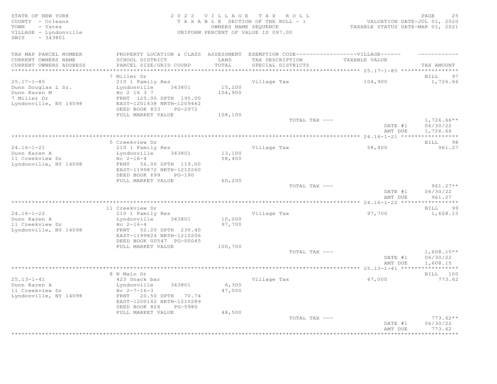STATE OF NEW YORK<br>COUNTY - Orleans and the state of the SECTION OF THE ROLL - 1 (2020)<br>TOWN - Yates and the section of the ROLL - 1 (2021)<br>TOWN - Yates and the SEQUENCE owners NAME SEQUENCE (2021) COUNTY - Orleans T A X A B L E SECTION OF THE ROLL - 1<br>TOWN - Yates COUNTY - Yates COUNERS NAME SEOUENCE TOWN - Yates OWNERS NAME SEQUENCE TAXABLE STATUS DATE-MAR 01, 2021 VILLAGE - Lyndonville UNIFORM PERCENT OF VALUE IS 097.00 SWIS - 343801 TAX MAP PARCEL NUMBER PROPERTY LOCATION & CLASS ASSESSMENT EXEMPTION CODE-------------------VILLAGE------ ----------CURRENT OWNERS NAME SCHOOL DISTRICT LAND TAX DESCRIPTION TAXABLE VALUE CURRENT OWNERS ADDRESS PARCEL SIZE/GRID COORD TOTAL SPECIAL DISTRICTS TAX AMOUNT \*\*\*\*\*\*\*\*\*\*\*\*\*\*\*\*\*\*\*\*\*\*\*\*\*\*\*\*\*\*\*\*\*\*\*\*\*\*\*\*\*\*\*\*\*\*\*\*\*\*\*\*\*\*\*\*\*\*\*\*\*\*\*\*\*\*\*\*\*\*\*\*\*\*\*\*\*\*\*\*\*\*\*\*\*\*\*\*\*\*\*\*\*\*\*\*\*\*\*\*\*\*\* 25.17-1-85 \*\*\*\*\*\*\*\*\*\*\*\*\*\*\*\*\*  $\,$  7 Miller Dr  $\,$  BILL 97  $\,$  BILL 97  $\,$ 25.17-1-85 210 1 Family Res Village Tax 104,900 1,726.66 Dunn Douglas L Sr. Lyndonville 343801 15,200 Dunn Karen M  $\text{Hc}$  2 16 3 7 104,900 7 Miller Dr FRNT 125.00 DPTH 195.00 Lyndonville, NY 14098 EAST-1201438 NRTH-1209462 DEED BOOK 833 PG-2972 FULL MARKET VALUE  $108,100$ <br>TOTAL TAX --- $\texttt{TOTAL TAX}$   $\texttt{--}$   $\texttt{--}$   $\texttt{1,726.66**}$ DATE #1 06/30/22<br>AMT DUE 1,726.66 AMT DUE 1, 726.66 \*\*\*\*\*\*\*\*\*\*\*\*\*\*\*\*\*\*\*\*\*\*\*\*\*\*\*\*\*\*\*\*\*\*\*\*\*\*\*\*\*\*\*\*\*\*\*\*\*\*\*\*\*\*\*\*\*\*\*\*\*\*\*\*\*\*\*\*\*\*\*\*\*\*\*\*\*\*\*\*\*\*\*\*\*\*\*\*\*\*\*\*\*\*\*\*\*\*\*\*\*\*\* 24.16-1-21 \*\*\*\*\*\*\*\*\*\*\*\*\*\*\*\*\* 5 Creekview Dr BILL 98 24.16-1-21 210 1 Family Res Village Tax 58,400 58,400 961.27<br>
Dunn Karen A 13yndonville 343801 13,100 Dunn Karen A Lyndonville 343801 13,100 ..<br>11 Creekview Dr<br>Lyndonville, NY 14098 Lyndonville, NY 14098 FRNT 56.00 DPTH 119.00 EAST-1199872 NRTH-1210260 DEED BOOK 699 PG-190<br>FULL MARKET VALUE 60,200 FULL MARKET VALUE 60,200<br>TOTAL TAX --- $T$ OTAL TAX  $---$  961.27\*\* DATE #1 06/30/22<br>AMT DUE 961.27 AMT DUE 961.27 \*\*\*\*\*\*\*\*\*\*\*\*\*\*\*\*\*\*\*\*\*\*\*\*\*\*\*\*\*\*\*\*\*\*\*\*\*\*\*\*\*\*\*\*\*\*\*\*\*\*\*\*\*\*\*\*\*\*\*\*\*\*\*\*\*\*\*\*\*\*\*\*\*\*\*\*\*\*\*\*\*\*\*\*\*\*\*\*\*\*\*\*\*\*\*\*\*\*\*\*\*\*\* 24.16-1-22 \*\*\*\*\*\*\*\*\*\*\*\*\*\*\*\*\* 11 Creekview Dr BILL 99 24.16-1-22 210 1 Family Res Village Tax 97,700 1,608.15 Dunn Karen A Lyndonville 343801 10,000 11 Creekview Dr Hc 2-16-4 97,700 Lyndonville, NY 14098 FRNT 52.20 DPTH 230.40 EAST-1199824 NRTH-1210206 DEED BOOK 00547 PG-00045 FULL MARKET VALUE  $100,700$  TOTAL TAX --- $\texttt{TOTAL TAX}$   $\texttt{--}$   $\texttt{--}$   $\texttt{1,608.15**}$  DATE #1 06/30/22 AMT DUE 1, 608.15 \*\*\*\*\*\*\*\*\*\*\*\*\*\*\*\*\*\*\*\*\*\*\*\*\*\*\*\*\*\*\*\*\*\*\*\*\*\*\*\*\*\*\*\*\*\*\*\*\*\*\*\*\*\*\*\*\*\*\*\*\*\*\*\*\*\*\*\*\*\*\*\*\*\*\*\*\*\*\*\*\*\*\*\*\*\*\*\*\*\*\*\*\*\*\*\*\*\*\*\*\*\*\* 25.13-1-41 \*\*\*\*\*\*\*\*\*\*\*\*\*\*\*\*\* 8 N Main St Bill and the set of the set of the set of the set of the set of the set of the set of the set of the set of the set of the set of the set of the set of the set of the set of the set of the set of the set of the 25.13-1-41 423 Snack bar Village Tax 47,000 773.62 Dunn Karen A Lyndonville 343801 6,300 11 Creekview Dr Hc 2-7-16-3 47,000 Lyndonville, NY 14098 FRNT 20.50 DPTH 70.74 EAST-1200142 NRTH-1210289 DEED BOOK 826 PG-5980<br>FULL MARKET VALUE 48,500 FULL MARKET VALUE  $48,500$  TOTAL TAX --- TOTAL TAX --- 773.62\*\* DATE #1 06/30/22 **AMT DUE** 773.62 \*\*\*\*\*\*\*\*\*\*\*\*\*\*\*\*\*\*\*\*\*\*\*\*\*\*\*\*\*\*\*\*\*\*\*\*\*\*\*\*\*\*\*\*\*\*\*\*\*\*\*\*\*\*\*\*\*\*\*\*\*\*\*\*\*\*\*\*\*\*\*\*\*\*\*\*\*\*\*\*\*\*\*\*\*\*\*\*\*\*\*\*\*\*\*\*\*\*\*\*\*\*\*\*\*\*\*\*\*\*\*\*\*\*\*\*\*\*\*\*\*\*\*\*\*\*\*\*\*\*\*\*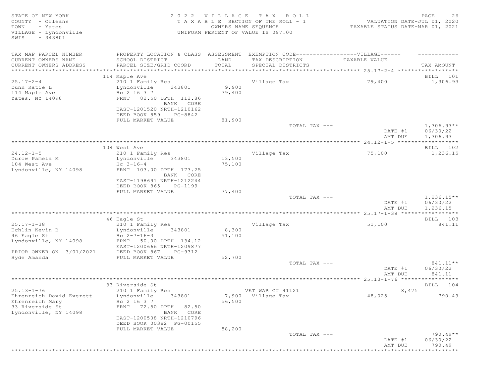| STATE OF NEW YORK<br>COUNTY - Orleans<br>TOWN<br>- Yates<br>VILLAGE - Lyndonville<br>$-343801$<br>SWIS | 2 0 2 2<br>TAXABLE                                                             | VILLAGE          | T A X<br>ROLL<br>SECTION OF THE ROLL - 1<br>OWNERS NAME SEQUENCE<br>UNIFORM PERCENT OF VALUE IS 097.00 | VALUATION DATE-JUL 01, 2020<br>TAXABLE STATUS DATE-MAR 01, 2021 | 26<br>PAGE                           |
|--------------------------------------------------------------------------------------------------------|--------------------------------------------------------------------------------|------------------|--------------------------------------------------------------------------------------------------------|-----------------------------------------------------------------|--------------------------------------|
| TAX MAP PARCEL NUMBER                                                                                  | PROPERTY LOCATION & CLASS ASSESSMENT                                           |                  | EXEMPTION CODE-----------------VILLAGE------                                                           |                                                                 |                                      |
| CURRENT OWNERS NAME<br>CURRENT OWNERS ADDRESS                                                          | SCHOOL DISTRICT<br>PARCEL SIZE/GRID COORD                                      | LAND<br>TOTAL    | TAX DESCRIPTION<br>SPECIAL DISTRICTS                                                                   | TAXABLE VALUE                                                   | TAX AMOUNT                           |
| ***********************************                                                                    |                                                                                |                  |                                                                                                        |                                                                 |                                      |
|                                                                                                        | 114 Maple Ave                                                                  |                  |                                                                                                        |                                                                 | BILL 101                             |
| $25.17 - 2 - 4$                                                                                        | 210 1 Family Res                                                               |                  | Village Tax                                                                                            | 79,400                                                          | 1,306.93                             |
| Dunn Katie L<br>114 Maple Ave                                                                          | 343801<br>Lyndonville<br>Hc 2 16 3 7                                           | 9,900<br>79,400  |                                                                                                        |                                                                 |                                      |
| Yates, NY 14098                                                                                        | FRNT 82.50 DPTH 112.86<br>BANK CORE<br>EAST-1201520 NRTH-1210162               |                  |                                                                                                        |                                                                 |                                      |
|                                                                                                        | DEED BOOK 859<br>PG-8842                                                       |                  |                                                                                                        |                                                                 |                                      |
|                                                                                                        | FULL MARKET VALUE                                                              | 81,900           |                                                                                                        |                                                                 |                                      |
|                                                                                                        |                                                                                |                  | TOTAL TAX ---                                                                                          | DATE #1<br>AMT DUE                                              | $1,306.93**$<br>06/30/22<br>1,306.93 |
|                                                                                                        |                                                                                |                  |                                                                                                        | $24.12 - 1 - 5$ ******************                              |                                      |
|                                                                                                        | 104 West Ave                                                                   |                  |                                                                                                        |                                                                 | BILL 102                             |
| $24.12 - 1 - 5$<br>Durow Pamela M                                                                      | 210 1 Family Res<br>Lyndonville                                                |                  | Village Tax                                                                                            | 75,100                                                          | 1,236.15                             |
| 104 West Ave                                                                                           | 343801<br>$Hc$ 3-16-4                                                          | 13,500<br>75,100 |                                                                                                        |                                                                 |                                      |
| Lyndonville, NY 14098                                                                                  | FRNT 103.00 DPTH 173.25                                                        |                  |                                                                                                        |                                                                 |                                      |
|                                                                                                        | BANK CORE                                                                      |                  |                                                                                                        |                                                                 |                                      |
|                                                                                                        | EAST-1198691 NRTH-1212244                                                      |                  |                                                                                                        |                                                                 |                                      |
|                                                                                                        | DEED BOOK 865<br>PG-1199                                                       |                  |                                                                                                        |                                                                 |                                      |
|                                                                                                        | FULL MARKET VALUE                                                              | 77,400           | TOTAL TAX ---                                                                                          |                                                                 | $1,236.15**$                         |
|                                                                                                        |                                                                                |                  |                                                                                                        | DATE #1<br>AMT DUE                                              | 06/30/22<br>1,236.15                 |
|                                                                                                        |                                                                                |                  |                                                                                                        |                                                                 | ***********                          |
|                                                                                                        | 46 Eagle St                                                                    |                  |                                                                                                        |                                                                 | BILL 103                             |
| $25.17 - 1 - 38$<br>Echlin Kevin B                                                                     | 210 1 Family Res<br>Lyndonville<br>343801                                      | 8,300            | Village Tax                                                                                            | 51,100                                                          | 841.11                               |
| 46 Eagle St                                                                                            | Hc $2 - 7 - 16 - 3$                                                            | 51,100           |                                                                                                        |                                                                 |                                      |
| Lyndonville, NY 14098                                                                                  | FRNT 50.00 DPTH 134.12                                                         |                  |                                                                                                        |                                                                 |                                      |
| PRIOR OWNER ON 3/01/2021                                                                               | EAST-1200666 NRTH-1209877<br>DEED BOOK 867<br>PG-9312                          |                  |                                                                                                        |                                                                 |                                      |
| Hyde Amanda                                                                                            | FULL MARKET VALUE                                                              | 52,700           |                                                                                                        |                                                                 |                                      |
|                                                                                                        |                                                                                |                  | TOTAL TAX ---                                                                                          | DATE #1<br>AMT DUE                                              | 841.11**<br>06/30/22<br>841.11       |
|                                                                                                        |                                                                                |                  |                                                                                                        |                                                                 |                                      |
|                                                                                                        | 33 Riverside St                                                                |                  |                                                                                                        |                                                                 | BILL 104                             |
| $25.13 - 1 - 76$<br>Ehrenreich David Everett                                                           | 210 1 Family Res<br>Lyndonville<br>343801                                      | 7,900            | VET WAR CT 41121<br>Village Tax                                                                        | 8,475<br>48,025                                                 | 790.49                               |
| Ehrenreich Mary<br>33 Riverside St<br>Lyndonville, NY 14098                                            | Hc 2 16 3 7<br>FRNT 72.50 DPTH 82.50<br>BANK CORE<br>EAST-1200508 NRTH-1210796 | 56,500           |                                                                                                        |                                                                 |                                      |
|                                                                                                        | DEED BOOK 00382 PG-00155<br>FULL MARKET VALUE                                  | 58,200           |                                                                                                        |                                                                 |                                      |
|                                                                                                        |                                                                                |                  | TOTAL TAX ---                                                                                          | DATE #1                                                         | $790.49**$<br>06/30/22               |
|                                                                                                        |                                                                                |                  |                                                                                                        | AMT DUE                                                         | 790.49<br>* * * * * * * * * * *      |
|                                                                                                        |                                                                                |                  |                                                                                                        |                                                                 |                                      |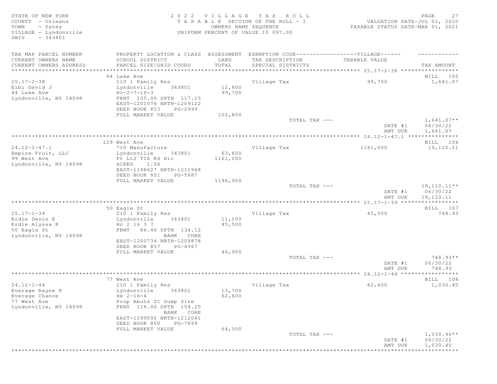STATE OF NEW YORK 2 0 2 2 V I L L A G E T A X R O L L PAGE 27 COUNTY - Orleans T A X A B L E SECTION OF THE ROLL - 1 TOWN - Yates OWNERS NAME SEQUENCE TAXABLE STATUS DATE-MAR 01, 2021 UNIFORM PERCENT OF VALUE IS 097.00 SWIS - 343801 TAX MAP PARCEL NUMBER PROPERTY LOCATION & CLASS ASSESSMENT EXEMPTION CODE-------------------VILLAGE------ ----------CURRENT OWNERS NAME SCHOOL DISTRICT LAND TAX DESCRIPTION TAXABLE VALUE CURRENT OWNERS ADDRESS PARCEL SIZE/GRID COORD TOTAL SPECIAL DISTRICTS TAX AMOUNT \*\*\*\*\*\*\*\*\*\*\*\*\*\*\*\*\*\*\*\*\*\*\*\*\*\*\*\*\*\*\*\*\*\*\*\*\*\*\*\*\*\*\*\*\*\*\*\*\*\*\*\*\*\*\*\*\*\*\*\*\*\*\*\*\*\*\*\*\*\*\*\*\*\*\*\*\*\*\*\*\*\*\*\*\*\*\*\*\*\*\*\*\*\*\*\*\*\*\*\*\*\*\* 25.17-2-38 \*\*\*\*\*\*\*\*\*\*\*\*\*\*\*\*\* 44 Lake Ave BILL 105 25.17-2-38 210 1 Family Res Village Tax 99,700 1,641.07 Lyndonville 343801 12,800<br>Hc-2-7-16-3 99.700 44 Lake Ave<br>Lyndonville, NY 14098 Lyndonville, NY 14098 FRNT 135.00 DPTH 117.15 EAST-1201076 NRTH-1209122 DEED BOOK 853 PG-2999<br>FULL MARKET VALUE 102,800 FULL MARKET VALUE  $102,800$ <br>TOTAL TAX --- $T$ OTAL TAX  $---$  1,641.07\*\* DATE #1 06/30/22<br>AMT DUE 1,641.07 AMT DUE 1, 641.07 \*\*\*\*\*\*\*\*\*\*\*\*\*\*\*\*\*\*\*\*\*\*\*\*\*\*\*\*\*\*\*\*\*\*\*\*\*\*\*\*\*\*\*\*\*\*\*\*\*\*\*\*\*\*\*\*\*\*\*\*\*\*\*\*\*\*\*\*\*\*\*\*\*\*\*\*\*\*\*\*\*\*\*\*\*\*\*\*\*\*\*\*\*\*\*\*\*\*\*\*\*\*\* 24.12-1-47.1 \*\*\*\*\*\*\*\*\*\*\*\*\*\*\* 129 West Ave and the set of the set of the set of the set of the set of the set of the set of the set of the set of the set of the set of the set of the set of the set of the set of the set of the set of the set of the set 24.12-1-47.1 710 Manufacture Village Tax 1161,000 19,110.11<br>
Empire Fruit, LLC Lyndonville 343801 63,600<br>
99 West Ave Pt Lt2 T16 R4 Hlc 1161,000 Lyndonville 343801 63,600<br>Pt Lt2 T16 R4 Hlc 1161,000 Pt Lt2 T16 R4 Hlc<br>ACRES 1.56 Lyndonville, NY 14098 EAST-1198627 NRTH-1211948 DEED BOOK 851 PG-5687 FULL MARKET VALUE  $1196,900$ <br>TOTAL TAX --- $\texttt{TOTAL TAX}$   $---$  19,110.11\*\* DATE #1 06/30/22<br>AMT DUE 19.110.11 AMT DUE 19,110.11 \*\*\*\*\*\*\*\*\*\*\*\*\*\*\*\*\*\*\*\*\*\*\*\*\*\*\*\*\*\*\*\*\*\*\*\*\*\*\*\*\*\*\*\*\*\*\*\*\*\*\*\*\*\*\*\*\*\*\*\*\*\*\*\*\*\*\*\*\*\*\*\*\*\*\*\*\*\*\*\*\*\*\*\*\*\*\*\*\*\*\*\*\*\*\*\*\*\*\*\*\*\*\* 25.17-1-39 \*\*\*\*\*\*\*\*\*\*\*\*\*\*\*\*\* 50 Eagle St BILL 107 25.17-1-39 210 1 Family Res Village Tax 45,500 748.93 Eyndonville 343801 11,100<br>Hc 2 16 3 7 45,500 Erdle Alyssa R<br>50 Eagle St 50 Eagle St FRNT 86.46 DPTH 134.12 Lyndonville, NY 14098 EAST-1200734 NRTH-1209878 DEED BOOK 857 PG-4967<br>FULL MARKET VALUE 646,900 FULL MARKET VALUE  $46,900$ <br>TOTAL TAX --- TOTAL TAX --- 748.93\*\* DATE #1 06/30/22 AMT DUE 748.93 \*\*\*\*\*\*\*\*\*\*\*\*\*\*\*\*\*\*\*\*\*\*\*\*\*\*\*\*\*\*\*\*\*\*\*\*\*\*\*\*\*\*\*\*\*\*\*\*\*\*\*\*\*\*\*\*\*\*\*\*\*\*\*\*\*\*\*\*\*\*\*\*\*\*\*\*\*\*\*\*\*\*\*\*\*\*\*\*\*\*\*\*\*\*\*\*\*\*\*\*\*\*\* 24.12-1-44 \*\*\*\*\*\*\*\*\*\*\*\*\*\*\*\*\* 77 West Ave BILL 108 24.12-1-44 210 1 Family Res Village Tax 62,600 1,030.40<br>Everage Rayne E Lyndonville 343801 13,700 Eyndonville 343801 13,700<br>He 2-16-4 62,600 Everage Chance<br>77 West Ave Prop Abuts 2C Dump Site<br>FRNT 118.00 DPTH 154.25 Lyndonville, NY 14098 BANK CORE EAST-1199092 NRTH-1212041 DEED BOOK 850 PG-7899<br>FULL MARKET VALUE 64,500 FULL MARKET VALUE 64,500<br>TOTAL TAX --- $\begin{array}{ccc} {\tt TOTA} & {\tt TAX} & \text{---} & \end{array}$  and  $\begin{array}{ccc} 1 \,,\,0\,3\,0 \,\,.\,4\,0\, * \end{array}$ DATE #1 06/30/22 AMT DUE 1,030.40 \*\*\*\*\*\*\*\*\*\*\*\*\*\*\*\*\*\*\*\*\*\*\*\*\*\*\*\*\*\*\*\*\*\*\*\*\*\*\*\*\*\*\*\*\*\*\*\*\*\*\*\*\*\*\*\*\*\*\*\*\*\*\*\*\*\*\*\*\*\*\*\*\*\*\*\*\*\*\*\*\*\*\*\*\*\*\*\*\*\*\*\*\*\*\*\*\*\*\*\*\*\*\*\*\*\*\*\*\*\*\*\*\*\*\*\*\*\*\*\*\*\*\*\*\*\*\*\*\*\*\*\*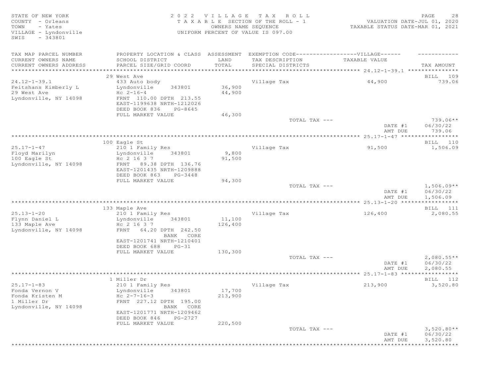STATE OF NEW YORK<br>COUNTY - Orleans and the state of the section of the ROLL - 1 waluation date-jul 01, 2020<br>TOWN - Yates and the section of the ROLL - 1 waluation date-jul 01, 2020<br>TOWN - Yates and the section of the SEQUE COUNTY - Orleans T A X A B L E SECTION OF THE ROLL - 1<br>TOWN - Yates COUNTY - Yates COUNERS NAME SEOUENCE TOWN - Yates OWNERS NAME SEQUENCE TAXABLE STATUS DATE-MAR 01, 2021 VILLAGE - Lyndonville UNIFORM PERCENT OF VALUE IS 097.00 SWIS - 343801 TAX MAP PARCEL NUMBER FROPERTY LOCATION & CLASS ASSESSMENT EXEMPTION CODE--------------------VILLAGE------ ---------CURRENT OWNERS NAME SCHOOL DISTRICT LAND TAX DESCRIPTION TAXABLE VALUE CURRENT OWNERS ADDRESS PARCEL SIZE/GRID COORD TOTAL SPECIAL DISTRICTS TAX AMOUNT \*\*\*\*\*\*\*\*\*\*\*\*\*\*\*\*\*\*\*\*\*\*\*\*\*\*\*\*\*\*\*\*\*\*\*\*\*\*\*\*\*\*\*\*\*\*\*\*\*\*\*\*\*\*\*\*\*\*\*\*\*\*\*\*\*\*\*\*\*\*\*\*\*\*\*\*\*\*\*\*\*\*\*\*\*\*\*\*\*\*\*\*\*\*\*\*\*\*\*\*\*\*\* 24.12-1-39.1 \*\*\*\*\*\*\*\*\*\*\*\*\*\*\* 29 West Ave 20 Note that the set of the set of the set of the set of the set of the set of the set of the set of the set of the set of the set of the set of the set of the set of the set of the set of the set of the set of 24.12-1-39.1 433 Auto body Village Tax 44,900 739.06 Feitshans Kimberly L Lyndonville 343801 36,900 29 West Ave  $AC 2-16-4$   $AC 2-16-4$   $44,900$ Lyndonville, NY 14098 FRNT 110.00 DPTH 213.55 EAST-1199638 NRTH-1212026 DEED BOOK 836 PG-8645<br>FULL MARKET VALUE 46,300 FULL MARKET VALUE  $46,300$ <br>TOTAL TAX --- TOTAL TAX --- 739.06\*\* DATE #1 06/30/22<br>AMT DUE 739.06 AMT DUE 739.06 \*\*\*\*\*\*\*\*\*\*\*\*\*\*\*\*\*\*\*\*\*\*\*\*\*\*\*\*\*\*\*\*\*\*\*\*\*\*\*\*\*\*\*\*\*\*\*\*\*\*\*\*\*\*\*\*\*\*\*\*\*\*\*\*\*\*\*\*\*\*\*\*\*\*\*\*\*\*\*\*\*\*\*\*\*\*\*\*\*\*\*\*\*\*\*\*\*\*\*\*\*\*\* 25.17-1-47 \*\*\*\*\*\*\*\*\*\*\*\*\*\*\*\*\* 100 Eagle St and the state of the state of the state of the state of the state of the state of the state of the state of the state of the state of the state of the state of the state of the state of the state of the state 25.17-1-47 210 1 Family Res Village Tax 91,500 1,506.09 Floyd Marilyn Lyndonville 343801 9,800 100 Eagle St Hc 2 16 3 7 91,500 Lyndonville, NY 14098 FRNT 89.38 DPTH 136.76 EAST-1201435 NRTH-1209888 DEED BOOK 863 PG-3448 FULL MARKET VALUE 94,300<br>TOTAL TAX --- $\begin{array}{ccc} {\tt TOTA} & {\tt TAX} & \text{---} & \end{array}$  and  $\begin{array}{ccc} {\tt I,506.09**} \end{array}$ DATE #1 06/30/22<br>AMT DUE 1,506.09 AMT DUE 1, 506.09 \*\*\*\*\*\*\*\*\*\*\*\*\*\*\*\*\*\*\*\*\*\*\*\*\*\*\*\*\*\*\*\*\*\*\*\*\*\*\*\*\*\*\*\*\*\*\*\*\*\*\*\*\*\*\*\*\*\*\*\*\*\*\*\*\*\*\*\*\*\*\*\*\*\*\*\*\*\*\*\*\*\*\*\*\*\*\*\*\*\*\*\*\*\*\*\*\*\*\*\*\*\*\* 25.13-1-20 \*\*\*\*\*\*\*\*\*\*\*\*\*\*\*\*\* 133 Maple Ave BILL 111 25.13-1-20 210 1 Family Res Village Tax 126,400 2,080.55<br>
Flynn Daniel I. Lyndonville 343801 11,100 Lyndonville 343801 11,100<br>Hc 2 16 3 7 126,400 Flynn Daniel L<br>133 Maple Ave<br>Lyndonville, NY 14098 Lyndonville, NY 14098 FRNT 64.20 DPTH 242.50 BANK CORE EAST-1201741 NRTH-1210401 DEED BOOK 688 PG-31<br>FULL MARKET VALUE 130,300 FULL MARKET VALUE  $130,300$ <br>TOTAL TAX --- $\begin{array}{ccc} {\tt TOTA} & {\tt TAX} & \text{---} \end{array}$   $\begin{array}{ccc} & 2\text{, }080\text{, }55\text{**} \end{array}$ DATE #1 06/30/22<br>AMT DUE 2,080.55 AMT DUE 2, 080.55 \*\*\*\*\*\*\*\*\*\*\*\*\*\*\*\*\*\*\*\*\*\*\*\*\*\*\*\*\*\*\*\*\*\*\*\*\*\*\*\*\*\*\*\*\*\*\*\*\*\*\*\*\*\*\*\*\*\*\*\*\*\*\*\*\*\*\*\*\*\*\*\*\*\*\*\*\*\*\*\*\*\*\*\*\*\*\*\*\*\*\*\*\*\*\*\*\*\*\*\*\*\*\* 25.17-1-83 \*\*\*\*\*\*\*\*\*\*\*\*\*\*\*\*\* 1 Miller Dr Bill 112 and the Bill 112 state of the Bill 112 state of the Bill 112 state of the Bill 112 state of the Bill 112 state of the Bill 112 state of the Bill 112 state of the Bill 112 state of the Bill 112 state of 25.17-1-83 210 1 Family Res Village Tax 213,900 3,520.80 Fonda Vernon V Lyndonville 343801 17,700 Fonda Kristen M Hc 2-7-16-3 213,900 1 Miller Dr FRNT 227.12 DPTH 195.00 Lyndonville, NY 14098 EAST-1201771 NRTH-1209462 DEED BOOK 846 PG-2727 FULL MARKET VALUE 220,500<br>TOTAL TAX --- $\texttt{TOTAL TAX}$   $---$  3,520.80\*\* DATE #1 06/30/22<br>AMT DUE 3,520.80

AMT DUE 3, 520.80 \*\*\*\*\*\*\*\*\*\*\*\*\*\*\*\*\*\*\*\*\*\*\*\*\*\*\*\*\*\*\*\*\*\*\*\*\*\*\*\*\*\*\*\*\*\*\*\*\*\*\*\*\*\*\*\*\*\*\*\*\*\*\*\*\*\*\*\*\*\*\*\*\*\*\*\*\*\*\*\*\*\*\*\*\*\*\*\*\*\*\*\*\*\*\*\*\*\*\*\*\*\*\*\*\*\*\*\*\*\*\*\*\*\*\*\*\*\*\*\*\*\*\*\*\*\*\*\*\*\*\*\*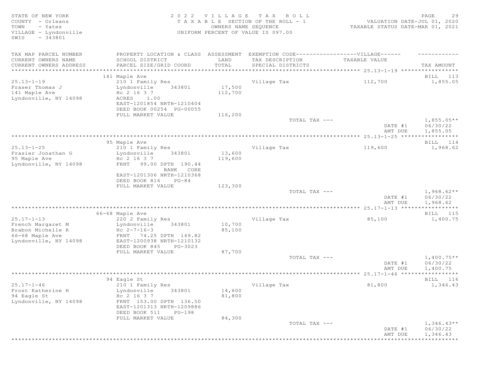STATE OF NEW YORK<br>COUNTY - Orleans and the state of the SECTION OF THE ROLL - 1 (2020)<br>TOWN - Yates and the section of the ROLL - 1 (2021)<br>TOWN - Yates and the SEQUENCE owners NAME SEQUENCE (2021) COUNTY - Orleans T A X A B L E SECTION OF THE ROLL - 1<br>TOWN - Yates COUNTRIS NAME SECUENCE TOWN - Yates OWNERS NAME SEQUENCE TAXABLE STATUS DATE-MAR 01, 2021 VILLAGE - Lyndonville UNIFORM PERCENT OF VALUE IS 097.00 SWIS - 343801 TAX MAP PARCEL NUMBER PROPERTY LOCATION & CLASS ASSESSMENT EXEMPTION CODE------------------VILLAGE------ ------------ CURRENT OWNERS NAME SCHOOL DISTRICT LAND TAX DESCRIPTION TAXABLE VALUE CURRENT OWNERS ADDRESS PARCEL SIZE/GRID COORD TOTAL SPECIAL DISTRICTS TAX AMOUNT \*\*\*\*\*\*\*\*\*\*\*\*\*\*\*\*\*\*\*\*\*\*\*\*\*\*\*\*\*\*\*\*\*\*\*\*\*\*\*\*\*\*\*\*\*\*\*\*\*\*\*\*\*\*\*\*\*\*\*\*\*\*\*\*\*\*\*\*\*\*\*\*\*\*\*\*\*\*\*\*\*\*\*\*\*\*\*\*\*\*\*\*\*\*\*\*\*\*\*\*\*\*\* 25.13-1-19 \*\*\*\*\*\*\*\*\*\*\*\*\*\*\*\*\* 141 Maple Ave BILL 113 25.13-1-19 210 1 Family Res Village Tax 112,700 1,855.05 Fraser Thomas J Lyndonville 343801 17,500 141 Maple Ave Hc 2 16 3 7 112,700 Lyndonville, NY 14098 ACRES 1.00 EAST-1201854 NRTH-1210404 DEED BOOK 00254 PG-00055 FULL MARKET VALUE  $116,200$ <br>TOTAL TAX --- $\begin{array}{ccc} {\tt TOTA} & {\tt TAX} & \text{---} \end{array}$  and  $\begin{array}{ccc} {\tt I,855.05**} \end{array}$  DATE #1 06/30/22 AMT DUE 1,855.05 \*\*\*\*\*\*\*\*\*\*\*\*\*\*\*\*\*\*\*\*\*\*\*\*\*\*\*\*\*\*\*\*\*\*\*\*\*\*\*\*\*\*\*\*\*\*\*\*\*\*\*\*\*\*\*\*\*\*\*\*\*\*\*\*\*\*\*\*\*\*\*\*\*\*\*\*\*\*\*\*\*\*\*\*\*\*\*\*\*\*\*\*\*\*\*\*\*\*\*\*\*\*\* 25.13-1-25 \*\*\*\*\*\*\*\*\*\*\*\*\*\*\*\*\* er of the state of the state of the state of the state of the state of the state of the state of the state of the state of the state of the state of the state of the state of the state of the state of the state of the stat 25.13-1-25 210 1 Family Res 210 1 Family Res 210 1 210 1 Family Res 2 210 1 210 1 210 1 210 1 210 1,968.62 21<br>  $25.13 - 1 - 25$  1,968.62 Frasier Jonathan G Lyndonville 343801 13,600 95 Maple Ave Hc 2 16 3 7 119,600 Lyndonville, NY 14098 FRNT 99.00 DPTH 190.44 BANK CORE EAST-1201306 NRTH-1210368 DEED BOOK 816 PG-84<br>FULL MARKET VALUE 123,300 FULL MARKET VALUE 123,300<br>TOTAL TAX --- $\texttt{TOTAL TAX}$   $\texttt{--}$   $\texttt{--}$   $\texttt{1,968.62**}$ DATE #1 06/30/22 AMT DUE 1, 968.62 \*\*\*\*\*\*\*\*\*\*\*\*\*\*\*\*\*\*\*\*\*\*\*\*\*\*\*\*\*\*\*\*\*\*\*\*\*\*\*\*\*\*\*\*\*\*\*\*\*\*\*\*\*\*\*\*\*\*\*\*\*\*\*\*\*\*\*\*\*\*\*\*\*\*\*\*\*\*\*\*\*\*\*\*\*\*\*\*\*\*\*\*\*\*\*\*\*\*\*\*\*\*\* 25.17-1-13 \*\*\*\*\*\*\*\*\*\*\*\*\*\*\*\*\* 66-68 Maple Ave BILL 115 25.17-1-13 220 2 Family Res Village Tax 85,100 1,400.75 French Margaret M Lyndonville 343801 10,700 Brabon Michelle R  $He$   $2-7-16-3$  85,100 66-68 Maple Ave FRNT 74.25 DPTH 149.82 Lyndonville, NY 14098 EAST-1200938 NRTH-1210132 DEED BOOK 845 PG-3023 FULL MARKET VALUE 87,700<br>TOTAL TAX --- $\begin{array}{ccc}\n & & \text{Total } \text{TAX} & \text{---} \\
 & & & \text{---} \\
 & & & \text{---} \\
 & & & & \text{---} \\
 & & & & \text{---} \\
 & & & & & \text{---} \\
 & & & & & \text{---} \\
 & & & & & & \text{---} \\
 & & & & & & \text{---} \\
 & & & & & & \text{---} \\
 & & & & & & & \text{---} \\
 & & & & & & & \text{---} \\
 & & & & & & & \text{---} \\
 & & & & & & & \text{---} \\
 & & & & & & & & \text{---} \\
 & & & & & & & & \text{---} \\
 & & & & & & & & \text{---} \\
 & &$ DATE #1 06/30/22<br>AMT DUE 1,400.75 AMT DUE 1, 400.75 \*\*\*\*\*\*\*\*\*\*\*\*\*\*\*\*\*\*\*\*\*\*\*\*\*\*\*\*\*\*\*\*\*\*\*\*\*\*\*\*\*\*\*\*\*\*\*\*\*\*\*\*\*\*\*\*\*\*\*\*\*\*\*\*\*\*\*\*\*\*\*\*\*\*\*\*\*\*\*\*\*\*\*\*\*\*\*\*\*\*\*\*\*\*\*\*\*\*\*\*\*\*\* 25.17-1-46 \*\*\*\*\*\*\*\*\*\*\*\*\*\*\*\*\* er of the state of the state of the state of the state of the state of the state of the state of the state of the state of the state of the state of the state of the state of the state of the state of the state of the stat 25.17-1-46 210 1 Family Res Village Tax 81,800 1,346.43 Frost Katherine H Lyndonville 343801 14,600 94 Eagle St Hc 2 16 3 7 81,800 Lyndonville, NY 14098 FRNT 153.00 DPTH 136.50 EAST-1201313 NRTH-1209886 DEED BOOK 511 PG-198<br>FULL MARKET VALUE 84,300 FULL MARKET VALUE TOTAL TAX  $---$  1, 346.43\*\* DATE #1 06/30/22 AMT DUE 1, 346.43 \*\*\*\*\*\*\*\*\*\*\*\*\*\*\*\*\*\*\*\*\*\*\*\*\*\*\*\*\*\*\*\*\*\*\*\*\*\*\*\*\*\*\*\*\*\*\*\*\*\*\*\*\*\*\*\*\*\*\*\*\*\*\*\*\*\*\*\*\*\*\*\*\*\*\*\*\*\*\*\*\*\*\*\*\*\*\*\*\*\*\*\*\*\*\*\*\*\*\*\*\*\*\*\*\*\*\*\*\*\*\*\*\*\*\*\*\*\*\*\*\*\*\*\*\*\*\*\*\*\*\*\*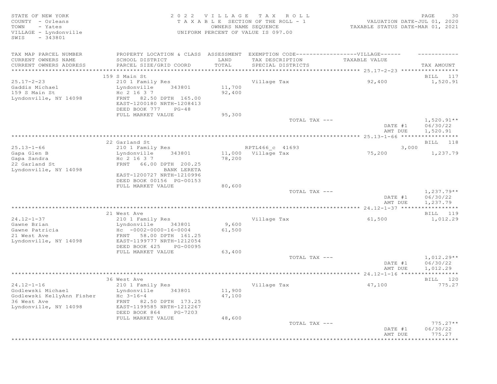| STATE OF NEW YORK<br>COUNTY - Orleans<br>TOWN<br>- Yates<br>VILLAGE - Lyndonville<br>$-343801$<br>SWIS | 2 0 2 2<br>TAXABLE                                     | VILLAGE<br>OWNERS NAME SEQUENCE | T A X<br>ROLL<br>SECTION OF THE ROLL - 1<br>UNIFORM PERCENT OF VALUE IS 097.00 | VALUATION DATE-JUL 01, 2020<br>TAXABLE STATUS DATE-MAR 01, 2021 | 30<br>PAGE                           |
|--------------------------------------------------------------------------------------------------------|--------------------------------------------------------|---------------------------------|--------------------------------------------------------------------------------|-----------------------------------------------------------------|--------------------------------------|
| TAX MAP PARCEL NUMBER                                                                                  | PROPERTY LOCATION & CLASS ASSESSMENT                   |                                 | EXEMPTION CODE------------------VILLAGE------                                  |                                                                 |                                      |
| CURRENT OWNERS NAME                                                                                    | SCHOOL DISTRICT                                        | LAND                            | TAX DESCRIPTION                                                                | TAXABLE VALUE                                                   |                                      |
| CURRENT OWNERS ADDRESS                                                                                 | PARCEL SIZE/GRID COORD                                 | TOTAL                           | SPECIAL DISTRICTS                                                              |                                                                 | TAX AMOUNT                           |
| ***********************************                                                                    |                                                        |                                 |                                                                                |                                                                 |                                      |
|                                                                                                        | 159 S Main St                                          |                                 |                                                                                |                                                                 | BILL 117                             |
| $25.17 - 2 - 23$                                                                                       | 210 1 Family Res                                       |                                 | Village Tax                                                                    | 92,400                                                          | 1,520.91                             |
| Gaddis Michael                                                                                         | 343801<br>Lyndonville                                  | 11,700                          |                                                                                |                                                                 |                                      |
| 159 S Main St                                                                                          | Hc 2 16 3 7                                            | 92,400                          |                                                                                |                                                                 |                                      |
| Lyndonville, NY 14098                                                                                  | FRNT 82.50 DPTH 165.00<br>EAST-1200180 NRTH-1208413    |                                 |                                                                                |                                                                 |                                      |
|                                                                                                        | DEED BOOK 777<br>$PG-48$                               |                                 |                                                                                |                                                                 |                                      |
|                                                                                                        | FULL MARKET VALUE                                      | 95,300                          |                                                                                |                                                                 |                                      |
|                                                                                                        |                                                        |                                 | TOTAL TAX ---                                                                  | DATE #1                                                         | $1,520.91**$<br>06/30/22<br>1,520.91 |
|                                                                                                        |                                                        |                                 |                                                                                | AMT DUE                                                         |                                      |
|                                                                                                        | 22 Garland St                                          |                                 |                                                                                |                                                                 | BILL 118                             |
| $25.13 - 1 - 66$                                                                                       | 210 1 Family Res                                       |                                 | RPTL466 c 41693                                                                | 3,000                                                           |                                      |
| Gapa Glen B                                                                                            | 343801<br>Lyndonville                                  |                                 | 11,000 Village Tax                                                             | 75,200                                                          | 1,237.79                             |
| Gapa Sandra                                                                                            | Hc 2 16 3 7                                            | 78,200                          |                                                                                |                                                                 |                                      |
| 22 Garland St                                                                                          | FRNT 66.00 DPTH 200.25                                 |                                 |                                                                                |                                                                 |                                      |
| Lyndonville, NY 14098                                                                                  | BANK LERETA                                            |                                 |                                                                                |                                                                 |                                      |
|                                                                                                        | EAST-1200727 NRTH-1210996<br>DEED BOOK 00156 PG-00153  |                                 |                                                                                |                                                                 |                                      |
|                                                                                                        | FULL MARKET VALUE                                      | 80,600                          |                                                                                |                                                                 |                                      |
|                                                                                                        |                                                        |                                 | TOTAL TAX ---                                                                  |                                                                 | $1,237.79**$                         |
|                                                                                                        |                                                        |                                 |                                                                                | DATE #1<br>AMT DUE                                              | 06/30/22<br>1,237.79                 |
|                                                                                                        |                                                        |                                 |                                                                                |                                                                 | ***********                          |
|                                                                                                        | 21 West Ave                                            |                                 |                                                                                |                                                                 | BILL 119                             |
| $24.12 - 1 - 37$                                                                                       | 210 1 Family Res                                       |                                 | Village Tax                                                                    | 61,500                                                          | 1,012.29                             |
| Gawne Brian                                                                                            | 343801<br>Lyndonville                                  | 9,600                           |                                                                                |                                                                 |                                      |
| Gawne Patricia                                                                                         | $HC -0002 -0000 -16 -0004$                             | 61,500                          |                                                                                |                                                                 |                                      |
| 21 West Ave                                                                                            | FRNT 58.00 DPTH 161.25                                 |                                 |                                                                                |                                                                 |                                      |
| Lyndonville, NY 14098                                                                                  | EAST-1199777 NRTH-1212054                              |                                 |                                                                                |                                                                 |                                      |
|                                                                                                        | DEED BOOK 425<br>PG-00095<br>FULL MARKET VALUE         | 63,400                          |                                                                                |                                                                 |                                      |
|                                                                                                        |                                                        |                                 | TOTAL TAX ---                                                                  |                                                                 | $1,012.29**$                         |
|                                                                                                        |                                                        |                                 |                                                                                | DATE #1                                                         | 06/30/22                             |
|                                                                                                        |                                                        |                                 |                                                                                | AMT DUE                                                         | 1,012.29                             |
|                                                                                                        |                                                        |                                 |                                                                                |                                                                 | ***********                          |
|                                                                                                        | 36 West Ave                                            |                                 |                                                                                |                                                                 | BILL 120                             |
| $24.12 - 1 - 16$                                                                                       | 210 1 Family Res                                       |                                 | Village Tax                                                                    | 47,100                                                          | 775.27                               |
| Godlewski Michael                                                                                      | Lyndonville<br>343801                                  | 11,900                          |                                                                                |                                                                 |                                      |
| Godlewski KellyAnn Fisher                                                                              | $Hc \t3-16-4$                                          | 47,100                          |                                                                                |                                                                 |                                      |
| 36 West Ave<br>Lyndonville, NY 14098                                                                   | FRNT<br>82.50 DPTH 173.25<br>EAST-1199585 NRTH-1212267 |                                 |                                                                                |                                                                 |                                      |
|                                                                                                        | DEED BOOK 864<br>PG-7203                               |                                 |                                                                                |                                                                 |                                      |
|                                                                                                        | FULL MARKET VALUE                                      | 48,600                          |                                                                                |                                                                 |                                      |
|                                                                                                        |                                                        |                                 | TOTAL TAX ---                                                                  |                                                                 | $775.27**$                           |
|                                                                                                        |                                                        |                                 |                                                                                | DATE #1                                                         | 06/30/22                             |
|                                                                                                        |                                                        |                                 |                                                                                | AMT DUE                                                         | 775.27                               |
|                                                                                                        |                                                        |                                 | ****************************                                                   |                                                                 | **********                           |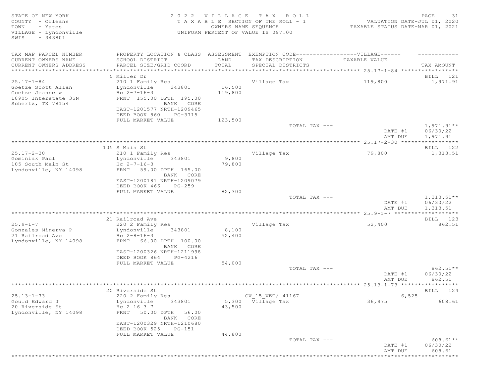| STATE OF NEW YORK<br>COUNTY - Orleans<br>TOWN<br>- Yates                                               | 2022 VILLAGE TAX ROLL<br>TAXABLE SECTION OF THE ROLL - 1<br>OWNERS NAME SEQUENCE                                                                                  |                   |                                      | PAGE<br>31<br>VALUATION DATE-JUL 01, 2020<br>TAXABLE STATUS DATE-MAR 01, 2021 |                                      |  |
|--------------------------------------------------------------------------------------------------------|-------------------------------------------------------------------------------------------------------------------------------------------------------------------|-------------------|--------------------------------------|-------------------------------------------------------------------------------|--------------------------------------|--|
| VILLAGE - Lyndonville<br>$-343801$<br>SWIS                                                             |                                                                                                                                                                   |                   | UNIFORM PERCENT OF VALUE IS 097.00   |                                                                               |                                      |  |
| TAX MAP PARCEL NUMBER                                                                                  | PROPERTY LOCATION & CLASS ASSESSMENT EXEMPTION CODE-----------------VILLAGE------                                                                                 |                   |                                      |                                                                               |                                      |  |
| CURRENT OWNERS NAME<br>CURRENT OWNERS ADDRESS                                                          | SCHOOL DISTRICT<br>PARCEL SIZE/GRID COORD                                                                                                                         | LAND<br>TOTAL     | TAX DESCRIPTION<br>SPECIAL DISTRICTS | TAXABLE VALUE                                                                 | TAX AMOUNT                           |  |
|                                                                                                        |                                                                                                                                                                   |                   |                                      |                                                                               |                                      |  |
|                                                                                                        | 5 Miller Dr                                                                                                                                                       |                   |                                      |                                                                               | BILL 121                             |  |
| $25.17 - 1 - 84$<br>Goetze Scott Allan<br>Goetze Jeanne w<br>18905 Interstate 35N<br>Schertz, TX 78154 | 210 1 Family Res<br>Lyndonville<br>343801<br>Hc $2 - 7 - 16 - 3$<br>FRNT 155.00 DPTH 195.00<br>BANK CORE<br>EAST-1201577 NRTH-1209465<br>DEED BOOK 860<br>PG-3715 | 16,500<br>119,800 | Village Tax                          | 119,800                                                                       | 1,971.91                             |  |
|                                                                                                        | FULL MARKET VALUE                                                                                                                                                 | 123,500           | TOTAL TAX ---                        |                                                                               | $1,971.91**$                         |  |
|                                                                                                        |                                                                                                                                                                   |                   |                                      | DATE #1<br>AMT DUE                                                            | 06/30/22<br>1,971.91                 |  |
|                                                                                                        |                                                                                                                                                                   |                   |                                      |                                                                               |                                      |  |
| $25.17 - 2 - 30$                                                                                       | 105 S Main St                                                                                                                                                     |                   |                                      |                                                                               | BILL 122                             |  |
| Gominiak Paul<br>105 South Main St<br>Lyndonville, NY 14098                                            | 210 1 Family Res<br>Lyndonville<br>343801<br>Hc $2 - 7 - 16 - 3$<br>FRNT 59.00 DPTH 165.00                                                                        | 9,800<br>79,800   | Village Tax                          | 79,800                                                                        | 1,313.51                             |  |
|                                                                                                        | BANK CORE<br>EAST-1200181 NRTH-1209079<br>DEED BOOK 466<br>PG-259                                                                                                 |                   |                                      |                                                                               |                                      |  |
|                                                                                                        | FULL MARKET VALUE                                                                                                                                                 | 82,300            |                                      |                                                                               |                                      |  |
|                                                                                                        |                                                                                                                                                                   |                   | TOTAL TAX ---                        | DATE #1<br>AMT DUE                                                            | $1,313.51**$<br>06/30/22<br>1,313.51 |  |
|                                                                                                        |                                                                                                                                                                   |                   |                                      |                                                                               | ***********                          |  |
|                                                                                                        | 21 Railroad Ave                                                                                                                                                   |                   |                                      |                                                                               | BILL 123                             |  |
| $25.9 - 1 - 7$<br>Gonzales Minerva P<br>21 Railroad Ave<br>Lyndonville, NY 14098                       | 220 2 Family Res<br>Lyndonville<br>343801<br>Hc $2-8-16-3$<br>FRNT 66.00 DPTH 100.00<br>BANK CORE<br>EAST-1200326 NRTH-1211998                                    | 8,100<br>52,400   | Village Tax                          | 52,400                                                                        | 862.51                               |  |
|                                                                                                        | DEED BOOK 864<br>PG-4216                                                                                                                                          |                   |                                      |                                                                               |                                      |  |
|                                                                                                        | FULL MARKET VALUE                                                                                                                                                 | 54,000            | TOTAL TAX ---                        |                                                                               | 862.51**                             |  |
|                                                                                                        |                                                                                                                                                                   |                   |                                      | DATE #1<br>AMT DUE                                                            | 06/30/22<br>862.51                   |  |
|                                                                                                        |                                                                                                                                                                   |                   |                                      |                                                                               |                                      |  |
|                                                                                                        | 20 Riverside St                                                                                                                                                   |                   |                                      |                                                                               | BILL 124                             |  |
| $25.13 - 1 - 73$                                                                                       | 220 2 Family Res                                                                                                                                                  |                   | CW_15_VET/ 41167                     | 6,525                                                                         |                                      |  |
| Gould Edward J<br>20 Riverside St<br>Lyndonville, NY 14098                                             | Lyndonville<br>343801<br>Hc 2 16 3 7<br>FRNT 50.00 DPTH<br>56.00<br>BANK CORE                                                                                     | 43,500            | 5,300 Village Tax                    | 36,975                                                                        | 608.61                               |  |
|                                                                                                        | EAST-1200329 NRTH-1210680<br>DEED BOOK 525<br>$PG-151$                                                                                                            |                   |                                      |                                                                               |                                      |  |
|                                                                                                        | FULL MARKET VALUE                                                                                                                                                 | 44,800            | TOTAL TAX ---                        |                                                                               | $608.61**$                           |  |
|                                                                                                        |                                                                                                                                                                   |                   |                                      | DATE #1<br>AMT DUE                                                            | 06/30/22<br>608.61                   |  |
|                                                                                                        |                                                                                                                                                                   |                   |                                      |                                                                               | *********                            |  |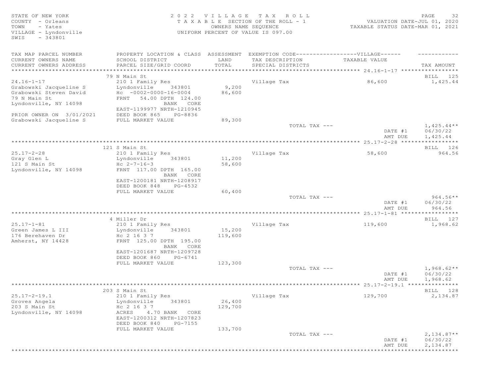STATE OF NEW YORK<br>COUNTY - Orleans and the state of the section of the ROLL - 1 waluation date-jul 01, 2020<br>TOWN - Yates and the section of the ROLL - 1 waluation date-jul 01, 2020<br>TOWN - Yates and the section of the SEQUE COUNTY - Orleans T A X A B L E SECTION OF THE ROLL - 1<br>TOWN - Yates COUNTY - Yates COUNTERS DAME-SEOUENCE TOWN - Yates OWNERS NAME SEQUENCE TAXABLE STATUS DATE-MAR 01, 2021 VILLAGE - Lyndonville UNIFORM PERCENT OF VALUE IS 097.00 SWIS - 343801 TAX MAP PARCEL NUMBER FROPERTY LOCATION & CLASS ASSESSMENT EXEMPTION CODE--------------------VILLAGE------ ---------CURRENT OWNERS NAME SCHOOL DISTRICT LAND TAX DESCRIPTION TAXABLE VALUE CURRENT OWNERS ADDRESS PARCEL SIZE/GRID COORD TOTAL SPECIAL DISTRICTS TAX AMOUNT \*\*\*\*\*\*\*\*\*\*\*\*\*\*\*\*\*\*\*\*\*\*\*\*\*\*\*\*\*\*\*\*\*\*\*\*\*\*\*\*\*\*\*\*\*\*\*\*\*\*\*\*\*\*\*\*\*\*\*\*\*\*\*\*\*\*\*\*\*\*\*\*\*\*\*\*\*\*\*\*\*\*\*\*\*\*\*\*\*\*\*\*\*\*\*\*\*\*\*\*\*\*\* 24.16-1-17 \*\*\*\*\*\*\*\*\*\*\*\*\*\*\*\*\* 79 N Main St BILL 125 24.16-1-17 210 1 Family Res Village Tax 86,600 1,425.44 Grabowski Jacqueline S Lyndonville 343801 9,200 Grabowski Steven David Hc -0002-0000-16-0004 86,600 79 N Main St FRNT 54.00 DPTH 124.00 Lyndonville, NY 14098 BANK CORE EAST-1199977 NRTH-1210945 PRIOR OWNER ON 3/01/2021 DEED BOOK 865 PG-8836 Grabowski Jacqueline S FULL MARKET VALUE 89,300  $T$ OTAL TAX  $---$  1,425.44\*\* DATE #1 06/30/22<br>AMT DUE 1,425.44 AMT DUE 1, 425.44 \*\*\*\*\*\*\*\*\*\*\*\*\*\*\*\*\*\*\*\*\*\*\*\*\*\*\*\*\*\*\*\*\*\*\*\*\*\*\*\*\*\*\*\*\*\*\*\*\*\*\*\*\*\*\*\*\*\*\*\*\*\*\*\*\*\*\*\*\*\*\*\*\*\*\*\*\*\*\*\*\*\*\*\*\*\*\*\*\*\*\*\*\*\*\*\*\*\*\*\*\*\*\* 25.17-2-28 \*\*\*\*\*\*\*\*\*\*\*\*\*\*\*\*\* 121 S Main St **BILL 126** 25.17-2-28 210 1 Family Res Village Tax 58,600 964.56 Lyndonville 343801 11,200<br>Hc 2-7-16-3 58.600 121 S Main St<br>Lyndonville, NY 14098 Lyndonville, NY 14098 FRNT 117.00 DPTH 165.00 BANK CORE EAST-1200181 NRTH-1208917 DEED BOOK 848 PG-4532 FULL MARKET VALUE 60,400<br>
TOTAL TAX --- $\texttt{TOTAL TAX}$   $\texttt{--}$   $\texttt{--}$  964.56\*\* DATE #1 06/30/22<br>AMT DUE 964.56 AMT DUE 964.56 \*\*\*\*\*\*\*\*\*\*\*\*\*\*\*\*\*\*\*\*\*\*\*\*\*\*\*\*\*\*\*\*\*\*\*\*\*\*\*\*\*\*\*\*\*\*\*\*\*\*\*\*\*\*\*\*\*\*\*\*\*\*\*\*\*\*\*\*\*\*\*\*\*\*\*\*\*\*\*\*\*\*\*\*\*\*\*\*\*\*\*\*\*\*\*\*\*\*\*\*\*\*\* 25.17-1-81 \*\*\*\*\*\*\*\*\*\*\*\*\*\*\*\*\* 4 Miller Dr Bill and the Second Communication of the Second Communication of the Bill and the Second Communication of the Second Communication of the Second Communication of the Second Communication of the Second Communica 25.17-1-81 210 1 Family Res Village Tax 119,600 1,968.62 Green James L III Lyndonville 343801 15,200 176 Berehaven Dr Hc 2 16 3 7 119,600 Amherst, NY 14428 FRNT 125.00 DPTH 195.00 BANK CORE EAST-1201687 NRTH-1209728 DEED BOOK 860 PG-6741 FULL MARKET VALUE 123,300  $\texttt{TOTAL TAX}$   $\texttt{--}$   $\texttt{--}$   $\texttt{1,968.62**}$ DATE #1 06/30/22<br>AMT DUE 1,968.62 AMT DUE 1, 968.62

\*\*\*\*\*\*\*\*\*\*\*\*\*\*\*\*\*\*\*\*\*\*\*\*\*\*\*\*\*\*\*\*\*\*\*\*\*\*\*\*\*\*\*\*\*\*\*\*\*\*\*\*\*\*\*\*\*\*\*\*\*\*\*\*\*\*\*\*\*\*\*\*\*\*\*\*\*\*\*\*\*\*\*\*\*\*\*\*\*\*\*\*\*\*\*\*\*\*\*\*\*\*\* 25.17-2-19.1 \*\*\*\*\*\*\*\*\*\*\*\*\*\*\* 203 S Main St Bill Books and the set of the set of the set of the set of the set of the set of the set of the set of the set of the set of the set of the set of the set of the set of the set of the set of the set of the se 25.17-2-19.1 210 1 Family Res Village Tax 129,700 2,134.87<br>2013 Groves Angela 129,000 26,400<br>203 S Main St Hc 2 16 3 7 129,700 Groves Angela Lyndonville 343801 26,400 203 S Main St Hc 2 16 3 7 129,700 Lyndonville, NY 14098 ACRES 4.70 BANK CORE EAST-1200312 NRTH-1207823 DEED BOOK 840 PG-7155 FULL MARKET VALUE 133,700<br>
TOTAL TAX --- $\texttt{TOTAL TAX}$   $---$  2,134.87\*\* DATE #1 06/30/22 AMT DUE 2, 134.87 \*\*\*\*\*\*\*\*\*\*\*\*\*\*\*\*\*\*\*\*\*\*\*\*\*\*\*\*\*\*\*\*\*\*\*\*\*\*\*\*\*\*\*\*\*\*\*\*\*\*\*\*\*\*\*\*\*\*\*\*\*\*\*\*\*\*\*\*\*\*\*\*\*\*\*\*\*\*\*\*\*\*\*\*\*\*\*\*\*\*\*\*\*\*\*\*\*\*\*\*\*\*\*\*\*\*\*\*\*\*\*\*\*\*\*\*\*\*\*\*\*\*\*\*\*\*\*\*\*\*\*\*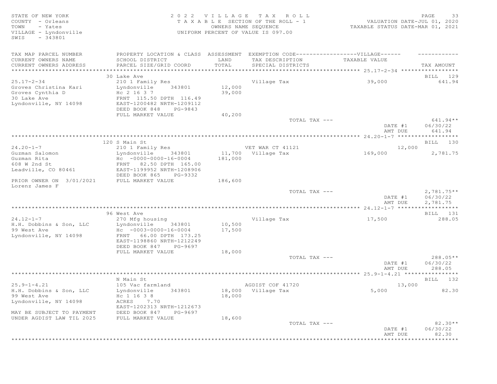SWIS - 343801

## STATE OF NEW YORK 2 0 2 2 V I L L A G E T A X R O L L PAGE 33 COUNTY - Orleans T A X A B L E SECTION OF THE ROLL - 1 VALUATION DATE-JUL 01, 2020 TOWN - Yates OWNERS NAME SEQUENCE TAXABLE STATUS DATE-MAR 01, 2021 VILLAGE - Lyndonville UNIFORM PERCENT OF VALUE IS 097.00

| TAX MAP PARCEL NUMBER<br>CURRENT OWNERS NAME<br>CURRENT OWNERS ADDRESS                                | PROPERTY LOCATION & CLASS ASSESSMENT<br>SCHOOL DISTRICT<br>PARCEL SIZE/GRID COORD                                                                        | LAND<br>TOTAL              | EXEMPTION CODE-----------------VILLAGE------<br>TAX DESCRIPTION<br>SPECIAL DISTRICTS | TAXABLE VALUE      | TAX AMOUNT                           |
|-------------------------------------------------------------------------------------------------------|----------------------------------------------------------------------------------------------------------------------------------------------------------|----------------------------|--------------------------------------------------------------------------------------|--------------------|--------------------------------------|
| ***********************                                                                               |                                                                                                                                                          |                            |                                                                                      |                    |                                      |
| $25.17 - 2 - 34$<br>Groves Christina Kari<br>Groves Cynthia D<br>30 Lake Ave<br>Lyndonville, NY 14098 | 30 Lake Ave<br>210 1 Family Res<br>Lyndonville<br>343801<br>Hc 2 16 3 7<br>FRNT 115.50 DPTH 116.49<br>EAST-1200482 NRTH-1209112                          | 12,000<br>39,000           | Village Tax                                                                          | 39,000             | BILL 129<br>641.94                   |
|                                                                                                       | DEED BOOK 848<br>PG-9843<br>FULL MARKET VALUE                                                                                                            | 40,200                     |                                                                                      |                    |                                      |
|                                                                                                       |                                                                                                                                                          |                            | TOTAL TAX ---                                                                        |                    | $641.94**$                           |
|                                                                                                       |                                                                                                                                                          |                            |                                                                                      | DATE #1<br>AMT DUE | 06/30/22<br>641.94                   |
|                                                                                                       |                                                                                                                                                          |                            |                                                                                      |                    |                                      |
|                                                                                                       | 120 S Main St                                                                                                                                            |                            |                                                                                      |                    | BILL 130                             |
| $24.20 - 1 - 7$<br>Guzman Salomon<br>Guzman Rita<br>608 W 2nd St<br>Leadville, CO 80461               | 210 1 Family Res<br>Lyndonville<br>343801<br>$Hc - 0000 - 0000 - 16 - 0004$<br>FRNT 82.50 DPTH 165.00<br>EAST-1199952 NRTH-1208906                       | 181,000                    | VET WAR CT 41121<br>11,700 Village Tax                                               | 12,000<br>169,000  | 2,781.75                             |
| PRIOR OWNER ON 3/01/2021<br>Lorenz James F                                                            | DEED BOOK 865<br>PG-9332<br>FULL MARKET VALUE                                                                                                            | 186,600                    |                                                                                      |                    |                                      |
|                                                                                                       |                                                                                                                                                          |                            | TOTAL TAX ---                                                                        | DATE #1<br>AMT DUE | $2,781.75**$<br>06/30/22<br>2,781.75 |
|                                                                                                       |                                                                                                                                                          |                            |                                                                                      |                    |                                      |
|                                                                                                       | 96 West Ave                                                                                                                                              |                            |                                                                                      |                    | BILL 131                             |
| $24.12 - 1 - 7$                                                                                       | 270 Mfg housing                                                                                                                                          |                            | Village Tax                                                                          | 17,500             | 288.05                               |
| H.H. Dobbins & Son, LLC<br>99 West Ave<br>Lyndonville, NY 14098                                       | Lyndonville<br>343801<br>$HC -0003-0000-16-0004$<br>FRNT 66.00 DPTH 173.25<br>EAST-1198860 NRTH-1212249<br>DEED BOOK 847<br>PG-9697<br>FULL MARKET VALUE | 10,500<br>17,500<br>18,000 |                                                                                      |                    |                                      |
|                                                                                                       |                                                                                                                                                          |                            | TOTAL TAX ---                                                                        | DATE #1<br>AMT DUE | $288.05**$<br>06/30/22<br>288.05     |
|                                                                                                       |                                                                                                                                                          |                            |                                                                                      |                    |                                      |
|                                                                                                       | N Main St                                                                                                                                                |                            |                                                                                      |                    | BILL 132                             |
| $25.9 - 1 - 4.21$                                                                                     | 105 Vac farmland                                                                                                                                         |                            | AGDIST COF 41720                                                                     | 13,000             |                                      |
| H.H. Dobbins & Son, LLC<br>99 West Ave<br>Lyndonville, NY 14098<br>MAY BE SUBJECT TO PAYMENT          | Lyndonville<br>343801<br>Hc 1 16 3 8<br>ACRES 7.70<br>EAST-1202313 NRTH-1212673<br>DEED BOOK 847<br>PG-9697                                              | 18,000                     | 18,000 Village Tax                                                                   | 5,000              | 82.30                                |
| UNDER AGDIST LAW TIL 2025                                                                             | FULL MARKET VALUE                                                                                                                                        | 18,600                     |                                                                                      |                    |                                      |
|                                                                                                       |                                                                                                                                                          |                            | TOTAL TAX ---                                                                        | DATE #1<br>AMT DUE | $82.30**$<br>06/30/22<br>82.30       |
|                                                                                                       |                                                                                                                                                          |                            |                                                                                      |                    | ********                             |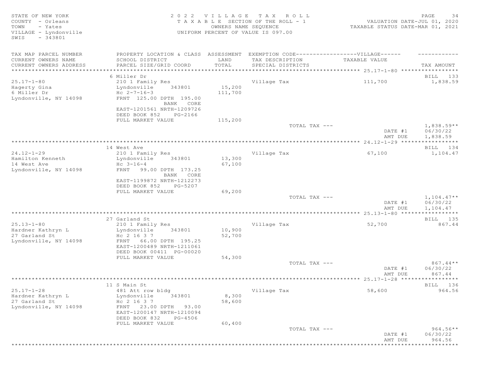| STATE OF NEW YORK<br>COUNTY - Orleans<br>TOWN<br>- Yates<br>VILLAGE - Lyndonville<br>$-343801$<br>SWIS |                                                                                   | OWNERS NAME SEQUENCE | 2022 VILLAGE TAX ROLL<br>T A X A B L E SECTION OF THE ROLL - 1<br>UNIFORM PERCENT OF VALUE IS 097.00 | VALUATION DATE-JUL 01, 2020<br>TAXABLE STATUS DATE-MAR 01, 2021 | PAGE<br>34               |
|--------------------------------------------------------------------------------------------------------|-----------------------------------------------------------------------------------|----------------------|------------------------------------------------------------------------------------------------------|-----------------------------------------------------------------|--------------------------|
| TAX MAP PARCEL NUMBER                                                                                  | PROPERTY LOCATION & CLASS ASSESSMENT EXEMPTION CODE-----------------VILLAGE------ |                      |                                                                                                      |                                                                 |                          |
| CURRENT OWNERS NAME<br>CURRENT OWNERS ADDRESS                                                          | SCHOOL DISTRICT<br>PARCEL SIZE/GRID COORD                                         | LAND<br>TOTAL        | TAX DESCRIPTION<br>SPECIAL DISTRICTS                                                                 | TAXABLE VALUE                                                   | TAX AMOUNT               |
|                                                                                                        |                                                                                   |                      |                                                                                                      |                                                                 |                          |
|                                                                                                        | 6 Miller Dr                                                                       |                      |                                                                                                      |                                                                 | BILL 133                 |
| $25.17 - 1 - 80$                                                                                       | 210 1 Family Res                                                                  |                      | Village Tax                                                                                          | 111,700                                                         | 1,838.59                 |
| Hagerty Gina                                                                                           | Lyndonville<br>343801                                                             | 15,200               |                                                                                                      |                                                                 |                          |
| 6 Miller Dr                                                                                            | Hc $2 - 7 - 16 - 3$                                                               | 111,700              |                                                                                                      |                                                                 |                          |
| Lyndonville, NY 14098                                                                                  | FRNT 125.00 DPTH 195.00                                                           |                      |                                                                                                      |                                                                 |                          |
|                                                                                                        | BANK CORE<br>EAST-1201561 NRTH-1209726<br>DEED BOOK 852<br>PG-2166                |                      |                                                                                                      |                                                                 |                          |
|                                                                                                        | FULL MARKET VALUE                                                                 | 115,200              | TOTAL TAX ---                                                                                        |                                                                 | $1,838.59**$             |
|                                                                                                        |                                                                                   |                      |                                                                                                      | DATE #1                                                         | 06/30/22                 |
|                                                                                                        |                                                                                   |                      |                                                                                                      | AMT DUE                                                         | 1,838.59                 |
|                                                                                                        |                                                                                   |                      |                                                                                                      |                                                                 |                          |
|                                                                                                        | 14 West Ave                                                                       |                      |                                                                                                      |                                                                 | BILL 134                 |
| $24.12 - 1 - 29$                                                                                       | 210 1 Family Res                                                                  |                      | Village Tax                                                                                          | 67,100                                                          | 1,104.47                 |
| Hamilton Kenneth                                                                                       | 343801<br>Lyndonville                                                             | 13,300               |                                                                                                      |                                                                 |                          |
| 14 West Ave                                                                                            | $Hc \t3-16-4$                                                                     | 67,100               |                                                                                                      |                                                                 |                          |
| Lyndonville, NY 14098                                                                                  | 99.00 DPTH 173.25<br>FRNT<br>BANK CORE                                            |                      |                                                                                                      |                                                                 |                          |
|                                                                                                        | EAST-1199872 NRTH-1212273<br>DEED BOOK 852<br>PG-5207                             |                      |                                                                                                      |                                                                 |                          |
|                                                                                                        | FULL MARKET VALUE                                                                 | 69,200               |                                                                                                      |                                                                 |                          |
|                                                                                                        |                                                                                   |                      | TOTAL TAX ---                                                                                        | DATE #1                                                         | $1,104.47**$<br>06/30/22 |
|                                                                                                        |                                                                                   |                      |                                                                                                      | AMT DUE                                                         | 1,104.47<br>***********  |
|                                                                                                        | 27 Garland St                                                                     |                      |                                                                                                      |                                                                 | BILL 135                 |
| $25.13 - 1 - 80$                                                                                       | 210 1 Family Res                                                                  |                      | Village Tax                                                                                          | 52,700                                                          | 867.44                   |
| Hardner Kathryn L                                                                                      | 343801<br>Lyndonville                                                             | 10,900               |                                                                                                      |                                                                 |                          |
| 27 Garland St                                                                                          | Hc 2 16 3 7                                                                       | 52,700               |                                                                                                      |                                                                 |                          |
| Lyndonville, NY 14098                                                                                  | 66.00 DPTH 195.25<br>FRNT                                                         |                      |                                                                                                      |                                                                 |                          |
|                                                                                                        | EAST-1200489 NRTH-1211061                                                         |                      |                                                                                                      |                                                                 |                          |
|                                                                                                        | DEED BOOK 00411 PG-00020                                                          |                      |                                                                                                      |                                                                 |                          |
|                                                                                                        | FULL MARKET VALUE                                                                 | 54,300               |                                                                                                      |                                                                 |                          |
|                                                                                                        |                                                                                   |                      | TOTAL TAX ---                                                                                        |                                                                 | $867.44**$               |
|                                                                                                        |                                                                                   |                      |                                                                                                      | DATE #1                                                         | 06/30/22                 |
|                                                                                                        |                                                                                   |                      |                                                                                                      | AMT DUE                                                         | 867.44                   |
|                                                                                                        | 11 S Main St                                                                      |                      |                                                                                                      |                                                                 | BILL 136                 |
| $25.17 - 1 - 28$                                                                                       | 481 Att row bldg                                                                  |                      | Village Tax                                                                                          | 58,600                                                          | 964.56                   |
| Hardner Kathryn L                                                                                      | Lyndonville<br>343801                                                             | 8,300                |                                                                                                      |                                                                 |                          |
| 27 Garland St                                                                                          | Hc 2 16 3 7                                                                       | 58,600               |                                                                                                      |                                                                 |                          |
| Lyndonville, NY 14098                                                                                  | FRNT 23.00 DPTH 93.00                                                             |                      |                                                                                                      |                                                                 |                          |
|                                                                                                        | EAST-1200147 NRTH-1210094                                                         |                      |                                                                                                      |                                                                 |                          |
|                                                                                                        | DEED BOOK 832<br>PG-4506                                                          |                      |                                                                                                      |                                                                 |                          |
|                                                                                                        | FULL MARKET VALUE                                                                 | 60,400               |                                                                                                      |                                                                 |                          |
|                                                                                                        |                                                                                   |                      | TOTAL TAX ---                                                                                        | DATE #1                                                         | $964.56**$<br>06/30/22   |
|                                                                                                        |                                                                                   |                      |                                                                                                      | AMT DUE                                                         | 964.56                   |
|                                                                                                        |                                                                                   |                      |                                                                                                      | *****************************                                   |                          |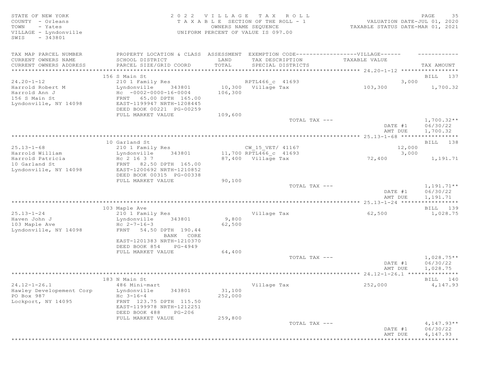| STATE OF NEW YORK<br>COUNTY - Orleans<br>TOWN<br>- Yates<br>VILLAGE - Lyndonville<br>$-343801$<br>SWIS | 2022 VILLAGE TAX ROLL<br>TAXABLE SECTION OF THE ROLL - 1<br>OWNERS NAME SEQUENCE<br>UNIFORM PERCENT OF VALUE IS 097.00 |         | 35<br>PAGE<br>VALUATION DATE-JUL 01, 2020<br>TAXABLE STATUS DATE-MAR 01, 2021 |                    |                                      |
|--------------------------------------------------------------------------------------------------------|------------------------------------------------------------------------------------------------------------------------|---------|-------------------------------------------------------------------------------|--------------------|--------------------------------------|
| TAX MAP PARCEL NUMBER                                                                                  | PROPERTY LOCATION & CLASS ASSESSMENT                                                                                   |         | EXEMPTION CODE------------------VILLAGE------                                 |                    |                                      |
| CURRENT OWNERS NAME                                                                                    | SCHOOL DISTRICT                                                                                                        | LAND    | TAX DESCRIPTION                                                               | TAXABLE VALUE      |                                      |
| CURRENT OWNERS ADDRESS                                                                                 | PARCEL SIZE/GRID COORD                                                                                                 | TOTAL   | SPECIAL DISTRICTS                                                             |                    | TAX AMOUNT                           |
|                                                                                                        |                                                                                                                        |         |                                                                               |                    |                                      |
| $24.20 - 1 - 12$                                                                                       | 156 S Main St                                                                                                          |         |                                                                               | 3,000              | BILL 137                             |
| Harrold Robert M                                                                                       | 210 1 Family Res<br>Lyndonville<br>343801                                                                              |         | RPTL466 c 41693<br>10,300 Village Tax                                         | 103,300            | 1,700.32                             |
| Harrold Ann J                                                                                          | $Hc - 0002 - 0000 - 16 - 0004$                                                                                         | 106,300 |                                                                               |                    |                                      |
| 156 S Main St                                                                                          | FRNT 65.00 DPTH 165.00                                                                                                 |         |                                                                               |                    |                                      |
| Lyndonville, NY 14098                                                                                  | EAST-1199947 NRTH-1208445                                                                                              |         |                                                                               |                    |                                      |
|                                                                                                        | DEED BOOK 00221 PG-00259                                                                                               |         |                                                                               |                    |                                      |
|                                                                                                        | FULL MARKET VALUE                                                                                                      | 109,600 |                                                                               |                    |                                      |
|                                                                                                        |                                                                                                                        |         | TOTAL TAX ---                                                                 | DATE #1<br>AMT DUE | $1,700.32**$<br>06/30/22<br>1,700.32 |
|                                                                                                        |                                                                                                                        |         |                                                                               |                    |                                      |
|                                                                                                        | 10 Garland St                                                                                                          |         |                                                                               |                    | BILL 138                             |
| $25.13 - 1 - 68$                                                                                       | 210 1 Family Res                                                                                                       |         | CW 15 VET/ 41167                                                              | 12,000             |                                      |
| Harrold William                                                                                        | Lyndonville<br>343801                                                                                                  |         | 11,700 RPTL466 c 41693                                                        | 3,000              |                                      |
| Harrold Patricia                                                                                       | Hc 2 16 3 7                                                                                                            |         | 87,400 Village Tax                                                            | 72,400             | 1,191.71                             |
| 10 Garland St<br>Lyndonville, NY 14098                                                                 | FRNT 82.50 DPTH 165.00<br>EAST-1200692 NRTH-1210852<br>DEED BOOK 00315 PG-00338                                        |         |                                                                               |                    |                                      |
|                                                                                                        | FULL MARKET VALUE                                                                                                      | 90,100  | TOTAL TAX ---                                                                 | DATE #1<br>AMT DUE | $1,191.71**$<br>06/30/22<br>1,191.71 |
|                                                                                                        |                                                                                                                        |         |                                                                               |                    |                                      |
|                                                                                                        | 103 Maple Ave                                                                                                          |         |                                                                               |                    | BILL 139                             |
| $25.13 - 1 - 24$                                                                                       | 210 1 Family Res                                                                                                       |         | Village Tax                                                                   | 62,500             | 1,028.75                             |
| Haven John J                                                                                           | Lyndonville<br>343801                                                                                                  | 9,800   |                                                                               |                    |                                      |
| 103 Maple Ave                                                                                          | Hc $2 - 7 - 16 - 3$                                                                                                    | 62,500  |                                                                               |                    |                                      |
| Lyndonville, NY 14098                                                                                  | FRNT<br>54.50 DPTH 190.44<br>BANK CORE                                                                                 |         |                                                                               |                    |                                      |
|                                                                                                        | EAST-1201383 NRTH-1210370                                                                                              |         |                                                                               |                    |                                      |
|                                                                                                        | DEED BOOK 854<br>PG-4949                                                                                               |         |                                                                               |                    |                                      |
|                                                                                                        | FULL MARKET VALUE                                                                                                      | 64,400  |                                                                               |                    |                                      |
|                                                                                                        |                                                                                                                        |         | TOTAL TAX ---                                                                 |                    | $1,028.75**$                         |
|                                                                                                        |                                                                                                                        |         |                                                                               | DATE #1            | 06/30/22                             |
|                                                                                                        |                                                                                                                        |         |                                                                               | AMT DUE            | 1,028.75                             |
|                                                                                                        |                                                                                                                        |         |                                                                               |                    |                                      |
|                                                                                                        | 183 N Main St                                                                                                          |         |                                                                               |                    | BILL 140                             |
| $24.12 - 1 - 26.1$                                                                                     | 486 Mini-mart<br>343801<br>Lyndonville                                                                                 | 31,100  | Village Tax                                                                   | 252,000            | 4,147.93                             |
| Hawley Developement Corp<br>PO Box 987                                                                 | $Hc \t3-16-4$                                                                                                          | 252,000 |                                                                               |                    |                                      |
| Lockport, NY 14095                                                                                     | FRNT 123.75 DPTH 115.50                                                                                                |         |                                                                               |                    |                                      |
|                                                                                                        | EAST-1199978 NRTH-1212251                                                                                              |         |                                                                               |                    |                                      |
|                                                                                                        | DEED BOOK 488<br>$PG-206$                                                                                              |         |                                                                               |                    |                                      |
|                                                                                                        | FULL MARKET VALUE                                                                                                      | 259,800 |                                                                               |                    |                                      |
|                                                                                                        |                                                                                                                        |         | TOTAL TAX ---                                                                 |                    | $4,147.93**$                         |
|                                                                                                        |                                                                                                                        |         |                                                                               | DATE #1            | 06/30/22                             |
|                                                                                                        |                                                                                                                        |         |                                                                               | AMT DUE            | 4,147.93                             |
|                                                                                                        |                                                                                                                        |         |                                                                               | *****************  | ***********                          |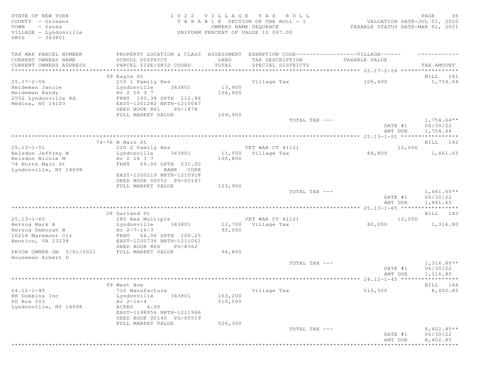STATE OF NEW YORK 2 0 2 2 V I L L A G E T A X R O L L PAGE 36 COUNTY - Orleans T A X A B L E SECTION OF THE ROLL - 1 VALUATION DATE-JUL 01, 2020 TOWN - Yates OWNERS NAME SEQUENCE TAXABLE STATUS DATE-MAR 01, 2021 TOWN - Yates<br>
VILLAGE - Lyndonville UNIFORM PERCENT OF VALUE IS 097.00 SWIS - 343801 TAX MAP PARCEL NUMBER PROPERTY LOCATION & CLASS ASSESSMENT EXEMPTION CODE-------------------VILLAGE------ ----------CURRENT OWNERS NAME SCHOOL DISTRICT LAND TAX DESCRIPTION TAXABLE VALUE CURRENT OWNERS ADDRESS PARCEL SIZE/GRID COORD TOTAL SPECIAL DISTRICTS TAX AMOUNT \*\*\*\*\*\*\*\*\*\*\*\*\*\*\*\*\*\*\*\*\*\*\*\*\*\*\*\*\*\*\*\*\*\*\*\*\*\*\*\*\*\*\*\*\*\*\*\*\*\*\*\*\*\*\*\*\*\*\*\*\*\*\*\*\*\*\*\*\*\*\*\*\*\*\*\*\*\*\*\*\*\*\*\*\*\*\*\*\*\*\*\*\*\*\*\*\*\*\*\*\*\*\* 25.17-2-56 \*\*\*\*\*\*\*\*\*\*\*\*\*\*\*\*\* er of the state of the state of the state of the state of the state of the state of the state of the state of the state of the state of the state of the state of the state of the state of the state of the state of the stat 25.17-2-56 210 1 Family Res Village Tax 106,600 1,754.64<br>
25.17-2-56 210 1 Family Res Village Tax 106,600<br>
2552 Lyndonville Rd FRNT 193.38 DPTH 112.86<br>
2552 Lyndonville Rd FRNT 193.38 DPTH 112.86<br>
2552 Lyndonville Rd FRNT Heideman Janice Lyndonville 343801 13,900 Heideman Randy Hc 2 16 3 7 106,600 2552 Lyndonville Rd FRNT 193.38 DPTH 112.86 Medina, NY 14103 EAST-1201282 NRTH-1210047 DEED BOOK 861 PG-1878 FULL MARKET VALUE  $109,900$ <br>TOTAL TAX --- $T$ OTAL TAX  $---$  1,754.64\*\* DATE #1 06/30/22<br>AMT DUE 1,754.64 AMT DUE 1, 754.64 \*\*\*\*\*\*\*\*\*\*\*\*\*\*\*\*\*\*\*\*\*\*\*\*\*\*\*\*\*\*\*\*\*\*\*\*\*\*\*\*\*\*\*\*\*\*\*\*\*\*\*\*\*\*\*\*\*\*\*\*\*\*\*\*\*\*\*\*\*\*\*\*\*\*\*\*\*\*\*\*\*\*\*\*\*\*\*\*\*\*\*\*\*\*\*\*\*\*\*\*\*\*\* 25.13-1-51 \*\*\*\*\*\*\*\*\*\*\*\*\*\*\*\*\* 74-76 N Main St **BILL 142** 25.13-1-51 220 2 Family Res VET WAR CT 41121 22,000 Helsdon Jeffrey W Lyndonville 343801 11,500 Village Tax 88,800 1,461.65  $H$ elsdon Nicole M  $H$ c 2 16 3 7 100,800 74 North Main St FRNT 69.00 DPTH 231.00 Lyndonville, NY 14098 BANK CORE EAST-1200219 NRTH-1210918 DEED BOOK 00552 PG-00147 FULL MARKET VALUE 103,900<br>TOTAL TAX --- $T$ OTAL TAX  $---$  1,461.65\*\* DATE #1 06/30/22<br>AMT DUE 1,461.65 AMT DUE 1, 461.65 \*\*\*\*\*\*\*\*\*\*\*\*\*\*\*\*\*\*\*\*\*\*\*\*\*\*\*\*\*\*\*\*\*\*\*\*\*\*\*\*\*\*\*\*\*\*\*\*\*\*\*\*\*\*\*\*\*\*\*\*\*\*\*\*\*\*\*\*\*\*\*\*\*\*\*\*\*\*\*\*\*\*\*\*\*\*\*\*\*\*\*\*\*\*\*\*\*\*\*\*\*\*\* 25.13-1-65 \*\*\*\*\*\*\*\*\*\*\*\*\*\*\*\*\* 28 Garland St BILL 143 25.13-1-65 280 Res Multiple VET WAR CT 41121 12,000 Herzog Mark A Lyndonville 343801 12,700 Village Tax 80,000 1,316.80  $Herzog Deborah B$  Hc  $2-7-16-3$  92,000 10218 Maremont Cir FRNT 66.00 DPTH 200.25 Henrico, VA 23238 EAST-1200736 NRTH-1211061 DEED BOOK 866 PG-8362 PRIOR OWNER ON 3/01/2021 FULL MARKET VALUE 94,800 Houseman Albert D  $\texttt{TOTAL TAX}$  ---  $\texttt{1,316.80**}$ DATE #1 06/30/22 AMT DUE 1, 316.80 \*\*\*\*\*\*\*\*\*\*\*\*\*\*\*\*\*\*\*\*\*\*\*\*\*\*\*\*\*\*\*\*\*\*\*\*\*\*\*\*\*\*\*\*\*\*\*\*\*\*\*\*\*\*\*\*\*\*\*\*\*\*\*\*\*\*\*\*\*\*\*\*\*\*\*\*\*\*\*\*\*\*\*\*\*\*\*\*\*\*\*\*\*\*\*\*\*\*\*\*\*\*\* 24.12-1-45 \*\*\*\*\*\*\*\*\*\*\*\*\*\*\*\*\* 99 West Ave 2008 and the Second Contract of the Second Contract of the Second Contract of the BILL 2014 and the Second Contract of the Second Contract of the Second Contract of the Second Contract of the Second Contract of 24.12-1-45 710 Manufacture Village Tax 510,500 8,402.85 HH Dobbins Inc Lyndonville 343801 163,200 PO Box 503 Hc 2-16-4 510,500 Lyndonville, NY 14098 ACRES 4.00 EAST-1198956 NRTH-1211946 DEED BOOK 00140 PG-00519 FULL MARKET VALUE 526,300<br>TOTAL TAX --- $\texttt{TOTAL TAX}$   $---$  8,402.85\*\* DATE #1 06/30/22 AMT DUE 8,402.85 \*\*\*\*\*\*\*\*\*\*\*\*\*\*\*\*\*\*\*\*\*\*\*\*\*\*\*\*\*\*\*\*\*\*\*\*\*\*\*\*\*\*\*\*\*\*\*\*\*\*\*\*\*\*\*\*\*\*\*\*\*\*\*\*\*\*\*\*\*\*\*\*\*\*\*\*\*\*\*\*\*\*\*\*\*\*\*\*\*\*\*\*\*\*\*\*\*\*\*\*\*\*\*\*\*\*\*\*\*\*\*\*\*\*\*\*\*\*\*\*\*\*\*\*\*\*\*\*\*\*\*\*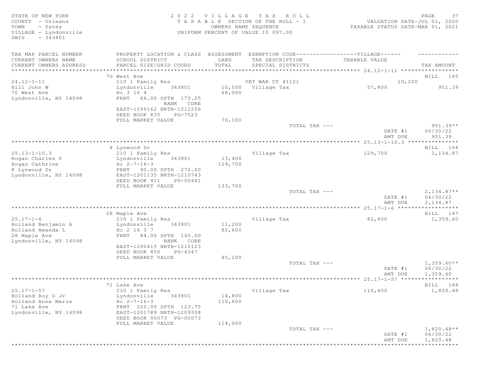| STATE OF NEW YORK<br>COUNTY - Orleans<br>TOWN<br>- Yates<br>VILLAGE - Lyndonville<br>$-343801$<br>SWIS |                                                                                                                                      |                   | 2022 VILLAGE TAX ROLL<br>TAXABLE SECTION OF THE ROLL - 1<br>OWNERS NAME SEQUENCE<br>UNIFORM PERCENT OF VALUE IS 097.00 | VALUATION DATE-JUL 01, 2020<br>TAXABLE STATUS DATE-MAR 01, 2021 | PAGE<br>37                           |
|--------------------------------------------------------------------------------------------------------|--------------------------------------------------------------------------------------------------------------------------------------|-------------------|------------------------------------------------------------------------------------------------------------------------|-----------------------------------------------------------------|--------------------------------------|
| TAX MAP PARCEL NUMBER<br>CURRENT OWNERS NAME<br>CURRENT OWNERS ADDRESS                                 | PROPERTY LOCATION & CLASS ASSESSMENT EXEMPTION CODE----------------VILLAGE------<br>SCHOOL DISTRICT<br>PARCEL SIZE/GRID COORD        | LAND<br>TOTAL     | TAX DESCRIPTION<br>SPECIAL DISTRICTS                                                                                   | TAXABLE VALUE                                                   | TAX AMOUNT                           |
| ***************************                                                                            |                                                                                                                                      |                   |                                                                                                                        |                                                                 |                                      |
|                                                                                                        | 70 West Ave                                                                                                                          |                   |                                                                                                                        |                                                                 | BILL 145                             |
| $24.12 - 1 - 11$                                                                                       | 210 1 Family Res                                                                                                                     |                   | VET WAR CT 41121                                                                                                       | 10,200                                                          |                                      |
| Hill John W                                                                                            | Lyndonville<br>343801                                                                                                                |                   | 10,500 Village Tax                                                                                                     | 57,800                                                          | 951.39                               |
| 70 West Ave<br>Lyndonville, NY 14098                                                                   | Hc 3 16 4<br>66.00 DPTH 173.25<br>FRNT<br>BANK CORE<br>EAST-1199162 NRTH-1212256<br>DEED BOOK 835<br>PG-7523                         | 68,000            |                                                                                                                        |                                                                 |                                      |
|                                                                                                        | FULL MARKET VALUE                                                                                                                    | 70,100            |                                                                                                                        |                                                                 |                                      |
|                                                                                                        |                                                                                                                                      |                   | TOTAL TAX ---                                                                                                          | DATE #1<br>AMT DUE                                              | $951.39**$<br>06/30/22<br>951.39     |
|                                                                                                        |                                                                                                                                      |                   |                                                                                                                        |                                                                 |                                      |
|                                                                                                        | 8 Lynwood Dr                                                                                                                         |                   |                                                                                                                        |                                                                 | BILL 146                             |
| $25.13 - 1 - 10.3$<br>Hogan Charles P                                                                  | 210 1 Family Res<br>Lyndonville<br>343801                                                                                            | 13,400            | Village Tax                                                                                                            | 129,700                                                         | 2,134.87                             |
| Hogan Cathrine                                                                                         | Hc $2 - 7 - 16 - 3$                                                                                                                  | 129,700           |                                                                                                                        |                                                                 |                                      |
| 8 Lynwood Dr                                                                                           | FRNT 90.00 DPTH 270.00                                                                                                               |                   |                                                                                                                        |                                                                 |                                      |
| Lyndonville, NY 14098                                                                                  | EAST-1201135 NRTH-1210743<br>DEED BOOK 411<br>PG-00441                                                                               |                   |                                                                                                                        |                                                                 |                                      |
|                                                                                                        | FULL MARKET VALUE                                                                                                                    | 133,700           |                                                                                                                        |                                                                 |                                      |
|                                                                                                        |                                                                                                                                      |                   | TOTAL TAX ---                                                                                                          | DATE #1<br>AMT DUE                                              | $2,134.87**$<br>06/30/22<br>2,134.87 |
|                                                                                                        |                                                                                                                                      |                   |                                                                                                                        |                                                                 |                                      |
|                                                                                                        | 28 Maple Ave                                                                                                                         |                   |                                                                                                                        |                                                                 | BILL 147                             |
| $25.17 - 1 - 6$                                                                                        | 210 1 Family Res                                                                                                                     |                   | Village Tax                                                                                                            | 82,600                                                          | 1,359.60                             |
| Holland Benjamin A<br>Holland Amanda L<br>28 Maple Ave<br>Lyndonville, NY 14098                        | Lyndonville<br>343801<br>Hc 2 16 3 7<br>FRNT 84.00 DPTH 140.00<br>BANK CORE<br>EAST-1200415 NRTH-1210123<br>DEED BOOK 850<br>PG-4347 | 11,200<br>82,600  |                                                                                                                        |                                                                 |                                      |
|                                                                                                        | FULL MARKET VALUE                                                                                                                    | 85,200            |                                                                                                                        |                                                                 |                                      |
|                                                                                                        |                                                                                                                                      |                   | TOTAL TAX ---                                                                                                          | DATE #1<br>AMT DUE                                              | $1,359.60**$<br>06/30/22<br>1,359.60 |
|                                                                                                        |                                                                                                                                      |                   |                                                                                                                        |                                                                 | * * * * * * * * * * *                |
|                                                                                                        | 71 Lake Ave                                                                                                                          |                   |                                                                                                                        |                                                                 | BILL 148                             |
| $25.17 - 1 - 57$                                                                                       | 210 1 Family Res                                                                                                                     |                   | Village Tax                                                                                                            | 110,600                                                         | 1,820.48                             |
| Holland Roy G Jr<br>Holland Anne Marie<br>71 Lake Ave<br>Lyndonville, NY 14098                         | 343801<br>Lyndonville<br>$Hc 2-7-16-3$<br>FRNT 220.00 DPTH 123.75<br>EAST-1201789 NRTH-1209308<br>DEED BOOK 00073 PG-00073           | 14,800<br>110,600 |                                                                                                                        |                                                                 |                                      |
|                                                                                                        | FULL MARKET VALUE                                                                                                                    | 114,000           | TOTAL TAX ---                                                                                                          | DATE #1                                                         | $1,820.48**$<br>06/30/22             |
|                                                                                                        |                                                                                                                                      |                   |                                                                                                                        | AMT DUE                                                         | 1,820.48                             |
|                                                                                                        |                                                                                                                                      |                   |                                                                                                                        |                                                                 | **********                           |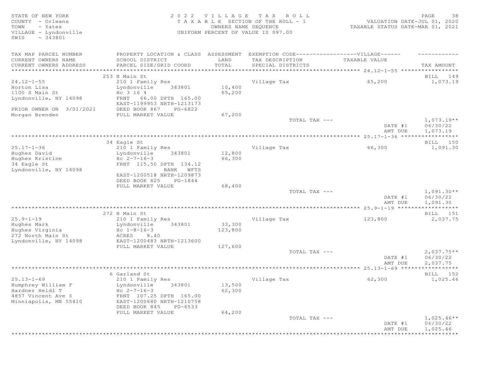# STATE OF NEW YORK 2 0 2 2 V I L L A G E T A X R O L L PAGE 38 COUNTY - Orleans T A X A B L E SECTION OF THE ROLL - 1 VALUATION DATE-JUL 01, 2020 TOWN - Yates OWNERS NAME SEQUENCE TAXABLE STATUS DATE-MAR 01, 2021 VILLAGE - Lyndonville UNIFORM PERCENT OF VALUE IS 097.00

| TAX MAP PARCEL NUMBER<br>CURRENT OWNERS NAME<br>CURRENT OWNERS ADDRESS                                   | PROPERTY LOCATION & CLASS ASSESSMENT<br>SCHOOL DISTRICT<br>PARCEL SIZE/GRID COORD                                                                                                   | LAND<br>TOTAL                | EXEMPTION CODE------------------VILLAGE------<br>TAX DESCRIPTION<br>SPECIAL DISTRICTS | TAXABLE VALUE      | TAX AMOUNT                           |
|----------------------------------------------------------------------------------------------------------|-------------------------------------------------------------------------------------------------------------------------------------------------------------------------------------|------------------------------|---------------------------------------------------------------------------------------|--------------------|--------------------------------------|
| *************************                                                                                |                                                                                                                                                                                     |                              |                                                                                       |                    |                                      |
| $24.12 - 1 - 55$<br>Horton Lisa<br>1100 S Main St<br>Lyndonville, NY 14098                               | 253 N Main St<br>210 1 Family Res<br>Lyndonville<br>343801<br>Hc 3 16 4<br>66.00 DPTH 165.00<br>FRNT<br>EAST-1199953 NRTH-1213173                                                   | 10,400<br>65,200             | Village Tax                                                                           | 65,200             | BILL 149<br>1,073.19                 |
| PRIOR OWNER ON 3/01/2021<br>Morgan Brenden                                                               | DEED BOOK 867<br>PG-6822<br>FULL MARKET VALUE                                                                                                                                       | 67,200                       |                                                                                       |                    |                                      |
|                                                                                                          |                                                                                                                                                                                     |                              | TOTAL TAX ---                                                                         | DATE #1<br>AMT DUE | $1,073.19**$<br>06/30/22<br>1,073.19 |
|                                                                                                          | 34 Eagle St                                                                                                                                                                         |                              |                                                                                       |                    | BILL 150                             |
| $25.17 - 1 - 36$<br>Hughes David<br>Hughes Kristine<br>34 Eagle St<br>Lyndonville, NY 14098              | 210 1 Family Res<br>Lyndonville<br>343801<br>$Hc 2-7-16-3$<br>FRNT 115.50 DPTH 134.12<br>BANK WFTS<br>EAST-1200518 NRTH-1209873                                                     | 12,800<br>66,300             | Village Tax                                                                           | 66,300             | 1,091.30                             |
|                                                                                                          | DEED BOOK 825<br>PG-1844                                                                                                                                                            |                              |                                                                                       |                    |                                      |
|                                                                                                          | FULL MARKET VALUE                                                                                                                                                                   | 68,400                       | TOTAL TAX ---                                                                         | DATE #1<br>AMT DUE | $1,091.30**$<br>06/30/22<br>1,091.30 |
|                                                                                                          |                                                                                                                                                                                     |                              |                                                                                       |                    | ***********                          |
| $25.9 - 1 - 19$<br>Hughes Mark<br>Hughes Virginia<br>272 North Main St<br>Lyndonville, NY 14098          | 272 N Main St<br>210 1 Family Res<br>Lyndonville<br>343801<br>$Hc$ $1-8-16-3$<br>ACRES<br>8.40<br>EAST-1200483 NRTH-1213600<br>FULL MARKET VALUE                                    | 33,300<br>123,800<br>127,600 | Village Tax                                                                           | 123,800            | BILL 151<br>2,037.75                 |
|                                                                                                          |                                                                                                                                                                                     |                              | TOTAL TAX ---                                                                         | DATE #1<br>AMT DUE | $2,037.75**$<br>06/30/22<br>2,037.75 |
|                                                                                                          |                                                                                                                                                                                     |                              |                                                                                       |                    |                                      |
| $25.13 - 1 - 69$<br>Humphrey William F<br>Hardner Heidi T<br>4857 Vincent Ave S<br>Minniapolis, MN 55410 | 6 Garland St<br>210 1 Family Res<br>Lyndonville<br>343801<br>$Hc 2-7-16-3$<br>FRNT 107.25 DPTH 165.00<br>EAST-1200680 NRTH-1210758<br>DEED BOOK 845<br>PG-6533<br>FULL MARKET VALUE | 13,500<br>62,300<br>64,200   | Village Tax                                                                           | 62,300             | BILL 152<br>1,025.46                 |
|                                                                                                          |                                                                                                                                                                                     |                              | TOTAL TAX ---                                                                         | DATE #1<br>AMT DUE | $1,025.46**$<br>06/30/22<br>1,025.46 |
|                                                                                                          |                                                                                                                                                                                     |                              |                                                                                       |                    |                                      |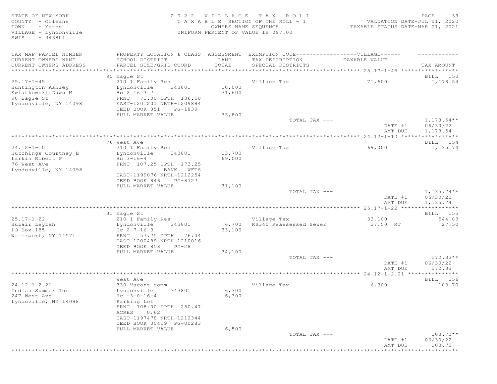STATE OF NEW YORK PAGE 2022 VILLAGE TAX ROLL PAGE 29 PAGE 39<br>COUNTY - Orleans TAXABLE SECTION OF THE ROLL - 1 VALUATION DATE-JUL 01, 2020<br>TOWN - Yates hand to minimal sequence of the section of the sequence of the sequence COUNTY - Orleans T A X A B L E SECTION OF THE ROLL - 1 TOWN - Yates OWNERS NAME SEQUENCE TAXABLE STATUS DATE-MAR 01, 2021 UNIFORM PERCENT OF VALUE IS 097.00 SWIS - 343801 TAX MAP PARCEL NUMBER FROPERTY LOCATION & CLASS ASSESSMENT EXEMPTION CODE-------------------VILLAGE------ ----------CURRENT OWNERS NAME SCHOOL DISTRICT LAND TAX DESCRIPTION TAXABLE VALUE CURRENT OWNERS ADDRESS PARCEL SIZE/GRID COORD TOTAL SPECIAL DISTRICTS TAX AMOUNT \*\*\*\*\*\*\*\*\*\*\*\*\*\*\*\*\*\*\*\*\*\*\*\*\*\*\*\*\*\*\*\*\*\*\*\*\*\*\*\*\*\*\*\*\*\*\*\*\*\*\*\*\*\*\*\*\*\*\*\*\*\*\*\*\*\*\*\*\*\*\*\*\*\*\*\*\*\*\*\*\*\*\*\*\*\*\*\*\*\*\*\*\*\*\*\*\*\*\*\*\*\*\* 25.17-1-45 \*\*\*\*\*\*\*\*\*\*\*\*\*\*\*\*\* er of the state of the state of the state of the state of the state of the state of the state of the state of the state of the state of the state of the state of the state of the state of the state of the state of the stat 25.17-1-45 210 1 Family Res Village Tax 71,600 1,178.54 Huntington Ashley Lyndonville 343801 10,000 Kwiatkowski Dawn M  $_{\rm HC}$  2 16 3 7  $_{\rm TC}$  71,600 90 Eagle St FRNT 71.00 DPTH 136.50 Lyndonville, NY 14098 EAST-1201201 NRTH-1209884 DEED BOOK 851 PG-1839 FULL MARKET VALUE 73,800<br>TOTAL TAX --- $\texttt{TOTAL TAX}$   $\texttt{--}$   $\texttt{--}$   $\texttt{1,178.54**}$ DATE #1 06/30/22<br>AMT DUE 1,178.54 AMT DUE 1, 178.54 \*\*\*\*\*\*\*\*\*\*\*\*\*\*\*\*\*\*\*\*\*\*\*\*\*\*\*\*\*\*\*\*\*\*\*\*\*\*\*\*\*\*\*\*\*\*\*\*\*\*\*\*\*\*\*\*\*\*\*\*\*\*\*\*\*\*\*\*\*\*\*\*\*\*\*\*\*\*\*\*\*\*\*\*\*\*\*\*\*\*\*\*\*\*\*\*\*\*\*\*\*\*\* 24.12-1-10 \*\*\*\*\*\*\*\*\*\*\*\*\*\*\*\*\* 76 West Ave BILL 154 24.12-1-10 210 1 Family Res Village Tax 69,000 1,135.74 Lyndonville 343801 13,700<br>Hc 3-16-4 69,000 Larkin Robert P<br>76 West Ave 76 West Ave FRNT 107.25 DPTH 173.25 Lyndonville, NY 14098 EAST-1199076 NRTH-1212254 DEED BOOK 846 PG-8727 FULL MARKET VALUE 71,100<br>TOTAL TAX --- $T$ OTAL TAX  $---$  1,135.74\*\* DATE #1 06/30/22 AMT DUE 1, 135.74 \*\*\*\*\*\*\*\*\*\*\*\*\*\*\*\*\*\*\*\*\*\*\*\*\*\*\*\*\*\*\*\*\*\*\*\*\*\*\*\*\*\*\*\*\*\*\*\*\*\*\*\*\*\*\*\*\*\*\*\*\*\*\*\*\*\*\*\*\*\*\*\*\*\*\*\*\*\*\*\*\*\*\*\*\*\*\*\*\*\*\*\*\*\*\*\*\*\*\*\*\*\*\* 25.17-1-22 \*\*\*\*\*\*\*\*\*\*\*\*\*\*\*\*\* 31 Eagle St BILL 155 25.17-1-22 210 1 Family Res Village Tax 33,100 544.83 Huzair LeyLah Lyndonville 343801 6,700 RS340 Reassessed Sewer 27.50 MT 27.50 PO Box 185 Hc 2-7-16-3 33,100 Waterport, NY 14571 FRNT 57.75 DPTH 76.04 EAST-1200489 NRTH-1210016 DEED BOOK 858 PG-28 FULL MARKET VALUE 34,100<br>TOTAL TAX --- $TOTAL$   $TAX$   $---$  572.33  $*$ DATE #1 06/30/22<br>AMT DUE 572.33 AMT DUE 572.33 \*\*\*\*\*\*\*\*\*\*\*\*\*\*\*\*\*\*\*\*\*\*\*\*\*\*\*\*\*\*\*\*\*\*\*\*\*\*\*\*\*\*\*\*\*\*\*\*\*\*\*\*\*\*\*\*\*\*\*\*\*\*\*\*\*\*\*\*\*\*\*\*\*\*\*\*\*\*\*\*\*\*\*\*\*\*\*\*\*\*\*\*\*\*\*\*\*\*\*\*\*\*\* 24.12-1-2.21 \*\*\*\*\*\*\*\*\*\*\*\*\*\*\* West Ave and the set of the set of the set of the set of the set of the set of the set of the set of the set of the set of the set of the set of the set of the set of the set of the set of the set of the set of the set of 24.12-1-2.21 330 Vacant comm <br>
24.12-1-2.21 330 Vacant comm village Tax 6.300 6,300 103.70 Lyndonville 343801 6,300<br>Hc -3-0-16-4 6,300 247 West Ave Books Hc -3-0-16-4<br>
Lyndoville, NY 14098 Barking Lot Lyndoville, NY 14098 FRNT 108.00 DPTH 250.47 ACRES 0.62 EAST-1197478 NRTH-1212344 DEED BOOK 00419 PG-00283<br>FULL MARKET VALUE 6,500 FULL MARKET VALUE 6,500<br>TOTAL TAX --- $TOTAL$   $TAX$   $---$  103.70\*\* DATE #1 06/30/22 **AMT DUE** 103.70

\*\*\*\*\*\*\*\*\*\*\*\*\*\*\*\*\*\*\*\*\*\*\*\*\*\*\*\*\*\*\*\*\*\*\*\*\*\*\*\*\*\*\*\*\*\*\*\*\*\*\*\*\*\*\*\*\*\*\*\*\*\*\*\*\*\*\*\*\*\*\*\*\*\*\*\*\*\*\*\*\*\*\*\*\*\*\*\*\*\*\*\*\*\*\*\*\*\*\*\*\*\*\*\*\*\*\*\*\*\*\*\*\*\*\*\*\*\*\*\*\*\*\*\*\*\*\*\*\*\*\*\*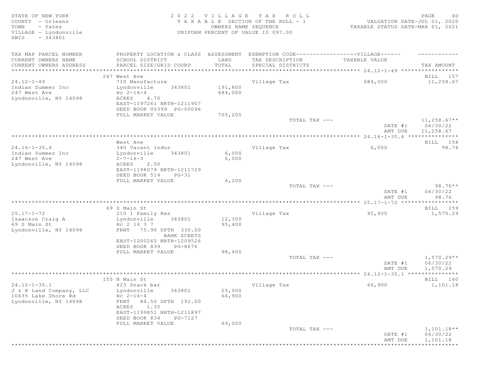STATE OF NEW YORK PAGE 2022 VILLAGE TAX ROLL PAGE PROFINE PAGE 40<br>COUNTY - Orleans TAXABLE SECTION OF THE ROLL - 1 VALUATION DATE-JUL 01, 2020<br>TOWN - Yates count owners name sequence that the status date-mar 01, 2021 COUNTY - Orleans T A X A B L E SECTION OF THE ROLL - 1 VALUATION DATE-JUL 01, 2020 TOWN - Yates OWNERS NAME SEQUENCE TAXABLE STATUS DATE-MAR 01, 2021 VILLAGE - Lyndonville UNIFORM PERCENT OF VALUE IS 097.00 SWIS - 343801 TAX MAP PARCEL NUMBER PROPERTY LOCATION & CLASS ASSESSMENT EXEMPTION CODE------------------VILLAGE------ ------------ CURRENT OWNERS NAME SCHOOL DISTRICT LAND TAX DESCRIPTION TAXABLE VALUE CURRENT OWNERS ADDRESS PARCEL SIZE/GRID COORD TOTAL SPECIAL DISTRICTS TAX AMOUNT \*\*\*\*\*\*\*\*\*\*\*\*\*\*\*\*\*\*\*\*\*\*\*\*\*\*\*\*\*\*\*\*\*\*\*\*\*\*\*\*\*\*\*\*\*\*\*\*\*\*\*\*\*\*\*\*\*\*\*\*\*\*\*\*\*\*\*\*\*\*\*\*\*\*\*\*\*\*\*\*\*\*\*\*\*\*\*\*\*\*\*\*\*\*\*\*\*\*\*\*\*\*\* 24.12-1-49 \*\*\*\*\*\*\*\*\*\*\*\*\*\*\*\*\* 247 West Ave 2008 and the BILL 157 method of the BILL 157 method of the BILL 157 method of the BILL 2008 and the BILL 157 method of the BILL 157 method of the BILL 157 method of the BILL 157 method of the BILL 157 method o 24.12-1-49 710 Manufacture Village Tax 684,000 11,258.67 Indian Summer Inc Lyndonville 343801 191,800 247 West Ave Hc 2-16-4 684,000 Lyndonville, NY 14098 ACRES 4.70 EAST-1197261 NRTH-1211907 DEED BOOK 00399 PG-00096 FULL MARKET VALUE 705,200<br>TOTAL TAX --- $\texttt{TOTAL TAX}$   $\texttt{--}$   $\texttt{--}$   $\texttt{11,258.67**}$ DATE #1 06/30/22<br>AMT DUE 11,258.67 AMT DUE 11, 258.67 \*\*\*\*\*\*\*\*\*\*\*\*\*\*\*\*\*\*\*\*\*\*\*\*\*\*\*\*\*\*\*\*\*\*\*\*\*\*\*\*\*\*\*\*\*\*\*\*\*\*\*\*\*\*\*\*\*\*\*\*\*\*\*\*\*\*\*\*\*\*\*\*\*\*\*\*\*\*\*\*\*\*\*\*\*\*\*\*\*\*\*\*\*\*\*\*\*\*\*\*\*\*\* 24.16-1-35.4 \*\*\*\*\*\*\*\*\*\*\*\*\*\*\* West Ave and the set of the set of the set of the set of the set of the set of the set of the set of the set of the set of the set of the set of the set of the set of the set of the set of the set of the set of the set of 24.16-1-35.4 340 Vacant indus village Tax 6,000 6,000 98.76<br>
198.76 1ndian Summer Inc Lyndonville 343801 6,000 Lyndonville 343801 6,000<br>2-7-16-3 6,000 247 West Ave 2-7-16-3<br>
Ivndonville, NY 14098 ACRES 2.50 Lyndonville, NY 14098 EAST-1198079 NRTH-1211729 DEED BOOK 514 PG-31<br>FULL MARKET VALUE ---<br>FULL MARKET VALUE 6,200<br>TOTAL TAX --- $\texttt{TOTAL TAX}$   $---$  98.76\*\* DATE #1 06/30/22 AMT DUE 98.76 \*\*\*\*\*\*\*\*\*\*\*\*\*\*\*\*\*\*\*\*\*\*\*\*\*\*\*\*\*\*\*\*\*\*\*\*\*\*\*\*\*\*\*\*\*\*\*\*\*\*\*\*\*\*\*\*\*\*\*\*\*\*\*\*\*\*\*\*\*\*\*\*\*\*\*\*\*\*\*\*\*\*\*\*\*\*\*\*\*\*\*\*\*\*\*\*\*\*\*\*\*\*\* 25.17-1-72 \*\*\*\*\*\*\*\*\*\*\*\*\*\*\*\*\* 69 S Main St BILL 159 25.17-1-72 210 1 Family Res Village Tax 95,400 1,570.29 Lyndonville 343801 12,300<br>Hc 2 16 3 7 95,400 Isaacson Craig A<br>69 S Main St<br>Lyndonville, NY 14098 Lyndonville, NY 14098 FRNT 75.90 DPTH 330.00 BANK ZCRETS EAST-1200265 NRTH-1209526 DEED BOOK 839 PG-8676 FULL MARKET VALUE 98,400<br>TOTAL TAX --- $T$ OTAL TAX  $---$  1,570.29\*\* DATE #1 06/30/22<br>AMT DUE 1,570.29 AMT DUE 1, 570.29 \*\*\*\*\*\*\*\*\*\*\*\*\*\*\*\*\*\*\*\*\*\*\*\*\*\*\*\*\*\*\*\*\*\*\*\*\*\*\*\*\*\*\*\*\*\*\*\*\*\*\*\*\*\*\*\*\*\*\*\*\*\*\*\*\*\*\*\*\*\*\*\*\*\*\*\*\*\*\*\*\*\*\*\*\*\*\*\*\*\*\*\*\*\*\*\*\*\*\*\*\*\*\* 24.12-1-35.1 \*\*\*\*\*\*\*\*\*\*\*\*\*\*\* 155 N Main St Bill Den Steaten and Den Steaten and Den Steaten and Den Steaten and Den Steaten and Den Steaten and Den Steaten and Den Steaten and Den Steaten and Den Steaten and Den Steaten and Den Steaten and Den Steaten 24.12-1-35.1 423 Snack bar Village Tax 66,900 1,101.18 J & B Land Company, LLC Lyndonville 343801 25,000 10635 Lake Shore Rd<br>Lyndonville, NY 14098 Lyndonville, NY 14098 FRNT 84.50 DPTH 192.00 ACRES 1.35 EAST-1199851 NRTH-1211897 DEED BOOK 834 PG-7127 FULL MARKET VALUE 69,000<br>TOTAL TAX --- $T$ OTAL TAX  $---$  1,101.18\*\* DATE #1 06/30/22 AMT DUE 1, 101.18 \*\*\*\*\*\*\*\*\*\*\*\*\*\*\*\*\*\*\*\*\*\*\*\*\*\*\*\*\*\*\*\*\*\*\*\*\*\*\*\*\*\*\*\*\*\*\*\*\*\*\*\*\*\*\*\*\*\*\*\*\*\*\*\*\*\*\*\*\*\*\*\*\*\*\*\*\*\*\*\*\*\*\*\*\*\*\*\*\*\*\*\*\*\*\*\*\*\*\*\*\*\*\*\*\*\*\*\*\*\*\*\*\*\*\*\*\*\*\*\*\*\*\*\*\*\*\*\*\*\*\*\*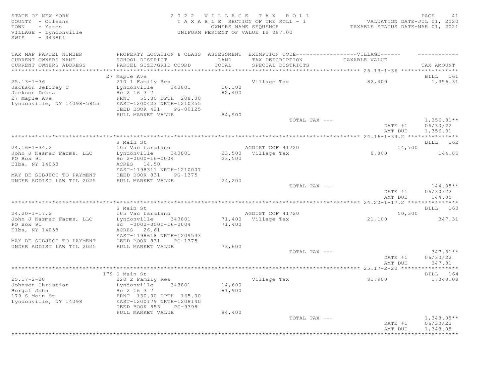# STATE OF NEW YORK SALL RESOLUTION OF A SALL AND RESOLUTION OF A SALL CHARGE A LIMIT AND RESOLUTION OF A SALL CH COUNTY - Orleans T A X A B L E SECTION OF THE ROLL - 1 VALUATION DATE-JUL 01, 2020 TOWN - Yates OWNERS NAME SEQUENCE TAXABLE STATUS DATE-MAR 01, 2021 VILLAGE - Lyndonville UNIFORM PERCENT OF VALUE IS 097.00

| TAX MAP PARCEL NUMBER<br>CURRENT OWNERS NAME<br>CURRENT OWNERS ADDRESS                               | PROPERTY LOCATION & CLASS ASSESSMENT<br>SCHOOL DISTRICT<br>PARCEL SIZE/GRID COORD                                                                                                 | LAND<br>TOTAL              | EXEMPTION CODE------------------VILLAGE------<br>TAX DESCRIPTION<br>SPECIAL DISTRICTS | TAXABLE VALUE      | TAX AMOUNT                       |
|------------------------------------------------------------------------------------------------------|-----------------------------------------------------------------------------------------------------------------------------------------------------------------------------------|----------------------------|---------------------------------------------------------------------------------------|--------------------|----------------------------------|
|                                                                                                      |                                                                                                                                                                                   |                            |                                                                                       |                    |                                  |
| $25.13 - 1 - 36$<br>Jackson Jeffrey C<br>Jackson Debra<br>27 Maple Ave<br>Lyndonville, NY 14098-5855 | 27 Maple Ave<br>210 1 Family Res<br>Lyndonville<br>343801<br>Hc 2 16 3 7<br>FRNT 55.00 DPTH 208.00<br>EAST-1200423 NRTH-1210355<br>DEED BOOK 421<br>PG-00125<br>FULL MARKET VALUE | 10,100<br>82,400<br>84,900 | Village Tax                                                                           | 82,400             | BILL 161<br>1,356.31             |
|                                                                                                      |                                                                                                                                                                                   |                            | TOTAL TAX ---                                                                         | DATE #1            | $1,356.31**$<br>06/30/22         |
|                                                                                                      |                                                                                                                                                                                   |                            |                                                                                       | AMT DUE            | 1,356.31                         |
|                                                                                                      | S Main St                                                                                                                                                                         |                            |                                                                                       |                    | BILL 162                         |
| $24.16 - 1 - 34.2$                                                                                   | 105 Vac farmland                                                                                                                                                                  |                            | AGDIST COF 41720                                                                      | 14,700             |                                  |
| John J Kasmer Farms, LLC<br>PO Box 91<br>Elba, NY 14058<br>MAY BE SUBJECT TO PAYMENT                 | Lyndonville<br>343801<br>Hc 2-0000-16-0004<br>ACRES 14.50<br>EAST-1198311 NRTH-1210007<br>DEED BOOK 831<br>PG-1375                                                                | 23,500                     | 23,500 Village Tax                                                                    | 8,800              | 144.85                           |
| UNDER AGDIST LAW TIL 2025                                                                            | FULL MARKET VALUE                                                                                                                                                                 | 24,200                     |                                                                                       |                    |                                  |
|                                                                                                      |                                                                                                                                                                                   |                            | TOTAL TAX ---                                                                         | DATE #1<br>AMT DUE | $144.85**$<br>06/30/22<br>144.85 |
|                                                                                                      |                                                                                                                                                                                   |                            |                                                                                       |                    |                                  |
| $24.20 - 1 - 17.2$<br>John J Kasmer Farms, LLC                                                       | S Main St<br>105 Vac farmland<br>343801<br>Lyndonville                                                                                                                            |                            | AGDIST COF 41720<br>71,400 Village Tax                                                | 50, 300<br>21,100  | BILL 163<br>347.31               |
| PO Box 91<br>Elba, NY 14058<br>MAY BE SUBJECT TO PAYMENT                                             | $HC -0002 -0000 -16 -0004$<br>ACRES 26.61<br>EAST-1198618 NRTH-1209533<br>DEED BOOK 831<br>PG-1375                                                                                | 71,400                     |                                                                                       |                    |                                  |
| UNDER AGDIST LAW TIL 2025                                                                            | FULL MARKET VALUE                                                                                                                                                                 | 73,600                     |                                                                                       |                    |                                  |
|                                                                                                      |                                                                                                                                                                                   |                            | TOTAL TAX ---                                                                         | DATE #1<br>AMT DUE | $347.31**$<br>06/30/22<br>347.31 |
|                                                                                                      |                                                                                                                                                                                   |                            |                                                                                       |                    |                                  |
| $25.17 - 2 - 20$<br>Johnson Christian                                                                | 179 S Main St<br>220 2 Family Res<br>Lyndonville<br>343801                                                                                                                        | 14,600                     | Village Tax                                                                           | 81,900             | BILL 164<br>1,348.08             |
| Borgal John<br>179 S Main St<br>Lyndonville, NY 14098                                                | Hc 2 16 3 7<br>FRNT 130.00 DPTH 165.00<br>EAST-1200179 NRTH-1208140<br>DEED BOOK 853<br>PG-9398                                                                                   | 81,900                     |                                                                                       |                    |                                  |
|                                                                                                      | FULL MARKET VALUE                                                                                                                                                                 | 84,400                     | TOTAL TAX ---                                                                         | DATE #1            | $1,348.08**$<br>06/30/22         |
|                                                                                                      |                                                                                                                                                                                   |                            |                                                                                       | AMT DUE            | 1,348.08                         |
|                                                                                                      |                                                                                                                                                                                   |                            |                                                                                       |                    |                                  |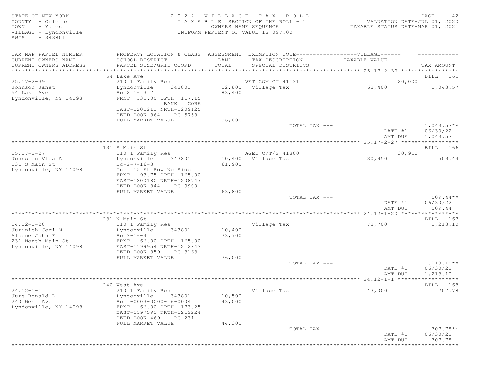| STATE OF NEW YORK<br>COUNTY - Orleans<br>TOWN<br>- Yates<br>VILLAGE - Lyndonville<br>$-343801$<br>SWIS |                                                                                  |        | 2022 VILLAGE TAX ROLL<br>TAXABLE SECTION OF THE ROLL - 1<br>OWNERS NAME SEQUENCE<br>UNIFORM PERCENT OF VALUE IS 097.00 | VALUATION DATE-JUL 01, 2020<br>TAXABLE STATUS DATE-MAR 01, 2021 | PAGE<br>42                      |
|--------------------------------------------------------------------------------------------------------|----------------------------------------------------------------------------------|--------|------------------------------------------------------------------------------------------------------------------------|-----------------------------------------------------------------|---------------------------------|
| TAX MAP PARCEL NUMBER                                                                                  | PROPERTY LOCATION & CLASS ASSESSMENT EXEMPTION CODE----------------VILLAGE------ |        |                                                                                                                        |                                                                 |                                 |
| CURRENT OWNERS NAME                                                                                    | SCHOOL DISTRICT                                                                  | LAND   | TAX DESCRIPTION                                                                                                        | TAXABLE VALUE                                                   |                                 |
| CURRENT OWNERS ADDRESS                                                                                 | PARCEL SIZE/GRID COORD                                                           | TOTAL  | SPECIAL DISTRICTS                                                                                                      |                                                                 | TAX AMOUNT                      |
| ***************************                                                                            |                                                                                  |        |                                                                                                                        |                                                                 |                                 |
|                                                                                                        | 54 Lake Ave                                                                      |        |                                                                                                                        |                                                                 | BILL 165                        |
| $25.17 - 2 - 39$                                                                                       | 210 1 Family Res                                                                 |        | VET COM CT 41131                                                                                                       | 20,000                                                          |                                 |
| Johnson Janet                                                                                          | Lyndonville<br>343801                                                            |        | 12,800 Village Tax                                                                                                     | 63,400                                                          | 1,043.57                        |
| 54 Lake Ave<br>Lyndonville, NY 14098                                                                   | Hc 2 16 3 7<br>FRNT 135.00 DPTH 117.15                                           | 83,400 |                                                                                                                        |                                                                 |                                 |
|                                                                                                        | BANK CORE<br>EAST-1201211 NRTH-1209125                                           |        |                                                                                                                        |                                                                 |                                 |
|                                                                                                        | DEED BOOK 864<br>PG-5758                                                         |        |                                                                                                                        |                                                                 |                                 |
|                                                                                                        | FULL MARKET VALUE                                                                | 86,000 |                                                                                                                        |                                                                 |                                 |
|                                                                                                        |                                                                                  |        | TOTAL TAX ---                                                                                                          | DATE #1                                                         | $1,043.57**$<br>06/30/22        |
|                                                                                                        |                                                                                  |        |                                                                                                                        | AMT DUE                                                         | 1,043.57                        |
|                                                                                                        |                                                                                  |        |                                                                                                                        |                                                                 |                                 |
|                                                                                                        | 131 S Main St                                                                    |        |                                                                                                                        |                                                                 | BILL 166                        |
| $25.17 - 2 - 27$                                                                                       | 210 1 Family Res                                                                 |        | AGED C/T/S 41800                                                                                                       | 30,950<br>30,950                                                | 509.44                          |
| Johnston Vida A<br>131 S Main St                                                                       | 343801<br>Lyndonville<br>$Hc-2-7-16-3$                                           | 61,900 | 10,400 Village Tax                                                                                                     |                                                                 |                                 |
| Lyndonville, NY 14098                                                                                  | Incl 15 Ft Row No Side                                                           |        |                                                                                                                        |                                                                 |                                 |
|                                                                                                        | FRNT 93.75 DPTH 165.00                                                           |        |                                                                                                                        |                                                                 |                                 |
|                                                                                                        | EAST-1200180 NRTH-1208747                                                        |        |                                                                                                                        |                                                                 |                                 |
|                                                                                                        | DEED BOOK 844<br>PG-9900                                                         |        |                                                                                                                        |                                                                 |                                 |
|                                                                                                        | FULL MARKET VALUE                                                                | 63,800 |                                                                                                                        |                                                                 |                                 |
|                                                                                                        |                                                                                  |        | TOTAL TAX ---                                                                                                          |                                                                 | $509.44**$                      |
|                                                                                                        |                                                                                  |        |                                                                                                                        | DATE #1                                                         | 06/30/22                        |
|                                                                                                        |                                                                                  |        |                                                                                                                        | AMT DUE<br>$24.12 - 1 - 20$ *****                               | 509.44<br>* * * * * * * * * * * |
|                                                                                                        | 231 N Main St                                                                    |        |                                                                                                                        |                                                                 | BILL 167                        |
| $24.12 - 1 - 20$                                                                                       | 210 1 Family Res                                                                 |        | Village Tax                                                                                                            | 73,700                                                          | 1,213.10                        |
| Jurinich Jeri M                                                                                        | 343801<br>Lyndonville                                                            | 10,400 |                                                                                                                        |                                                                 |                                 |
| Albone John F                                                                                          | $Hc$ 3-16-4                                                                      | 73,700 |                                                                                                                        |                                                                 |                                 |
| 231 North Main St                                                                                      | FRNT 66.00 DPTH 165.00                                                           |        |                                                                                                                        |                                                                 |                                 |
| Lyndonville, NY 14098                                                                                  | EAST-1199954 NRTH-1212843                                                        |        |                                                                                                                        |                                                                 |                                 |
|                                                                                                        | DEED BOOK 859<br>PG-3163                                                         |        |                                                                                                                        |                                                                 |                                 |
|                                                                                                        | FULL MARKET VALUE                                                                | 76,000 |                                                                                                                        |                                                                 |                                 |
|                                                                                                        |                                                                                  |        | TOTAL TAX ---                                                                                                          |                                                                 | $1,213.10**$                    |
|                                                                                                        |                                                                                  |        |                                                                                                                        | DATE #1<br>AMT DUE                                              | 06/30/22<br>1,213.10            |
|                                                                                                        |                                                                                  |        |                                                                                                                        |                                                                 | * * * * * * * * * * *           |
|                                                                                                        | 240 West Ave                                                                     |        |                                                                                                                        |                                                                 | BILL 168                        |
| $24.12 - 1 - 1$                                                                                        | 210 1 Family Res                                                                 |        | Village Tax                                                                                                            | 43,000                                                          | 707.78                          |
| Jurs Ronald L                                                                                          | 343801<br>Lyndonville                                                            | 10,500 |                                                                                                                        |                                                                 |                                 |
| 240 West Ave                                                                                           | $HC -0003-0000-16-0004$                                                          | 43,000 |                                                                                                                        |                                                                 |                                 |
| Lyndonville, NY 14098                                                                                  | 66.00 DPTH 173.25<br>FRNT                                                        |        |                                                                                                                        |                                                                 |                                 |
|                                                                                                        | EAST-1197591 NRTH-1212224                                                        |        |                                                                                                                        |                                                                 |                                 |
|                                                                                                        | DEED BOOK 469<br>PG-231                                                          |        |                                                                                                                        |                                                                 |                                 |
|                                                                                                        | FULL MARKET VALUE                                                                | 44,300 |                                                                                                                        |                                                                 |                                 |
|                                                                                                        |                                                                                  |        | TOTAL TAX ---                                                                                                          |                                                                 | $707.78**$                      |
|                                                                                                        |                                                                                  |        |                                                                                                                        | DATE #1                                                         | 06/30/22                        |
|                                                                                                        |                                                                                  |        |                                                                                                                        | AMT DUE                                                         | 707.78                          |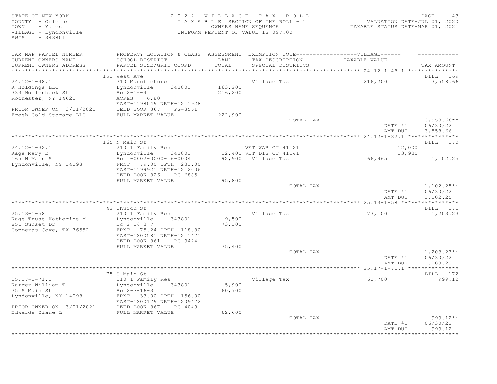STATE OF NEW YORK 2 0 2 2 V I L L A G E T A X R O L L PAGE 43 COUNTY - Orleans T A X A B L E SECTION OF THE ROLL - 1 VALUATION DATE-JUL 01, 2020 TOWN - Yates OWNERS NAME SEQUENCE TAXABLE STATUS DATE-MAR 01, 2021 VILLAGE - Lyndonville UNIFORM PERCENT OF VALUE IS 097.00 SWIS - 343801 TAX MAP PARCEL NUMBER PROPERTY LOCATION & CLASS ASSESSMENT EXEMPTION CODE-------------------VILLAGE------ ----------CURRENT OWNERS NAME SCHOOL DISTRICT LAND TAX DESCRIPTION TAXABLE VALUE CURRENT OWNERS ADDRESS PARCEL SIZE/GRID COORD TOTAL SPECIAL DISTRICTS TAX AMOUNT \*\*\*\*\*\*\*\*\*\*\*\*\*\*\*\*\*\*\*\*\*\*\*\*\*\*\*\*\*\*\*\*\*\*\*\*\*\*\*\*\*\*\*\*\*\*\*\*\*\*\*\*\*\*\*\*\*\*\*\*\*\*\*\*\*\*\*\*\*\*\*\*\*\*\*\*\*\*\*\*\*\*\*\*\*\*\*\*\*\*\*\*\*\*\*\*\*\*\*\*\*\*\* 24.12-1-48.1 \*\*\*\*\*\*\*\*\*\*\*\*\*\*\* 151 West Ave BILL 169 24.12-1-48.1 710 Manufacture Village Tax 216,200 3,558.66 K Holdings LLC and Lyndonville 343801 163,200 333 Hollenbeck St Hc 2-16-4 216,200 Rochester, NY 14621 ACRES 6.80 EAST-1198049 NRTH-1211928 PRIOR OWNER ON 3/01/2021 DEED BOOK 867 PG-8561 Fresh Cold Storage LLC FULL MARKET VALUE 222,900  $\begin{array}{lcl} \text{TOTAL TAX} & & \text{---} \end{array}$  and  $\begin{array}{lcl} 3,558.66 * & \end{array}$ DATE #1 06/30/22<br>AMT DUE 3,558.66 AMT DUE 3, 558.66 \*\*\*\*\*\*\*\*\*\*\*\*\*\*\*\*\*\*\*\*\*\*\*\*\*\*\*\*\*\*\*\*\*\*\*\*\*\*\*\*\*\*\*\*\*\*\*\*\*\*\*\*\*\*\*\*\*\*\*\*\*\*\*\*\*\*\*\*\*\*\*\*\*\*\*\*\*\*\*\*\*\*\*\*\*\*\*\*\*\*\*\*\*\*\*\*\*\*\*\*\*\*\* 24.12-1-32.1 \*\*\*\*\*\*\*\*\*\*\*\*\*\*\* 165 N Main St **BILL 170** 24.12-1-32.1 210 1 Family Res VET WAR CT 41121 12,000 Kage Mary E Lyndonville 343801 12,400 VET DIS CT 41141 13,935 165 N Main St Hc -0002-0000-16-0004 92,900 Village Tax 66,965 1,102.25 Lyndonville, NY 14098 FRNT 79.00 DPTH 231.00 EAST-1199921 NRTH-1212006 DEED BOOK 826 PG-6885 FULL MARKET VALUE 95,800<br>TOTAL TAX --- $T$ OTAL TAX  $---$  1,102.25\*\* DATE #1 06/30/22<br>AMT DUE 1,102.25 AMT DUE 1, 102.25 \*\*\*\*\*\*\*\*\*\*\*\*\*\*\*\*\*\*\*\*\*\*\*\*\*\*\*\*\*\*\*\*\*\*\*\*\*\*\*\*\*\*\*\*\*\*\*\*\*\*\*\*\*\*\*\*\*\*\*\*\*\*\*\*\*\*\*\*\*\*\*\*\*\*\*\*\*\*\*\*\*\*\*\*\*\*\*\*\*\*\*\*\*\*\*\*\*\*\*\*\*\*\* 25.13-1-58 \*\*\*\*\*\*\*\*\*\*\*\*\*\*\*\*\* 42 Church St Bill Block of the State Bill Block of the Bill Block of the Bill Block of Bill Block of the Bill Block of the Bill Block of the Bill Block of the Bill Block of the Bill Block of the Bill Block of the Bill Bloc 25.13-1-58 210 1 Family Res Village Tax 73,100 1,203.23 Kage Trust Katherine M Lyndonville 343801 9,500 851 Sunset Dr Hc 2 16 3 7 73,100 Copperas Cove, TX 76552 FRNT 75.24 DPTH 118.80 EAST-1200581 NRTH-1211471 DEED BOOK 861 PG-9424 FULL MARKET VALUE 75,400<br>TOTAL TAX --- $T$ OTAL TAX  $---$  1, 203.23\*\* DATE #1 06/30/22 AMT DUE 1, 203.23 \*\*\*\*\*\*\*\*\*\*\*\*\*\*\*\*\*\*\*\*\*\*\*\*\*\*\*\*\*\*\*\*\*\*\*\*\*\*\*\*\*\*\*\*\*\*\*\*\*\*\*\*\*\*\*\*\*\*\*\*\*\*\*\*\*\*\*\*\*\*\*\*\*\*\*\*\*\*\*\*\*\*\*\*\*\*\*\*\*\*\*\*\*\*\*\*\*\*\*\*\*\*\* 25.17-1-71.1 \*\*\*\*\*\*\*\*\*\*\*\*\*\*\* 75 S Main St BILL 172 25.17-1-71.1 210 1 Family Res Village Tax 60,700 999.12 Karrer William T Lyndonville 343801 5,900 75 S Main St Hc 2-7-16-3 60,700 13 B Hain 50<br>
Lyndonville, NY 14098 FRNT 33.00 DPTH 156.00<br>
FAST-1200179 NRTH-1209472 EAST-1200179 NRTH-1209472 PRIOR OWNER ON 3/01/2021 DEED BOOK 867 PG-4049 Edwards Diane L FULL MARKET VALUE 62,600 TOTAL TAX --- 999.12\*\* DATE #1 06/30/22 AMT DUE 999.12 \*\*\*\*\*\*\*\*\*\*\*\*\*\*\*\*\*\*\*\*\*\*\*\*\*\*\*\*\*\*\*\*\*\*\*\*\*\*\*\*\*\*\*\*\*\*\*\*\*\*\*\*\*\*\*\*\*\*\*\*\*\*\*\*\*\*\*\*\*\*\*\*\*\*\*\*\*\*\*\*\*\*\*\*\*\*\*\*\*\*\*\*\*\*\*\*\*\*\*\*\*\*\*\*\*\*\*\*\*\*\*\*\*\*\*\*\*\*\*\*\*\*\*\*\*\*\*\*\*\*\*\*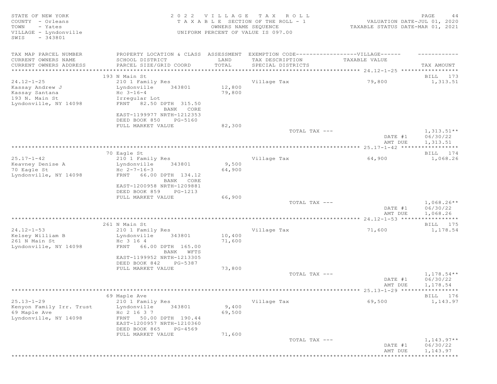STATE OF NEW YORK PAGE 14<br>COUNTY - Orleans and the state of the section of the roll - 1 waluation date-jul 01, 2020<br>TOWN - Yates counting the section of the section of the roll - 1 waluation date-jul 01, 2020 COUNTY - Orleans T A X A B L E SECTION OF THE ROLL - 1<br>TOWN - Yates COUNTERS NAME SEQUENCE TOWN - Yates OWNERS NAME SEQUENCE TAXABLE STATUS DATE-MAR 01, 2021 VILLAGE - Lyndonville UNIFORM PERCENT OF VALUE IS 097.00 SWIS - 343801 TAX MAP PARCEL NUMBER FROPERTY LOCATION & CLASS ASSESSMENT EXEMPTION CODE--------------------VILLAGE------ ---------CURRENT OWNERS NAME SCHOOL DISTRICT LAND TAX DESCRIPTION TAXABLE VALUE CURRENT OWNERS ADDRESS PARCEL SIZE/GRID COORD TOTAL SPECIAL DISTRICTS TAX AMOUNT \*\*\*\*\*\*\*\*\*\*\*\*\*\*\*\*\*\*\*\*\*\*\*\*\*\*\*\*\*\*\*\*\*\*\*\*\*\*\*\*\*\*\*\*\*\*\*\*\*\*\*\*\*\*\*\*\*\*\*\*\*\*\*\*\*\*\*\*\*\*\*\*\*\*\*\*\*\*\*\*\*\*\*\*\*\*\*\*\*\*\*\*\*\*\*\*\*\*\*\*\*\*\* 24.12-1-25 \*\*\*\*\*\*\*\*\*\*\*\*\*\*\*\*\* 193 N Main St Bill Die Stein and Die Stein and Die Stein and Die Stein and Die Stein and Die Stein and Die Stein and Die Stein and Die Stein and Die Stein and Die Stein and Die Stein and Die Stein and Die Stein and Die Ste 24.12-1-25 210 1 Family Res Village Tax 79,800 1,313.51 Kassay Andrew J Lyndonville 343801 12,800 Kassay Santana  $HC$  3-16-4  $79,800$ 193 N. Main St **Irregular** Lot Lyndonville, NY 14098 FRNT 82.50 DPTH 315.50 BANK CORE EAST-1199977 NRTH-1212353 DEED BOOK 850 PG-5160 FULL MARKET VALUE 82,300<br>TOTAL TAX --- $T$ OTAL TAX  $---$  1, 313.51\*\* DATE #1 06/30/22 AMT DUE 1, 313.51 \*\*\*\*\*\*\*\*\*\*\*\*\*\*\*\*\*\*\*\*\*\*\*\*\*\*\*\*\*\*\*\*\*\*\*\*\*\*\*\*\*\*\*\*\*\*\*\*\*\*\*\*\*\*\*\*\*\*\*\*\*\*\*\*\*\*\*\*\*\*\*\*\*\*\*\*\*\*\*\*\*\*\*\*\*\*\*\*\*\*\*\*\*\*\*\*\*\*\*\*\*\*\* 25.17-1-42 \*\*\*\*\*\*\*\*\*\*\*\*\*\*\*\*\* 70 Eagle St BILL 174 25.17-1-42 210 1 Family Res Village Tax 64,900 1,068.26 Keava Lyndonville 343801 9,500<br>Hc 2-7-16-3 64,900 Keavney Denise A<br>70 Eagle St Lyndonville, NY 14098 FRNT 66.00 DPTH 134.12 BANK CORE EAST-1200958 NRTH-1209881 DEED BOOK 859 PG-1213<br>FULL MARKET VALUE 66,900 FULL MARKET VALUE 66,900<br>TOTAL TAX --- $\lnot$  Total tax ---  $\lnot$   $\lnot$   $\lnot$   $\lnot$   $\lnot$   $\lnot$   $\lnot$   $\lnot$   $\lnot$   $\lnot$   $\lnot$   $\lnot$   $\lnot$   $\lnot$   $\lnot$   $\lnot$   $\lnot$   $\lnot$   $\lnot$   $\lnot$   $\lnot$   $\lnot$   $\lnot$   $\lnot$   $\lnot$   $\lnot$   $\lnot$   $\lnot$   $\lnot$   $\lnot$   $\lnot$   $\lnot$   $\lnot$   $\l$  DATE #1 06/30/22 AMT DUE 1, 068.26 \*\*\*\*\*\*\*\*\*\*\*\*\*\*\*\*\*\*\*\*\*\*\*\*\*\*\*\*\*\*\*\*\*\*\*\*\*\*\*\*\*\*\*\*\*\*\*\*\*\*\*\*\*\*\*\*\*\*\*\*\*\*\*\*\*\*\*\*\*\*\*\*\*\*\*\*\*\*\*\*\*\*\*\*\*\*\*\*\*\*\*\*\*\*\*\*\*\*\*\*\*\*\* 24.12-1-53 \*\*\*\*\*\*\*\*\*\*\*\*\*\*\*\*\* 261 N Main St **BILL 175** 24.12-1-53 210 1 Family Res Village Tax 71,600 1,178.54 Kelsey William B Lyndonville 343801 10,400 261 N Main St Hc 3 16 4 71,600 Lyndonville, NY 14098 FRNT 66.00 DPTH 165.00 BANK WFTS EAST-1199952 NRTH-1213305 DEED BOOK 842 PG-5387 FULL MARKET VALUE 73,800<br>TOTAL TAX --- $\texttt{TOTAL TAX}$   $\texttt{--}$   $\texttt{--}$   $\texttt{1,178.54**}$ DATE #1 06/30/22<br>AMT DUE 1,178.54 AMT DUE 1, 178.54 \*\*\*\*\*\*\*\*\*\*\*\*\*\*\*\*\*\*\*\*\*\*\*\*\*\*\*\*\*\*\*\*\*\*\*\*\*\*\*\*\*\*\*\*\*\*\*\*\*\*\*\*\*\*\*\*\*\*\*\*\*\*\*\*\*\*\*\*\*\*\*\*\*\*\*\*\*\*\*\*\*\*\*\*\*\*\*\*\*\*\*\*\*\*\*\*\*\*\*\*\*\*\* 25.13-1-29 \*\*\*\*\*\*\*\*\*\*\*\*\*\*\*\*\* 69 Maple Ave BILL 176 25.13-1-29 210 1 Family Res Village Tax 69,500 1,143.97 Kenyon Family Irr. Trust Lyndonville 343801 9,400 69 Maple Ave Hc 2 16 3 7 69,500 Lyndonville, NY 14098 FRNT 50.00 DPTH 190.44 EAST-1200957 NRTH-1210360 DEED BOOK 865 PG-4569 FULL MARKET VALUE 71,600<br>TOTAL TAX --- $T$ OTAL TAX  $---$  1,143.97\*\* DATE #1 06/30/22 AMT DUE 1, 143.97

\*\*\*\*\*\*\*\*\*\*\*\*\*\*\*\*\*\*\*\*\*\*\*\*\*\*\*\*\*\*\*\*\*\*\*\*\*\*\*\*\*\*\*\*\*\*\*\*\*\*\*\*\*\*\*\*\*\*\*\*\*\*\*\*\*\*\*\*\*\*\*\*\*\*\*\*\*\*\*\*\*\*\*\*\*\*\*\*\*\*\*\*\*\*\*\*\*\*\*\*\*\*\*\*\*\*\*\*\*\*\*\*\*\*\*\*\*\*\*\*\*\*\*\*\*\*\*\*\*\*\*\*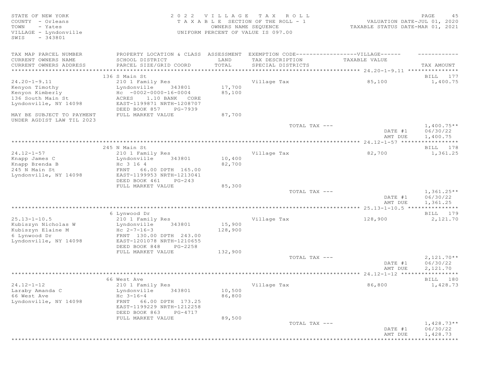STATE OF NEW YORK 2 0 2 2 V I L L A G E T A X R O L L PAGE 45 COUNTY - Orleans T A X A B L E SECTION OF THE ROLL - 1<br>TOWN - Yates DATES DATE: DOWNERS NAME SEQUENCE TOWN - Yates OWNERS NAME SEQUENCE TAXABLE STATUS DATE-MAR 01, 2021 VILLAGE - Lyndonville UNIFORM PERCENT OF VALUE IS 097.00 SWIS - 343801 TAX MAP PARCEL NUMBER PROPERTY LOCATION & CLASS ASSESSMENT EXEMPTION CODE------------------VILLAGE------ ------------ CURRENT OWNERS NAME SCHOOL DISTRICT LAND TAX DESCRIPTION TAXABLE VALUE CURRENT OWNERS ADDRESS PARCEL SIZE/GRID COORD TOTAL SPECIAL DISTRICTS TAX AMOUNT \*\*\*\*\*\*\*\*\*\*\*\*\*\*\*\*\*\*\*\*\*\*\*\*\*\*\*\*\*\*\*\*\*\*\*\*\*\*\*\*\*\*\*\*\*\*\*\*\*\*\*\*\*\*\*\*\*\*\*\*\*\*\*\*\*\*\*\*\*\*\*\*\*\*\*\*\*\*\*\*\*\*\*\*\*\*\*\*\*\*\*\*\*\*\*\*\*\*\*\*\*\*\* 24.20-1-9.11 \*\*\*\*\*\*\*\*\*\*\*\*\*\*\* 136 S Main St Bill and State Bill and State Bill and State Bill and State Bill and State Bill and State Bill and State Bill and State Bill and State Bill and State Bill and State Bill and State Bill and State Bill and Stat 24.20-1-9.11 210 1 Family Res Village Tax 85,100 1,400.75 Kenyon Timothy Lyndonville 343801 17,700 Kenyon Kimberly Hc -0002-0000-16-0004 85,100 136 South Main St (ACRES 1.10 BANK CORE<br>136 South Main St (ACRES 1.10 BANK CORE<br>19871 NRTH-1208707 Lyndonville, NY 14098 DEED BOOK 857 PG-7939<br>FULL MARKET VALUE 87,700 MAY BE SUBJECT TO PAYMENT FULL MARKET VALUE UNDER AGDIST LAW TIL 2023  $T$ OTAL TAX  $---$  1,400.75\*\* DATE #1 06/30/22<br>AMT DUE 1,400.75 AMT DUE 1, 400.75 \*\*\*\*\*\*\*\*\*\*\*\*\*\*\*\*\*\*\*\*\*\*\*\*\*\*\*\*\*\*\*\*\*\*\*\*\*\*\*\*\*\*\*\*\*\*\*\*\*\*\*\*\*\*\*\*\*\*\*\*\*\*\*\*\*\*\*\*\*\*\*\*\*\*\*\*\*\*\*\*\*\*\*\*\*\*\*\*\*\*\*\*\*\*\*\*\*\*\*\*\*\*\* 24.12-1-57 \*\*\*\*\*\*\*\*\*\*\*\*\*\*\*\*\* 245 N Main St Bill and State Bill and State Bill and State Bill and State Bill and State Bill and State Bill and St 24.12-1-57 210 1 Family Res Village Tax 82,700 1,361.25 Knapp James C Lyndonville 343801 10,400 Knapp Brenda B Hc 3 16 4 82,700 245 N Main St FRNT 66.00 DPTH 165.00 Lyndonville, NY 14098 EAST-1199953 NRTH-1213041 DEED BOOK 461 PG-243<br>FULL MARKET VALUE 85,300 FULL MARKET VALUE 85,300<br>
TOTAL TAX --- $T$ OTAL TAX  $---$  1,361.25\*\* DATE #1 06/30/22 AMT DUE 1, 361.25 \*\*\*\*\*\*\*\*\*\*\*\*\*\*\*\*\*\*\*\*\*\*\*\*\*\*\*\*\*\*\*\*\*\*\*\*\*\*\*\*\*\*\*\*\*\*\*\*\*\*\*\*\*\*\*\*\*\*\*\*\*\*\*\*\*\*\*\*\*\*\*\*\*\*\*\*\*\*\*\*\*\*\*\*\*\*\*\*\*\*\*\*\*\*\*\*\*\*\*\*\*\*\* 25.13-1-10.5 \*\*\*\*\*\*\*\*\*\*\*\*\*\*\* 6 Lynwood Dr BILL 179 25.13-1-10.5 210 1 Family Res Village Tax 128,900 2,121.70 Kubiszyn Nicholas W Lyndonville 343801 15,900 Kubiszyn Elaine M  $Hc$   $2-7-16-3$  128,900 6 Lynwood Dr FRNT 130.00 DPTH 243.00 Lyndonville, NY 14098 EAST-1201078 NRTH-1210655 DEED BOOK 848 PG-2258 FULL MARKET VALUE  $132,900$ <br>TOTAL TAX --- $T$ OTAL TAX  $---$  2,121.70\*\* DATE #1 06/30/22<br>AMT DUE 2,121.70 AMT DUE 2, 121.70 \*\*\*\*\*\*\*\*\*\*\*\*\*\*\*\*\*\*\*\*\*\*\*\*\*\*\*\*\*\*\*\*\*\*\*\*\*\*\*\*\*\*\*\*\*\*\*\*\*\*\*\*\*\*\*\*\*\*\*\*\*\*\*\*\*\*\*\*\*\*\*\*\*\*\*\*\*\*\*\*\*\*\*\*\*\*\*\*\*\*\*\*\*\*\*\*\*\*\*\*\*\*\* 24.12-1-12 \*\*\*\*\*\*\*\*\*\*\*\*\*\*\*\*\* 66 West Ave BILL 180 24.12-1-12 210 1 Family Res Village Tax 86,800 1,428.73 Laraby Amanda C Lyndonville 343801 10,500 Laraby Amanda C 10,500<br>
66 West Ave Hc 3-16-4 86,800<br>
Lyndonville, NY 14098 FRNT 66.00 DPTH 173.25 Lyndonville, NY 14098 FRNT 66.00 DPTH 173.25 EAST-1199229 NRTH-1212258 DEED BOOK 863 PG-4717<br>FULL MARKET VALUE 89,500 FULL MARKET VALUE  $T$ OTAL TAX  $---$  1,428.73\*\* DATE #1 06/30/22 AMT DUE 1, 428.73 \*\*\*\*\*\*\*\*\*\*\*\*\*\*\*\*\*\*\*\*\*\*\*\*\*\*\*\*\*\*\*\*\*\*\*\*\*\*\*\*\*\*\*\*\*\*\*\*\*\*\*\*\*\*\*\*\*\*\*\*\*\*\*\*\*\*\*\*\*\*\*\*\*\*\*\*\*\*\*\*\*\*\*\*\*\*\*\*\*\*\*\*\*\*\*\*\*\*\*\*\*\*\*\*\*\*\*\*\*\*\*\*\*\*\*\*\*\*\*\*\*\*\*\*\*\*\*\*\*\*\*\*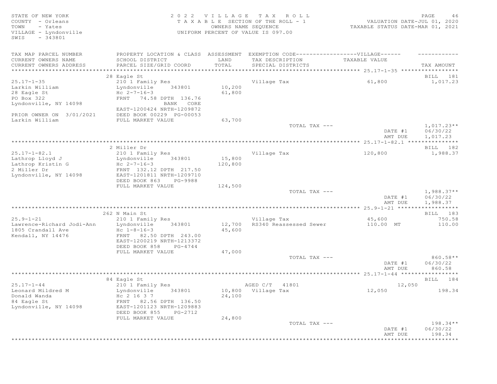# STATE OF NEW YORK SALL A GOOGLE ALL AGE TAX ROLL CHARGE 20 2 2 2 V I L L A G E TAX ROLL COUNTY - Orleans T A X A B L E SECTION OF THE ROLL - 1 VALUATION DATE-JUL 01, 2020 TOWN - Yates OWNERS NAME SEQUENCE TAXABLE STATUS DATE-MAR 01, 2021 VILLAGE - Lyndonville UNIFORM PERCENT OF VALUE IS 097.00

| TAX MAP PARCEL NUMBER     | PROPERTY LOCATION & CLASS ASSESSMENT |         | EXEMPTION CODE------------------VILLAGE------ |               |              |
|---------------------------|--------------------------------------|---------|-----------------------------------------------|---------------|--------------|
| CURRENT OWNERS NAME       | SCHOOL DISTRICT                      | LAND    | TAX DESCRIPTION                               | TAXABLE VALUE |              |
| CURRENT OWNERS ADDRESS    | PARCEL SIZE/GRID COORD               | TOTAL   | SPECIAL DISTRICTS                             |               | TAX AMOUNT   |
|                           |                                      |         |                                               |               |              |
|                           | 28 Eagle St                          |         |                                               |               | BILL 181     |
| $25.17 - 1 - 35$          | 210 1 Family Res                     |         | Village Tax                                   | 61,800        | 1,017.23     |
| Larkin William            | Lyndonville<br>343801                | 10,200  |                                               |               |              |
| 28 Eagle St               | $Hc 2-7-16-3$                        | 61,800  |                                               |               |              |
| PO Box 322                | FRNT 74.58 DPTH 136.76               |         |                                               |               |              |
| Lyndonville, NY 14098     | BANK CORE                            |         |                                               |               |              |
|                           | EAST-1200424 NRTH-1209872            |         |                                               |               |              |
| PRIOR OWNER ON 3/01/2021  | DEED BOOK 00229 PG-00053             |         |                                               |               |              |
| Larkin William            | FULL MARKET VALUE                    | 63,700  |                                               |               |              |
|                           |                                      |         | TOTAL TAX ---                                 |               | $1,017.23**$ |
|                           |                                      |         |                                               | DATE #1       | 06/30/22     |
|                           |                                      |         |                                               | AMT DUE       | 1,017.23     |
|                           |                                      |         |                                               |               |              |
|                           | 2 Miller Dr                          |         |                                               |               | BILL 182     |
| $25.17 - 1 - 82.1$        | 210 1 Family Res                     |         | Village Tax                                   | 120,800       | 1,988.37     |
| Lathrop Lloyd J           | Lyndonville<br>343801                | 15,800  |                                               |               |              |
| Lathrop Kristin G         | $Hc 2-7-16-3$                        | 120,800 |                                               |               |              |
| 2 Miller Dr               | FRNT 132.12 DPTH 217.50              |         |                                               |               |              |
| Lyndonville, NY 14098     | EAST-1201811 NRTH-1209710            |         |                                               |               |              |
|                           | DEED BOOK 863<br>PG-9988             |         |                                               |               |              |
|                           | FULL MARKET VALUE                    | 124,500 |                                               |               |              |
|                           |                                      |         | TOTAL TAX ---                                 |               | $1,988.37**$ |
|                           |                                      |         |                                               | DATE #1       | 06/30/22     |
|                           |                                      |         |                                               | AMT DUE       | 1,988.37     |
|                           |                                      |         |                                               |               |              |
|                           | 262 N Main St                        |         |                                               |               | BILL 183     |
| $25.9 - 1 - 21$           | 210 1 Family Res                     |         | Village Tax                                   | 45,600        | 750.58       |
| Lawrence-Richard Jodi-Ann | Lyndonville<br>343801                | 12,700  | RS340 Reassessed Sewer                        | 110.00 MT     | 110.00       |
| 1805 Crandall Ave         | $Hc$ $1-8-16-3$                      | 45,600  |                                               |               |              |
| Kendall, NY 14476         | FRNT 82.50 DPTH 243.00               |         |                                               |               |              |
|                           | EAST-1200219 NRTH-1213372            |         |                                               |               |              |
|                           | DEED BOOK 858<br>PG-4744             |         |                                               |               |              |
|                           | FULL MARKET VALUE                    | 47,000  | TOTAL TAX ---                                 |               | 860.58**     |
|                           |                                      |         |                                               | DATE #1       | 06/30/22     |
|                           |                                      |         |                                               | AMT DUE       | 860.58       |
|                           |                                      |         |                                               |               |              |
|                           | 84 Eagle St                          |         |                                               |               | BILL 184     |
| $25.17 - 1 - 44$          | 210 1 Family Res                     |         | AGED C/T 41801                                | 12,050        |              |
| Leonard Mildred M         | Lyndonville<br>343801                |         | 10,800 Village Tax                            | 12,050        | 198.34       |
| Donald Wanda              | Hc 2 16 3 7                          | 24,100  |                                               |               |              |
| 84 Eagle St               | FRNT 82.56 DPTH 136.50               |         |                                               |               |              |
| Lyndonville, NY 14098     | EAST-1201123 NRTH-1209883            |         |                                               |               |              |
|                           | DEED BOOK 855<br>PG-2712             |         |                                               |               |              |
|                           | FULL MARKET VALUE                    | 24,800  |                                               |               |              |
|                           |                                      |         | TOTAL TAX ---                                 |               | $198.34**$   |
|                           |                                      |         |                                               | DATE #1       | 06/30/22     |
|                           |                                      |         |                                               | AMT DUE       | 198.34       |
|                           |                                      |         |                                               |               |              |
|                           |                                      |         |                                               |               |              |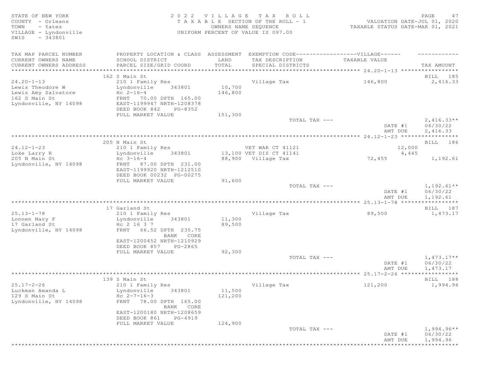| STATE OF NEW YORK<br>COUNTY - Orleans             |                                                                                  | 2022 VILLAGE         | TAX ROLL                              |                                  | PAGE<br>47           |
|---------------------------------------------------|----------------------------------------------------------------------------------|----------------------|---------------------------------------|----------------------------------|----------------------|
|                                                   |                                                                                  |                      | T A X A B L E SECTION OF THE ROLL - 1 | VALUATION DATE-JUL 01, 2020      |                      |
| - Yates<br>TOWN                                   |                                                                                  | OWNERS NAME SEQUENCE |                                       | TAXABLE STATUS DATE-MAR 01, 2021 |                      |
| VILLAGE - Lyndonville                             |                                                                                  |                      | UNIFORM PERCENT OF VALUE IS 097.00    |                                  |                      |
| $-343801$<br>SWIS                                 |                                                                                  |                      |                                       |                                  |                      |
|                                                   |                                                                                  |                      |                                       |                                  |                      |
|                                                   |                                                                                  |                      |                                       |                                  |                      |
| TAX MAP PARCEL NUMBER                             | PROPERTY LOCATION & CLASS ASSESSMENT EXEMPTION CODE----------------VILLAGE------ |                      |                                       |                                  |                      |
| CURRENT OWNERS NAME                               | SCHOOL DISTRICT                                                                  | LAND                 | TAX DESCRIPTION                       | TAXABLE VALUE                    |                      |
| CURRENT OWNERS ADDRESS<br>*********************** | PARCEL SIZE/GRID COORD                                                           | TOTAL                | SPECIAL DISTRICTS                     |                                  | TAX AMOUNT           |
|                                                   |                                                                                  |                      |                                       |                                  |                      |
|                                                   | 162 S Main St                                                                    |                      |                                       |                                  | BILL 185             |
| $24.20 - 1 - 13$                                  | 210 1 Family Res                                                                 |                      | Village Tax                           | 146,800                          | 2,416.33             |
| Lewis Theodore W                                  | Lyndonville<br>343801                                                            | 10,700               |                                       |                                  |                      |
| Lewis Amy Salvatore                               | $Hc 2-16-4$                                                                      | 146,800              |                                       |                                  |                      |
| 162 S Main St                                     | FRNT 70.00 DPTH 165.00                                                           |                      |                                       |                                  |                      |
| Lyndonville, NY 14098                             | EAST-1199947 NRTH-1208378                                                        |                      |                                       |                                  |                      |
|                                                   | DEED BOOK 842<br>PG-8352                                                         |                      |                                       |                                  |                      |
|                                                   | FULL MARKET VALUE                                                                | 151,300              |                                       |                                  |                      |
|                                                   |                                                                                  |                      | TOTAL TAX ---                         |                                  | $2,416.33**$         |
|                                                   |                                                                                  |                      |                                       | DATE #1                          | 06/30/22             |
|                                                   |                                                                                  |                      |                                       | AMT DUE                          | 2,416.33             |
|                                                   |                                                                                  |                      |                                       |                                  |                      |
|                                                   | 205 N Main St                                                                    |                      |                                       |                                  | BILL 186             |
| $24.12 - 1 - 23$                                  | 210 1 Family Res                                                                 |                      | VET WAR CT 41121                      | 12,000                           |                      |
| Loke Larry R                                      | 343801<br>Lyndonville                                                            |                      | 13,100 VET DIS CT 41141               | 4,445                            |                      |
| 205 N Main St                                     | $Hc \t3-16-4$                                                                    |                      | 88,900 Village Tax                    | 72,455                           | 1,192.61             |
| Lyndonville, NY 14098                             | FRNT 87.00 DPTH 231.00                                                           |                      |                                       |                                  |                      |
|                                                   | EAST-1199920 NRTH-1212510                                                        |                      |                                       |                                  |                      |
|                                                   |                                                                                  |                      |                                       |                                  |                      |
|                                                   | DEED BOOK 00232 PG-00275                                                         |                      |                                       |                                  |                      |
|                                                   | FULL MARKET VALUE                                                                | 91,600               |                                       |                                  |                      |
|                                                   |                                                                                  |                      | TOTAL TAX ---                         |                                  | $1,192.61**$         |
|                                                   |                                                                                  |                      |                                       | DATE #1                          | 06/30/22             |
|                                                   |                                                                                  |                      |                                       | AMT DUE                          | 1,192.61             |
|                                                   |                                                                                  |                      |                                       |                                  |                      |
|                                                   | 17 Garland St                                                                    |                      |                                       |                                  | BILL 187             |
| $25.13 - 1 - 78$                                  | 210 1 Family Res                                                                 |                      | Village Tax                           | 89,500                           | 1,473.17             |
|                                                   | 343801                                                                           |                      |                                       |                                  |                      |
| Lonnen Mary F                                     | Lyndonville                                                                      | 11,300               |                                       |                                  |                      |
| 17 Garland St                                     | Hc 2 16 3 7                                                                      | 89,500               |                                       |                                  |                      |
| Lyndonville, NY 14098                             | FRNT 66.52 DPTH 235.75<br>BANK CORE                                              |                      |                                       |                                  |                      |
|                                                   |                                                                                  |                      |                                       |                                  |                      |
|                                                   | EAST-1200452 NRTH-1210929                                                        |                      |                                       |                                  |                      |
|                                                   | DEED BOOK 857<br>PG-2865                                                         |                      |                                       |                                  |                      |
|                                                   | FULL MARKET VALUE                                                                | 92,300               |                                       |                                  |                      |
|                                                   |                                                                                  |                      | TOTAL TAX ---                         |                                  | $1,473.17**$         |
|                                                   |                                                                                  |                      |                                       | DATE #1                          | 06/30/22             |
|                                                   |                                                                                  |                      |                                       | AMT DUE                          | 1,473.17             |
|                                                   |                                                                                  |                      |                                       |                                  |                      |
|                                                   | 139 S Main St                                                                    |                      |                                       |                                  | BILL 188             |
| $25.17 - 2 - 26$                                  | 210 1 Family Res                                                                 |                      | Village Tax                           | 121,200                          | 1,994.96             |
| Luckman Amanda L                                  | Lyndonville<br>343801                                                            | 11,500               |                                       |                                  |                      |
| 129 S Main St                                     | Hc $2 - 7 - 16 - 3$                                                              | 121,200              |                                       |                                  |                      |
| Lyndonville, NY 14098                             | FRNT 78.00 DPTH 165.00                                                           |                      |                                       |                                  |                      |
|                                                   | BANK CORE                                                                        |                      |                                       |                                  |                      |
|                                                   | EAST-1200180 NRTH-1208659                                                        |                      |                                       |                                  |                      |
|                                                   | DEED BOOK 861<br>PG-4919                                                         |                      |                                       |                                  |                      |
|                                                   | FULL MARKET VALUE                                                                | 124,900              |                                       |                                  |                      |
|                                                   |                                                                                  |                      | TOTAL TAX ---                         |                                  | $1,994.96**$         |
|                                                   |                                                                                  |                      |                                       | DATE #1<br>AMT DUE               | 06/30/22<br>1,994.96 |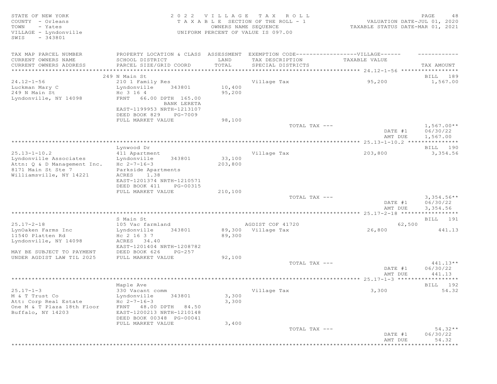| TAX MAP PARCEL NUMBER<br>PROPERTY LOCATION & CLASS ASSESSMENT EXEMPTION CODE-----------------VILLAGE------<br>SCHOOL DISTRICT<br>LAND<br>CURRENT OWNERS NAME<br>TAX DESCRIPTION<br>TAXABLE VALUE<br>TOTAL<br>CURRENT OWNERS ADDRESS<br>PARCEL SIZE/GRID COORD<br>SPECIAL DISTRICTS<br>TAX AMOUNT<br>249 N Main St<br>BILL 189<br>$24.12 - 1 - 56$<br>Village Tax<br>95,200<br>210 1 Family Res<br>10,400<br>Luckman Mary C<br>Lyndonville<br>343801<br>249 N Main St<br>Hc 3 16 4<br>95,200<br>Lyndonville, NY 14098<br>FRNT<br>66.00 DPTH 165.00<br>BANK LERETA<br>EAST-1199953 NRTH-1213107<br>DEED BOOK 829<br>PG-7009<br>98,100<br>FULL MARKET VALUE<br>$1,567.00**$<br>TOTAL TAX ---<br>06/30/22<br>DATE #1<br>1,567.00<br>AMT DUE<br>Lynwood Dr<br>BILL 190<br>$25.13 - 1 - 10.2$<br>Village Tax<br>203,800<br>3,354.56<br>411 Apartment<br>33,100<br>Lyndonville Associates<br>343801<br>Lyndonville<br>$Hc 2-7-16-3$<br>203,800<br>Attn: Q & D Management Inc.<br>8171 Main St Ste 7<br>Parkside Apartments<br>Williamsville, NY 14221<br>ACRES<br>1.38<br>EAST-1201374 NRTH-1210571<br>DEED BOOK 411<br>PG-00315<br>210,100<br>FULL MARKET VALUE<br>$3,354.56**$<br>TOTAL TAX ---<br>DATE #1<br>06/30/22<br>3,354.56<br>AMT DUE<br>S Main St<br>BILL 191<br>$25.17 - 2 - 18$<br>105 Vac farmland<br>AGDIST COF 41720<br>62,500<br>26,800<br>441.13<br>343801<br>89,300 Village Tax<br>LynOaken Farms Inc<br>Lyndonville<br>11540 Platten Rd<br>Hc 2 16 3 7<br>89,300<br>Lyndonville, NY 14098<br>ACRES 34.40<br>EAST-1201404 NRTH-1208782<br>MAY BE SUBJECT TO PAYMENT<br>DEED BOOK 626<br>PG-257<br>UNDER AGDIST LAW TIL 2025<br>FULL MARKET VALUE<br>92,100<br>TOTAL TAX ---<br>DATE #1<br>06/30/22<br>441.13<br>AMT DUE<br>Maple Ave<br>BILL 192<br>$25.17 - 1 - 3$<br>3,300<br>330 Vacant comm<br>Village Tax<br>Lyndonville<br>343801<br>3,300<br>M & T Trust Co<br>3,300<br>Att: Corp Real Estate<br>$Hc 2-7-16-3$<br>One M & T Plaza 18th Floor<br>FRNT 48.00 DPTH 84.50<br>Buffalo, NY 14203<br>EAST-1200213 NRTH-1210148<br>DEED BOOK 00348 PG-00041<br>FULL MARKET VALUE<br>3,400<br>TOTAL TAX ---<br>DATE #1<br>06/30/22<br>54.32<br>AMT DUE<br>********************************* | STATE OF NEW YORK<br>COUNTY - Orleans<br>TOWN<br>- Yates<br>VILLAGE - Lyndonville<br>$-343801$<br>SWIS | OWNERS NAME SEQUENCE | 2022 VILLAGE TAX ROLL<br>TAXABLE SECTION OF THE ROLL - 1<br>UNIFORM PERCENT OF VALUE IS 097.00 | VALUATION DATE-JUL 01, 2020<br>TAXABLE STATUS DATE-MAR 01, 2021 | PAGE<br>48 |
|-------------------------------------------------------------------------------------------------------------------------------------------------------------------------------------------------------------------------------------------------------------------------------------------------------------------------------------------------------------------------------------------------------------------------------------------------------------------------------------------------------------------------------------------------------------------------------------------------------------------------------------------------------------------------------------------------------------------------------------------------------------------------------------------------------------------------------------------------------------------------------------------------------------------------------------------------------------------------------------------------------------------------------------------------------------------------------------------------------------------------------------------------------------------------------------------------------------------------------------------------------------------------------------------------------------------------------------------------------------------------------------------------------------------------------------------------------------------------------------------------------------------------------------------------------------------------------------------------------------------------------------------------------------------------------------------------------------------------------------------------------------------------------------------------------------------------------------------------------------------------------------------------------------------------------------------------------------------------------------------------------------------------------------------------------------------------------------------------------------------------------------------------------------------------------------------------------|--------------------------------------------------------------------------------------------------------|----------------------|------------------------------------------------------------------------------------------------|-----------------------------------------------------------------|------------|
|                                                                                                                                                                                                                                                                                                                                                                                                                                                                                                                                                                                                                                                                                                                                                                                                                                                                                                                                                                                                                                                                                                                                                                                                                                                                                                                                                                                                                                                                                                                                                                                                                                                                                                                                                                                                                                                                                                                                                                                                                                                                                                                                                                                                       |                                                                                                        |                      |                                                                                                |                                                                 |            |
|                                                                                                                                                                                                                                                                                                                                                                                                                                                                                                                                                                                                                                                                                                                                                                                                                                                                                                                                                                                                                                                                                                                                                                                                                                                                                                                                                                                                                                                                                                                                                                                                                                                                                                                                                                                                                                                                                                                                                                                                                                                                                                                                                                                                       |                                                                                                        |                      |                                                                                                |                                                                 |            |
|                                                                                                                                                                                                                                                                                                                                                                                                                                                                                                                                                                                                                                                                                                                                                                                                                                                                                                                                                                                                                                                                                                                                                                                                                                                                                                                                                                                                                                                                                                                                                                                                                                                                                                                                                                                                                                                                                                                                                                                                                                                                                                                                                                                                       |                                                                                                        |                      |                                                                                                |                                                                 |            |
|                                                                                                                                                                                                                                                                                                                                                                                                                                                                                                                                                                                                                                                                                                                                                                                                                                                                                                                                                                                                                                                                                                                                                                                                                                                                                                                                                                                                                                                                                                                                                                                                                                                                                                                                                                                                                                                                                                                                                                                                                                                                                                                                                                                                       |                                                                                                        |                      |                                                                                                |                                                                 |            |
|                                                                                                                                                                                                                                                                                                                                                                                                                                                                                                                                                                                                                                                                                                                                                                                                                                                                                                                                                                                                                                                                                                                                                                                                                                                                                                                                                                                                                                                                                                                                                                                                                                                                                                                                                                                                                                                                                                                                                                                                                                                                                                                                                                                                       |                                                                                                        |                      |                                                                                                |                                                                 | 1,567.00   |
|                                                                                                                                                                                                                                                                                                                                                                                                                                                                                                                                                                                                                                                                                                                                                                                                                                                                                                                                                                                                                                                                                                                                                                                                                                                                                                                                                                                                                                                                                                                                                                                                                                                                                                                                                                                                                                                                                                                                                                                                                                                                                                                                                                                                       |                                                                                                        |                      |                                                                                                |                                                                 |            |
|                                                                                                                                                                                                                                                                                                                                                                                                                                                                                                                                                                                                                                                                                                                                                                                                                                                                                                                                                                                                                                                                                                                                                                                                                                                                                                                                                                                                                                                                                                                                                                                                                                                                                                                                                                                                                                                                                                                                                                                                                                                                                                                                                                                                       |                                                                                                        |                      |                                                                                                |                                                                 |            |
|                                                                                                                                                                                                                                                                                                                                                                                                                                                                                                                                                                                                                                                                                                                                                                                                                                                                                                                                                                                                                                                                                                                                                                                                                                                                                                                                                                                                                                                                                                                                                                                                                                                                                                                                                                                                                                                                                                                                                                                                                                                                                                                                                                                                       |                                                                                                        |                      |                                                                                                |                                                                 |            |
|                                                                                                                                                                                                                                                                                                                                                                                                                                                                                                                                                                                                                                                                                                                                                                                                                                                                                                                                                                                                                                                                                                                                                                                                                                                                                                                                                                                                                                                                                                                                                                                                                                                                                                                                                                                                                                                                                                                                                                                                                                                                                                                                                                                                       |                                                                                                        |                      |                                                                                                |                                                                 |            |
|                                                                                                                                                                                                                                                                                                                                                                                                                                                                                                                                                                                                                                                                                                                                                                                                                                                                                                                                                                                                                                                                                                                                                                                                                                                                                                                                                                                                                                                                                                                                                                                                                                                                                                                                                                                                                                                                                                                                                                                                                                                                                                                                                                                                       |                                                                                                        |                      |                                                                                                |                                                                 |            |
|                                                                                                                                                                                                                                                                                                                                                                                                                                                                                                                                                                                                                                                                                                                                                                                                                                                                                                                                                                                                                                                                                                                                                                                                                                                                                                                                                                                                                                                                                                                                                                                                                                                                                                                                                                                                                                                                                                                                                                                                                                                                                                                                                                                                       |                                                                                                        |                      |                                                                                                |                                                                 |            |
|                                                                                                                                                                                                                                                                                                                                                                                                                                                                                                                                                                                                                                                                                                                                                                                                                                                                                                                                                                                                                                                                                                                                                                                                                                                                                                                                                                                                                                                                                                                                                                                                                                                                                                                                                                                                                                                                                                                                                                                                                                                                                                                                                                                                       |                                                                                                        |                      |                                                                                                |                                                                 |            |
|                                                                                                                                                                                                                                                                                                                                                                                                                                                                                                                                                                                                                                                                                                                                                                                                                                                                                                                                                                                                                                                                                                                                                                                                                                                                                                                                                                                                                                                                                                                                                                                                                                                                                                                                                                                                                                                                                                                                                                                                                                                                                                                                                                                                       |                                                                                                        |                      |                                                                                                |                                                                 |            |
|                                                                                                                                                                                                                                                                                                                                                                                                                                                                                                                                                                                                                                                                                                                                                                                                                                                                                                                                                                                                                                                                                                                                                                                                                                                                                                                                                                                                                                                                                                                                                                                                                                                                                                                                                                                                                                                                                                                                                                                                                                                                                                                                                                                                       |                                                                                                        |                      |                                                                                                |                                                                 |            |
|                                                                                                                                                                                                                                                                                                                                                                                                                                                                                                                                                                                                                                                                                                                                                                                                                                                                                                                                                                                                                                                                                                                                                                                                                                                                                                                                                                                                                                                                                                                                                                                                                                                                                                                                                                                                                                                                                                                                                                                                                                                                                                                                                                                                       |                                                                                                        |                      |                                                                                                |                                                                 |            |
|                                                                                                                                                                                                                                                                                                                                                                                                                                                                                                                                                                                                                                                                                                                                                                                                                                                                                                                                                                                                                                                                                                                                                                                                                                                                                                                                                                                                                                                                                                                                                                                                                                                                                                                                                                                                                                                                                                                                                                                                                                                                                                                                                                                                       |                                                                                                        |                      |                                                                                                |                                                                 |            |
|                                                                                                                                                                                                                                                                                                                                                                                                                                                                                                                                                                                                                                                                                                                                                                                                                                                                                                                                                                                                                                                                                                                                                                                                                                                                                                                                                                                                                                                                                                                                                                                                                                                                                                                                                                                                                                                                                                                                                                                                                                                                                                                                                                                                       |                                                                                                        |                      |                                                                                                |                                                                 |            |
|                                                                                                                                                                                                                                                                                                                                                                                                                                                                                                                                                                                                                                                                                                                                                                                                                                                                                                                                                                                                                                                                                                                                                                                                                                                                                                                                                                                                                                                                                                                                                                                                                                                                                                                                                                                                                                                                                                                                                                                                                                                                                                                                                                                                       |                                                                                                        |                      |                                                                                                |                                                                 |            |
|                                                                                                                                                                                                                                                                                                                                                                                                                                                                                                                                                                                                                                                                                                                                                                                                                                                                                                                                                                                                                                                                                                                                                                                                                                                                                                                                                                                                                                                                                                                                                                                                                                                                                                                                                                                                                                                                                                                                                                                                                                                                                                                                                                                                       |                                                                                                        |                      |                                                                                                |                                                                 |            |
|                                                                                                                                                                                                                                                                                                                                                                                                                                                                                                                                                                                                                                                                                                                                                                                                                                                                                                                                                                                                                                                                                                                                                                                                                                                                                                                                                                                                                                                                                                                                                                                                                                                                                                                                                                                                                                                                                                                                                                                                                                                                                                                                                                                                       |                                                                                                        |                      |                                                                                                |                                                                 |            |
|                                                                                                                                                                                                                                                                                                                                                                                                                                                                                                                                                                                                                                                                                                                                                                                                                                                                                                                                                                                                                                                                                                                                                                                                                                                                                                                                                                                                                                                                                                                                                                                                                                                                                                                                                                                                                                                                                                                                                                                                                                                                                                                                                                                                       |                                                                                                        |                      |                                                                                                |                                                                 |            |
|                                                                                                                                                                                                                                                                                                                                                                                                                                                                                                                                                                                                                                                                                                                                                                                                                                                                                                                                                                                                                                                                                                                                                                                                                                                                                                                                                                                                                                                                                                                                                                                                                                                                                                                                                                                                                                                                                                                                                                                                                                                                                                                                                                                                       |                                                                                                        |                      |                                                                                                |                                                                 |            |
|                                                                                                                                                                                                                                                                                                                                                                                                                                                                                                                                                                                                                                                                                                                                                                                                                                                                                                                                                                                                                                                                                                                                                                                                                                                                                                                                                                                                                                                                                                                                                                                                                                                                                                                                                                                                                                                                                                                                                                                                                                                                                                                                                                                                       |                                                                                                        |                      |                                                                                                |                                                                 |            |
|                                                                                                                                                                                                                                                                                                                                                                                                                                                                                                                                                                                                                                                                                                                                                                                                                                                                                                                                                                                                                                                                                                                                                                                                                                                                                                                                                                                                                                                                                                                                                                                                                                                                                                                                                                                                                                                                                                                                                                                                                                                                                                                                                                                                       |                                                                                                        |                      |                                                                                                |                                                                 |            |
|                                                                                                                                                                                                                                                                                                                                                                                                                                                                                                                                                                                                                                                                                                                                                                                                                                                                                                                                                                                                                                                                                                                                                                                                                                                                                                                                                                                                                                                                                                                                                                                                                                                                                                                                                                                                                                                                                                                                                                                                                                                                                                                                                                                                       |                                                                                                        |                      |                                                                                                |                                                                 |            |
|                                                                                                                                                                                                                                                                                                                                                                                                                                                                                                                                                                                                                                                                                                                                                                                                                                                                                                                                                                                                                                                                                                                                                                                                                                                                                                                                                                                                                                                                                                                                                                                                                                                                                                                                                                                                                                                                                                                                                                                                                                                                                                                                                                                                       |                                                                                                        |                      |                                                                                                |                                                                 |            |
|                                                                                                                                                                                                                                                                                                                                                                                                                                                                                                                                                                                                                                                                                                                                                                                                                                                                                                                                                                                                                                                                                                                                                                                                                                                                                                                                                                                                                                                                                                                                                                                                                                                                                                                                                                                                                                                                                                                                                                                                                                                                                                                                                                                                       |                                                                                                        |                      |                                                                                                |                                                                 |            |
|                                                                                                                                                                                                                                                                                                                                                                                                                                                                                                                                                                                                                                                                                                                                                                                                                                                                                                                                                                                                                                                                                                                                                                                                                                                                                                                                                                                                                                                                                                                                                                                                                                                                                                                                                                                                                                                                                                                                                                                                                                                                                                                                                                                                       |                                                                                                        |                      |                                                                                                |                                                                 |            |
|                                                                                                                                                                                                                                                                                                                                                                                                                                                                                                                                                                                                                                                                                                                                                                                                                                                                                                                                                                                                                                                                                                                                                                                                                                                                                                                                                                                                                                                                                                                                                                                                                                                                                                                                                                                                                                                                                                                                                                                                                                                                                                                                                                                                       |                                                                                                        |                      |                                                                                                |                                                                 |            |
|                                                                                                                                                                                                                                                                                                                                                                                                                                                                                                                                                                                                                                                                                                                                                                                                                                                                                                                                                                                                                                                                                                                                                                                                                                                                                                                                                                                                                                                                                                                                                                                                                                                                                                                                                                                                                                                                                                                                                                                                                                                                                                                                                                                                       |                                                                                                        |                      |                                                                                                |                                                                 |            |
|                                                                                                                                                                                                                                                                                                                                                                                                                                                                                                                                                                                                                                                                                                                                                                                                                                                                                                                                                                                                                                                                                                                                                                                                                                                                                                                                                                                                                                                                                                                                                                                                                                                                                                                                                                                                                                                                                                                                                                                                                                                                                                                                                                                                       |                                                                                                        |                      |                                                                                                |                                                                 |            |
|                                                                                                                                                                                                                                                                                                                                                                                                                                                                                                                                                                                                                                                                                                                                                                                                                                                                                                                                                                                                                                                                                                                                                                                                                                                                                                                                                                                                                                                                                                                                                                                                                                                                                                                                                                                                                                                                                                                                                                                                                                                                                                                                                                                                       |                                                                                                        |                      |                                                                                                |                                                                 |            |
|                                                                                                                                                                                                                                                                                                                                                                                                                                                                                                                                                                                                                                                                                                                                                                                                                                                                                                                                                                                                                                                                                                                                                                                                                                                                                                                                                                                                                                                                                                                                                                                                                                                                                                                                                                                                                                                                                                                                                                                                                                                                                                                                                                                                       |                                                                                                        |                      |                                                                                                |                                                                 |            |
|                                                                                                                                                                                                                                                                                                                                                                                                                                                                                                                                                                                                                                                                                                                                                                                                                                                                                                                                                                                                                                                                                                                                                                                                                                                                                                                                                                                                                                                                                                                                                                                                                                                                                                                                                                                                                                                                                                                                                                                                                                                                                                                                                                                                       |                                                                                                        |                      |                                                                                                |                                                                 | $441.13**$ |
|                                                                                                                                                                                                                                                                                                                                                                                                                                                                                                                                                                                                                                                                                                                                                                                                                                                                                                                                                                                                                                                                                                                                                                                                                                                                                                                                                                                                                                                                                                                                                                                                                                                                                                                                                                                                                                                                                                                                                                                                                                                                                                                                                                                                       |                                                                                                        |                      |                                                                                                |                                                                 |            |
|                                                                                                                                                                                                                                                                                                                                                                                                                                                                                                                                                                                                                                                                                                                                                                                                                                                                                                                                                                                                                                                                                                                                                                                                                                                                                                                                                                                                                                                                                                                                                                                                                                                                                                                                                                                                                                                                                                                                                                                                                                                                                                                                                                                                       |                                                                                                        |                      |                                                                                                |                                                                 |            |
|                                                                                                                                                                                                                                                                                                                                                                                                                                                                                                                                                                                                                                                                                                                                                                                                                                                                                                                                                                                                                                                                                                                                                                                                                                                                                                                                                                                                                                                                                                                                                                                                                                                                                                                                                                                                                                                                                                                                                                                                                                                                                                                                                                                                       |                                                                                                        |                      |                                                                                                |                                                                 |            |
|                                                                                                                                                                                                                                                                                                                                                                                                                                                                                                                                                                                                                                                                                                                                                                                                                                                                                                                                                                                                                                                                                                                                                                                                                                                                                                                                                                                                                                                                                                                                                                                                                                                                                                                                                                                                                                                                                                                                                                                                                                                                                                                                                                                                       |                                                                                                        |                      |                                                                                                |                                                                 |            |
|                                                                                                                                                                                                                                                                                                                                                                                                                                                                                                                                                                                                                                                                                                                                                                                                                                                                                                                                                                                                                                                                                                                                                                                                                                                                                                                                                                                                                                                                                                                                                                                                                                                                                                                                                                                                                                                                                                                                                                                                                                                                                                                                                                                                       |                                                                                                        |                      |                                                                                                |                                                                 | 54.32      |
|                                                                                                                                                                                                                                                                                                                                                                                                                                                                                                                                                                                                                                                                                                                                                                                                                                                                                                                                                                                                                                                                                                                                                                                                                                                                                                                                                                                                                                                                                                                                                                                                                                                                                                                                                                                                                                                                                                                                                                                                                                                                                                                                                                                                       |                                                                                                        |                      |                                                                                                |                                                                 |            |
|                                                                                                                                                                                                                                                                                                                                                                                                                                                                                                                                                                                                                                                                                                                                                                                                                                                                                                                                                                                                                                                                                                                                                                                                                                                                                                                                                                                                                                                                                                                                                                                                                                                                                                                                                                                                                                                                                                                                                                                                                                                                                                                                                                                                       |                                                                                                        |                      |                                                                                                |                                                                 |            |
|                                                                                                                                                                                                                                                                                                                                                                                                                                                                                                                                                                                                                                                                                                                                                                                                                                                                                                                                                                                                                                                                                                                                                                                                                                                                                                                                                                                                                                                                                                                                                                                                                                                                                                                                                                                                                                                                                                                                                                                                                                                                                                                                                                                                       |                                                                                                        |                      |                                                                                                |                                                                 |            |
|                                                                                                                                                                                                                                                                                                                                                                                                                                                                                                                                                                                                                                                                                                                                                                                                                                                                                                                                                                                                                                                                                                                                                                                                                                                                                                                                                                                                                                                                                                                                                                                                                                                                                                                                                                                                                                                                                                                                                                                                                                                                                                                                                                                                       |                                                                                                        |                      |                                                                                                |                                                                 |            |
|                                                                                                                                                                                                                                                                                                                                                                                                                                                                                                                                                                                                                                                                                                                                                                                                                                                                                                                                                                                                                                                                                                                                                                                                                                                                                                                                                                                                                                                                                                                                                                                                                                                                                                                                                                                                                                                                                                                                                                                                                                                                                                                                                                                                       |                                                                                                        |                      |                                                                                                |                                                                 |            |
|                                                                                                                                                                                                                                                                                                                                                                                                                                                                                                                                                                                                                                                                                                                                                                                                                                                                                                                                                                                                                                                                                                                                                                                                                                                                                                                                                                                                                                                                                                                                                                                                                                                                                                                                                                                                                                                                                                                                                                                                                                                                                                                                                                                                       |                                                                                                        |                      |                                                                                                |                                                                 |            |
|                                                                                                                                                                                                                                                                                                                                                                                                                                                                                                                                                                                                                                                                                                                                                                                                                                                                                                                                                                                                                                                                                                                                                                                                                                                                                                                                                                                                                                                                                                                                                                                                                                                                                                                                                                                                                                                                                                                                                                                                                                                                                                                                                                                                       |                                                                                                        |                      |                                                                                                |                                                                 | $54.32**$  |
|                                                                                                                                                                                                                                                                                                                                                                                                                                                                                                                                                                                                                                                                                                                                                                                                                                                                                                                                                                                                                                                                                                                                                                                                                                                                                                                                                                                                                                                                                                                                                                                                                                                                                                                                                                                                                                                                                                                                                                                                                                                                                                                                                                                                       |                                                                                                        |                      |                                                                                                |                                                                 |            |
|                                                                                                                                                                                                                                                                                                                                                                                                                                                                                                                                                                                                                                                                                                                                                                                                                                                                                                                                                                                                                                                                                                                                                                                                                                                                                                                                                                                                                                                                                                                                                                                                                                                                                                                                                                                                                                                                                                                                                                                                                                                                                                                                                                                                       |                                                                                                        |                      |                                                                                                |                                                                 |            |
|                                                                                                                                                                                                                                                                                                                                                                                                                                                                                                                                                                                                                                                                                                                                                                                                                                                                                                                                                                                                                                                                                                                                                                                                                                                                                                                                                                                                                                                                                                                                                                                                                                                                                                                                                                                                                                                                                                                                                                                                                                                                                                                                                                                                       |                                                                                                        |                      |                                                                                                |                                                                 |            |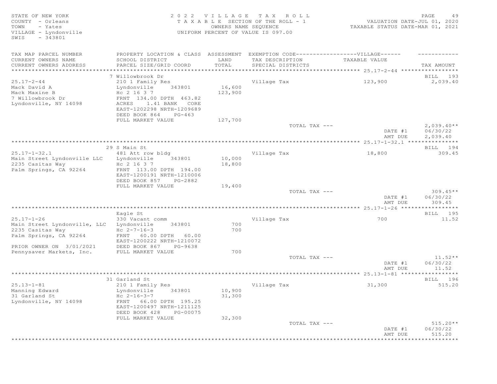STATE OF NEW YORK 2 0 2 2 V I L L A G E T A X R O L L PAGE 49 COUNTY - Orleans T A X A B L E SECTION OF THE ROLL - 1<br>TOWN - Yates DATES DATE: DOWNERS NAME SEQUENCE TOWN - Yates OWNERS NAME SEQUENCE TAXABLE STATUS DATE-MAR 01, 2021 VILLAGE - Lyndonville UNIFORM PERCENT OF VALUE IS 097.00 SWIS - 343801 TAX MAP PARCEL NUMBER PROPERTY LOCATION & CLASS ASSESSMENT EXEMPTION CODE-------------------VILLAGE------ ----------CURRENT OWNERS NAME SCHOOL DISTRICT LAND TAX DESCRIPTION TAXABLE VALUE CURRENT OWNERS ADDRESS PARCEL SIZE/GRID COORD TOTAL SPECIAL DISTRICTS TAX AMOUNT \*\*\*\*\*\*\*\*\*\*\*\*\*\*\*\*\*\*\*\*\*\*\*\*\*\*\*\*\*\*\*\*\*\*\*\*\*\*\*\*\*\*\*\*\*\*\*\*\*\*\*\*\*\*\*\*\*\*\*\*\*\*\*\*\*\*\*\*\*\*\*\*\*\*\*\*\*\*\*\*\*\*\*\*\*\*\*\*\*\*\*\*\*\*\*\*\*\*\*\*\*\*\* 25.17-2-44 \*\*\*\*\*\*\*\*\*\*\*\*\*\*\*\*\* 7 Willowbrook Dr BILL 193 25.17-2-44 210 1 Family Res Village Tax 123,900 2,039.40 Mack David A Charles and Lyndonville 343801 16,600 Mack Maxine B  $\,$  Hc 2 16 3 7  $\,$  123,900  $\,$ 7 Willowbrook Dr FRNT 134.00 DPTH 463.82 ACRES 1.41 BANK CORE EAST-1202298 NRTH-1209689 DEED BOOK 864 PG-463 FULL MARKET VALUE 127,700  $\sigma$  total tax  $---$  2,039.40\*\* DATE #1 06/30/22<br>AMT DUE 2,039.40 AMT DUE 2, 039.40 \*\*\*\*\*\*\*\*\*\*\*\*\*\*\*\*\*\*\*\*\*\*\*\*\*\*\*\*\*\*\*\*\*\*\*\*\*\*\*\*\*\*\*\*\*\*\*\*\*\*\*\*\*\*\*\*\*\*\*\*\*\*\*\*\*\*\*\*\*\*\*\*\*\*\*\*\*\*\*\*\*\*\*\*\*\*\*\*\*\*\*\*\*\*\*\*\*\*\*\*\*\*\* 25.17-1-32.1 \*\*\*\*\*\*\*\*\*\*\*\*\*\*\* 29 S Main St Bill and State Bill and State Bill and State Bill and State Bill and State Bill and State Bill and State Bill and State Bill and State Bill and State Bill and State Bill and State Bill and State Bill and State 25.17-1-32.1 481 Att row bldg Village Tax 18,800 309.45 Main Street Lyndonville LLC Lyndonville 343801 10,000 2235 Casitas Way Hc 2 16 3 7 18,800 Palm Springs, CA 92264 FRNT 113.00 DPTH 194.00 EAST-1200191 NRTH-1210006 DEED BOOK 857 PG-2882 FULL MARKET VALUE 19,400<br>TOTAL TAX --- $TOTAL$   $TAX$   $---$  309.45\*\* DATE #1 06/30/22 AMT DUE 309.45 \*\*\*\*\*\*\*\*\*\*\*\*\*\*\*\*\*\*\*\*\*\*\*\*\*\*\*\*\*\*\*\*\*\*\*\*\*\*\*\*\*\*\*\*\*\*\*\*\*\*\*\*\*\*\*\*\*\*\*\*\*\*\*\*\*\*\*\*\*\*\*\*\*\*\*\*\*\*\*\*\*\*\*\*\*\*\*\*\*\*\*\*\*\*\*\*\*\*\*\*\*\*\* 25.17-1-26 \*\*\*\*\*\*\*\*\*\*\*\*\*\*\*\*\* ergentling to the state of the state of the state of the state of the state of the state of the state of the state of the state of the state of the state of the state of the state of the state of the state of the state of 25.17-1-26 330 Vacant comm Village Tax 700 11.52 Main Street Lyndonville, LLC Lyndonville 343801 700<br>2235 Casitas Way Ho 2-7-16-3 700 2235 Casitas Way Hc 2-7-16-3 700 Palm Springs, CA 92264 FRNT 60.00 DPTH 60.00 EAST-1200222 NRTH-1210072 PRIOR OWNER ON 3/01/2021 DEED BOOK 867 PG-9638 Pennysaver Markets, Inc. FULL MARKET VALUE 700  $T$ OTAL TAX  $---$  11.52\*\* DATE #1 06/30/22<br>AMT DUE 11.52 AMT DUE  $11.52$ \*\*\*\*\*\*\*\*\*\*\*\*\*\*\*\*\*\*\*\*\*\*\*\*\*\*\*\*\*\*\*\*\*\*\*\*\*\*\*\*\*\*\*\*\*\*\*\*\*\*\*\*\*\*\*\*\*\*\*\*\*\*\*\*\*\*\*\*\*\*\*\*\*\*\*\*\*\*\*\*\*\*\*\*\*\*\*\*\*\*\*\*\*\*\*\*\*\*\*\*\*\*\* 25.13-1-81 \*\*\*\*\*\*\*\*\*\*\*\*\*\*\*\*\* 31 Garland St BILL 196 25.13-1-81 210 1 Family Res Village Tax 31,300 515.20 Manning Edward Lyndonville 343801 10,900 31 Garland St  $He$   $2-16-3-7$   $31,300$ Lyndonville, NY 14098 FRNT 66.00 DPTH 195.25 EAST-1200497 NRTH-1211125

DEED BOOK 428 PG-00075<br>FULL MARKET VALUE 32,300 FULL MARKET VALUE  $T$ OTAL TAX  $---$  515.20\*\* DATE #1 06/30/22 AMT DUE 515.20 \*\*\*\*\*\*\*\*\*\*\*\*\*\*\*\*\*\*\*\*\*\*\*\*\*\*\*\*\*\*\*\*\*\*\*\*\*\*\*\*\*\*\*\*\*\*\*\*\*\*\*\*\*\*\*\*\*\*\*\*\*\*\*\*\*\*\*\*\*\*\*\*\*\*\*\*\*\*\*\*\*\*\*\*\*\*\*\*\*\*\*\*\*\*\*\*\*\*\*\*\*\*\*\*\*\*\*\*\*\*\*\*\*\*\*\*\*\*\*\*\*\*\*\*\*\*\*\*\*\*\*\*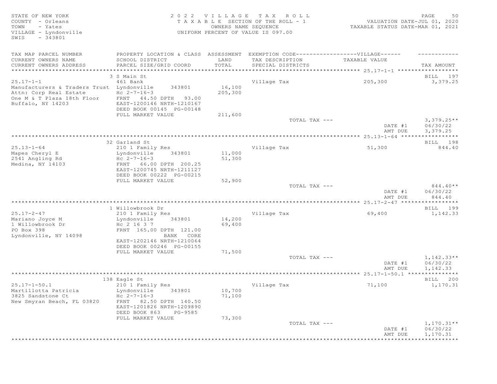| COUNTY - Orleans<br>T A X A B L E SECTION OF THE ROLL - 1<br>VALUATION DATE-JUL 01, 2020<br>- Yates<br>TOWN<br>OWNERS NAME SEQUENCE<br>TAXABLE STATUS DATE-MAR 01, 2021<br>VILLAGE - Lyndonville<br>UNIFORM PERCENT OF VALUE IS 097.00<br>SWIS<br>$-343801$<br>TAX MAP PARCEL NUMBER<br>PROPERTY LOCATION & CLASS ASSESSMENT EXEMPTION CODE----------------VILLAGE------<br>CURRENT OWNERS NAME<br>TAX DESCRIPTION<br>SCHOOL DISTRICT<br>LAND<br>TAXABLE VALUE<br>CURRENT OWNERS ADDRESS<br>TOTAL<br>PARCEL SIZE/GRID COORD<br>SPECIAL DISTRICTS<br>TAX AMOUNT<br>********************************<br>**********************<br>3 S Main St<br>BILL 197<br>$25.17 - 1 - 1$<br>Village Tax<br>461 Bank<br>205,300<br>3,379.25<br>16,100<br>Manufacturers & Traders Trust Lyndonville<br>343801<br>Attn: Corp Real Estate<br>Hc $2 - 7 - 16 - 3$<br>205,300<br>One M & T Plaza 18th Floor<br>FRNT 44.50 DPTH 93.00<br>Buffalo, NY 14203<br>EAST-1200146 NRTH-1210167<br>DEED BOOK 00145 PG-00148<br>FULL MARKET VALUE<br>211,600<br>TOTAL TAX ---<br>$3,379.25**$<br>DATE #1<br>06/30/22<br>3,379.25<br>AMT DUE<br>32 Garland St<br>BILL 198<br>$25.13 - 1 - 64$<br>210 1 Family Res<br>Village Tax<br>51,300<br>844.40<br>Mapes Cheryl E<br>11,000<br>Lyndonville<br>343801<br>2541 Angling Rd<br>Hc $2 - 7 - 16 - 3$<br>51,300<br>Medina, NY 14103<br>FRNT 66.00 DPTH 200.25<br>EAST-1200745 NRTH-1211127<br>DEED BOOK 00222 PG-00215<br>FULL MARKET VALUE<br>52,900<br>TOTAL TAX ---<br>$844.40**$<br>06/30/22<br>DATE #1<br>844.40<br>AMT DUE<br>1 Willowbrook Dr<br>BILL 199<br>$25.17 - 2 - 47$<br>Village Tax<br>69,400<br>1,142.33<br>210 1 Family Res<br>14,200<br>Mariano Joyce M<br>Lyndonville<br>343801<br>1 Willowbrook Dr<br>Hc 2 16 3 7<br>69,400<br>PO Box 398<br>FRNT 165.00 DPTH 121.00<br>Lyndonville, NY 14098<br>BANK CORE<br>EAST-1202146 NRTH-1210064<br>DEED BOOK 00246 PG-00155<br>71,500<br>FULL MARKET VALUE<br>TOTAL TAX ---<br>$1,142.33**$<br>DATE #1<br>06/30/22<br>AMT DUE<br>1,142.33<br>138 Eagle St<br>BILL 200<br>$25.17 - 1 - 50.1$<br>210 1 Family Res<br>Village Tax<br>71,100<br>1,170.31<br>10,700<br>Martillotta Patricia<br>Lyndonville<br>343801<br>3825 Sandstone Ct<br>$Hc \t2-7-16-3$<br>71,100<br>New Smyran Beach, FL 03820<br>FRNT 82.50 DPTH 140.50<br>EAST-1201826 NRTH-1209890<br>DEED BOOK 863<br>PG-9585<br>FULL MARKET VALUE<br>73,300<br>TOTAL TAX ---<br>$1,170.31**$<br>DATE #1<br>06/30/22<br>1,170.31<br>AMT DUE | STATE OF NEW YORK |  | 2022 VILLAGE TAX ROLL | 50<br>PAGE          |
|------------------------------------------------------------------------------------------------------------------------------------------------------------------------------------------------------------------------------------------------------------------------------------------------------------------------------------------------------------------------------------------------------------------------------------------------------------------------------------------------------------------------------------------------------------------------------------------------------------------------------------------------------------------------------------------------------------------------------------------------------------------------------------------------------------------------------------------------------------------------------------------------------------------------------------------------------------------------------------------------------------------------------------------------------------------------------------------------------------------------------------------------------------------------------------------------------------------------------------------------------------------------------------------------------------------------------------------------------------------------------------------------------------------------------------------------------------------------------------------------------------------------------------------------------------------------------------------------------------------------------------------------------------------------------------------------------------------------------------------------------------------------------------------------------------------------------------------------------------------------------------------------------------------------------------------------------------------------------------------------------------------------------------------------------------------------------------------------------------------------------------------------------------------------------------------------------------------------------------------------------------------------------------------------------------------------------------------------------------------------------------------------------------------------------------------------------------------------------|-------------------|--|-----------------------|---------------------|
|                                                                                                                                                                                                                                                                                                                                                                                                                                                                                                                                                                                                                                                                                                                                                                                                                                                                                                                                                                                                                                                                                                                                                                                                                                                                                                                                                                                                                                                                                                                                                                                                                                                                                                                                                                                                                                                                                                                                                                                                                                                                                                                                                                                                                                                                                                                                                                                                                                                                              |                   |  |                       |                     |
|                                                                                                                                                                                                                                                                                                                                                                                                                                                                                                                                                                                                                                                                                                                                                                                                                                                                                                                                                                                                                                                                                                                                                                                                                                                                                                                                                                                                                                                                                                                                                                                                                                                                                                                                                                                                                                                                                                                                                                                                                                                                                                                                                                                                                                                                                                                                                                                                                                                                              |                   |  |                       |                     |
|                                                                                                                                                                                                                                                                                                                                                                                                                                                                                                                                                                                                                                                                                                                                                                                                                                                                                                                                                                                                                                                                                                                                                                                                                                                                                                                                                                                                                                                                                                                                                                                                                                                                                                                                                                                                                                                                                                                                                                                                                                                                                                                                                                                                                                                                                                                                                                                                                                                                              |                   |  |                       |                     |
|                                                                                                                                                                                                                                                                                                                                                                                                                                                                                                                                                                                                                                                                                                                                                                                                                                                                                                                                                                                                                                                                                                                                                                                                                                                                                                                                                                                                                                                                                                                                                                                                                                                                                                                                                                                                                                                                                                                                                                                                                                                                                                                                                                                                                                                                                                                                                                                                                                                                              |                   |  |                       |                     |
|                                                                                                                                                                                                                                                                                                                                                                                                                                                                                                                                                                                                                                                                                                                                                                                                                                                                                                                                                                                                                                                                                                                                                                                                                                                                                                                                                                                                                                                                                                                                                                                                                                                                                                                                                                                                                                                                                                                                                                                                                                                                                                                                                                                                                                                                                                                                                                                                                                                                              |                   |  |                       |                     |
|                                                                                                                                                                                                                                                                                                                                                                                                                                                                                                                                                                                                                                                                                                                                                                                                                                                                                                                                                                                                                                                                                                                                                                                                                                                                                                                                                                                                                                                                                                                                                                                                                                                                                                                                                                                                                                                                                                                                                                                                                                                                                                                                                                                                                                                                                                                                                                                                                                                                              |                   |  |                       |                     |
|                                                                                                                                                                                                                                                                                                                                                                                                                                                                                                                                                                                                                                                                                                                                                                                                                                                                                                                                                                                                                                                                                                                                                                                                                                                                                                                                                                                                                                                                                                                                                                                                                                                                                                                                                                                                                                                                                                                                                                                                                                                                                                                                                                                                                                                                                                                                                                                                                                                                              |                   |  |                       |                     |
|                                                                                                                                                                                                                                                                                                                                                                                                                                                                                                                                                                                                                                                                                                                                                                                                                                                                                                                                                                                                                                                                                                                                                                                                                                                                                                                                                                                                                                                                                                                                                                                                                                                                                                                                                                                                                                                                                                                                                                                                                                                                                                                                                                                                                                                                                                                                                                                                                                                                              |                   |  |                       |                     |
|                                                                                                                                                                                                                                                                                                                                                                                                                                                                                                                                                                                                                                                                                                                                                                                                                                                                                                                                                                                                                                                                                                                                                                                                                                                                                                                                                                                                                                                                                                                                                                                                                                                                                                                                                                                                                                                                                                                                                                                                                                                                                                                                                                                                                                                                                                                                                                                                                                                                              |                   |  |                       |                     |
|                                                                                                                                                                                                                                                                                                                                                                                                                                                                                                                                                                                                                                                                                                                                                                                                                                                                                                                                                                                                                                                                                                                                                                                                                                                                                                                                                                                                                                                                                                                                                                                                                                                                                                                                                                                                                                                                                                                                                                                                                                                                                                                                                                                                                                                                                                                                                                                                                                                                              |                   |  |                       |                     |
|                                                                                                                                                                                                                                                                                                                                                                                                                                                                                                                                                                                                                                                                                                                                                                                                                                                                                                                                                                                                                                                                                                                                                                                                                                                                                                                                                                                                                                                                                                                                                                                                                                                                                                                                                                                                                                                                                                                                                                                                                                                                                                                                                                                                                                                                                                                                                                                                                                                                              |                   |  |                       |                     |
|                                                                                                                                                                                                                                                                                                                                                                                                                                                                                                                                                                                                                                                                                                                                                                                                                                                                                                                                                                                                                                                                                                                                                                                                                                                                                                                                                                                                                                                                                                                                                                                                                                                                                                                                                                                                                                                                                                                                                                                                                                                                                                                                                                                                                                                                                                                                                                                                                                                                              |                   |  |                       |                     |
|                                                                                                                                                                                                                                                                                                                                                                                                                                                                                                                                                                                                                                                                                                                                                                                                                                                                                                                                                                                                                                                                                                                                                                                                                                                                                                                                                                                                                                                                                                                                                                                                                                                                                                                                                                                                                                                                                                                                                                                                                                                                                                                                                                                                                                                                                                                                                                                                                                                                              |                   |  |                       |                     |
|                                                                                                                                                                                                                                                                                                                                                                                                                                                                                                                                                                                                                                                                                                                                                                                                                                                                                                                                                                                                                                                                                                                                                                                                                                                                                                                                                                                                                                                                                                                                                                                                                                                                                                                                                                                                                                                                                                                                                                                                                                                                                                                                                                                                                                                                                                                                                                                                                                                                              |                   |  |                       |                     |
|                                                                                                                                                                                                                                                                                                                                                                                                                                                                                                                                                                                                                                                                                                                                                                                                                                                                                                                                                                                                                                                                                                                                                                                                                                                                                                                                                                                                                                                                                                                                                                                                                                                                                                                                                                                                                                                                                                                                                                                                                                                                                                                                                                                                                                                                                                                                                                                                                                                                              |                   |  |                       |                     |
|                                                                                                                                                                                                                                                                                                                                                                                                                                                                                                                                                                                                                                                                                                                                                                                                                                                                                                                                                                                                                                                                                                                                                                                                                                                                                                                                                                                                                                                                                                                                                                                                                                                                                                                                                                                                                                                                                                                                                                                                                                                                                                                                                                                                                                                                                                                                                                                                                                                                              |                   |  |                       |                     |
|                                                                                                                                                                                                                                                                                                                                                                                                                                                                                                                                                                                                                                                                                                                                                                                                                                                                                                                                                                                                                                                                                                                                                                                                                                                                                                                                                                                                                                                                                                                                                                                                                                                                                                                                                                                                                                                                                                                                                                                                                                                                                                                                                                                                                                                                                                                                                                                                                                                                              |                   |  |                       |                     |
|                                                                                                                                                                                                                                                                                                                                                                                                                                                                                                                                                                                                                                                                                                                                                                                                                                                                                                                                                                                                                                                                                                                                                                                                                                                                                                                                                                                                                                                                                                                                                                                                                                                                                                                                                                                                                                                                                                                                                                                                                                                                                                                                                                                                                                                                                                                                                                                                                                                                              |                   |  |                       |                     |
|                                                                                                                                                                                                                                                                                                                                                                                                                                                                                                                                                                                                                                                                                                                                                                                                                                                                                                                                                                                                                                                                                                                                                                                                                                                                                                                                                                                                                                                                                                                                                                                                                                                                                                                                                                                                                                                                                                                                                                                                                                                                                                                                                                                                                                                                                                                                                                                                                                                                              |                   |  |                       |                     |
|                                                                                                                                                                                                                                                                                                                                                                                                                                                                                                                                                                                                                                                                                                                                                                                                                                                                                                                                                                                                                                                                                                                                                                                                                                                                                                                                                                                                                                                                                                                                                                                                                                                                                                                                                                                                                                                                                                                                                                                                                                                                                                                                                                                                                                                                                                                                                                                                                                                                              |                   |  |                       |                     |
|                                                                                                                                                                                                                                                                                                                                                                                                                                                                                                                                                                                                                                                                                                                                                                                                                                                                                                                                                                                                                                                                                                                                                                                                                                                                                                                                                                                                                                                                                                                                                                                                                                                                                                                                                                                                                                                                                                                                                                                                                                                                                                                                                                                                                                                                                                                                                                                                                                                                              |                   |  |                       |                     |
|                                                                                                                                                                                                                                                                                                                                                                                                                                                                                                                                                                                                                                                                                                                                                                                                                                                                                                                                                                                                                                                                                                                                                                                                                                                                                                                                                                                                                                                                                                                                                                                                                                                                                                                                                                                                                                                                                                                                                                                                                                                                                                                                                                                                                                                                                                                                                                                                                                                                              |                   |  |                       |                     |
|                                                                                                                                                                                                                                                                                                                                                                                                                                                                                                                                                                                                                                                                                                                                                                                                                                                                                                                                                                                                                                                                                                                                                                                                                                                                                                                                                                                                                                                                                                                                                                                                                                                                                                                                                                                                                                                                                                                                                                                                                                                                                                                                                                                                                                                                                                                                                                                                                                                                              |                   |  |                       |                     |
|                                                                                                                                                                                                                                                                                                                                                                                                                                                                                                                                                                                                                                                                                                                                                                                                                                                                                                                                                                                                                                                                                                                                                                                                                                                                                                                                                                                                                                                                                                                                                                                                                                                                                                                                                                                                                                                                                                                                                                                                                                                                                                                                                                                                                                                                                                                                                                                                                                                                              |                   |  |                       |                     |
|                                                                                                                                                                                                                                                                                                                                                                                                                                                                                                                                                                                                                                                                                                                                                                                                                                                                                                                                                                                                                                                                                                                                                                                                                                                                                                                                                                                                                                                                                                                                                                                                                                                                                                                                                                                                                                                                                                                                                                                                                                                                                                                                                                                                                                                                                                                                                                                                                                                                              |                   |  |                       |                     |
|                                                                                                                                                                                                                                                                                                                                                                                                                                                                                                                                                                                                                                                                                                                                                                                                                                                                                                                                                                                                                                                                                                                                                                                                                                                                                                                                                                                                                                                                                                                                                                                                                                                                                                                                                                                                                                                                                                                                                                                                                                                                                                                                                                                                                                                                                                                                                                                                                                                                              |                   |  |                       |                     |
|                                                                                                                                                                                                                                                                                                                                                                                                                                                                                                                                                                                                                                                                                                                                                                                                                                                                                                                                                                                                                                                                                                                                                                                                                                                                                                                                                                                                                                                                                                                                                                                                                                                                                                                                                                                                                                                                                                                                                                                                                                                                                                                                                                                                                                                                                                                                                                                                                                                                              |                   |  |                       |                     |
|                                                                                                                                                                                                                                                                                                                                                                                                                                                                                                                                                                                                                                                                                                                                                                                                                                                                                                                                                                                                                                                                                                                                                                                                                                                                                                                                                                                                                                                                                                                                                                                                                                                                                                                                                                                                                                                                                                                                                                                                                                                                                                                                                                                                                                                                                                                                                                                                                                                                              |                   |  |                       |                     |
|                                                                                                                                                                                                                                                                                                                                                                                                                                                                                                                                                                                                                                                                                                                                                                                                                                                                                                                                                                                                                                                                                                                                                                                                                                                                                                                                                                                                                                                                                                                                                                                                                                                                                                                                                                                                                                                                                                                                                                                                                                                                                                                                                                                                                                                                                                                                                                                                                                                                              |                   |  |                       |                     |
|                                                                                                                                                                                                                                                                                                                                                                                                                                                                                                                                                                                                                                                                                                                                                                                                                                                                                                                                                                                                                                                                                                                                                                                                                                                                                                                                                                                                                                                                                                                                                                                                                                                                                                                                                                                                                                                                                                                                                                                                                                                                                                                                                                                                                                                                                                                                                                                                                                                                              |                   |  |                       |                     |
|                                                                                                                                                                                                                                                                                                                                                                                                                                                                                                                                                                                                                                                                                                                                                                                                                                                                                                                                                                                                                                                                                                                                                                                                                                                                                                                                                                                                                                                                                                                                                                                                                                                                                                                                                                                                                                                                                                                                                                                                                                                                                                                                                                                                                                                                                                                                                                                                                                                                              |                   |  |                       |                     |
|                                                                                                                                                                                                                                                                                                                                                                                                                                                                                                                                                                                                                                                                                                                                                                                                                                                                                                                                                                                                                                                                                                                                                                                                                                                                                                                                                                                                                                                                                                                                                                                                                                                                                                                                                                                                                                                                                                                                                                                                                                                                                                                                                                                                                                                                                                                                                                                                                                                                              |                   |  |                       |                     |
|                                                                                                                                                                                                                                                                                                                                                                                                                                                                                                                                                                                                                                                                                                                                                                                                                                                                                                                                                                                                                                                                                                                                                                                                                                                                                                                                                                                                                                                                                                                                                                                                                                                                                                                                                                                                                                                                                                                                                                                                                                                                                                                                                                                                                                                                                                                                                                                                                                                                              |                   |  |                       |                     |
|                                                                                                                                                                                                                                                                                                                                                                                                                                                                                                                                                                                                                                                                                                                                                                                                                                                                                                                                                                                                                                                                                                                                                                                                                                                                                                                                                                                                                                                                                                                                                                                                                                                                                                                                                                                                                                                                                                                                                                                                                                                                                                                                                                                                                                                                                                                                                                                                                                                                              |                   |  |                       |                     |
|                                                                                                                                                                                                                                                                                                                                                                                                                                                                                                                                                                                                                                                                                                                                                                                                                                                                                                                                                                                                                                                                                                                                                                                                                                                                                                                                                                                                                                                                                                                                                                                                                                                                                                                                                                                                                                                                                                                                                                                                                                                                                                                                                                                                                                                                                                                                                                                                                                                                              |                   |  |                       |                     |
|                                                                                                                                                                                                                                                                                                                                                                                                                                                                                                                                                                                                                                                                                                                                                                                                                                                                                                                                                                                                                                                                                                                                                                                                                                                                                                                                                                                                                                                                                                                                                                                                                                                                                                                                                                                                                                                                                                                                                                                                                                                                                                                                                                                                                                                                                                                                                                                                                                                                              |                   |  |                       |                     |
|                                                                                                                                                                                                                                                                                                                                                                                                                                                                                                                                                                                                                                                                                                                                                                                                                                                                                                                                                                                                                                                                                                                                                                                                                                                                                                                                                                                                                                                                                                                                                                                                                                                                                                                                                                                                                                                                                                                                                                                                                                                                                                                                                                                                                                                                                                                                                                                                                                                                              |                   |  |                       |                     |
|                                                                                                                                                                                                                                                                                                                                                                                                                                                                                                                                                                                                                                                                                                                                                                                                                                                                                                                                                                                                                                                                                                                                                                                                                                                                                                                                                                                                                                                                                                                                                                                                                                                                                                                                                                                                                                                                                                                                                                                                                                                                                                                                                                                                                                                                                                                                                                                                                                                                              |                   |  |                       |                     |
|                                                                                                                                                                                                                                                                                                                                                                                                                                                                                                                                                                                                                                                                                                                                                                                                                                                                                                                                                                                                                                                                                                                                                                                                                                                                                                                                                                                                                                                                                                                                                                                                                                                                                                                                                                                                                                                                                                                                                                                                                                                                                                                                                                                                                                                                                                                                                                                                                                                                              |                   |  |                       |                     |
|                                                                                                                                                                                                                                                                                                                                                                                                                                                                                                                                                                                                                                                                                                                                                                                                                                                                                                                                                                                                                                                                                                                                                                                                                                                                                                                                                                                                                                                                                                                                                                                                                                                                                                                                                                                                                                                                                                                                                                                                                                                                                                                                                                                                                                                                                                                                                                                                                                                                              |                   |  |                       |                     |
|                                                                                                                                                                                                                                                                                                                                                                                                                                                                                                                                                                                                                                                                                                                                                                                                                                                                                                                                                                                                                                                                                                                                                                                                                                                                                                                                                                                                                                                                                                                                                                                                                                                                                                                                                                                                                                                                                                                                                                                                                                                                                                                                                                                                                                                                                                                                                                                                                                                                              |                   |  |                       |                     |
|                                                                                                                                                                                                                                                                                                                                                                                                                                                                                                                                                                                                                                                                                                                                                                                                                                                                                                                                                                                                                                                                                                                                                                                                                                                                                                                                                                                                                                                                                                                                                                                                                                                                                                                                                                                                                                                                                                                                                                                                                                                                                                                                                                                                                                                                                                                                                                                                                                                                              |                   |  |                       |                     |
|                                                                                                                                                                                                                                                                                                                                                                                                                                                                                                                                                                                                                                                                                                                                                                                                                                                                                                                                                                                                                                                                                                                                                                                                                                                                                                                                                                                                                                                                                                                                                                                                                                                                                                                                                                                                                                                                                                                                                                                                                                                                                                                                                                                                                                                                                                                                                                                                                                                                              |                   |  |                       |                     |
|                                                                                                                                                                                                                                                                                                                                                                                                                                                                                                                                                                                                                                                                                                                                                                                                                                                                                                                                                                                                                                                                                                                                                                                                                                                                                                                                                                                                                                                                                                                                                                                                                                                                                                                                                                                                                                                                                                                                                                                                                                                                                                                                                                                                                                                                                                                                                                                                                                                                              |                   |  |                       |                     |
|                                                                                                                                                                                                                                                                                                                                                                                                                                                                                                                                                                                                                                                                                                                                                                                                                                                                                                                                                                                                                                                                                                                                                                                                                                                                                                                                                                                                                                                                                                                                                                                                                                                                                                                                                                                                                                                                                                                                                                                                                                                                                                                                                                                                                                                                                                                                                                                                                                                                              |                   |  |                       |                     |
|                                                                                                                                                                                                                                                                                                                                                                                                                                                                                                                                                                                                                                                                                                                                                                                                                                                                                                                                                                                                                                                                                                                                                                                                                                                                                                                                                                                                                                                                                                                                                                                                                                                                                                                                                                                                                                                                                                                                                                                                                                                                                                                                                                                                                                                                                                                                                                                                                                                                              |                   |  |                       |                     |
|                                                                                                                                                                                                                                                                                                                                                                                                                                                                                                                                                                                                                                                                                                                                                                                                                                                                                                                                                                                                                                                                                                                                                                                                                                                                                                                                                                                                                                                                                                                                                                                                                                                                                                                                                                                                                                                                                                                                                                                                                                                                                                                                                                                                                                                                                                                                                                                                                                                                              |                   |  |                       |                     |
|                                                                                                                                                                                                                                                                                                                                                                                                                                                                                                                                                                                                                                                                                                                                                                                                                                                                                                                                                                                                                                                                                                                                                                                                                                                                                                                                                                                                                                                                                                                                                                                                                                                                                                                                                                                                                                                                                                                                                                                                                                                                                                                                                                                                                                                                                                                                                                                                                                                                              |                   |  |                       |                     |
|                                                                                                                                                                                                                                                                                                                                                                                                                                                                                                                                                                                                                                                                                                                                                                                                                                                                                                                                                                                                                                                                                                                                                                                                                                                                                                                                                                                                                                                                                                                                                                                                                                                                                                                                                                                                                                                                                                                                                                                                                                                                                                                                                                                                                                                                                                                                                                                                                                                                              |                   |  |                       |                     |
|                                                                                                                                                                                                                                                                                                                                                                                                                                                                                                                                                                                                                                                                                                                                                                                                                                                                                                                                                                                                                                                                                                                                                                                                                                                                                                                                                                                                                                                                                                                                                                                                                                                                                                                                                                                                                                                                                                                                                                                                                                                                                                                                                                                                                                                                                                                                                                                                                                                                              |                   |  |                       |                     |
|                                                                                                                                                                                                                                                                                                                                                                                                                                                                                                                                                                                                                                                                                                                                                                                                                                                                                                                                                                                                                                                                                                                                                                                                                                                                                                                                                                                                                                                                                                                                                                                                                                                                                                                                                                                                                                                                                                                                                                                                                                                                                                                                                                                                                                                                                                                                                                                                                                                                              |                   |  |                       |                     |
|                                                                                                                                                                                                                                                                                                                                                                                                                                                                                                                                                                                                                                                                                                                                                                                                                                                                                                                                                                                                                                                                                                                                                                                                                                                                                                                                                                                                                                                                                                                                                                                                                                                                                                                                                                                                                                                                                                                                                                                                                                                                                                                                                                                                                                                                                                                                                                                                                                                                              |                   |  |                       |                     |
|                                                                                                                                                                                                                                                                                                                                                                                                                                                                                                                                                                                                                                                                                                                                                                                                                                                                                                                                                                                                                                                                                                                                                                                                                                                                                                                                                                                                                                                                                                                                                                                                                                                                                                                                                                                                                                                                                                                                                                                                                                                                                                                                                                                                                                                                                                                                                                                                                                                                              |                   |  |                       |                     |
|                                                                                                                                                                                                                                                                                                                                                                                                                                                                                                                                                                                                                                                                                                                                                                                                                                                                                                                                                                                                                                                                                                                                                                                                                                                                                                                                                                                                                                                                                                                                                                                                                                                                                                                                                                                                                                                                                                                                                                                                                                                                                                                                                                                                                                                                                                                                                                                                                                                                              |                   |  |                       |                     |
|                                                                                                                                                                                                                                                                                                                                                                                                                                                                                                                                                                                                                                                                                                                                                                                                                                                                                                                                                                                                                                                                                                                                                                                                                                                                                                                                                                                                                                                                                                                                                                                                                                                                                                                                                                                                                                                                                                                                                                                                                                                                                                                                                                                                                                                                                                                                                                                                                                                                              |                   |  |                       |                     |
|                                                                                                                                                                                                                                                                                                                                                                                                                                                                                                                                                                                                                                                                                                                                                                                                                                                                                                                                                                                                                                                                                                                                                                                                                                                                                                                                                                                                                                                                                                                                                                                                                                                                                                                                                                                                                                                                                                                                                                                                                                                                                                                                                                                                                                                                                                                                                                                                                                                                              |                   |  |                       |                     |
|                                                                                                                                                                                                                                                                                                                                                                                                                                                                                                                                                                                                                                                                                                                                                                                                                                                                                                                                                                                                                                                                                                                                                                                                                                                                                                                                                                                                                                                                                                                                                                                                                                                                                                                                                                                                                                                                                                                                                                                                                                                                                                                                                                                                                                                                                                                                                                                                                                                                              |                   |  |                       | * * * * * * * * * * |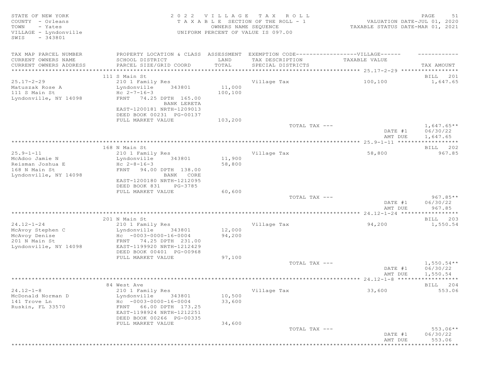| PROPERTY LOCATION & CLASS ASSESSMENT<br>EXEMPTION CODE------------------VILLAGE------<br>CURRENT OWNERS NAME<br>SCHOOL DISTRICT<br>LAND<br>TAX DESCRIPTION<br>TAXABLE VALUE<br>TOTAL<br>CURRENT OWNERS ADDRESS<br>PARCEL SIZE/GRID COORD<br>SPECIAL DISTRICTS<br>TAX AMOUNT<br>***********************<br>111 S Main St<br>BILL 201<br>1,647.65<br>210 1 Family Res<br>Village Tax<br>100,100<br>11,000<br>343801<br>Lyndonville<br>Hc $2 - 7 - 16 - 3$<br>100,100<br>FRNT 74.25 DPTH 165.00<br>BANK LERETA<br>EAST-1200181 NRTH-1209013<br>DEED BOOK 00231 PG-00137<br>FULL MARKET VALUE<br>103,200<br>$1,647.65**$<br>TOTAL TAX ---<br>DATE #1<br>06/30/22<br>AMT DUE<br>1,647.65<br>168 N Main St<br>BILL 202<br>$25.9 - 1 - 11$<br>967.85<br>210 1 Family Res<br>Village Tax<br>58,800<br>11,900<br>McAdoo Jamie N<br>Lyndonville<br>343801<br>Reisman Joshua E<br>Hc $2-8-16-3$<br>58,800<br>168 N Main St<br>FRNT<br>94.00 DPTH 138.00<br>Lyndonville, NY 14098<br>BANK CORE<br>EAST-1200180 NRTH-1212095<br>DEED BOOK 831<br>PG-3785<br>60,600<br>FULL MARKET VALUE<br>$967.85**$<br>TOTAL TAX ---<br>DATE #1<br>06/30/22<br>AMT DUE<br>967.85<br>$24.12 - 1 - 24$ *****************<br>201 N Main St<br>BILL 203<br>$24.12 - 1 - 24$<br>1,550.54<br>210 1 Family Res<br>Village Tax<br>94,200<br>12,000<br>McAvoy Stephen C<br>Lyndonville<br>343801<br>$Hc - 0003 - 0000 - 16 - 0004$<br>94,200<br>FRNT 74.25 DPTH 231.00<br>EAST-1199920 NRTH-1212429<br>DEED BOOK 00401 PG-00968<br>FULL MARKET VALUE<br>97,100<br>TOTAL TAX ---<br>$1,550.54**$<br>DATE #1<br>06/30/22<br>1,550.54<br>AMT DUE<br>84 West Ave<br>BILL 204<br>$24.12 - 1 - 8$<br>553.06<br>210 1 Family Res<br>Village Tax<br>33,600<br>343801<br>10,500<br>McDonald Norman D<br>Lyndonville<br>$HC -0003 -0000 -16 -0004$<br>33,600<br>66.00 DPTH 173.25<br>FRNT<br>EAST-1198924 NRTH-1212251<br>DEED BOOK 00266 PG-00335<br>FULL MARKET VALUE<br>34,600<br>TOTAL TAX ---<br>$553.06**$<br>DATE #1<br>06/30/22<br>553.06<br>AMT DUE | STATE OF NEW YORK<br>COUNTY - Orleans<br>TOWN<br>- Yates<br>VILLAGE - Lyndonville<br>SWIS<br>- 343801 | OWNERS NAME SEQUENCE | 2022 VILLAGE TAX ROLL<br>TAXABLE SECTION OF THE ROLL - 1<br>UNIFORM PERCENT OF VALUE IS 097.00 | VALUATION DATE-JUL 01, 2020<br>TAXABLE STATUS DATE-MAR 01, 2021 | PAGE<br>51 |
|----------------------------------------------------------------------------------------------------------------------------------------------------------------------------------------------------------------------------------------------------------------------------------------------------------------------------------------------------------------------------------------------------------------------------------------------------------------------------------------------------------------------------------------------------------------------------------------------------------------------------------------------------------------------------------------------------------------------------------------------------------------------------------------------------------------------------------------------------------------------------------------------------------------------------------------------------------------------------------------------------------------------------------------------------------------------------------------------------------------------------------------------------------------------------------------------------------------------------------------------------------------------------------------------------------------------------------------------------------------------------------------------------------------------------------------------------------------------------------------------------------------------------------------------------------------------------------------------------------------------------------------------------------------------------------------------------------------------------------------------------------------------------------------------------------------------------------------------------------------------------------------------------------------------------------------------------------------------------------------------------------------|-------------------------------------------------------------------------------------------------------|----------------------|------------------------------------------------------------------------------------------------|-----------------------------------------------------------------|------------|
|                                                                                                                                                                                                                                                                                                                                                                                                                                                                                                                                                                                                                                                                                                                                                                                                                                                                                                                                                                                                                                                                                                                                                                                                                                                                                                                                                                                                                                                                                                                                                                                                                                                                                                                                                                                                                                                                                                                                                                                                                | TAX MAP PARCEL NUMBER                                                                                 |                      |                                                                                                |                                                                 |            |
|                                                                                                                                                                                                                                                                                                                                                                                                                                                                                                                                                                                                                                                                                                                                                                                                                                                                                                                                                                                                                                                                                                                                                                                                                                                                                                                                                                                                                                                                                                                                                                                                                                                                                                                                                                                                                                                                                                                                                                                                                |                                                                                                       |                      |                                                                                                |                                                                 |            |
|                                                                                                                                                                                                                                                                                                                                                                                                                                                                                                                                                                                                                                                                                                                                                                                                                                                                                                                                                                                                                                                                                                                                                                                                                                                                                                                                                                                                                                                                                                                                                                                                                                                                                                                                                                                                                                                                                                                                                                                                                |                                                                                                       |                      |                                                                                                |                                                                 |            |
|                                                                                                                                                                                                                                                                                                                                                                                                                                                                                                                                                                                                                                                                                                                                                                                                                                                                                                                                                                                                                                                                                                                                                                                                                                                                                                                                                                                                                                                                                                                                                                                                                                                                                                                                                                                                                                                                                                                                                                                                                |                                                                                                       |                      |                                                                                                |                                                                 |            |
|                                                                                                                                                                                                                                                                                                                                                                                                                                                                                                                                                                                                                                                                                                                                                                                                                                                                                                                                                                                                                                                                                                                                                                                                                                                                                                                                                                                                                                                                                                                                                                                                                                                                                                                                                                                                                                                                                                                                                                                                                | $25.17 - 2 - 29$                                                                                      |                      |                                                                                                |                                                                 |            |
|                                                                                                                                                                                                                                                                                                                                                                                                                                                                                                                                                                                                                                                                                                                                                                                                                                                                                                                                                                                                                                                                                                                                                                                                                                                                                                                                                                                                                                                                                                                                                                                                                                                                                                                                                                                                                                                                                                                                                                                                                | Matuszak Rose A                                                                                       |                      |                                                                                                |                                                                 |            |
|                                                                                                                                                                                                                                                                                                                                                                                                                                                                                                                                                                                                                                                                                                                                                                                                                                                                                                                                                                                                                                                                                                                                                                                                                                                                                                                                                                                                                                                                                                                                                                                                                                                                                                                                                                                                                                                                                                                                                                                                                | 111 S Main St                                                                                         |                      |                                                                                                |                                                                 |            |
|                                                                                                                                                                                                                                                                                                                                                                                                                                                                                                                                                                                                                                                                                                                                                                                                                                                                                                                                                                                                                                                                                                                                                                                                                                                                                                                                                                                                                                                                                                                                                                                                                                                                                                                                                                                                                                                                                                                                                                                                                | Lyndonville, NY 14098                                                                                 |                      |                                                                                                |                                                                 |            |
|                                                                                                                                                                                                                                                                                                                                                                                                                                                                                                                                                                                                                                                                                                                                                                                                                                                                                                                                                                                                                                                                                                                                                                                                                                                                                                                                                                                                                                                                                                                                                                                                                                                                                                                                                                                                                                                                                                                                                                                                                |                                                                                                       |                      |                                                                                                |                                                                 |            |
|                                                                                                                                                                                                                                                                                                                                                                                                                                                                                                                                                                                                                                                                                                                                                                                                                                                                                                                                                                                                                                                                                                                                                                                                                                                                                                                                                                                                                                                                                                                                                                                                                                                                                                                                                                                                                                                                                                                                                                                                                |                                                                                                       |                      |                                                                                                |                                                                 |            |
|                                                                                                                                                                                                                                                                                                                                                                                                                                                                                                                                                                                                                                                                                                                                                                                                                                                                                                                                                                                                                                                                                                                                                                                                                                                                                                                                                                                                                                                                                                                                                                                                                                                                                                                                                                                                                                                                                                                                                                                                                |                                                                                                       |                      |                                                                                                |                                                                 |            |
|                                                                                                                                                                                                                                                                                                                                                                                                                                                                                                                                                                                                                                                                                                                                                                                                                                                                                                                                                                                                                                                                                                                                                                                                                                                                                                                                                                                                                                                                                                                                                                                                                                                                                                                                                                                                                                                                                                                                                                                                                |                                                                                                       |                      |                                                                                                |                                                                 |            |
|                                                                                                                                                                                                                                                                                                                                                                                                                                                                                                                                                                                                                                                                                                                                                                                                                                                                                                                                                                                                                                                                                                                                                                                                                                                                                                                                                                                                                                                                                                                                                                                                                                                                                                                                                                                                                                                                                                                                                                                                                |                                                                                                       |                      |                                                                                                |                                                                 |            |
|                                                                                                                                                                                                                                                                                                                                                                                                                                                                                                                                                                                                                                                                                                                                                                                                                                                                                                                                                                                                                                                                                                                                                                                                                                                                                                                                                                                                                                                                                                                                                                                                                                                                                                                                                                                                                                                                                                                                                                                                                |                                                                                                       |                      |                                                                                                |                                                                 |            |
|                                                                                                                                                                                                                                                                                                                                                                                                                                                                                                                                                                                                                                                                                                                                                                                                                                                                                                                                                                                                                                                                                                                                                                                                                                                                                                                                                                                                                                                                                                                                                                                                                                                                                                                                                                                                                                                                                                                                                                                                                |                                                                                                       |                      |                                                                                                |                                                                 |            |
|                                                                                                                                                                                                                                                                                                                                                                                                                                                                                                                                                                                                                                                                                                                                                                                                                                                                                                                                                                                                                                                                                                                                                                                                                                                                                                                                                                                                                                                                                                                                                                                                                                                                                                                                                                                                                                                                                                                                                                                                                |                                                                                                       |                      |                                                                                                |                                                                 |            |
|                                                                                                                                                                                                                                                                                                                                                                                                                                                                                                                                                                                                                                                                                                                                                                                                                                                                                                                                                                                                                                                                                                                                                                                                                                                                                                                                                                                                                                                                                                                                                                                                                                                                                                                                                                                                                                                                                                                                                                                                                |                                                                                                       |                      |                                                                                                |                                                                 |            |
|                                                                                                                                                                                                                                                                                                                                                                                                                                                                                                                                                                                                                                                                                                                                                                                                                                                                                                                                                                                                                                                                                                                                                                                                                                                                                                                                                                                                                                                                                                                                                                                                                                                                                                                                                                                                                                                                                                                                                                                                                |                                                                                                       |                      |                                                                                                |                                                                 |            |
|                                                                                                                                                                                                                                                                                                                                                                                                                                                                                                                                                                                                                                                                                                                                                                                                                                                                                                                                                                                                                                                                                                                                                                                                                                                                                                                                                                                                                                                                                                                                                                                                                                                                                                                                                                                                                                                                                                                                                                                                                |                                                                                                       |                      |                                                                                                |                                                                 |            |
|                                                                                                                                                                                                                                                                                                                                                                                                                                                                                                                                                                                                                                                                                                                                                                                                                                                                                                                                                                                                                                                                                                                                                                                                                                                                                                                                                                                                                                                                                                                                                                                                                                                                                                                                                                                                                                                                                                                                                                                                                |                                                                                                       |                      |                                                                                                |                                                                 |            |
|                                                                                                                                                                                                                                                                                                                                                                                                                                                                                                                                                                                                                                                                                                                                                                                                                                                                                                                                                                                                                                                                                                                                                                                                                                                                                                                                                                                                                                                                                                                                                                                                                                                                                                                                                                                                                                                                                                                                                                                                                |                                                                                                       |                      |                                                                                                |                                                                 |            |
|                                                                                                                                                                                                                                                                                                                                                                                                                                                                                                                                                                                                                                                                                                                                                                                                                                                                                                                                                                                                                                                                                                                                                                                                                                                                                                                                                                                                                                                                                                                                                                                                                                                                                                                                                                                                                                                                                                                                                                                                                |                                                                                                       |                      |                                                                                                |                                                                 |            |
|                                                                                                                                                                                                                                                                                                                                                                                                                                                                                                                                                                                                                                                                                                                                                                                                                                                                                                                                                                                                                                                                                                                                                                                                                                                                                                                                                                                                                                                                                                                                                                                                                                                                                                                                                                                                                                                                                                                                                                                                                |                                                                                                       |                      |                                                                                                |                                                                 |            |
|                                                                                                                                                                                                                                                                                                                                                                                                                                                                                                                                                                                                                                                                                                                                                                                                                                                                                                                                                                                                                                                                                                                                                                                                                                                                                                                                                                                                                                                                                                                                                                                                                                                                                                                                                                                                                                                                                                                                                                                                                |                                                                                                       |                      |                                                                                                |                                                                 |            |
|                                                                                                                                                                                                                                                                                                                                                                                                                                                                                                                                                                                                                                                                                                                                                                                                                                                                                                                                                                                                                                                                                                                                                                                                                                                                                                                                                                                                                                                                                                                                                                                                                                                                                                                                                                                                                                                                                                                                                                                                                |                                                                                                       |                      |                                                                                                |                                                                 |            |
|                                                                                                                                                                                                                                                                                                                                                                                                                                                                                                                                                                                                                                                                                                                                                                                                                                                                                                                                                                                                                                                                                                                                                                                                                                                                                                                                                                                                                                                                                                                                                                                                                                                                                                                                                                                                                                                                                                                                                                                                                |                                                                                                       |                      |                                                                                                |                                                                 |            |
|                                                                                                                                                                                                                                                                                                                                                                                                                                                                                                                                                                                                                                                                                                                                                                                                                                                                                                                                                                                                                                                                                                                                                                                                                                                                                                                                                                                                                                                                                                                                                                                                                                                                                                                                                                                                                                                                                                                                                                                                                |                                                                                                       |                      |                                                                                                |                                                                 |            |
|                                                                                                                                                                                                                                                                                                                                                                                                                                                                                                                                                                                                                                                                                                                                                                                                                                                                                                                                                                                                                                                                                                                                                                                                                                                                                                                                                                                                                                                                                                                                                                                                                                                                                                                                                                                                                                                                                                                                                                                                                |                                                                                                       |                      |                                                                                                |                                                                 |            |
|                                                                                                                                                                                                                                                                                                                                                                                                                                                                                                                                                                                                                                                                                                                                                                                                                                                                                                                                                                                                                                                                                                                                                                                                                                                                                                                                                                                                                                                                                                                                                                                                                                                                                                                                                                                                                                                                                                                                                                                                                | McAvoy Denise                                                                                         |                      |                                                                                                |                                                                 |            |
|                                                                                                                                                                                                                                                                                                                                                                                                                                                                                                                                                                                                                                                                                                                                                                                                                                                                                                                                                                                                                                                                                                                                                                                                                                                                                                                                                                                                                                                                                                                                                                                                                                                                                                                                                                                                                                                                                                                                                                                                                | 201 N Main St                                                                                         |                      |                                                                                                |                                                                 |            |
|                                                                                                                                                                                                                                                                                                                                                                                                                                                                                                                                                                                                                                                                                                                                                                                                                                                                                                                                                                                                                                                                                                                                                                                                                                                                                                                                                                                                                                                                                                                                                                                                                                                                                                                                                                                                                                                                                                                                                                                                                | Lyndonville, NY 14098                                                                                 |                      |                                                                                                |                                                                 |            |
|                                                                                                                                                                                                                                                                                                                                                                                                                                                                                                                                                                                                                                                                                                                                                                                                                                                                                                                                                                                                                                                                                                                                                                                                                                                                                                                                                                                                                                                                                                                                                                                                                                                                                                                                                                                                                                                                                                                                                                                                                |                                                                                                       |                      |                                                                                                |                                                                 |            |
|                                                                                                                                                                                                                                                                                                                                                                                                                                                                                                                                                                                                                                                                                                                                                                                                                                                                                                                                                                                                                                                                                                                                                                                                                                                                                                                                                                                                                                                                                                                                                                                                                                                                                                                                                                                                                                                                                                                                                                                                                |                                                                                                       |                      |                                                                                                |                                                                 |            |
|                                                                                                                                                                                                                                                                                                                                                                                                                                                                                                                                                                                                                                                                                                                                                                                                                                                                                                                                                                                                                                                                                                                                                                                                                                                                                                                                                                                                                                                                                                                                                                                                                                                                                                                                                                                                                                                                                                                                                                                                                |                                                                                                       |                      |                                                                                                |                                                                 |            |
|                                                                                                                                                                                                                                                                                                                                                                                                                                                                                                                                                                                                                                                                                                                                                                                                                                                                                                                                                                                                                                                                                                                                                                                                                                                                                                                                                                                                                                                                                                                                                                                                                                                                                                                                                                                                                                                                                                                                                                                                                |                                                                                                       |                      |                                                                                                |                                                                 |            |
|                                                                                                                                                                                                                                                                                                                                                                                                                                                                                                                                                                                                                                                                                                                                                                                                                                                                                                                                                                                                                                                                                                                                                                                                                                                                                                                                                                                                                                                                                                                                                                                                                                                                                                                                                                                                                                                                                                                                                                                                                |                                                                                                       |                      |                                                                                                |                                                                 |            |
|                                                                                                                                                                                                                                                                                                                                                                                                                                                                                                                                                                                                                                                                                                                                                                                                                                                                                                                                                                                                                                                                                                                                                                                                                                                                                                                                                                                                                                                                                                                                                                                                                                                                                                                                                                                                                                                                                                                                                                                                                |                                                                                                       |                      |                                                                                                |                                                                 |            |
|                                                                                                                                                                                                                                                                                                                                                                                                                                                                                                                                                                                                                                                                                                                                                                                                                                                                                                                                                                                                                                                                                                                                                                                                                                                                                                                                                                                                                                                                                                                                                                                                                                                                                                                                                                                                                                                                                                                                                                                                                |                                                                                                       |                      |                                                                                                |                                                                 |            |
|                                                                                                                                                                                                                                                                                                                                                                                                                                                                                                                                                                                                                                                                                                                                                                                                                                                                                                                                                                                                                                                                                                                                                                                                                                                                                                                                                                                                                                                                                                                                                                                                                                                                                                                                                                                                                                                                                                                                                                                                                |                                                                                                       |                      |                                                                                                |                                                                 |            |
|                                                                                                                                                                                                                                                                                                                                                                                                                                                                                                                                                                                                                                                                                                                                                                                                                                                                                                                                                                                                                                                                                                                                                                                                                                                                                                                                                                                                                                                                                                                                                                                                                                                                                                                                                                                                                                                                                                                                                                                                                | 141 Trove Ln                                                                                          |                      |                                                                                                |                                                                 |            |
|                                                                                                                                                                                                                                                                                                                                                                                                                                                                                                                                                                                                                                                                                                                                                                                                                                                                                                                                                                                                                                                                                                                                                                                                                                                                                                                                                                                                                                                                                                                                                                                                                                                                                                                                                                                                                                                                                                                                                                                                                | Ruskin, FL 33570                                                                                      |                      |                                                                                                |                                                                 |            |
|                                                                                                                                                                                                                                                                                                                                                                                                                                                                                                                                                                                                                                                                                                                                                                                                                                                                                                                                                                                                                                                                                                                                                                                                                                                                                                                                                                                                                                                                                                                                                                                                                                                                                                                                                                                                                                                                                                                                                                                                                |                                                                                                       |                      |                                                                                                |                                                                 |            |
|                                                                                                                                                                                                                                                                                                                                                                                                                                                                                                                                                                                                                                                                                                                                                                                                                                                                                                                                                                                                                                                                                                                                                                                                                                                                                                                                                                                                                                                                                                                                                                                                                                                                                                                                                                                                                                                                                                                                                                                                                |                                                                                                       |                      |                                                                                                |                                                                 |            |
|                                                                                                                                                                                                                                                                                                                                                                                                                                                                                                                                                                                                                                                                                                                                                                                                                                                                                                                                                                                                                                                                                                                                                                                                                                                                                                                                                                                                                                                                                                                                                                                                                                                                                                                                                                                                                                                                                                                                                                                                                |                                                                                                       |                      |                                                                                                |                                                                 |            |
|                                                                                                                                                                                                                                                                                                                                                                                                                                                                                                                                                                                                                                                                                                                                                                                                                                                                                                                                                                                                                                                                                                                                                                                                                                                                                                                                                                                                                                                                                                                                                                                                                                                                                                                                                                                                                                                                                                                                                                                                                |                                                                                                       |                      |                                                                                                |                                                                 |            |
|                                                                                                                                                                                                                                                                                                                                                                                                                                                                                                                                                                                                                                                                                                                                                                                                                                                                                                                                                                                                                                                                                                                                                                                                                                                                                                                                                                                                                                                                                                                                                                                                                                                                                                                                                                                                                                                                                                                                                                                                                |                                                                                                       |                      |                                                                                                |                                                                 |            |
| * * * * * * *                                                                                                                                                                                                                                                                                                                                                                                                                                                                                                                                                                                                                                                                                                                                                                                                                                                                                                                                                                                                                                                                                                                                                                                                                                                                                                                                                                                                                                                                                                                                                                                                                                                                                                                                                                                                                                                                                                                                                                                                  |                                                                                                       |                      |                                                                                                |                                                                 |            |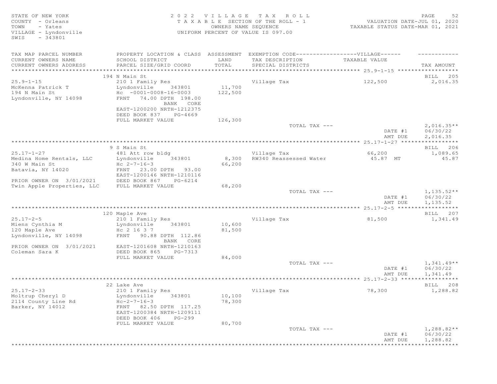# STATE OF NEW YORK SALL SALL AS A LOCAL CONSTRUCTED A LOCAL CONSTRUCTION OF A LOCAL CONSTRUCTION OF A LOCAL CONSTRUCTION OF A LOCAL CONSTRUCTION OF A LOCAL CONSTRUCTION OF A LOCAL CONSTRUCTION OF A LOCAL CONSTRUCTION OF A L COUNTY - Orleans T A X A B L E SECTION OF THE ROLL - 1 VALUATION DATE-JUL 01, 2020 TOWN - Yates OWNERS NAME SEQUENCE TAXABLE STATUS DATE-MAR 01, 2021 VILLAGE - Lyndonville UNIFORM PERCENT OF VALUE IS 097.00

| TAX MAP PARCEL NUMBER<br>CURRENT OWNERS NAME                | PROPERTY LOCATION & CLASS ASSESSMENT<br>SCHOOL DISTRICT                                        | LAND              | EXEMPTION CODE------------------VILLAGE------<br>TAX DESCRIPTION | TAXABLE VALUE      |                                      |
|-------------------------------------------------------------|------------------------------------------------------------------------------------------------|-------------------|------------------------------------------------------------------|--------------------|--------------------------------------|
| CURRENT OWNERS ADDRESS<br>***********************           | PARCEL SIZE/GRID COORD<br>********************************                                     | TOTAL             | SPECIAL DISTRICTS                                                |                    | TAX AMOUNT                           |
|                                                             | 194 N Main St                                                                                  |                   |                                                                  |                    | BILL 205                             |
| $25.9 - 1 - 15$                                             | 210 1 Family Res                                                                               |                   | Village Tax                                                      | 122,500            | 2,016.35                             |
| McKenna Patrick T<br>194 N Main St<br>Lyndonville, NY 14098 | Lyndonville<br>343801<br>$Hc - 0001 - 0008 - 16 - 0003$<br>FRNT 74.00 DPTH 198.00<br>BANK CORE | 11,700<br>122,500 |                                                                  |                    |                                      |
|                                                             | EAST-1200200 NRTH-1212375<br>DEED BOOK 837<br>PG-4669                                          |                   |                                                                  |                    |                                      |
|                                                             | FULL MARKET VALUE                                                                              | 126,300           |                                                                  |                    |                                      |
|                                                             |                                                                                                |                   | TOTAL TAX ---                                                    | DATE #1<br>AMT DUE | $2,016.35**$<br>06/30/22<br>2,016.35 |
|                                                             |                                                                                                |                   |                                                                  |                    | ***********                          |
|                                                             | 9 S Main St                                                                                    |                   |                                                                  |                    | BILL 206                             |
| $25.17 - 1 - 27$                                            | 481 Att row bldg                                                                               |                   | Village Tax                                                      | 66,200             | 1,089.65                             |
| Medina Home Rentals, LLC                                    | Lyndonville<br>343801                                                                          | 8,300             | RW340 Reassessed Water                                           | 45.87 MT           | 45.87                                |
| 340 W Main St                                               | $Hc 2-7-16-3$                                                                                  | 66,200            |                                                                  |                    |                                      |
| Batavia, NY 14020                                           | FRNT 23.00 DPTH 93.00<br>EAST-1200146 NRTH-1210116                                             |                   |                                                                  |                    |                                      |
| PRIOR OWNER ON 3/01/2021                                    | DEED BOOK 867<br>PG-6214                                                                       |                   |                                                                  |                    |                                      |
| Twin Apple Properties, LLC                                  | FULL MARKET VALUE                                                                              | 68,200            |                                                                  |                    |                                      |
|                                                             |                                                                                                |                   | TOTAL TAX ---                                                    |                    | $1,135.52**$                         |
|                                                             |                                                                                                |                   |                                                                  | DATE #1            | 06/30/22                             |
|                                                             |                                                                                                |                   |                                                                  | AMT DUE            | 1,135.52                             |
|                                                             | 120 Maple Ave                                                                                  |                   |                                                                  |                    | * * * * * * * * * * *<br>BILL 207    |
| $25.17 - 2 - 5$                                             | 210 1 Family Res                                                                               |                   | Village Tax                                                      | 81,500             | 1,341.49                             |
| Miens Cynthia M                                             | Lyndonville<br>343801                                                                          | 10,600            |                                                                  |                    |                                      |
| 120 Maple Ave                                               | Hc 2 16 3 7                                                                                    | 81,500            |                                                                  |                    |                                      |
| Lyndonville, NY 14098                                       | FRNT 90.88 DPTH 112.86<br>BANK CORE                                                            |                   |                                                                  |                    |                                      |
| PRIOR OWNER ON 3/01/2021                                    | EAST-1201608 NRTH-1210163                                                                      |                   |                                                                  |                    |                                      |
| Coleman Sara K                                              | DEED BOOK 865<br>PG-7313                                                                       |                   |                                                                  |                    |                                      |
|                                                             | FULL MARKET VALUE                                                                              | 84,000            |                                                                  |                    |                                      |
|                                                             |                                                                                                |                   | TOTAL TAX ---                                                    |                    | $1,341.49**$                         |
|                                                             |                                                                                                |                   |                                                                  | DATE #1            | 06/30/22                             |
|                                                             |                                                                                                |                   |                                                                  | AMT DUE            | 1,341.49                             |
|                                                             |                                                                                                |                   |                                                                  |                    |                                      |
|                                                             | 22 Lake Ave                                                                                    |                   |                                                                  |                    | BILL 208                             |
| $25.17 - 2 - 33$                                            | 210 1 Family Res                                                                               |                   | Village Tax                                                      | 78,300             | 1,288.82                             |
| Moltrup Cheryl D<br>2114 County Line Rd                     | Lyndonville<br>343801<br>$Hc-2-7-16-3$                                                         | 10,100<br>78,300  |                                                                  |                    |                                      |
| Barker, NY 14012                                            | FRNT 82.50 DPTH 117.25<br>EAST-1200384 NRTH-1209111                                            |                   |                                                                  |                    |                                      |
|                                                             | DEED BOOK 406<br>$PG-299$                                                                      |                   |                                                                  |                    |                                      |
|                                                             | FULL MARKET VALUE                                                                              | 80,700            |                                                                  |                    |                                      |
|                                                             |                                                                                                |                   | TOTAL TAX ---                                                    |                    | $1,288.82**$                         |
|                                                             |                                                                                                |                   |                                                                  | DATE #1            | 06/30/22                             |
|                                                             |                                                                                                |                   |                                                                  | AMT DUE            | 1,288.82                             |
|                                                             |                                                                                                |                   |                                                                  |                    | **********                           |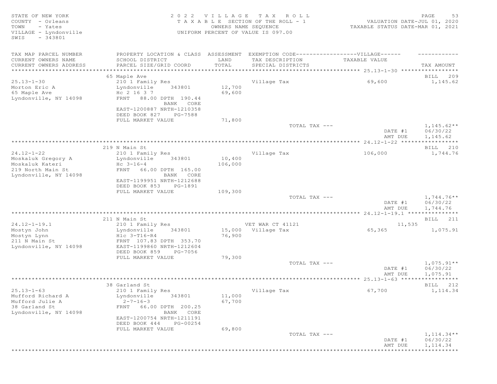| TAX MAP PARCEL NUMBER<br>PROPERTY LOCATION & CLASS ASSESSMENT EXEMPTION CODE-----------------VILLAGE------                                                                                                                                              |                                       |
|---------------------------------------------------------------------------------------------------------------------------------------------------------------------------------------------------------------------------------------------------------|---------------------------------------|
| CURRENT OWNERS NAME<br>SCHOOL DISTRICT<br>LAND<br>TAX DESCRIPTION<br>TAXABLE VALUE<br>TOTAL<br>CURRENT OWNERS ADDRESS<br>PARCEL SIZE/GRID COORD<br>SPECIAL DISTRICTS                                                                                    | TAX AMOUNT                            |
|                                                                                                                                                                                                                                                         |                                       |
| 65 Maple Ave                                                                                                                                                                                                                                            | BILL 209                              |
| $25.13 - 1 - 30$<br>Village Tax<br>69,600<br>210 1 Family Res                                                                                                                                                                                           | 1,145.62                              |
| Morton Eric A<br>12,700<br>Lyndonville<br>343801<br>65 Maple Ave<br>Hc 2 16 3 7<br>69,600<br>Lyndonville, NY 14098<br>FRNT 88.00 DPTH 190.44<br>BANK CORE                                                                                               |                                       |
| EAST-1200887 NRTH-1210358<br>DEED BOOK 827<br>PG-7588                                                                                                                                                                                                   |                                       |
| 71,800<br>FULL MARKET VALUE                                                                                                                                                                                                                             |                                       |
| TOTAL TAX ---<br>DATE #1<br>AMT DUE                                                                                                                                                                                                                     | $1,145.62**$<br>06/30/22<br>1,145.62  |
|                                                                                                                                                                                                                                                         |                                       |
| 219 N Main St<br>$24.12 - 1 - 22$                                                                                                                                                                                                                       | BILL 210                              |
| 210 1 Family Res<br>Village Tax<br>106,000<br>10,400<br>343801<br>Moskaluk Gregory A<br>Lyndonville                                                                                                                                                     | 1,744.76                              |
| Moskaluk Kateri<br>$Hc \t3-16-4$<br>106,000<br>219 North Main St<br>FRNT<br>66.00 DPTH 165.00<br>Lyndonville, NY 14098<br>BANK CORE<br>EAST-1199951 NRTH-1212688<br>DEED BOOK 853<br>PG-1891                                                            |                                       |
| 109,300<br>FULL MARKET VALUE                                                                                                                                                                                                                            |                                       |
| TOTAL TAX ---<br>DATE #1<br>AMT DUE                                                                                                                                                                                                                     | $1,744.76**$<br>06/30/22<br>1,744.76  |
|                                                                                                                                                                                                                                                         |                                       |
| 211 N Main St                                                                                                                                                                                                                                           | BILL 211                              |
| $24.12 - 1 - 19.1$<br>VET WAR CT 41121<br>11,535<br>210 1 Family Res<br>65,365<br>343801<br>15,000 Village Tax<br>Mostyn John<br>Lyndonville                                                                                                            | 1,075.91                              |
| Hlc 3-T16-R4<br>76,900<br>Mostyn Lynn<br>211 N Main St<br>FRNT 107.83 DPTH 353.70<br>EAST-1199860 NRTH-1212604<br>Lyndonville, NY 14098<br>DEED BOOK 859<br>PG-7056                                                                                     |                                       |
| FULL MARKET VALUE<br>79,300<br>TOTAL TAX ---<br>DATE #1<br>AMT DUE                                                                                                                                                                                      | $1,075.91**$<br>06/30/22<br>1,075.91  |
|                                                                                                                                                                                                                                                         | ***********                           |
| 38 Garland St                                                                                                                                                                                                                                           | BILL 212                              |
| $25.13 - 1 - 63$<br>67,700<br>210 1 Family Res<br>Village Tax<br>Mufford Richard A<br>Lyndonville<br>343801<br>11,000<br>67,700<br>Mufford Julie A<br>$2 - 7 - 16 - 3$<br>38 Garland St<br>FRNT 66.00 DPTH 200.25<br>Lyndonville, NY 14098<br>BANK CORE | 1,114.34                              |
| EAST-1200754 NRTH-1211191<br>DEED BOOK 444<br>PG-00254<br>69,800<br>FULL MARKET VALUE                                                                                                                                                                   |                                       |
| TOTAL TAX ---<br>DATE #1<br>AMT DUE                                                                                                                                                                                                                     | $1,114.34**$<br>06/30/22<br>1, 114.34 |
|                                                                                                                                                                                                                                                         | ***********                           |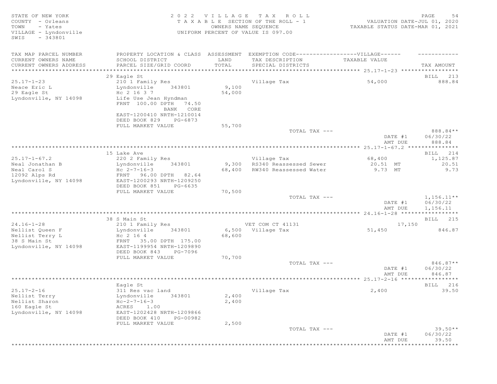STATE OF NEW YORK SALL SALL A GUID CONSUMING THE SALL CONSUMING THE SALL CONSUMING THE SALL CONSUMING THE SALL COUNTY - Orleans T A X A B L E SECTION OF THE ROLL - 1 VALUATION DATE-JUL 01, 2020 TOWN - Yates OWNERS NAME SEQUENCE TAXABLE STATUS DATE-MAR 01, 2021 VILLAGE - Lyndonville UNIFORM PERCENT OF VALUE IS 097.00 TOWN - Yates<br>
VILLAGE - Lyndonville<br>
SWIS - 343801 - 343801 TAX MAP PARCEL NUMBER PROPERTY LOCATION & CLASS ASSESSMENT EXEMPTION CODE------------------VILLAGE------ ------------ CURRENT OWNERS NAME SCHOOL DISTRICT LAND TAX DESCRIPTION TAXABLE VALUE CURRENT OWNERS ADDRESS PARCEL SIZE/GRID COORD TOTAL SPECIAL DISTRICTS TAX AMOUNT \*\*\*\*\*\*\*\*\*\*\*\*\*\*\*\*\*\*\*\*\*\*\*\*\*\*\*\*\*\*\*\*\*\*\*\*\*\*\*\*\*\*\*\*\*\*\*\*\*\*\*\*\*\*\*\*\*\*\*\*\*\*\*\*\*\*\*\*\*\*\*\*\*\*\*\*\*\*\*\*\*\*\*\*\*\*\*\*\*\*\*\*\*\*\*\*\*\*\*\*\*\*\* 25.17-1-23 \*\*\*\*\*\*\*\*\*\*\*\*\*\*\*\*\* 29 Eagle St and the state of the state of the state of the state of the state of the state of the state of the state of the state of the state of the state of the state of the state of the state of the state of the state o 25.17-1-23 210 1 Family Res Village Tax 54,000 888.84 Neace Eric Letter and Lyndonville 1943801 and 19,100 29 Eagle St Hc 2 16 3 7 54,000 Neace Eric L<br>
29 Eagle St<br>
Lyndonville, NY 14098 Life Use Jean Hyndman FRNT 100.00 DPTH 74.50 BANK CORE EAST-1200410 NRTH-1210014 DEED BOOK 829 PG-6873 FULL MARKET VALUE 55,700<br>TOTAL TAX ---TOTAL TAX  $---$  888.84  $*$  DATE #1 06/30/22 AMT DUE 888.84 \*\*\*\*\*\*\*\*\*\*\*\*\*\*\*\*\*\*\*\*\*\*\*\*\*\*\*\*\*\*\*\*\*\*\*\*\*\*\*\*\*\*\*\*\*\*\*\*\*\*\*\*\*\*\*\*\*\*\*\*\*\*\*\*\*\*\*\*\*\*\*\*\*\*\*\*\*\*\*\*\*\*\*\*\*\*\*\*\*\*\*\*\*\*\*\*\*\*\*\*\*\*\* 25.17-1-67.2 \*\*\*\*\*\*\*\*\*\*\*\*\*\*\* 15 Lake Ave BILL 214 25.17-1-67.2 220 2 Family Res Village Tax 68,400 1,125.87 Neal Jonathan B Lyndonville 343801 9,300 RS340 Reassessed Sewer 20.51 MT 20.51 Neal Carol S Hc 2-7-16-3 68,400 RW340 Reassessed Water 9.73 MT 9.73 12092 Alps Rd FRNT 96.00 DPTH 82.64 Lyndonville, NY 14098 EAST-1200293 NRTH-1209250 DEED BOOK 851 PG-6635 FULL MARKET VALUE 70,500 TOTAL TAX  $-- 1,156.11**$ DATE #1 06/30/22<br>AMT DUE 1,156.11 AMT DUE 1, 156.11 \*\*\*\*\*\*\*\*\*\*\*\*\*\*\*\*\*\*\*\*\*\*\*\*\*\*\*\*\*\*\*\*\*\*\*\*\*\*\*\*\*\*\*\*\*\*\*\*\*\*\*\*\*\*\*\*\*\*\*\*\*\*\*\*\*\*\*\*\*\*\*\*\*\*\*\*\*\*\*\*\*\*\*\*\*\*\*\*\*\*\*\*\*\*\*\*\*\*\*\*\*\*\* 24.16-1-28 \*\*\*\*\*\*\*\*\*\*\*\*\*\*\*\*\* 38 S Main St Bill 215 24.16-1-28 210 1 Family Res VET COM CT 41131 216-1-28 21,150 Nellist Queen F Lyndonville 343801 6,500 Village Tax 51,450 846.87 Nellist Terry L  $\overline{h}$  Hc 2 16 4 68,600 38 S Main St FRNT 35.00 DPTH 175.00 Lyndonville, NY 14098 EAST-1199954 NRTH-1209890 DEED BOOK 843 PG-7096 FULL MARKET VALUE 70,700<br>TOTAL TAX ---TOTAL TAX  $---$  846.87\*\* DATE #1 06/30/22 AMT DUE 846.87 \*\*\*\*\*\*\*\*\*\*\*\*\*\*\*\*\*\*\*\*\*\*\*\*\*\*\*\*\*\*\*\*\*\*\*\*\*\*\*\*\*\*\*\*\*\*\*\*\*\*\*\*\*\*\*\*\*\*\*\*\*\*\*\*\*\*\*\*\*\*\*\*\*\*\*\*\*\*\*\*\*\*\*\*\*\*\*\*\*\*\*\*\*\*\*\*\*\*\*\*\*\*\* 25.17-2-16 \*\*\*\*\*\*\*\*\*\*\*\*\*\*\*\*\* Eagle St and the state of the state of the state of the state of the state of the state of the state of the state of the state of the state of the state of the state of the state of the state of the state of the state of t 25.17-2-16 311 Res vac land Village Tax 2,400 39.50 Nellist Terry **Example 19** Lyndonville 343801 2,400 Nellist Sharon  $HC-2-7-16-3$  2,400 Nellist Sharon<br>
160 Eagle St (1.00)<br>
Lyndonville, NY 14098 (EAST-1202428 N Lyndonville, NY 14098 EAST-1202428 NRTH-1209866 DEED BOOK 410 PG-00982 FULL MARKET VALUE  $2,500$ <br>TOTAL TAX --- $\text{total } \text{MAX}$  ---  $\text{39.50**}$  DATE #1 06/30/22 AMT DUE 39.50 \*\*\*\*\*\*\*\*\*\*\*\*\*\*\*\*\*\*\*\*\*\*\*\*\*\*\*\*\*\*\*\*\*\*\*\*\*\*\*\*\*\*\*\*\*\*\*\*\*\*\*\*\*\*\*\*\*\*\*\*\*\*\*\*\*\*\*\*\*\*\*\*\*\*\*\*\*\*\*\*\*\*\*\*\*\*\*\*\*\*\*\*\*\*\*\*\*\*\*\*\*\*\*\*\*\*\*\*\*\*\*\*\*\*\*\*\*\*\*\*\*\*\*\*\*\*\*\*\*\*\*\*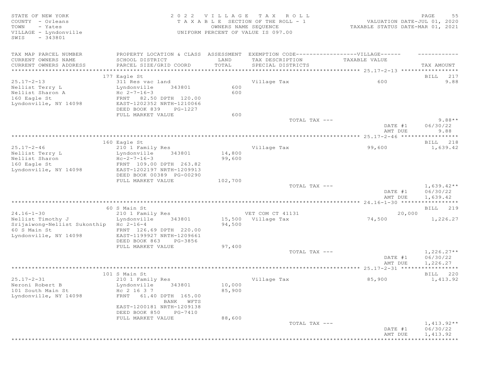STATE OF NEW YORK 2 0 2 2 V I L L A G E T A X R O L L PAGE 55 COUNTY - Orleans T A X A B L E SECTION OF THE ROLL - 1 VALUATION DATE-JUL 01, 2020 TOWN - Yates OWNERS NAME SEQUENCE TAXABLE STATUS DATE-MAR 01, 2021 VILLAGE - Lyndonville UNIFORM PERCENT OF VALUE IS 097.00 SWIS - 343801 TAX MAP PARCEL NUMBER PROPERTY LOCATION & CLASS ASSESSMENT EXEMPTION CODE-------------------VILLAGE------ ----------CURRENT OWNERS NAME SCHOOL DISTRICT LAND TAX DESCRIPTION TAXABLE VALUE PARCEL SIZE/GRID COORD TOTAL SPECIAL DISTRICTS TAX AMOUNT \*\*\*\*\*\*\*\*\*\*\*\*\*\*\*\*\*\*\*\*\*\*\*\*\*\*\*\*\*\*\*\*\*\*\*\*\*\*\*\*\*\*\*\*\*\*\*\*\*\*\*\*\*\*\*\*\*\*\*\*\*\*\*\*\*\*\*\*\*\*\*\*\*\*\*\*\*\*\*\*\*\*\*\*\*\*\*\*\*\*\*\*\*\*\*\*\*\*\*\*\*\*\* 25.17-2-13 \*\*\*\*\*\*\*\*\*\*\*\*\*\*\*\*\* 177 Eagle St and the state of the state of the state of the state of the state of the state of the state of the state of the state of the state of the state of the state of the state of the state of the state of the state 25.17-2-13 311 Res vac land Village Tax 600 9.88 Jir Kebawa Lama<br>Lyndonville 343801 600<br>He 2-7-16-3 600 Nellist Sharon A<br>160 Eagle St 160 Eagle St FRNT 82.50 DPTH 120.00 Lyndonville, NY 14098 EAST-1202352 NRTH-1210066 DEED BOOK 839 PG-1227<br>FULL MARKET VALUE 600 FULL MARKET VALUE 600 600 TOTAL TAX --- $\texttt{TOTAL TAX}$   $---$  9.88  $\texttt{***}$  DATE #1 06/30/22 AMT DUE 9.88 \*\*\*\*\*\*\*\*\*\*\*\*\*\*\*\*\*\*\*\*\*\*\*\*\*\*\*\*\*\*\*\*\*\*\*\*\*\*\*\*\*\*\*\*\*\*\*\*\*\*\*\*\*\*\*\*\*\*\*\*\*\*\*\*\*\*\*\*\*\*\*\*\*\*\*\*\*\*\*\*\*\*\*\*\*\*\*\*\*\*\*\*\*\*\*\*\*\*\*\*\*\*\* 25.17-2-46 \*\*\*\*\*\*\*\*\*\*\*\*\*\*\*\*\* 160 Eagle St 218 and the state of the state of the state of the state of the state of the state of the state of the state of the state of the state of the state of the state of the state of the state of the state of the st 25.17-2-46 210 1 Family Res Village Tax 99,600 1,639.42 Nellist Terry Letter and Lyndonville 343801 14,800  $N$ ellist Sharon  $HC-2-7-16-3$  99,600 160 Eagle St FRNT 109.00 DPTH 263.82 Lyndonville, NY 14098 EAST-1202197 NRTH-1209913 DEED BOOK 00389 PG-00290 FULL MARKET VALUE  $102,700$  TOTAL TAX --- $T$ OTAL TAX  $---$  1,639.42\*\* DATE #1 06/30/22<br>AMT DUE 1,639.42 AMT DUE 1, 639.42 \*\*\*\*\*\*\*\*\*\*\*\*\*\*\*\*\*\*\*\*\*\*\*\*\*\*\*\*\*\*\*\*\*\*\*\*\*\*\*\*\*\*\*\*\*\*\*\*\*\*\*\*\*\*\*\*\*\*\*\*\*\*\*\*\*\*\*\*\*\*\*\*\*\*\*\*\*\*\*\*\*\*\*\*\*\*\*\*\*\*\*\*\*\*\*\*\*\*\*\*\*\*\* 24.16-1-30 \*\*\*\*\*\*\*\*\*\*\*\*\*\*\*\*\* 60 S Main St Bill and State Bill and State Bill and State Bill and State Bill and State Bill and State Bill and State Bill and State Bill and State Bill and State Bill and State Bill and State Bill and State Bill and State 24.16-1-30 210 1 Family Res VET COM CT 41131 20,000 Nellist Timothy J Lyndonville 343801 15,500 Village Tax 74,500 1,226.27 Srijaiwong-Nellist Sukonthip Hc 2-16-4 94,500 60 S Main St FRNT 126.69 DPTH 220.00 Lyndonville, NY 14098 DEED BOOK 863 PG-3856 FULL MARKET VALUE 97,400<br>TOTAL TAX --- $T$ OTAL TAX  $---$  1,226.27\*\* DATE #1 06/30/22  $\text{AMT}$  DUE  $1,226.27$ \*\*\*\*\*\*\*\*\*\*\*\*\*\*\*\*\*\*\*\*\*\*\*\*\*\*\*\*\*\*\*\*\*\*\*\*\*\*\*\*\*\*\*\*\*\*\*\*\*\*\*\*\*\*\*\*\*\*\*\*\*\*\*\*\*\*\*\*\*\*\*\*\*\*\*\*\*\*\*\*\*\*\*\*\*\*\*\*\*\*\*\*\*\*\*\*\*\*\*\*\*\*\* 25.17-2-31 \*\*\*\*\*\*\*\*\*\*\*\*\*\*\*\*\* 101 S Main St **BILL 220** 25.17-2-31 210 1 Family Res Village Tax 85,900 1,413.92 Neroni Robert B Lyndonville 343801 10,000 101 South Main St Hc 2 16 3 7 85,900 Lyndonville, NY 14098 FRNT 61.40 DPTH 165.00 BANK WFTS EAST-1200181 NRTH-1209138 DEED BOOK 850 PG-7410<br>FULL MARKET VALUE 88.600 FULL MARKET VALUE  $T$ OTAL TAX  $---$  1,413.92  $*$  DATE #1 06/30/22 AMT DUE 1, 413.92

\*\*\*\*\*\*\*\*\*\*\*\*\*\*\*\*\*\*\*\*\*\*\*\*\*\*\*\*\*\*\*\*\*\*\*\*\*\*\*\*\*\*\*\*\*\*\*\*\*\*\*\*\*\*\*\*\*\*\*\*\*\*\*\*\*\*\*\*\*\*\*\*\*\*\*\*\*\*\*\*\*\*\*\*\*\*\*\*\*\*\*\*\*\*\*\*\*\*\*\*\*\*\*\*\*\*\*\*\*\*\*\*\*\*\*\*\*\*\*\*\*\*\*\*\*\*\*\*\*\*\*\*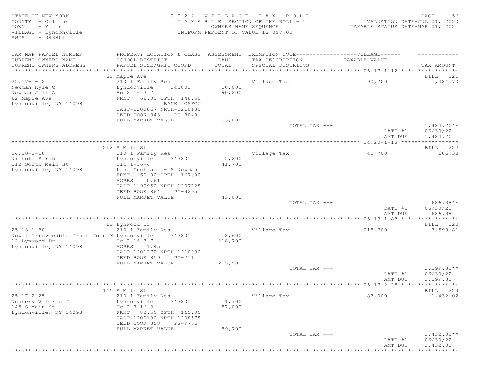| STATE OF NEW YORK<br>COUNTY - Orleans<br>- Yates<br>TOWN | TAXABLE                                                                           | 2022 VILLAGE<br>OWNERS NAME SEQUENCE | T A X<br>ROLL<br>SECTION OF THE ROLL - 1 | VALUATION DATE-JUL 01, 2020<br>TAXABLE STATUS DATE-MAR 01, 2021 | PAGE<br>56               |
|----------------------------------------------------------|-----------------------------------------------------------------------------------|--------------------------------------|------------------------------------------|-----------------------------------------------------------------|--------------------------|
| VILLAGE - Lyndonville<br>$-343801$<br>SWIS               |                                                                                   |                                      | UNIFORM PERCENT OF VALUE IS 097.00       |                                                                 |                          |
| TAX MAP PARCEL NUMBER                                    | PROPERTY LOCATION & CLASS ASSESSMENT EXEMPTION CODE-----------------VILLAGE------ |                                      |                                          |                                                                 |                          |
| CURRENT OWNERS NAME                                      | SCHOOL DISTRICT                                                                   | LAND                                 | TAX DESCRIPTION                          | TAXABLE VALUE                                                   |                          |
| CURRENT OWNERS ADDRESS                                   | PARCEL SIZE/GRID COORD                                                            | TOTAL                                | SPECIAL DISTRICTS                        |                                                                 | TAX AMOUNT               |
| ***********************                                  |                                                                                   |                                      |                                          |                                                                 |                          |
| $25.17 - 1 - 12$                                         | 62 Maple Ave                                                                      |                                      |                                          |                                                                 | BILL 221                 |
| Newman Kyle C                                            | 210 1 Family Res<br>Lyndonville<br>343801                                         | 10,000                               | Village Tax                              | 90,200                                                          | 1,484.70                 |
| Newman Jill A                                            | Hc 2 16 3 7                                                                       | 90,200                               |                                          |                                                                 |                          |
| 62 Maple Ave                                             | 66.00 DPTH 148.50<br>FRNT                                                         |                                      |                                          |                                                                 |                          |
| Lyndonville, NY 14098                                    | BANK OSFCU                                                                        |                                      |                                          |                                                                 |                          |
|                                                          | EAST-1200867 NRTH-1210130                                                         |                                      |                                          |                                                                 |                          |
|                                                          | DEED BOOK 843<br>PG-8049                                                          |                                      |                                          |                                                                 |                          |
|                                                          | FULL MARKET VALUE                                                                 | 93,000                               |                                          |                                                                 |                          |
|                                                          |                                                                                   |                                      | TOTAL TAX ---                            | DATE #1                                                         | $1,484.70**$<br>06/30/22 |
|                                                          |                                                                                   |                                      |                                          | AMT DUE                                                         | 1,484.70                 |
|                                                          |                                                                                   |                                      |                                          |                                                                 |                          |
|                                                          | 212 S Main St                                                                     |                                      |                                          |                                                                 | BILL 222                 |
| $24.20 - 1 - 18$                                         | 210 1 Family Res                                                                  |                                      | Village Tax                              | 41,700                                                          | 686.38                   |
| Nichols Sarah                                            | Lyndonville<br>343801                                                             | 15,200                               |                                          |                                                                 |                          |
| 212 South Main St                                        | $Hlc 1-16-4$                                                                      | 41,700                               |                                          |                                                                 |                          |
| Lyndonville, NY 14098                                    | Land Contract - S Newman<br>FRNT 160.00 DPTH 167.00                               |                                      |                                          |                                                                 |                          |
|                                                          | 0.61<br>ACRES                                                                     |                                      |                                          |                                                                 |                          |
|                                                          | EAST-1199950 NRTH-1207728                                                         |                                      |                                          |                                                                 |                          |
|                                                          | DEED BOOK 864<br>PG-9295                                                          |                                      |                                          |                                                                 |                          |
|                                                          | FULL MARKET VALUE                                                                 | 43,000                               |                                          |                                                                 |                          |
|                                                          |                                                                                   |                                      | TOTAL TAX ---                            |                                                                 | 686.38**                 |
|                                                          |                                                                                   |                                      |                                          | DATE #1                                                         | 06/30/22                 |
|                                                          |                                                                                   |                                      |                                          | AMT DUE<br>***************** 25.13-1-88 ******************      | 686.38                   |
|                                                          | 12 Lynwood Dr                                                                     |                                      |                                          |                                                                 | BILL 223                 |
| $25.13 - 1 - 88$                                         | 210 1 Family Res                                                                  |                                      | Village Tax                              | 218,700                                                         | 3,599.81                 |
| Nowak Irrevocable Trust John M Lyndonville               | 343801                                                                            | 18,600                               |                                          |                                                                 |                          |
| 12 Lynwood Dr                                            | Hc 2 16 3 7                                                                       | 218,700                              |                                          |                                                                 |                          |
| Lyndonville, NY 14098                                    | ACRES 1.45                                                                        |                                      |                                          |                                                                 |                          |
|                                                          | EAST-1201272 NRTH-1210990                                                         |                                      |                                          |                                                                 |                          |
|                                                          | DEED BOOK 859<br>PG-711                                                           | 225,500                              |                                          |                                                                 |                          |
|                                                          | FULL MARKET VALUE                                                                 |                                      | TOTAL TAX ---                            |                                                                 | $3,599.81**$             |
|                                                          |                                                                                   |                                      |                                          | DATE #1                                                         | 06/30/22                 |
|                                                          |                                                                                   |                                      |                                          | AMT DUE                                                         | 3,599.81                 |
|                                                          | *************************************                                             |                                      |                                          |                                                                 | ***********              |
|                                                          | 145 S Main St                                                                     |                                      |                                          |                                                                 | 224<br>BILL              |
| $25.17 - 2 - 25$                                         | 210 1 Family Res                                                                  |                                      | Village Tax                              | 87,000                                                          | 1,432.02                 |
| Nunnery Valerie J                                        | Lyndonville<br>343801                                                             | 11,700                               |                                          |                                                                 |                          |
| 145 S Main St<br>Lyndonville, NY 14098                   | Hc $2 - 7 - 16 - 3$<br>FRNT 82.50 DPTH 165.00                                     | 87,000                               |                                          |                                                                 |                          |
|                                                          | EAST-1200180 NRTH-1208578                                                         |                                      |                                          |                                                                 |                          |
|                                                          | DEED BOOK 858<br>PG-9756                                                          |                                      |                                          |                                                                 |                          |
|                                                          | FULL MARKET VALUE                                                                 | 89,700                               |                                          |                                                                 |                          |
|                                                          |                                                                                   |                                      | TOTAL TAX ---                            |                                                                 | $1,432.02**$             |
|                                                          |                                                                                   |                                      |                                          | DATE #1                                                         | 06/30/22                 |
|                                                          |                                                                                   |                                      |                                          | AMT DUE                                                         | 1,432.02                 |
|                                                          |                                                                                   |                                      |                                          |                                                                 | ***********              |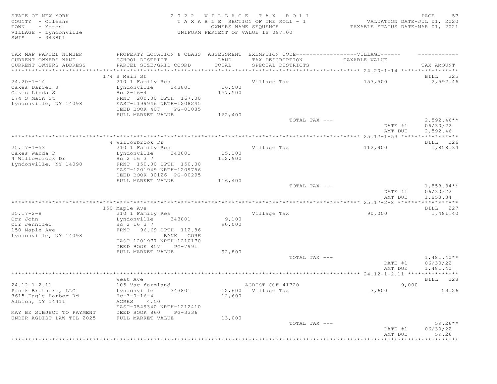STATE OF NEW YORK 2 0 2 2 V I L L A G E T A X R O L L PAGE 57 COUNTY - Orleans T A X A B L E SECTION OF THE ROLL - 1<br>TOWN - Yates COUNTER DATE: DESCRIPTION OF THE ROLL - 1 TOWN - Yates OWNERS NAME SEQUENCE TAXABLE STATUS DATE-MAR 01, 2021 VILLAGE - Lyndonville UNIFORM PERCENT OF VALUE IS 097.00 SWIS - 343801 TAX MAP PARCEL NUMBER PROPERTY LOCATION & CLASS ASSESSMENT EXEMPTION CODE-------------------VILLAGE------ ----------CURRENT OWNERS NAME SCHOOL DISTRICT LAND TAX DESCRIPTION TAXABLE VALUE CURRENT OWNERS ADDRESS PARCEL SIZE/GRID COORD TOTAL SPECIAL DISTRICTS TAX AMOUNT \*\*\*\*\*\*\*\*\*\*\*\*\*\*\*\*\*\*\*\*\*\*\*\*\*\*\*\*\*\*\*\*\*\*\*\*\*\*\*\*\*\*\*\*\*\*\*\*\*\*\*\*\*\*\*\*\*\*\*\*\*\*\*\*\*\*\*\*\*\*\*\*\*\*\*\*\*\*\*\*\*\*\*\*\*\*\*\*\*\*\*\*\*\*\*\*\*\*\*\*\*\*\* 24.20-1-14 \*\*\*\*\*\*\*\*\*\*\*\*\*\*\*\*\* 174 S Main St Bill 225 and the state of the state of the state of the state of the state of the state of the state of the state of the state of the state of the state of the state of the state of the state of the state of 24.20-1-14 210 1 Family Res Village Tax 157,500 2,592.46 Oakes Darrel J Lyndonville 343801 16,500 Oakes Linda S Hc 2-16-4 157,500 174 S Main St FRNT 200.00 DPTH 167.00 Lyndonville, NY 14098 EAST-1199946 NRTH-1208245 DEED BOOK 407 PG-01085 FULL MARKET VALUE 162,400<br>TOTAL TAX --- $\overline{\text{TOTAL TAX}}$   $---$  2,592.46\*\* DATE #1 06/30/22<br>AMT DUE 2,592.46 AMT DUE 2, 592.46 \*\*\*\*\*\*\*\*\*\*\*\*\*\*\*\*\*\*\*\*\*\*\*\*\*\*\*\*\*\*\*\*\*\*\*\*\*\*\*\*\*\*\*\*\*\*\*\*\*\*\*\*\*\*\*\*\*\*\*\*\*\*\*\*\*\*\*\*\*\*\*\*\*\*\*\*\*\*\*\*\*\*\*\*\*\*\*\*\*\*\*\*\*\*\*\*\*\*\*\*\*\*\* 25.17-1-53 \*\*\*\*\*\*\*\*\*\*\*\*\*\*\*\*\* 4 Willowbrook Dr BILL 226 25.17-1-53 210 1 Family Res 210 1 Family Res 25.17-1-53 112,900 1,858.34<br>
23.17-1-53 210 1 Family Res 243801 15,100 Lyndonville 343801 15,100<br>Hc 2 16 3 7 112,900 4 Willowbrook Dr<br>Lyndonville, NY 14098 Lyndonville, NY 14098 FRNT 150.00 DPTH 150.00 EAST-1201949 NRTH-1209756 DEED BOOK 00126 PG-00295 FULL MARKET VALUE  $116,400$ <br>TOTAL TAX --- $T$ OTAL TAX  $---$  1,858.34  $*$ DATE #1 06/30/22<br>AMT DUE 1,858.34 AMT DUE 1,858.34 \*\*\*\*\*\*\*\*\*\*\*\*\*\*\*\*\*\*\*\*\*\*\*\*\*\*\*\*\*\*\*\*\*\*\*\*\*\*\*\*\*\*\*\*\*\*\*\*\*\*\*\*\*\*\*\*\*\*\*\*\*\*\*\*\*\*\*\*\*\*\*\*\*\*\*\*\*\*\*\*\*\*\*\*\*\*\*\*\*\*\*\*\*\*\*\*\*\*\*\*\*\*\* 25.17-2-8 \*\*\*\*\*\*\*\*\*\*\*\*\*\*\*\*\*\* 150 Maple Ave BILL 227 25.17-2-8 210 1 Family Res Village Tax 90,000 1,481.40 Orr John 1992 (1994)<br>
Orr Jennifer (1992)<br>
Orr Jennifer (1992)<br>
Hc 2 16 3 7 (1993)<br>
90,000 Summiter<br>150 Maple Ave FRNT 96.69 DPTH 112.86<br>BANK CORE Lyndonville, NY 14098 EAST-1201977 NRTH-1210170 DEED BOOK 857 PG-7991 FULL MARKET VALUE 92,800<br>TOTAL TAX --- $T$ OTAL TAX  $---$  1,481.40\*\* DATE #1 06/30/22<br>AMT DUE 1,481.40 AMT DUE 1, 481.40 \*\*\*\*\*\*\*\*\*\*\*\*\*\*\*\*\*\*\*\*\*\*\*\*\*\*\*\*\*\*\*\*\*\*\*\*\*\*\*\*\*\*\*\*\*\*\*\*\*\*\*\*\*\*\*\*\*\*\*\*\*\*\*\*\*\*\*\*\*\*\*\*\*\*\*\*\*\*\*\*\*\*\*\*\*\*\*\*\*\*\*\*\*\*\*\*\*\*\*\*\*\*\* 24.12-1-2.11 \*\*\*\*\*\*\*\*\*\*\*\*\*\*\* West Ave Bull 228 and the Bill 228 and the Bill 228 and the Bill 228 and the Bill 228 and the Bill 228 and the Bill 228 and the Bill 228 and the Bill 228 and the Bill 228 and the Bill 228 and the Bill 228 and the Bill 228 24.12-1-2.11 105 Vac farmland AGDIST COF 41720 9,000 Panek Brothers, LLC Lyndonville 343801 12,600 Village Tax 3,600 59.26 3615 Eagle Harbor Rd Hc-3-0-16-4 12,600 Albion, NY 14411 EAST-0549340 NRTH-1212410 MAY BE SUBJECT TO PAYMENT DEED BOOK 860 PG-3336 UNDER AGDIST LAW TIL 2025 FULL MARKET VALUE 13,000  $T$ OTAL TAX  $---$  59.26\*\* DATE #1 06/30/22 AMT DUE 59.26 \*\*\*\*\*\*\*\*\*\*\*\*\*\*\*\*\*\*\*\*\*\*\*\*\*\*\*\*\*\*\*\*\*\*\*\*\*\*\*\*\*\*\*\*\*\*\*\*\*\*\*\*\*\*\*\*\*\*\*\*\*\*\*\*\*\*\*\*\*\*\*\*\*\*\*\*\*\*\*\*\*\*\*\*\*\*\*\*\*\*\*\*\*\*\*\*\*\*\*\*\*\*\*\*\*\*\*\*\*\*\*\*\*\*\*\*\*\*\*\*\*\*\*\*\*\*\*\*\*\*\*\*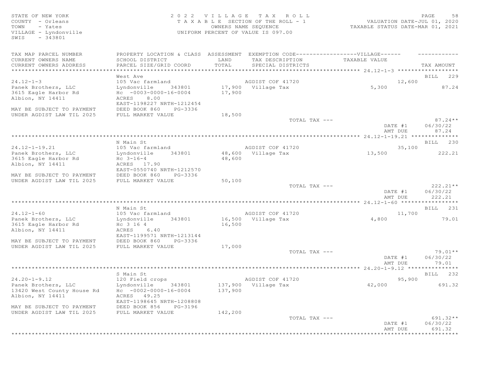# STATE OF NEW YORK SALL SALL AS A LOCAL CONSTRUCTED A LOCAL CONSTRUCTION OF A LOCAL CONSTRUCTION OF A LOCAL CONSTRUCTION OF A LOCAL CONSTRUCTION OF A LOCAL CONSTRUCTION OF A LOCAL CONSTRUCTION OF A LOCAL CONSTRUCTION OF A L COUNTY - Orleans T A X A B L E SECTION OF THE ROLL - 1 VALUATION DATE-JUL 01, 2020 TOWN - Yates OWNERS NAME SEQUENCE TAXABLE STATUS DATE-MAR 01, 2021 VILLAGE - Lyndonville UNIFORM PERCENT OF VALUE IS 097.00

| EXEMPTION CODE------------------VILLAGE------<br>PROPERTY LOCATION & CLASS ASSESSMENT<br>LAND<br>TAX DESCRIPTION TAXABLE VALUE<br>SCHOOL DISTRICT<br>TOTAL<br>SPECIAL DISTRICTS<br>PARCEL SIZE/GRID COORD<br>TAX AMOUNT<br>****************************<br>West Ave<br>$24.12 - 1 - 3$<br>AGDIST COF 41720<br>12,600<br>105 Vac farmland<br>17,900 Village Tax<br>Panek Brothers, LLC<br>343801<br>5,300<br>Lyndonville<br>3615 Eagle Harbor Rd<br>$HC -0003-0000-16-0004$<br>17,900<br>Albion, NY 14411<br>ACRES 8.00<br>EAST-1198227 NRTH-1212454<br>MAY BE SUBJECT TO PAYMENT<br>DEED BOOK 860<br>PG-3336<br>18,500<br>UNDER AGDIST LAW TIL 2025<br>FULL MARKET VALUE<br>TOTAL TAX ---<br>06/30/22<br>DATE #1<br>AMT DUE<br>87.24<br>N Main St<br>AGDIST COF 41720<br>105 Vac farmland<br>35,100<br>48,600 Village Tax<br>343801<br>13,500<br>Lyndonville<br>$Hc \t3-16-4$<br>48,600<br>Albion, NY 14411<br>ACRES 17.90<br>EAST-0550740 NRTH-1212570<br>MAY BE SUBJECT TO PAYMENT<br>DEED BOOK 860<br>PG-3336<br>UNDER AGDIST LAW TIL 2025<br>FULL MARKET VALUE<br>50,100<br>TOTAL TAX ---<br>06/30/22<br>DATE #1<br>AMT DUE<br>222.21<br>N Main St<br>$24.12 - 1 - 60$<br>AGDIST COF 41720<br>11,700<br>105 Vac farmland<br>16,500 Village Tax<br>Panek Brothers, LLC<br>Lyndonville<br>343801<br>4,800<br>3615 Eagle Harbor Rd<br>Hc 3 16 4<br>16,500<br>ACRES 6.40<br>Albion, NY 14411<br>EAST-1199571 NRTH-1213144<br>DEED BOOK 860<br>PG-3336<br>FULL MARKET VALUE<br>17,000<br>TOTAL TAX ---<br>DATE #1<br>06/30/22<br>79.01<br>AMT DUE<br>S Main St<br>$24.20 - 1 - 9.12$<br>120 Field crops<br>AGDIST COF 41720<br>95,900<br>137,900 Village Tax<br>42,000<br>Panek Brothers, LLC<br>Lyndonville<br>343801<br>13420 West County House Rd<br>$HC -0002 -0000 -16 -0004$<br>137,900<br>Albion, NY 14411<br>ACRES 49.25<br>EAST-1198645 NRTH-1208808<br>MAY BE SUBJECT TO PAYMENT<br>DEED BOOK 856<br>PG-3196<br>UNDER AGDIST LAW TIL 2025<br>FULL MARKET VALUE<br>142,200<br>TOTAL TAX ---<br>06/30/22<br>DATE #1<br>AMT DUE<br>691.32 |                           |  |  |          |
|-------------------------------------------------------------------------------------------------------------------------------------------------------------------------------------------------------------------------------------------------------------------------------------------------------------------------------------------------------------------------------------------------------------------------------------------------------------------------------------------------------------------------------------------------------------------------------------------------------------------------------------------------------------------------------------------------------------------------------------------------------------------------------------------------------------------------------------------------------------------------------------------------------------------------------------------------------------------------------------------------------------------------------------------------------------------------------------------------------------------------------------------------------------------------------------------------------------------------------------------------------------------------------------------------------------------------------------------------------------------------------------------------------------------------------------------------------------------------------------------------------------------------------------------------------------------------------------------------------------------------------------------------------------------------------------------------------------------------------------------------------------------------------------------------------------------------------------------------------------------------------------------------------------------------------------------------------------------------------------------------------------------------------------------------|---------------------------|--|--|----------|
| ***********                                                                                                                                                                                                                                                                                                                                                                                                                                                                                                                                                                                                                                                                                                                                                                                                                                                                                                                                                                                                                                                                                                                                                                                                                                                                                                                                                                                                                                                                                                                                                                                                                                                                                                                                                                                                                                                                                                                                                                                                                                     | TAX MAP PARCEL NUMBER     |  |  |          |
| BILL 229<br>87.24<br>$87.24**$<br>222.21<br>$222.21**$<br>BILL 231<br>79.01<br>BILL 232<br>691.32<br>$691.32**$                                                                                                                                                                                                                                                                                                                                                                                                                                                                                                                                                                                                                                                                                                                                                                                                                                                                                                                                                                                                                                                                                                                                                                                                                                                                                                                                                                                                                                                                                                                                                                                                                                                                                                                                                                                                                                                                                                                                 | CURRENT OWNERS NAME       |  |  |          |
|                                                                                                                                                                                                                                                                                                                                                                                                                                                                                                                                                                                                                                                                                                                                                                                                                                                                                                                                                                                                                                                                                                                                                                                                                                                                                                                                                                                                                                                                                                                                                                                                                                                                                                                                                                                                                                                                                                                                                                                                                                                 | CURRENT OWNERS ADDRESS    |  |  |          |
|                                                                                                                                                                                                                                                                                                                                                                                                                                                                                                                                                                                                                                                                                                                                                                                                                                                                                                                                                                                                                                                                                                                                                                                                                                                                                                                                                                                                                                                                                                                                                                                                                                                                                                                                                                                                                                                                                                                                                                                                                                                 |                           |  |  |          |
|                                                                                                                                                                                                                                                                                                                                                                                                                                                                                                                                                                                                                                                                                                                                                                                                                                                                                                                                                                                                                                                                                                                                                                                                                                                                                                                                                                                                                                                                                                                                                                                                                                                                                                                                                                                                                                                                                                                                                                                                                                                 |                           |  |  |          |
|                                                                                                                                                                                                                                                                                                                                                                                                                                                                                                                                                                                                                                                                                                                                                                                                                                                                                                                                                                                                                                                                                                                                                                                                                                                                                                                                                                                                                                                                                                                                                                                                                                                                                                                                                                                                                                                                                                                                                                                                                                                 |                           |  |  |          |
|                                                                                                                                                                                                                                                                                                                                                                                                                                                                                                                                                                                                                                                                                                                                                                                                                                                                                                                                                                                                                                                                                                                                                                                                                                                                                                                                                                                                                                                                                                                                                                                                                                                                                                                                                                                                                                                                                                                                                                                                                                                 |                           |  |  |          |
|                                                                                                                                                                                                                                                                                                                                                                                                                                                                                                                                                                                                                                                                                                                                                                                                                                                                                                                                                                                                                                                                                                                                                                                                                                                                                                                                                                                                                                                                                                                                                                                                                                                                                                                                                                                                                                                                                                                                                                                                                                                 |                           |  |  |          |
|                                                                                                                                                                                                                                                                                                                                                                                                                                                                                                                                                                                                                                                                                                                                                                                                                                                                                                                                                                                                                                                                                                                                                                                                                                                                                                                                                                                                                                                                                                                                                                                                                                                                                                                                                                                                                                                                                                                                                                                                                                                 |                           |  |  |          |
|                                                                                                                                                                                                                                                                                                                                                                                                                                                                                                                                                                                                                                                                                                                                                                                                                                                                                                                                                                                                                                                                                                                                                                                                                                                                                                                                                                                                                                                                                                                                                                                                                                                                                                                                                                                                                                                                                                                                                                                                                                                 |                           |  |  |          |
|                                                                                                                                                                                                                                                                                                                                                                                                                                                                                                                                                                                                                                                                                                                                                                                                                                                                                                                                                                                                                                                                                                                                                                                                                                                                                                                                                                                                                                                                                                                                                                                                                                                                                                                                                                                                                                                                                                                                                                                                                                                 |                           |  |  |          |
|                                                                                                                                                                                                                                                                                                                                                                                                                                                                                                                                                                                                                                                                                                                                                                                                                                                                                                                                                                                                                                                                                                                                                                                                                                                                                                                                                                                                                                                                                                                                                                                                                                                                                                                                                                                                                                                                                                                                                                                                                                                 |                           |  |  |          |
|                                                                                                                                                                                                                                                                                                                                                                                                                                                                                                                                                                                                                                                                                                                                                                                                                                                                                                                                                                                                                                                                                                                                                                                                                                                                                                                                                                                                                                                                                                                                                                                                                                                                                                                                                                                                                                                                                                                                                                                                                                                 |                           |  |  |          |
|                                                                                                                                                                                                                                                                                                                                                                                                                                                                                                                                                                                                                                                                                                                                                                                                                                                                                                                                                                                                                                                                                                                                                                                                                                                                                                                                                                                                                                                                                                                                                                                                                                                                                                                                                                                                                                                                                                                                                                                                                                                 |                           |  |  |          |
|                                                                                                                                                                                                                                                                                                                                                                                                                                                                                                                                                                                                                                                                                                                                                                                                                                                                                                                                                                                                                                                                                                                                                                                                                                                                                                                                                                                                                                                                                                                                                                                                                                                                                                                                                                                                                                                                                                                                                                                                                                                 |                           |  |  |          |
|                                                                                                                                                                                                                                                                                                                                                                                                                                                                                                                                                                                                                                                                                                                                                                                                                                                                                                                                                                                                                                                                                                                                                                                                                                                                                                                                                                                                                                                                                                                                                                                                                                                                                                                                                                                                                                                                                                                                                                                                                                                 |                           |  |  | BILL 230 |
|                                                                                                                                                                                                                                                                                                                                                                                                                                                                                                                                                                                                                                                                                                                                                                                                                                                                                                                                                                                                                                                                                                                                                                                                                                                                                                                                                                                                                                                                                                                                                                                                                                                                                                                                                                                                                                                                                                                                                                                                                                                 | $24.12 - 1 - 19.21$       |  |  |          |
|                                                                                                                                                                                                                                                                                                                                                                                                                                                                                                                                                                                                                                                                                                                                                                                                                                                                                                                                                                                                                                                                                                                                                                                                                                                                                                                                                                                                                                                                                                                                                                                                                                                                                                                                                                                                                                                                                                                                                                                                                                                 | Panek Brothers, LLC       |  |  |          |
|                                                                                                                                                                                                                                                                                                                                                                                                                                                                                                                                                                                                                                                                                                                                                                                                                                                                                                                                                                                                                                                                                                                                                                                                                                                                                                                                                                                                                                                                                                                                                                                                                                                                                                                                                                                                                                                                                                                                                                                                                                                 | 3615 Eagle Harbor Rd      |  |  |          |
|                                                                                                                                                                                                                                                                                                                                                                                                                                                                                                                                                                                                                                                                                                                                                                                                                                                                                                                                                                                                                                                                                                                                                                                                                                                                                                                                                                                                                                                                                                                                                                                                                                                                                                                                                                                                                                                                                                                                                                                                                                                 |                           |  |  |          |
|                                                                                                                                                                                                                                                                                                                                                                                                                                                                                                                                                                                                                                                                                                                                                                                                                                                                                                                                                                                                                                                                                                                                                                                                                                                                                                                                                                                                                                                                                                                                                                                                                                                                                                                                                                                                                                                                                                                                                                                                                                                 |                           |  |  |          |
|                                                                                                                                                                                                                                                                                                                                                                                                                                                                                                                                                                                                                                                                                                                                                                                                                                                                                                                                                                                                                                                                                                                                                                                                                                                                                                                                                                                                                                                                                                                                                                                                                                                                                                                                                                                                                                                                                                                                                                                                                                                 |                           |  |  |          |
|                                                                                                                                                                                                                                                                                                                                                                                                                                                                                                                                                                                                                                                                                                                                                                                                                                                                                                                                                                                                                                                                                                                                                                                                                                                                                                                                                                                                                                                                                                                                                                                                                                                                                                                                                                                                                                                                                                                                                                                                                                                 |                           |  |  |          |
|                                                                                                                                                                                                                                                                                                                                                                                                                                                                                                                                                                                                                                                                                                                                                                                                                                                                                                                                                                                                                                                                                                                                                                                                                                                                                                                                                                                                                                                                                                                                                                                                                                                                                                                                                                                                                                                                                                                                                                                                                                                 |                           |  |  |          |
|                                                                                                                                                                                                                                                                                                                                                                                                                                                                                                                                                                                                                                                                                                                                                                                                                                                                                                                                                                                                                                                                                                                                                                                                                                                                                                                                                                                                                                                                                                                                                                                                                                                                                                                                                                                                                                                                                                                                                                                                                                                 |                           |  |  |          |
|                                                                                                                                                                                                                                                                                                                                                                                                                                                                                                                                                                                                                                                                                                                                                                                                                                                                                                                                                                                                                                                                                                                                                                                                                                                                                                                                                                                                                                                                                                                                                                                                                                                                                                                                                                                                                                                                                                                                                                                                                                                 |                           |  |  |          |
|                                                                                                                                                                                                                                                                                                                                                                                                                                                                                                                                                                                                                                                                                                                                                                                                                                                                                                                                                                                                                                                                                                                                                                                                                                                                                                                                                                                                                                                                                                                                                                                                                                                                                                                                                                                                                                                                                                                                                                                                                                                 |                           |  |  |          |
|                                                                                                                                                                                                                                                                                                                                                                                                                                                                                                                                                                                                                                                                                                                                                                                                                                                                                                                                                                                                                                                                                                                                                                                                                                                                                                                                                                                                                                                                                                                                                                                                                                                                                                                                                                                                                                                                                                                                                                                                                                                 |                           |  |  |          |
|                                                                                                                                                                                                                                                                                                                                                                                                                                                                                                                                                                                                                                                                                                                                                                                                                                                                                                                                                                                                                                                                                                                                                                                                                                                                                                                                                                                                                                                                                                                                                                                                                                                                                                                                                                                                                                                                                                                                                                                                                                                 |                           |  |  |          |
|                                                                                                                                                                                                                                                                                                                                                                                                                                                                                                                                                                                                                                                                                                                                                                                                                                                                                                                                                                                                                                                                                                                                                                                                                                                                                                                                                                                                                                                                                                                                                                                                                                                                                                                                                                                                                                                                                                                                                                                                                                                 |                           |  |  |          |
|                                                                                                                                                                                                                                                                                                                                                                                                                                                                                                                                                                                                                                                                                                                                                                                                                                                                                                                                                                                                                                                                                                                                                                                                                                                                                                                                                                                                                                                                                                                                                                                                                                                                                                                                                                                                                                                                                                                                                                                                                                                 |                           |  |  |          |
|                                                                                                                                                                                                                                                                                                                                                                                                                                                                                                                                                                                                                                                                                                                                                                                                                                                                                                                                                                                                                                                                                                                                                                                                                                                                                                                                                                                                                                                                                                                                                                                                                                                                                                                                                                                                                                                                                                                                                                                                                                                 |                           |  |  |          |
|                                                                                                                                                                                                                                                                                                                                                                                                                                                                                                                                                                                                                                                                                                                                                                                                                                                                                                                                                                                                                                                                                                                                                                                                                                                                                                                                                                                                                                                                                                                                                                                                                                                                                                                                                                                                                                                                                                                                                                                                                                                 | MAY BE SUBJECT TO PAYMENT |  |  |          |
|                                                                                                                                                                                                                                                                                                                                                                                                                                                                                                                                                                                                                                                                                                                                                                                                                                                                                                                                                                                                                                                                                                                                                                                                                                                                                                                                                                                                                                                                                                                                                                                                                                                                                                                                                                                                                                                                                                                                                                                                                                                 | UNDER AGDIST LAW TIL 2025 |  |  |          |
|                                                                                                                                                                                                                                                                                                                                                                                                                                                                                                                                                                                                                                                                                                                                                                                                                                                                                                                                                                                                                                                                                                                                                                                                                                                                                                                                                                                                                                                                                                                                                                                                                                                                                                                                                                                                                                                                                                                                                                                                                                                 |                           |  |  | 79.01**  |
|                                                                                                                                                                                                                                                                                                                                                                                                                                                                                                                                                                                                                                                                                                                                                                                                                                                                                                                                                                                                                                                                                                                                                                                                                                                                                                                                                                                                                                                                                                                                                                                                                                                                                                                                                                                                                                                                                                                                                                                                                                                 |                           |  |  |          |
|                                                                                                                                                                                                                                                                                                                                                                                                                                                                                                                                                                                                                                                                                                                                                                                                                                                                                                                                                                                                                                                                                                                                                                                                                                                                                                                                                                                                                                                                                                                                                                                                                                                                                                                                                                                                                                                                                                                                                                                                                                                 |                           |  |  |          |
|                                                                                                                                                                                                                                                                                                                                                                                                                                                                                                                                                                                                                                                                                                                                                                                                                                                                                                                                                                                                                                                                                                                                                                                                                                                                                                                                                                                                                                                                                                                                                                                                                                                                                                                                                                                                                                                                                                                                                                                                                                                 |                           |  |  |          |
|                                                                                                                                                                                                                                                                                                                                                                                                                                                                                                                                                                                                                                                                                                                                                                                                                                                                                                                                                                                                                                                                                                                                                                                                                                                                                                                                                                                                                                                                                                                                                                                                                                                                                                                                                                                                                                                                                                                                                                                                                                                 |                           |  |  |          |
|                                                                                                                                                                                                                                                                                                                                                                                                                                                                                                                                                                                                                                                                                                                                                                                                                                                                                                                                                                                                                                                                                                                                                                                                                                                                                                                                                                                                                                                                                                                                                                                                                                                                                                                                                                                                                                                                                                                                                                                                                                                 |                           |  |  |          |
|                                                                                                                                                                                                                                                                                                                                                                                                                                                                                                                                                                                                                                                                                                                                                                                                                                                                                                                                                                                                                                                                                                                                                                                                                                                                                                                                                                                                                                                                                                                                                                                                                                                                                                                                                                                                                                                                                                                                                                                                                                                 |                           |  |  |          |
|                                                                                                                                                                                                                                                                                                                                                                                                                                                                                                                                                                                                                                                                                                                                                                                                                                                                                                                                                                                                                                                                                                                                                                                                                                                                                                                                                                                                                                                                                                                                                                                                                                                                                                                                                                                                                                                                                                                                                                                                                                                 |                           |  |  |          |
|                                                                                                                                                                                                                                                                                                                                                                                                                                                                                                                                                                                                                                                                                                                                                                                                                                                                                                                                                                                                                                                                                                                                                                                                                                                                                                                                                                                                                                                                                                                                                                                                                                                                                                                                                                                                                                                                                                                                                                                                                                                 |                           |  |  |          |
|                                                                                                                                                                                                                                                                                                                                                                                                                                                                                                                                                                                                                                                                                                                                                                                                                                                                                                                                                                                                                                                                                                                                                                                                                                                                                                                                                                                                                                                                                                                                                                                                                                                                                                                                                                                                                                                                                                                                                                                                                                                 |                           |  |  |          |
|                                                                                                                                                                                                                                                                                                                                                                                                                                                                                                                                                                                                                                                                                                                                                                                                                                                                                                                                                                                                                                                                                                                                                                                                                                                                                                                                                                                                                                                                                                                                                                                                                                                                                                                                                                                                                                                                                                                                                                                                                                                 |                           |  |  |          |
|                                                                                                                                                                                                                                                                                                                                                                                                                                                                                                                                                                                                                                                                                                                                                                                                                                                                                                                                                                                                                                                                                                                                                                                                                                                                                                                                                                                                                                                                                                                                                                                                                                                                                                                                                                                                                                                                                                                                                                                                                                                 |                           |  |  |          |
|                                                                                                                                                                                                                                                                                                                                                                                                                                                                                                                                                                                                                                                                                                                                                                                                                                                                                                                                                                                                                                                                                                                                                                                                                                                                                                                                                                                                                                                                                                                                                                                                                                                                                                                                                                                                                                                                                                                                                                                                                                                 |                           |  |  |          |
|                                                                                                                                                                                                                                                                                                                                                                                                                                                                                                                                                                                                                                                                                                                                                                                                                                                                                                                                                                                                                                                                                                                                                                                                                                                                                                                                                                                                                                                                                                                                                                                                                                                                                                                                                                                                                                                                                                                                                                                                                                                 |                           |  |  |          |
|                                                                                                                                                                                                                                                                                                                                                                                                                                                                                                                                                                                                                                                                                                                                                                                                                                                                                                                                                                                                                                                                                                                                                                                                                                                                                                                                                                                                                                                                                                                                                                                                                                                                                                                                                                                                                                                                                                                                                                                                                                                 |                           |  |  |          |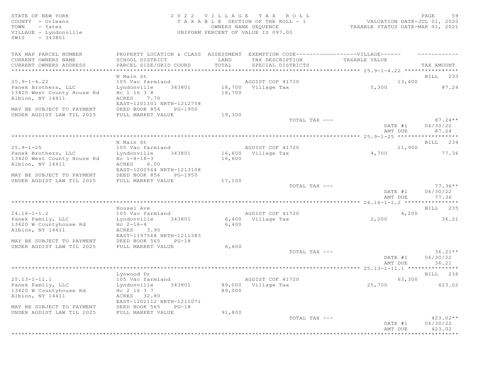# STATE OF NEW YORK 2 0 2 2 V I L L A G E T A X R O L L PAGE 59 COUNTY - Orleans T A X A B L E SECTION OF THE ROLL - 1 VALUATION DATE-JUL 01, 2020 TOWN - Yates OWNERS NAME SEQUENCE TAXABLE STATUS DATE-MAR 01, 2021 VILLAGE - Lyndonville UNIFORM PERCENT OF VALUE IS 097.00

| TAX MAP PARCEL NUMBER                          | PROPERTY LOCATION & CLASS ASSESSMENT |        | EXEMPTION CODE------------------VILLAGE------ |         |             |
|------------------------------------------------|--------------------------------------|--------|-----------------------------------------------|---------|-------------|
| CURRENT OWNERS NAME                            | SCHOOL DISTRICT                      | LAND   | TAX DESCRIPTION TAXABLE VALUE                 |         |             |
| CURRENT OWNERS ADDRESS                         | PARCEL SIZE/GRID COORD               | TOTAL  | SPECIAL DISTRICTS                             |         | TAX AMOUNT  |
| ****************************                   |                                      |        |                                               |         |             |
|                                                | N Main St                            |        |                                               |         | BILL 233    |
| $25.9 - 1 - 4.22$                              | 105 Vac farmland                     |        | AGDIST COF 41720                              | 13,400  |             |
| Panek Brothers, LLC                            | 343801<br>Lyndonville                |        | 18,700 Village Tax                            | 5,300   | 87.24       |
| 13420 West County House Rd<br>Albion, NY 14411 | Hc 1 16 3 8<br>ACRES                 | 18,700 |                                               |         |             |
|                                                | 7.70<br>EAST-1201101 NRTH-1212758    |        |                                               |         |             |
| MAY BE SUBJECT TO PAYMENT                      | DEED BOOK 856<br>PG-1950             |        |                                               |         |             |
| UNDER AGDIST LAW TIL 2025                      | FULL MARKET VALUE                    | 19,300 |                                               |         |             |
|                                                |                                      |        | TOTAL TAX ---                                 |         | $87.24**$   |
|                                                |                                      |        |                                               | DATE #1 | 06/30/22    |
|                                                |                                      |        |                                               | AMT DUE | 87.24       |
|                                                |                                      |        |                                               |         |             |
|                                                | N Main St                            |        |                                               |         | BILL 234    |
| $25.9 - 1 - 25$                                | 105 Vac farmland                     |        | AGDIST COF 41720                              | 11,900  |             |
| Panek Brothers, LLC                            | 343801<br>Lyndonville                |        | 16,600 Village Tax                            | 4,700   | 77.36       |
| 13420 West County House Rd                     | Hc $1 - 8 - 16 - 3$                  | 16,600 |                                               |         |             |
| Albion, NY 14411                               | ACRES 6.00                           |        |                                               |         |             |
|                                                | EAST-1200564 NRTH-1213108            |        |                                               |         |             |
| MAY BE SUBJECT TO PAYMENT                      | DEED BOOK 856<br>PG-1950             |        |                                               |         |             |
| UNDER AGDIST LAW TIL 2025                      | FULL MARKET VALUE                    | 17,100 |                                               |         | $77.36**$   |
|                                                |                                      |        | TOTAL TAX ---                                 | DATE #1 | 06/30/22    |
|                                                |                                      |        |                                               | AMT DUE | 77.36       |
|                                                |                                      |        |                                               |         |             |
|                                                | Housel Ave                           |        |                                               |         | BILL 235    |
| $24.16 - 1 - 1.2$                              | 105 Vac farmland                     |        | AGDIST COF 41720                              | 4,200   |             |
| Panek Family, LLC                              | Lyndonville<br>343801                |        | 6,400 Village Tax                             | 2,200   | 36.21       |
| 13420 W Countyhouse Rd                         | $Hc \t2-16-4$                        | 6,400  |                                               |         |             |
| Albion, NY 14411                               | ACRES 3.90                           |        |                                               |         |             |
|                                                | EAST-1197568 NRTH-1211383            |        |                                               |         |             |
| MAY BE SUBJECT TO PAYMENT                      | DEED BOOK 565<br>$PG-18$             |        |                                               |         |             |
| UNDER AGDIST LAW TIL 2025                      | FULL MARKET VALUE                    | 6,600  |                                               |         |             |
|                                                |                                      |        | TOTAL TAX ---                                 |         | $36.21**$   |
|                                                |                                      |        |                                               | DATE #1 | 06/30/22    |
|                                                |                                      |        |                                               | AMT DUE | 36.21       |
|                                                | Lynwood Dr                           |        |                                               |         | BILL 236    |
| $25.13 - 1 - 11.1$                             | 105 Vac farmland                     |        | AGDIST COF 41720                              | 63,300  |             |
| Panek Family, LLC                              | 343801<br>Lyndonville                |        | 89,000 Village Tax                            | 25,700  | 423.02      |
| 13420 W Countyhouse Rd                         | Hc 2 16 3 7                          | 89,000 |                                               |         |             |
| Albion, NY 14411                               | ACRES 32.80                          |        |                                               |         |             |
|                                                | EAST-1202112 NRTH-1211071            |        |                                               |         |             |
| MAY BE SUBJECT TO PAYMENT                      | DEED BOOK 565<br>$PG-18$             |        |                                               |         |             |
| UNDER AGDIST LAW TIL 2025                      | FULL MARKET VALUE                    | 91,800 |                                               |         |             |
|                                                |                                      |        | TOTAL TAX ---                                 |         | $423.02**$  |
|                                                |                                      |        |                                               | DATE #1 | 06/30/22    |
|                                                |                                      |        |                                               | AMT DUE | 423.02      |
|                                                |                                      |        |                                               |         | *********** |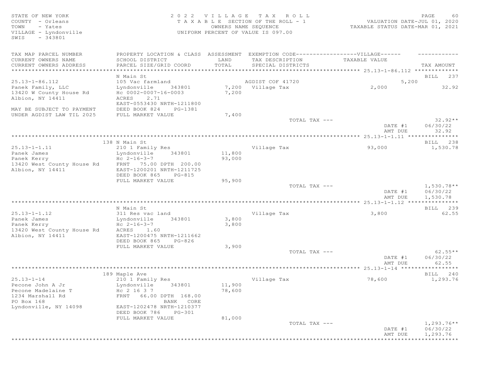STATE OF NEW YORK 2 0 2 2 V I L L A G E T A X R O L L PAGE 60 COUNTY - Orleans T A X A B L E SECTION OF THE ROLL - 1<br>TOWN - Yates COUNTERS NAME SECUENCE TOWN - Yates OWNERS NAME SEQUENCE TAXABLE STATUS DATE-MAR 01, 2021 VILLAGE - Lyndonville UNIFORM PERCENT OF VALUE IS 097.00 SWIS - 343801 TAX MAP PARCEL NUMBER PROPERTY LOCATION & CLASS ASSESSMENT EXEMPTION CODE-------------------VILLAGE------ ----------CURRENT OWNERS NAME SCHOOL DISTRICT LAND TAX DESCRIPTION TAXABLE VALUE PARCEL SIZE/GRID COORD TOTAL SPECIAL DISTRICTS TAX AMOUNT \*\*\*\*\*\*\*\*\*\*\*\*\*\*\*\*\*\*\*\*\*\*\*\*\*\*\*\*\*\*\*\*\*\*\*\*\*\*\*\*\*\*\*\*\*\*\*\*\*\*\*\*\*\*\*\*\*\*\*\*\*\*\*\*\*\*\*\*\*\*\*\*\*\*\*\*\*\*\*\*\*\*\*\*\*\*\*\*\*\*\*\*\*\*\*\*\*\*\*\*\*\*\* 25.13-1-86.112 \*\*\*\*\*\*\*\*\*\*\*\*\* N Main St **BILL 237** 25.13-1-86.112 105 Vac farmland AGDIST COF 41720 5,200 Panek Family, LLC Lyndonville 343801 7,200 Village Tax 2,000 32.92 13420 W County House Rd Hc 0002-0007-16-0003 7,200 Albion, NY 14411 ACRES 2.71 EAST-0553430 NRTH-1211800 MAY BE SUBJECT TO PAYMENT DEED BOOK 824 PG-1381 UNDER AGDIST LAW TIL 2025 FULL MARKET VALUE 7,400  $TOTAL$   $TAX$   $---$  32.92  $*$ DATE #1 06/30/22<br>AMT DUE 32.92 AMT DUE 32.92 \*\*\*\*\*\*\*\*\*\*\*\*\*\*\*\*\*\*\*\*\*\*\*\*\*\*\*\*\*\*\*\*\*\*\*\*\*\*\*\*\*\*\*\*\*\*\*\*\*\*\*\*\*\*\*\*\*\*\*\*\*\*\*\*\*\*\*\*\*\*\*\*\*\*\*\*\*\*\*\*\*\*\*\*\*\*\*\*\*\*\*\*\*\*\*\*\*\*\*\*\*\*\* 25.13-1-1.11 \*\*\*\*\*\*\*\*\*\*\*\*\*\*\* 138 N Main St Bill 238 N Main St Bill 238 N Main St Bill 238 N Main St Bill 238 N Main St Bill 238 N Main St Bill 200 25.13-1-1.11 210 1 Family Res Village Tax 93,000 1,530.78 Panek James Lyndonville 343801 11,800 Panek Kerry Hc 2-16-3-7 93,000 13420 West County House Rd FRNT 75.00 DPTH 200.00 Albion, NY 14411 EAST-1200201 NRTH-1211725 DEED BOOK 865 PG-815 FULL MARKET VALUE 95,900<br>TOTAL TAX --- $T$ OTAL TAX  $---$  1,530.78\*\* DATE #1 06/30/22<br>AMT DUE 1,530.78 AMT DUE 1, 530.78 \*\*\*\*\*\*\*\*\*\*\*\*\*\*\*\*\*\*\*\*\*\*\*\*\*\*\*\*\*\*\*\*\*\*\*\*\*\*\*\*\*\*\*\*\*\*\*\*\*\*\*\*\*\*\*\*\*\*\*\*\*\*\*\*\*\*\*\*\*\*\*\*\*\*\*\*\*\*\*\*\*\*\*\*\*\*\*\*\*\*\*\*\*\*\*\*\*\*\*\*\*\*\* 25.13-1-1.12 \*\*\*\*\*\*\*\*\*\*\*\*\*\*\* N Main St Bill 239 and the state of the state of the state of the state of the state of the state of the state of the state of the state of the state of the state of the state of the state of the state of the state of the 25.13-1-1.12 311 Res vac land Village Tax 3,800 62.55 Panek James Lyndonville 343801 3,800  $\overline{H}C$  2-16-3-7 13420 West County House Rd ACRES 1.60<br>Albion, NY 14411 EAST-1200475 NRTH-1211662 Albion, NY 14411 DEED BOOK 865 PG-826 FULL MARKET VALUE 3,900<br>TOTAL TAX --- $T$ OTAL TAX  $---$  62.55\*\* DATE #1 06/30/22 AMT DUE 62.55 \*\*\*\*\*\*\*\*\*\*\*\*\*\*\*\*\*\*\*\*\*\*\*\*\*\*\*\*\*\*\*\*\*\*\*\*\*\*\*\*\*\*\*\*\*\*\*\*\*\*\*\*\*\*\*\*\*\*\*\*\*\*\*\*\*\*\*\*\*\*\*\*\*\*\*\*\*\*\*\*\*\*\*\*\*\*\*\*\*\*\*\*\*\*\*\*\*\*\*\*\*\*\* 25.13-1-14 \*\*\*\*\*\*\*\*\*\*\*\*\*\*\*\*\* 189 Maple Ave BILL 240 25.13-1-14 210 1 Family Res Village Tax 78,600 1,293.76 Pecone John A Jr Lyndonville 343801 11,900 Pecone Madelaine T<br>1234 Marshall Rd<br>FRNT 66.00 DPTH 168.00 1234 Marshall Rd FRNT 66.00 DPTH 168.00 BANK CORE<br>EAST-1202478 NRTH-1210377 Lyndonville, NY 14098 DEED BOOK 786 PG-301<br>FULL MARKET VALUE 81,000 FULL MARKET VALUE  $\texttt{TOTAL TAX}$  ---  $\texttt{1,293.76**}$  DATE #1 06/30/22 AMT DUE 1, 293.76

\*\*\*\*\*\*\*\*\*\*\*\*\*\*\*\*\*\*\*\*\*\*\*\*\*\*\*\*\*\*\*\*\*\*\*\*\*\*\*\*\*\*\*\*\*\*\*\*\*\*\*\*\*\*\*\*\*\*\*\*\*\*\*\*\*\*\*\*\*\*\*\*\*\*\*\*\*\*\*\*\*\*\*\*\*\*\*\*\*\*\*\*\*\*\*\*\*\*\*\*\*\*\*\*\*\*\*\*\*\*\*\*\*\*\*\*\*\*\*\*\*\*\*\*\*\*\*\*\*\*\*\*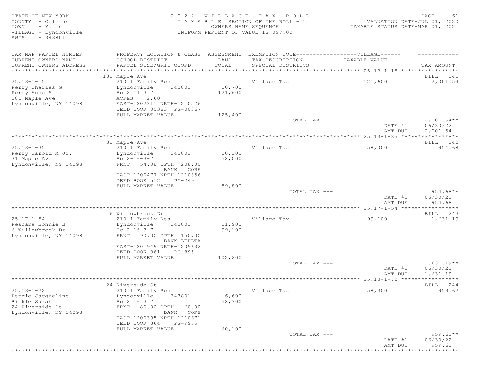STATE OF NEW YORK<br>COUNTY - Orleans and the state of the SECTION OF THE ROLL - 1 (2020)<br>TOWN - Yates and the SEQUENCE COUNTER SUMMERS NAME SEQUENCE (2021) TOWN - Yates (2021)<br>TOWN - Yates COUNTY - Orleans T A X A B L E SECTION OF THE ROLL - 1 VALUATION DATE-JUL 01, 2020 TOWN - Yates OWNERS NAME SEQUENCE TAXABLE STATUS DATE-MAR 01, 2021 VILLAGE - Lyndonville UNIFORM PERCENT OF VALUE IS 097.00 SWIS - 343801 TAX MAP PARCEL NUMBER PROPERTY LOCATION & CLASS ASSESSMENT EXEMPTION CODE-------------------VILLAGE------ ----------CURRENT OWNERS NAME SCHOOL DISTRICT LAND TAX DESCRIPTION TAXABLE VALUE CURRENT OWNERS ADDRESS PARCEL SIZE/GRID COORD TOTAL SPECIAL DISTRICTS TAX AMOUNT \*\*\*\*\*\*\*\*\*\*\*\*\*\*\*\*\*\*\*\*\*\*\*\*\*\*\*\*\*\*\*\*\*\*\*\*\*\*\*\*\*\*\*\*\*\*\*\*\*\*\*\*\*\*\*\*\*\*\*\*\*\*\*\*\*\*\*\*\*\*\*\*\*\*\*\*\*\*\*\*\*\*\*\*\*\*\*\*\*\*\*\*\*\*\*\*\*\*\*\*\*\*\* 25.13-1-15 \*\*\*\*\*\*\*\*\*\*\*\*\*\*\*\*\* 181 Maple Ave BILL 241 25.13-1-15 210 1 Family Res Village Tax 121,600 2,001.54 Perry Charles G Lyndonville 343801 20,700 Perry Anne S Hc 2 14 3 7 121,600 181 Maple Ave ACRES 2.60 Lyndonville, NY 14098 EAST-1202311 NRTH-1210526 DEED BOOK 00383 PG-00367 FULL MARKET VALUE  $125,400$ <br>TOTAL TAX --- $\begin{array}{ccc} {\tt TOTA} & {\tt TAX} & \text{---} \end{array}$   $\begin{array}{ccc} & 2\text{, }001\text{, }54\text{**} \end{array}$ DATE #1 06/30/22<br>AMT DUE 2,001.54 AMT DUE 2, 001.54 \*\*\*\*\*\*\*\*\*\*\*\*\*\*\*\*\*\*\*\*\*\*\*\*\*\*\*\*\*\*\*\*\*\*\*\*\*\*\*\*\*\*\*\*\*\*\*\*\*\*\*\*\*\*\*\*\*\*\*\*\*\*\*\*\*\*\*\*\*\*\*\*\*\*\*\*\*\*\*\*\*\*\*\*\*\*\*\*\*\*\*\*\*\*\*\*\*\*\*\*\*\*\* 25.13-1-35 \*\*\*\*\*\*\*\*\*\*\*\*\*\*\*\*\* 31 Maple Ave BILL 242 25.13-1-35 210 1 Family Res Village Tax 58,000 58,000 954.68<br>Perry Harold M Jr. Lyndonville 343801 10,100 Perry Harold M Jr. Lyndonville 343801 10,100 31 Maple Ave Hc 2-16-3-7 58,000 Lyndonville, NY 14098 FRNT 54.08 DPTH 208.00 BANK CORE EAST-1200477 NRTH-1210356 DEED BOOK 512 PG-249<br>FULL MARKET VALUE 59,800 FULL MARKET VALUE 59,800<br>TOTAL TAX --- $TOTAL$   $TAX$   $---$  954.68\*\* DATE #1 06/30/22 AMT DUE 954.68 \*\*\*\*\*\*\*\*\*\*\*\*\*\*\*\*\*\*\*\*\*\*\*\*\*\*\*\*\*\*\*\*\*\*\*\*\*\*\*\*\*\*\*\*\*\*\*\*\*\*\*\*\*\*\*\*\*\*\*\*\*\*\*\*\*\*\*\*\*\*\*\*\*\*\*\*\*\*\*\*\*\*\*\*\*\*\*\*\*\*\*\*\*\*\*\*\*\*\*\*\*\*\* 25.17-1-54 \*\*\*\*\*\*\*\*\*\*\*\*\*\*\*\*\* 6 Willowbrook Dr BILL 243 25.17-1-54 210 1 Family Res Village Tax 99,100 1,631.19<br>
210 1 Family Res Village Tax 99,100<br>
216 37 99,100 99,100 Pescara Bonnie B Lyndonville 343801 11,900 6 Willowbrook Dr Hc 2 16 3 7 99,100 Lyndonville, NY 14098 FRNT 90.00 DPTH 150.00 BANK LERETA EAST-1201949 NRTH-1209632 DEED BOOK 861 PG-895 FULL MARKET VALUE 102,200  $T$ OTAL TAX  $---$  1,631.19\*\* DATE #1 06/30/22 AMT DUE 1, 631.19 \*\*\*\*\*\*\*\*\*\*\*\*\*\*\*\*\*\*\*\*\*\*\*\*\*\*\*\*\*\*\*\*\*\*\*\*\*\*\*\*\*\*\*\*\*\*\*\*\*\*\*\*\*\*\*\*\*\*\*\*\*\*\*\*\*\*\*\*\*\*\*\*\*\*\*\*\*\*\*\*\*\*\*\*\*\*\*\*\*\*\*\*\*\*\*\*\*\*\*\*\*\*\* 25.13-1-72 \*\*\*\*\*\*\*\*\*\*\*\*\*\*\*\*\* 24 Riverside St and the state of the state of the state of the state of the state of the state of the state of the state of the state of the state of the state of the state of the state of the state of the state of the sta 25.13-1-72 210 1 Family Res Village Tax 58,300 959.62<br>
210 1 Family Res Village Tax 58,300 959.62<br>
24 Riverside St FRNT 80.00 DPTH 60.00 Petrie Jacqueline Lyndonville 343801 6,600 Bickle Sarah  $Hc$  2 16 3 7 58,300 24 Riverside St FRNT 80.00 DPTH 60.00 Lyndonville, NY 14098 EAST-1200395 NRTH-1210671 DEED BOOK 864 PG-9955 FULL MARKET VALUE 60,100<br>TOTAL TAX --- TOTAL TAX --- 959.62\*\* DATE #1 06/30/22 AMT DUE 959.62 \*\*\*\*\*\*\*\*\*\*\*\*\*\*\*\*\*\*\*\*\*\*\*\*\*\*\*\*\*\*\*\*\*\*\*\*\*\*\*\*\*\*\*\*\*\*\*\*\*\*\*\*\*\*\*\*\*\*\*\*\*\*\*\*\*\*\*\*\*\*\*\*\*\*\*\*\*\*\*\*\*\*\*\*\*\*\*\*\*\*\*\*\*\*\*\*\*\*\*\*\*\*\*\*\*\*\*\*\*\*\*\*\*\*\*\*\*\*\*\*\*\*\*\*\*\*\*\*\*\*\*\*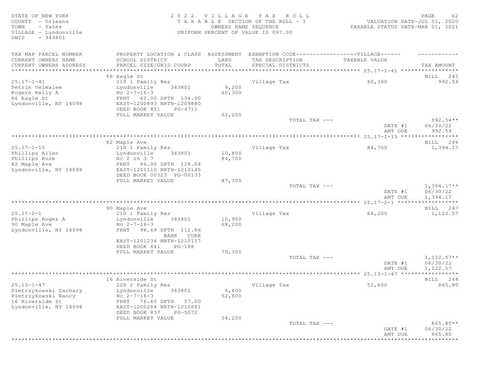STATE OF NEW YORK 2 0 2 2 V I L L A G E T A X R O L L PAGE 62 COUNTY - Orleans T A X A B L E SECTION OF THE ROLL - 1<br>TOWN - Yates COUNTER DATE: DESCRIPTION OF THE ROLL - 1 TOWN - Yates OWNERS NAME SEQUENCE TAXABLE STATUS DATE-MAR 01, 2021 UNIFORM PERCENT OF VALUE IS 097.00 SWIS - 343801 TAX MAP PARCEL NUMBER PROPERTY LOCATION & CLASS ASSESSMENT EXEMPTION CODE------------------VILLAGE------ ------------ CURRENT OWNERS NAME SCHOOL DISTRICT LAND TAX DESCRIPTION TAXABLE VALUE CURRENT OWNERS ADDRESS PARCEL SIZE/GRID COORD TOTAL SPECIAL DISTRICTS TAX AMOUNT \*\*\*\*\*\*\*\*\*\*\*\*\*\*\*\*\*\*\*\*\*\*\*\*\*\*\*\*\*\*\*\*\*\*\*\*\*\*\*\*\*\*\*\*\*\*\*\*\*\*\*\*\*\*\*\*\*\*\*\*\*\*\*\*\*\*\*\*\*\*\*\*\*\*\*\*\*\*\*\*\*\*\*\*\*\*\*\*\*\*\*\*\*\*\*\*\*\*\*\*\*\*\* 25.17-1-41 \*\*\*\*\*\*\*\*\*\*\*\*\*\*\*\*\* 66 Eagle St BILL 245 25.17-1-41 210 1 Family Res Village Tax 60,300 992.54  $Lyndonville$  343801 9,200<br>Hc 2-7-16-3 60.300 Rc 2-7-16-3<br>FRNT 62.00 DPTH 134.00 Rogers Kelly A<br>66 Eagle St<br>Lyndonville, NY 14098 Lyndonville, NY 14098 EAST-1200893 NRTH-1209880 DEED BOOK 851 PG-4711<br>FULL MARKET VALUE 62,200 FULL MARKET VALUE 62,200<br>TOTAL TAX --- TOTAL TAX --- 992.54\*\* DATE #1 06/30/22 AMT DUE 992.54 \*\*\*\*\*\*\*\*\*\*\*\*\*\*\*\*\*\*\*\*\*\*\*\*\*\*\*\*\*\*\*\*\*\*\*\*\*\*\*\*\*\*\*\*\*\*\*\*\*\*\*\*\*\*\*\*\*\*\*\*\*\*\*\*\*\*\*\*\*\*\*\*\*\*\*\*\*\*\*\*\*\*\*\*\*\*\*\*\*\*\*\*\*\*\*\*\*\*\*\*\*\*\* 25.17-1-15 \*\*\*\*\*\*\*\*\*\*\*\*\*\*\*\*\* 82 Maple Ave BILL 246 25.17-1-15 210 1 Family Res Village Tax 84,700 1,394.17 Lyndonville 343801 10,800<br>Hc 2 16 3 7 84,700 Phillips Rose  $AC 2 16 3 7$   $84,700$ 82 Maple Ave FRNT 86.00 DPTH 128.04 Lyndonville, NY 14098 EAST-1201110 NRTH-1210145 DEED BOOK 00323 PG-00133 FULL MARKET VALUE 87,300<br>TOTAL TAX --- $T$ OTAL TAX  $---$  1,394.17\*\* DATE #1 06/30/22<br>AMT DUE 1,394.17 AMT DUE 1, 394.17 \*\*\*\*\*\*\*\*\*\*\*\*\*\*\*\*\*\*\*\*\*\*\*\*\*\*\*\*\*\*\*\*\*\*\*\*\*\*\*\*\*\*\*\*\*\*\*\*\*\*\*\*\*\*\*\*\*\*\*\*\*\*\*\*\*\*\*\*\*\*\*\*\*\*\*\*\*\*\*\*\*\*\*\*\*\*\*\*\*\*\*\*\*\*\*\*\*\*\*\*\*\*\* 25.17-2-1 \*\*\*\*\*\*\*\*\*\*\*\*\*\*\*\*\*\* er of the state of the state of the state of the state of the state of the state of the state of the state of the state of the state of the state of the state of the state of the state of the state of the state of the stat 25.17-2-1 210 1 Family Res Village Tax 68,200 1,122.57 Lyndonville 343801 10,900<br>Hc 2-7-16-3 68,200 Phillips Roger A<br>90 Maple Ave<br>Lyndonville, NY 14098 Lyndonville, NY 14098 FRNT 96.69 DPTH 112.86 BANK CORE EAST-1201234 NRTH-1210157 DEED BOOK 641 PG-188<br>FULL MARKET VALUE 70,300 FULL MARKET VALUE 70,300<br>TOTAL TAX --- $T$ OTAL TAX  $---$  1,122.57\*\* DATE #1 06/30/22<br>AMT DUE 1,122.57 AMT DUE 1, 122.57 \*\*\*\*\*\*\*\*\*\*\*\*\*\*\*\*\*\*\*\*\*\*\*\*\*\*\*\*\*\*\*\*\*\*\*\*\*\*\*\*\*\*\*\*\*\*\*\*\*\*\*\*\*\*\*\*\*\*\*\*\*\*\*\*\*\*\*\*\*\*\*\*\*\*\*\*\*\*\*\*\*\*\*\*\*\*\*\*\*\*\*\*\*\*\*\*\*\*\*\*\*\*\* 25.13-1-47 \*\*\*\*\*\*\*\*\*\*\*\*\*\*\*\*\* 16 Riverside St and the state of the state of the state of the state of the state of the state of the state of the state of the state of the state of the state of the state of the state of the state of the state of the sta 25.13-1-47 220 2 Family Res Village Tax 52,600 865.80 Lyndonville 343801 6,600<br>Hc 2-7-16-3 52,600 Pietrzykowski Nancy<br>16 Riverside St 16 Riverside St <sup>FRNT</sup> 76.65 DPTH 57.00<br>
Lyndonville, NY 14098 EAST-1200264 NRTH-1210681 Lyndonville, NY 14098 EAST-1200264 NRTH-1210681 DEED BOOK 837 PG-5072<br>FULL MARKET VALUE 54,200 FULL MARKET VALUE  $TOTAL$   $TAX$   $---$  865.80\*\* DATE #1 06/30/22 AMT DUE 865.80 \*\*\*\*\*\*\*\*\*\*\*\*\*\*\*\*\*\*\*\*\*\*\*\*\*\*\*\*\*\*\*\*\*\*\*\*\*\*\*\*\*\*\*\*\*\*\*\*\*\*\*\*\*\*\*\*\*\*\*\*\*\*\*\*\*\*\*\*\*\*\*\*\*\*\*\*\*\*\*\*\*\*\*\*\*\*\*\*\*\*\*\*\*\*\*\*\*\*\*\*\*\*\*\*\*\*\*\*\*\*\*\*\*\*\*\*\*\*\*\*\*\*\*\*\*\*\*\*\*\*\*\*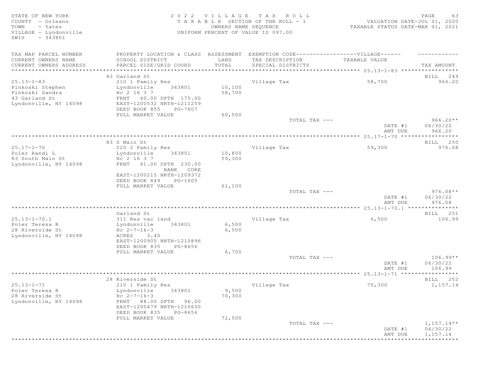STATE OF NEW YORK 2 0 2 2 V I L L A G E T A X R O L L PAGE 63 COUNTY - Orleans T A X A B L E SECTION OF THE ROLL - 1 VALUATION DATE-JUL 01, 2020 TOWN - Yates OWNERS NAME SEQUENCE TAXABLE STATUS DATE-MAR 01, 2021 VILLAGE - Lyndonville UNIFORM PERCENT OF VALUE IS 097.00 SWIS - 343801 TAX MAP PARCEL NUMBER PROPERTY LOCATION & CLASS ASSESSMENT EXEMPTION CODE-------------------VILLAGE------ ----------CURRENT OWNERS NAME SCHOOL DISTRICT LAND TAX DESCRIPTION TAXABLE VALUE CURRENT OWNERS ADDRESS PARCEL SIZE/GRID COORD TOTAL SPECIAL DISTRICTS TAX AMOUNT \*\*\*\*\*\*\*\*\*\*\*\*\*\*\*\*\*\*\*\*\*\*\*\*\*\*\*\*\*\*\*\*\*\*\*\*\*\*\*\*\*\*\*\*\*\*\*\*\*\*\*\*\*\*\*\*\*\*\*\*\*\*\*\*\*\*\*\*\*\*\*\*\*\*\*\*\*\*\*\*\*\*\*\*\*\*\*\*\*\*\*\*\*\*\*\*\*\*\*\*\*\*\* 25.13-1-83 \*\*\*\*\*\*\*\*\*\*\*\*\*\*\*\*\* 43 Garland St BILL 249 25.13-1-83 210 1 Family Res Village Tax 58,700 966.20 Pinkoski Stephen Lyndonville 343801 10,100 Pinkoski Sandra Hc 2 16 3 7 58,700 43 Garland St<br>
Lyndonville, NY 14098 EAST-1200532 NRTH-1211259 Lyndonville, NY 14098 EAST-1200532 NRTH-1211259 DEED BOOK 855 PG-7607<br>FULL MARKET VALUE 60,500 FULL MARKET VALUE 60,500<br>TOTAL TAX --- TOTAL TAX --- 966.20\*\* DATE #1 06/30/22 AMT DUE 966.20 \*\*\*\*\*\*\*\*\*\*\*\*\*\*\*\*\*\*\*\*\*\*\*\*\*\*\*\*\*\*\*\*\*\*\*\*\*\*\*\*\*\*\*\*\*\*\*\*\*\*\*\*\*\*\*\*\*\*\*\*\*\*\*\*\*\*\*\*\*\*\*\*\*\*\*\*\*\*\*\*\*\*\*\*\*\*\*\*\*\*\*\*\*\*\*\*\*\*\*\*\*\*\* 25.17-1-70 \*\*\*\*\*\*\*\*\*\*\*\*\*\*\*\*\* 83 S Main St Bill 250 States and the set of the set of the set of the set of the set of the set of the set of the set of the set of the set of the set of the set of the set of the set of the set of the set of the set of th 25.17-1-70 220 2 Family Res Village Tax 59,300 976.08 Lyndonville 343801 10,800<br>Hc 2 16 3 7 59,300 83 South Main St<br>
Lyndonville, NY 14098 FRNT 61.00 DPTH 230.00 Lyndonville, NY 14098 BANK CORE EAST-1200215 NRTH-1209372 DEED BOOK 849 PG-1605<br>FULL MARKET VALUE 61,100 FULL MARKET VALUE 61,100<br>TOTAL TAX --- $T$ OTAL TAX  $---$  976.08\*\* DATE #1 06/30/22 AMT DUE 976.08 \*\*\*\*\*\*\*\*\*\*\*\*\*\*\*\*\*\*\*\*\*\*\*\*\*\*\*\*\*\*\*\*\*\*\*\*\*\*\*\*\*\*\*\*\*\*\*\*\*\*\*\*\*\*\*\*\*\*\*\*\*\*\*\*\*\*\*\*\*\*\*\*\*\*\*\*\*\*\*\*\*\*\*\*\*\*\*\*\*\*\*\*\*\*\*\*\*\*\*\*\*\*\* 25.13-1-70.1 \*\*\*\*\*\*\*\*\*\*\*\*\*\*\* Garland St BILL 251 25.13-1-70.1 311 Res vac land Village Tax 6,500 106.99 Poler Teresa R Lyndonville 343801 6,500 28 Riverside St Maryna Holland Holland<br>1970 Holland Holland Holland Holland<br>2085 ACRES 3.40 Lyndonville, NY 14098 EAST-1200905 NRTH-1210896 DEED BOOK 835 PG-8656<br>FULL MARKET VALUE 6,700 FULL MARKET VALUE 6,700<br>TOTAL TAX --- $TOTAL$   $TAX$   $-- 106.99**$ DATE #1 06/30/22<br>AMT DUE 106.99 AMT DUE 106.99 \*\*\*\*\*\*\*\*\*\*\*\*\*\*\*\*\*\*\*\*\*\*\*\*\*\*\*\*\*\*\*\*\*\*\*\*\*\*\*\*\*\*\*\*\*\*\*\*\*\*\*\*\*\*\*\*\*\*\*\*\*\*\*\*\*\*\*\*\*\*\*\*\*\*\*\*\*\*\*\*\*\*\*\*\*\*\*\*\*\*\*\*\*\*\*\*\*\*\*\*\*\*\* 25.13-1-71 \*\*\*\*\*\*\*\*\*\*\*\*\*\*\*\*\* 28 Riverside St BILL 252 25.13-1-71 210 1 Family Res Village Tax 70,300 1,157.14 Lyndonville 343801 9,500<br>Hc 2-7-16-3 70,300 28 Riverside St<br>
Lyndonville, NY 14098 Lyndonville, NY 14098 FRNT 88.00 DPTH 96.00 EAST-1200479 NRTH-1210650 DEED BOOK 835 PG-8656<br>FULL MARKET VALUE 72,500 FULL MARKET VALUE  $T$ OTAL TAX  $---$  1,157.14\*\* DATE #1 06/30/22 AMT DUE 1, 157.14 \*\*\*\*\*\*\*\*\*\*\*\*\*\*\*\*\*\*\*\*\*\*\*\*\*\*\*\*\*\*\*\*\*\*\*\*\*\*\*\*\*\*\*\*\*\*\*\*\*\*\*\*\*\*\*\*\*\*\*\*\*\*\*\*\*\*\*\*\*\*\*\*\*\*\*\*\*\*\*\*\*\*\*\*\*\*\*\*\*\*\*\*\*\*\*\*\*\*\*\*\*\*\*\*\*\*\*\*\*\*\*\*\*\*\*\*\*\*\*\*\*\*\*\*\*\*\*\*\*\*\*\*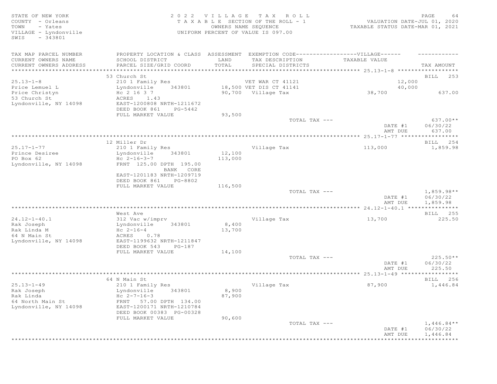# STATE OF NEW YORK SALL SOLUTION OF A SALL AGE TAX ROLL STATE OF NEW YORK SALL SALL PAGE 64 COUNTY - Orleans T A X A B L E SECTION OF THE ROLL - 1 VALUATION DATE-JUL 01, 2020 TOWN - Yates OWNERS NAME SEQUENCE TAXABLE STATUS DATE-MAR 01, 2021 VILLAGE - Lyndonville UNIFORM PERCENT OF VALUE IS 097.00

| TAX MAP PARCEL NUMBER<br>CURRENT OWNERS NAME<br>CURRENT OWNERS ADDRESS | PROPERTY LOCATION & CLASS ASSESSMENT<br>SCHOOL DISTRICT<br>PARCEL SIZE/GRID COORD                       | LAND<br>TOTAL     | EXEMPTION CODE------------------VILLAGE------<br>TAX DESCRIPTION<br>SPECIAL DISTRICTS | TAXABLE VALUE      | TAX AMOUNT                           |
|------------------------------------------------------------------------|---------------------------------------------------------------------------------------------------------|-------------------|---------------------------------------------------------------------------------------|--------------------|--------------------------------------|
| *************************                                              |                                                                                                         |                   |                                                                                       |                    |                                      |
| $25.13 - 1 - 8$<br>Price Lemuel L                                      | 53 Church St<br>210 1 Family Res<br>Lyndonville 343801                                                  |                   | VET WAR CT 41121<br>18,500 VET DIS CT 41141                                           | 12,000<br>40,000   | BILL 253                             |
| Price Christyn<br>53 Church St<br>Lyndonville, NY 14098                | Hc 2 16 3 7<br>ACRES 1.43<br>EAST-1200808 NRTH-1211672<br>DEED BOOK 861<br>PG-5442<br>FULL MARKET VALUE | 93,500            | 90,700 Village Tax                                                                    | 38,700             | 637.00                               |
|                                                                        |                                                                                                         |                   | TOTAL TAX ---                                                                         | DATE #1<br>AMT DUE | $637.00**$<br>06/30/22<br>637.00     |
|                                                                        |                                                                                                         |                   |                                                                                       |                    |                                      |
|                                                                        | 12 Miller Dr                                                                                            |                   |                                                                                       |                    | BILL 254                             |
| $25.17 - 1 - 77$<br>Prince Desiree<br>PO Box 62                        | 210 1 Family Res<br>Lyndonville<br>343801<br>$Hc 2-16-3-7$                                              | 12,100<br>113,000 | Village Tax                                                                           | 113,000            | 1,859.98                             |
| Lyndonville, NY 14098                                                  | FRNT 125.00 DPTH 195.00<br>BANK CORE<br>EAST-1201183 NRTH-1209719                                       |                   |                                                                                       |                    |                                      |
|                                                                        | DEED BOOK 861<br>PG-8802<br>FULL MARKET VALUE                                                           | 116,500           | TOTAL TAX ---                                                                         |                    | $1,859.98**$                         |
|                                                                        |                                                                                                         |                   |                                                                                       | DATE #1<br>AMT DUE | 06/30/22<br>1,859.98                 |
|                                                                        |                                                                                                         |                   |                                                                                       |                    |                                      |
|                                                                        | West Ave                                                                                                |                   |                                                                                       |                    | BILL 255                             |
| $24.12 - 1 - 40.1$                                                     | 312 Vac w/imprv                                                                                         |                   | Village Tax                                                                           | 13,700             | 225.50                               |
| Rak Joseph<br>Rak Linda M<br>64 N Main St                              | Lyndonville 343801<br>$Hc 2-16-4$<br>ACRES 0.78                                                         | 8,400<br>13,700   |                                                                                       |                    |                                      |
| Lyndonville, NY 14098                                                  | EAST-1199632 NRTH-1211847<br>DEED BOOK 543<br>$PG-187$                                                  |                   |                                                                                       |                    |                                      |
|                                                                        | FULL MARKET VALUE                                                                                       | 14,100            | TOTAL TAX ---                                                                         | DATE #1<br>AMT DUE | $225.50**$<br>06/30/22<br>225.50     |
|                                                                        |                                                                                                         |                   |                                                                                       |                    |                                      |
|                                                                        | 64 N Main St                                                                                            |                   |                                                                                       |                    | BILL 256                             |
| $25.13 - 1 - 49$                                                       | 210 1 Family Res                                                                                        |                   | Village Tax                                                                           | 87,900             | 1,446.84                             |
| Rak Joseph<br>Rak Linda                                                | Lyndonville<br>343801<br>Hc $2 - 7 - 16 - 3$                                                            | 8,900<br>87,900   |                                                                                       |                    |                                      |
| 64 North Main St<br>Lyndonville, NY 14098                              | FRNT 57.00 DPTH 134.00<br>EAST-1200171 NRTH-1210784<br>DEED BOOK 00383 PG-00328                         |                   |                                                                                       |                    |                                      |
|                                                                        | FULL MARKET VALUE                                                                                       | 90,600            |                                                                                       |                    |                                      |
|                                                                        |                                                                                                         |                   | TOTAL TAX ---                                                                         | DATE #1<br>AMT DUE | $1,446.84**$<br>06/30/22<br>1,446.84 |
|                                                                        |                                                                                                         |                   |                                                                                       |                    |                                      |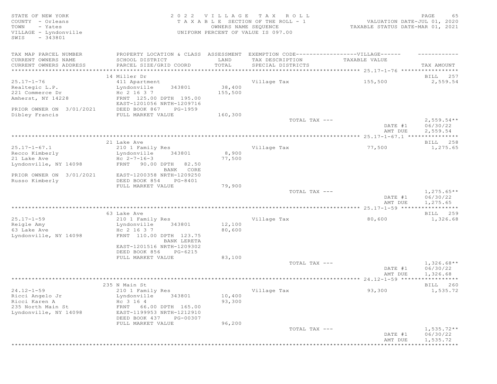# STATE OF NEW YORK SALL RESOLUTION OF A SALL AND RESOLUTION OF A SALL CHARGE CONTROLL CONTROLLER SERVICE STRAINS COUNTY - Orleans T A X A B L E SECTION OF THE ROLL - 1 VALUATION DATE-JUL 01, 2020 TOWN - Yates OWNERS NAME SEQUENCE TAXABLE STATUS DATE-MAR 01, 2021 VILLAGE - Lyndonville UNIFORM PERCENT OF VALUE IS 097.00

| TAX MAP PARCEL NUMBER            | PROPERTY LOCATION & CLASS ASSESSMENT                 |            | EXEMPTION CODE------------------VILLAGE------ |               |                                   |
|----------------------------------|------------------------------------------------------|------------|-----------------------------------------------|---------------|-----------------------------------|
| CURRENT OWNERS NAME              | SCHOOL DISTRICT                                      | LAND       | TAX DESCRIPTION                               | TAXABLE VALUE |                                   |
| CURRENT OWNERS ADDRESS           | PARCEL SIZE/GRID COORD                               | TOTAL      | SPECIAL DISTRICTS                             |               | TAX AMOUNT                        |
| **********************           | ******************                                   | ********** |                                               |               |                                   |
|                                  | 14 Miller Dr                                         |            |                                               |               | BILL 257                          |
| $25.17 - 1 - 76$                 | 411 Apartment                                        |            | Village Tax                                   | 155,500       | 2,559.54                          |
| Realtegic L.P.                   | Lyndonville<br>343801                                | 38,400     |                                               |               |                                   |
| 221 Commerce Dr                  | Hc 2 16 3 7                                          | 155,500    |                                               |               |                                   |
| Amherst, NY 14228                | FRNT 125.00 DPTH 195.00<br>EAST-1201056 NRTH-1209716 |            |                                               |               |                                   |
| PRIOR OWNER ON 3/01/2021         | DEED BOOK 867<br>PG-1959                             |            |                                               |               |                                   |
| Dibley Francis                   | FULL MARKET VALUE                                    | 160,300    |                                               |               |                                   |
|                                  |                                                      |            | TOTAL TAX ---                                 |               | $2,559.54**$                      |
|                                  |                                                      |            |                                               | DATE #1       | 06/30/22                          |
|                                  |                                                      |            |                                               | AMT DUE       | 2,559.54                          |
|                                  |                                                      |            |                                               |               |                                   |
|                                  | 21 Lake Ave                                          |            |                                               |               | BILL 258                          |
| $25.17 - 1 - 67.1$               | 210 1 Family Res                                     |            | Village Tax                                   | 77,500        | 1,275.65                          |
| Recco Kimberly                   | Lyndonville<br>343801                                | 8,900      |                                               |               |                                   |
| 21 Lake Ave                      | $Hc 2-7-16-3$                                        | 77,500     |                                               |               |                                   |
| Lyndonville, NY 14098            | FRNT 90.00 DPTH 82.50                                |            |                                               |               |                                   |
|                                  | BANK CORE                                            |            |                                               |               |                                   |
| PRIOR OWNER ON 3/01/2021         | EAST-1200358 NRTH-1209250                            |            |                                               |               |                                   |
| Russo Kimberly                   | DEED BOOK 854<br>PG-8401                             |            |                                               |               |                                   |
|                                  | FULL MARKET VALUE                                    | 79,900     |                                               |               |                                   |
|                                  |                                                      |            | TOTAL TAX ---                                 |               | $1,275.65**$                      |
|                                  |                                                      |            |                                               | DATE #1       | 06/30/22                          |
|                                  |                                                      |            |                                               | AMT DUE       | 1,275.65<br>* * * * * * * * * * * |
|                                  | 63 Lake Ave                                          |            |                                               |               | BILL 259                          |
| $25.17 - 1 - 59$                 | 210 1 Family Res                                     |            | Village Tax                                   | 80,600        | 1,326.68                          |
| Reigle Amy                       | Lyndonville<br>343801                                | 12,100     |                                               |               |                                   |
| 63 Lake Ave                      | Hc 2 16 3 7                                          | 80,600     |                                               |               |                                   |
| Lyndonville, NY 14098            | FRNT 110.00 DPTH 123.75                              |            |                                               |               |                                   |
|                                  | BANK LERETA                                          |            |                                               |               |                                   |
|                                  | EAST-1201516 NRTH-1209302                            |            |                                               |               |                                   |
|                                  | DEED BOOK 856<br>PG-6215                             |            |                                               |               |                                   |
|                                  | FULL MARKET VALUE                                    | 83,100     |                                               |               |                                   |
|                                  |                                                      |            | TOTAL TAX ---                                 |               | $1,326.68**$                      |
|                                  |                                                      |            |                                               | DATE #1       | 06/30/22                          |
|                                  |                                                      |            |                                               | AMT DUE       | 1,326.68                          |
|                                  |                                                      |            |                                               |               |                                   |
|                                  | 235 N Main St                                        |            |                                               |               | BILL 260                          |
| $24.12 - 1 - 59$                 | 210 1 Family Res                                     |            | Village Tax                                   | 93,300        | 1,535.72                          |
| Ricci Angelo Jr<br>Ricci Karen A | Lyndonville<br>343801                                | 10,400     |                                               |               |                                   |
| 235 North Main St                | Hc 3 16 4<br>66.00 DPTH 165.00<br>FRNT               | 93,300     |                                               |               |                                   |
| Lyndonville, NY 14098            | EAST-1199953 NRTH-1212910                            |            |                                               |               |                                   |
|                                  | DEED BOOK 437<br>PG-00307                            |            |                                               |               |                                   |
|                                  | FULL MARKET VALUE                                    | 96,200     |                                               |               |                                   |
|                                  |                                                      |            | TOTAL TAX ---                                 |               | $1,535.72**$                      |
|                                  |                                                      |            |                                               | DATE #1       | 06/30/22                          |
|                                  |                                                      |            |                                               | AMT DUE       | 1,535.72                          |
|                                  |                                                      |            |                                               |               | ***********                       |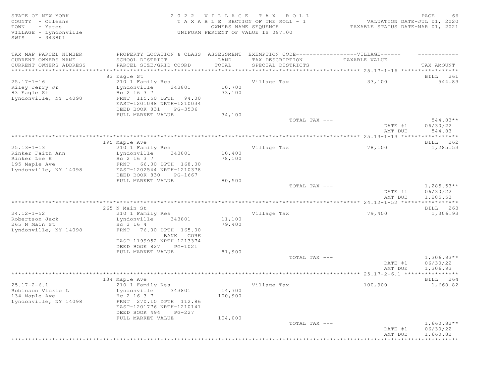| COUNTY - Orleans<br>T A X A B L E SECTION OF THE ROLL - 1<br>VALUATION DATE-JUL 01, 2020                   |                          |
|------------------------------------------------------------------------------------------------------------|--------------------------|
|                                                                                                            |                          |
| - Yates<br>TOWN<br>OWNERS NAME SEQUENCE<br>TAXABLE STATUS DATE-MAR 01, 2021                                |                          |
| VILLAGE - Lyndonville<br>UNIFORM PERCENT OF VALUE IS 097.00                                                |                          |
| $-343801$<br>SWIS                                                                                          |                          |
|                                                                                                            |                          |
| TAX MAP PARCEL NUMBER<br>PROPERTY LOCATION & CLASS ASSESSMENT EXEMPTION CODE-----------------VILLAGE------ |                          |
| CURRENT OWNERS NAME<br>TAX DESCRIPTION<br>SCHOOL DISTRICT<br>LAND<br>TAXABLE VALUE                         |                          |
| CURRENT OWNERS ADDRESS<br>TOTAL<br>PARCEL SIZE/GRID COORD<br>SPECIAL DISTRICTS                             | TAX AMOUNT               |
| *********************************<br>**********************                                                |                          |
| 83 Eagle St                                                                                                | BILL 261                 |
| $25.17 - 1 - 16$<br>210 1 Family Res<br>Village Tax<br>33,100                                              | 544.83                   |
| 10,700<br>Riley Jerry Jr<br>Lyndonville<br>343801                                                          |                          |
| 83 Eagle St<br>33,100<br>Hc 2 16 3 7<br>Lyndonville, NY 14098<br>FRNT 115.50 DPTH 94.00                    |                          |
| EAST-1201098 NRTH-1210034                                                                                  |                          |
| DEED BOOK 831<br>PG-3536                                                                                   |                          |
| FULL MARKET VALUE<br>34,100                                                                                |                          |
| TOTAL TAX ---                                                                                              | $544.83**$               |
| DATE #1                                                                                                    | 06/30/22                 |
| AMT DUE                                                                                                    | 544.83                   |
|                                                                                                            |                          |
| 195 Maple Ave                                                                                              | BILL 262                 |
| $25.13 - 1 - 13$<br>Village Tax<br>78,100<br>210 1 Family Res                                              | 1,285.53                 |
| 10,400<br>Rinker Faith Ann<br>Lyndonville<br>343801                                                        |                          |
| Rinker Lee E<br>Hc 2 16 3 7<br>78,100                                                                      |                          |
| 195 Maple Ave<br>FRNT 66.00 DPTH 168.00                                                                    |                          |
| Lyndonville, NY 14098<br>EAST-1202544 NRTH-1210378<br>DEED BOOK 830                                        |                          |
| PG-1667<br>FULL MARKET VALUE<br>80,500                                                                     |                          |
| TOTAL TAX ---                                                                                              | $1,285.53**$             |
| DATE #1                                                                                                    | 06/30/22                 |
| AMT DUE                                                                                                    | 1,285.53                 |
|                                                                                                            |                          |
| 265 N Main St                                                                                              | BILL 263                 |
| $24.12 - 1 - 52$<br>79,400<br>210 1 Family Res<br>Village Tax                                              | 1,306.93                 |
| Robertson Jack<br>11,100<br>Lyndonville<br>343801                                                          |                          |
| 265 N Main St<br>Hc 3 16 4<br>79,400                                                                       |                          |
| FRNT 76.00 DPTH 165.00<br>Lyndonville, NY 14098                                                            |                          |
| BANK CORE                                                                                                  |                          |
| EAST-1199952 NRTH-1213374                                                                                  |                          |
| DEED BOOK 827<br>PG-1021                                                                                   |                          |
| 81,900<br>FULL MARKET VALUE                                                                                |                          |
| TOTAL TAX ---<br>DATE #1                                                                                   | $1,306.93**$<br>06/30/22 |
| AMT DUE                                                                                                    | 1,306.93                 |
|                                                                                                            | ***********              |
| 134 Maple Ave                                                                                              | BILL 264                 |
| $25.17 - 2 - 6.1$<br>210 1 Family Res<br>Village Tax<br>100,900                                            | 1,660.82                 |
| 14,700<br>Robinson Vickie L<br>Lyndonville<br>343801                                                       |                          |
| 134 Maple Ave<br>Hc 2 16 3 7<br>100,900                                                                    |                          |
| Lyndonville, NY 14098<br>FRNT 270.10 DPTH 112.86                                                           |                          |
| EAST-1201776 NRTH-1210141                                                                                  |                          |
| DEED BOOK 494<br>PG-227                                                                                    |                          |
| FULL MARKET VALUE<br>104,000                                                                               |                          |
| TOTAL TAX ---                                                                                              | $1,660.82**$             |
|                                                                                                            |                          |
| DATE #1<br>06/30/22<br>AMT DUE                                                                             | 1,660.82                 |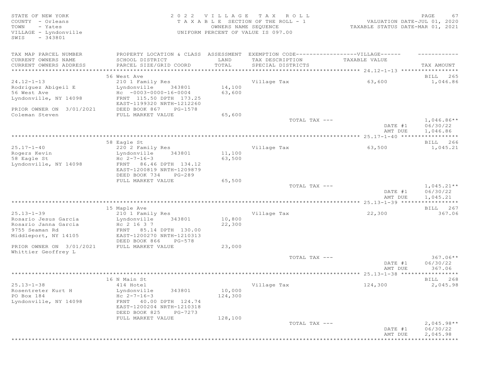# STATE OF NEW YORK SALL RESOLUTION OF A SALL A G EXAMPLE A SALL CHARGE CONTROLL CONTROLLY A SALL CHARGE CONTROLLY A SALL CHARGE CONTROLLY A SALL CHARGE CONTROLLY A SALL CHARGE CONTROLLY A SALL CHARGE CONTROLLY A SALL CHARGE COUNTY - Orleans T A X A B L E SECTION OF THE ROLL - 1 VALUATION DATE-JUL 01, 2020 TOWN - Yates OWNERS NAME SEQUENCE TAXABLE STATUS DATE-MAR 01, 2021 VILLAGE - Lyndonville UNIFORM PERCENT OF VALUE IS 097.00

| TAX MAP PARCEL NUMBER    | PROPERTY LOCATION & CLASS ASSESSMENT                 |         | EXEMPTION CODE------------------VILLAGE------ |               |                    |
|--------------------------|------------------------------------------------------|---------|-----------------------------------------------|---------------|--------------------|
| CURRENT OWNERS NAME      | SCHOOL DISTRICT                                      | LAND    | TAX DESCRIPTION                               | TAXABLE VALUE |                    |
| CURRENT OWNERS ADDRESS   | PARCEL SIZE/GRID COORD                               | TOTAL   | SPECIAL DISTRICTS                             |               | TAX AMOUNT         |
| ***********************  |                                                      |         |                                               |               |                    |
|                          | 56 West Ave                                          |         |                                               |               | BILL 265           |
| $24.12 - 1 - 13$         | 210 1 Family Res                                     |         | Village Tax                                   | 63,600        | 1,046.86           |
| Rodriquez Abiqeil E      | Lyndonville<br>343801                                | 14,100  |                                               |               |                    |
| 56 West Ave              | $Hc - 0003 - 0000 - 16 - 0004$                       | 63,600  |                                               |               |                    |
| Lyndonville, NY 14098    | FRNT 115.50 DPTH 173.25<br>EAST-1199320 NRTH-1212260 |         |                                               |               |                    |
| PRIOR OWNER ON 3/01/2021 | DEED BOOK 867<br>PG-1578                             |         |                                               |               |                    |
| Coleman Steven           | FULL MARKET VALUE                                    | 65,600  |                                               |               |                    |
|                          |                                                      |         | TOTAL TAX ---                                 |               | $1,046.86**$       |
|                          |                                                      |         |                                               | DATE #1       | 06/30/22           |
|                          |                                                      |         |                                               | AMT DUE       | 1,046.86           |
|                          |                                                      |         |                                               |               |                    |
|                          | 58 Eagle St                                          |         |                                               |               | BILL 266           |
| $25.17 - 1 - 40$         | 220 2 Family Res                                     |         | Village Tax                                   | 63,500        | 1,045.21           |
| Rogers Kevin             | Lyndonville<br>343801                                | 11,100  |                                               |               |                    |
| 58 Eagle St              | Hc $2 - 7 - 16 - 3$                                  | 63,500  |                                               |               |                    |
| Lyndonville, NY 14098    | FRNT 86.46 DPTH 134.12                               |         |                                               |               |                    |
|                          | EAST-1200819 NRTH-1209879                            |         |                                               |               |                    |
|                          | DEED BOOK 734<br>$PG-289$                            |         |                                               |               |                    |
|                          | FULL MARKET VALUE                                    | 65,500  |                                               |               |                    |
|                          |                                                      |         | TOTAL TAX ---                                 |               | $1,045.21**$       |
|                          |                                                      |         |                                               | DATE #1       | 06/30/22           |
|                          |                                                      |         |                                               | AMT DUE       | 1,045.21           |
|                          |                                                      |         |                                               |               |                    |
| $25.13 - 1 - 39$         | 15 Maple Ave<br>210 1 Family Res                     |         | Village Tax                                   | 22,300        | BILL 267<br>367.06 |
| Rosario Jesus Garcia     | Lyndonville<br>343801                                | 10,800  |                                               |               |                    |
| Rosario Janna Garcia     | Hc 2 16 3 7                                          | 22,300  |                                               |               |                    |
| 9755 Seaman Rd           | FRNT 85.14 DPTH 130.00                               |         |                                               |               |                    |
| Middleport, NY 14105     | EAST-1200270 NRTH-1210313                            |         |                                               |               |                    |
|                          | DEED BOOK 866<br>$PG-578$                            |         |                                               |               |                    |
| PRIOR OWNER ON 3/01/2021 | FULL MARKET VALUE                                    | 23,000  |                                               |               |                    |
| Whittier Geoffrey L      |                                                      |         |                                               |               |                    |
|                          |                                                      |         | TOTAL TAX $---$                               |               | $367.06**$         |
|                          |                                                      |         |                                               | DATE #1       | 06/30/22           |
|                          |                                                      |         |                                               | AMT DUE       | 367.06             |
|                          |                                                      |         |                                               |               |                    |
|                          | 16 N Main St                                         |         |                                               |               | BILL 268           |
| $25.13 - 1 - 38$         | 414 Hotel                                            |         | Village Tax                                   | 124,300       | 2,045.98           |
| Rosentreter Kurt H       | Lyndonville<br>343801                                | 10,000  |                                               |               |                    |
| PO Box 184               | $Hc 2-7-16-3$                                        | 124,300 |                                               |               |                    |
| Lyndonville, NY 14098    | FRNT 40.00 DPTH 124.74                               |         |                                               |               |                    |
|                          | EAST-1200204 NRTH-1210318                            |         |                                               |               |                    |
|                          | DEED BOOK 825<br>PG-7273                             |         |                                               |               |                    |
|                          | FULL MARKET VALUE                                    | 128,100 |                                               |               |                    |
|                          |                                                      |         | TOTAL TAX ---                                 |               | $2,045.98**$       |
|                          |                                                      |         |                                               | DATE #1       | 06/30/22           |
|                          |                                                      |         |                                               | AMT DUE       | 2,045.98           |
|                          |                                                      |         |                                               |               |                    |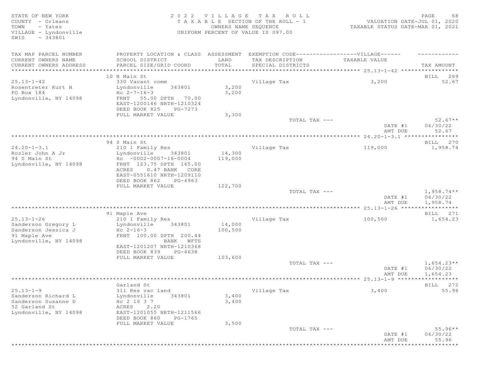STATE OF NEW YORK SALL RESOLUTION OF A SALL A G EXAMPLE A SALL CHARGE CONTROLLY CONSIDER A SALL CHARGE CONTROLLY COUNTY - Orleans T A X A B L E SECTION OF THE ROLL - 1 VALUATION DATE-JUL 01, 2020 TOWN - Yates OWNERS NAME SEQUENCE TAXABLE STATUS DATE-MAR 01, 2021 VILLAGE - Lyndonville UNIFORM PERCENT OF VALUE IS 097.00 SWIS - 343801 TAX MAP PARCEL NUMBER PROPERTY LOCATION & CLASS ASSESSMENT EXEMPTION CODE-------------------VILLAGE------ ----------CURRENT OWNERS NAME SCHOOL DISTRICT LAND TAX DESCRIPTION TAXABLE VALUE CURRENT OWNERS ADDRESS PARCEL SIZE/GRID COORD TOTAL SPECIAL DISTRICTS TAX AMOUNT \*\*\*\*\*\*\*\*\*\*\*\*\*\*\*\*\*\*\*\*\*\*\*\*\*\*\*\*\*\*\*\*\*\*\*\*\*\*\*\*\*\*\*\*\*\*\*\*\*\*\*\*\*\*\*\*\*\*\*\*\*\*\*\*\*\*\*\*\*\*\*\*\*\*\*\*\*\*\*\*\*\*\*\*\*\*\*\*\*\*\*\*\*\*\*\*\*\*\*\*\*\*\* 25.13-1-42 \*\*\*\*\*\*\*\*\*\*\*\*\*\*\*\*\* 10 N Main St **BILL 269** 25.13-1-42 330 Vacant comm Village Tax 3,200 52.67 Rosentreter Kurt H Lyndonville 343801 3,200 PO Box 184 Hc 2-7-16-3 3,200 Lyndonville, NY 14098 FRNT 55.00 DPTH 70.00 EAST-1200146 NRTH-1210324 DEED BOOK 825 PG-7273<br>FULL MARKET VALUE 3,300 ---<br>FULL MARKET VALUE 3,300<br>TOTAL TAX --- $TOTAL$   $TAX$   $---$  52.67\*\* DATE #1 06/30/22<br>AMT DUE 52.67 AMT DUE 52.67 \*\*\*\*\*\*\*\*\*\*\*\*\*\*\*\*\*\*\*\*\*\*\*\*\*\*\*\*\*\*\*\*\*\*\*\*\*\*\*\*\*\*\*\*\*\*\*\*\*\*\*\*\*\*\*\*\*\*\*\*\*\*\*\*\*\*\*\*\*\*\*\*\*\*\*\*\*\*\*\*\*\*\*\*\*\*\*\*\*\*\*\*\*\*\*\*\*\*\*\*\*\*\* 24.20-1-3.1 \*\*\*\*\*\*\*\*\*\*\*\*\*\*\*\* 94 S Main St **BILL 270** 24.20-1-3.1 210 1 Family Res (14,300)<br>210 1 Family Res (14,300) 210 1 Family Res (19,000 1,958.74<br>210 19,000 119,000 119,000 119,000 119,000 119,000 119,000 119,000 119,000 119,000 119,000 119,000 1,958.74 Rozler John A Jr Lyndonville 343801 14,300 94 S Main St Hc -0002-0007-16-0004 119,000 Lyndonville, NY 14098 FRNT 123.75 DPTH 165.00 ACRES 0.47 BANK CORE EAST-0551610 NRTH-1209110 DEED BOOK 862 PG-4963 FULL MARKET VALUE  $122,700$  TOTAL TAX --- $T$ OTAL TAX  $---$  1,958.74\*\* DATE #1 06/30/22 AMT DUE 1, 958.74 \*\*\*\*\*\*\*\*\*\*\*\*\*\*\*\*\*\*\*\*\*\*\*\*\*\*\*\*\*\*\*\*\*\*\*\*\*\*\*\*\*\*\*\*\*\*\*\*\*\*\*\*\*\*\*\*\*\*\*\*\*\*\*\*\*\*\*\*\*\*\*\*\*\*\*\*\*\*\*\*\*\*\*\*\*\*\*\*\*\*\*\*\*\*\*\*\*\*\*\*\*\*\* 25.13-1-26 \*\*\*\*\*\*\*\*\*\*\*\*\*\*\*\*\* er of the state of the state of the state of the state of the state of the state of the state of the state of the state of the state of the state of the state of the state of the state of the state of the state of the stat 25.13-1-26 210 1 Family Res Village Tax 100,500 1,654.23 Sanderson Gregory Landonville 343801 14,000 Sanderson Jessica J  $\overline{c}$  Hc 2-16-3 100,500 91 Maple Ave FRNT 100.00 DPTH 200.44 Lyndonville, NY 14098 BANK WFTS EAST-1201207 NRTH-1210368 DEED BOOK 839 PG-4638 FULL MARKET VALUE 103,600  $T$ OTAL TAX  $---$  1,654.23\*\* DATE #1 06/30/22 AMT DUE 1, 654.23 \*\*\*\*\*\*\*\*\*\*\*\*\*\*\*\*\*\*\*\*\*\*\*\*\*\*\*\*\*\*\*\*\*\*\*\*\*\*\*\*\*\*\*\*\*\*\*\*\*\*\*\*\*\*\*\*\*\*\*\*\*\*\*\*\*\*\*\*\*\*\*\*\*\*\*\*\*\*\*\*\*\*\*\*\*\*\*\*\*\*\*\*\*\*\*\*\*\*\*\*\*\*\* 25.13-1-9 \*\*\*\*\*\*\*\*\*\*\*\*\*\*\*\*\*\* Garland St BILL 272 25.13-1-9 311 Res vac land Village Tax 3,400 55.96 Sanderson Richard L Lyndonville 343801 3,400 Sanderson Susanne D  $\overline{a}$  Hc 2 16 3 7  $\overline{a}$  3,400 52 Garland St ACRES 2.20 EAST-1201055 NRTH-1211566 DEED BOOK 860 PG-1765<br>FULL MARKET VALUE 3,500 FULL MARKET VALUE 3,500<br>TOTAL TAX --- TOTAL TAX --- 55.96\*\* DATE #1 06/30/22 AMT DUE 55.96 \*\*\*\*\*\*\*\*\*\*\*\*\*\*\*\*\*\*\*\*\*\*\*\*\*\*\*\*\*\*\*\*\*\*\*\*\*\*\*\*\*\*\*\*\*\*\*\*\*\*\*\*\*\*\*\*\*\*\*\*\*\*\*\*\*\*\*\*\*\*\*\*\*\*\*\*\*\*\*\*\*\*\*\*\*\*\*\*\*\*\*\*\*\*\*\*\*\*\*\*\*\*\*\*\*\*\*\*\*\*\*\*\*\*\*\*\*\*\*\*\*\*\*\*\*\*\*\*\*\*\*\*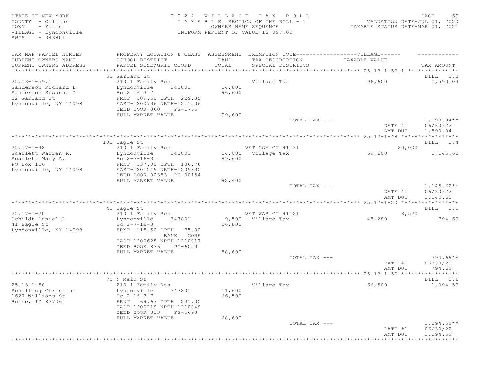STATE OF NEW YORK 2 0 2 2 V I L L A G E T A X R O L L PAGE 69 COUNTY - Orleans T A X A B L E SECTION OF THE ROLL - 1<br>TOWN - Yates COUNTRS NAME SECUENCE TOWN - Yates OWNERS NAME SEQUENCE TAXABLE STATUS DATE-MAR 01, 2021 VILLAGE - Lyndonville UNIFORM PERCENT OF VALUE IS 097.00 SWIS - 343801 TAX MAP PARCEL NUMBER PROPERTY LOCATION & CLASS ASSESSMENT EXEMPTION CODE------------------VILLAGE------ ------------ CURRENT OWNERS NAME SCHOOL DISTRICT LAND TAX DESCRIPTION TAXABLE VALUE CURRENT OWNERS ADDRESS PARCEL SIZE/GRID COORD TOTAL SPECIAL DISTRICTS TAX AMOUNT \*\*\*\*\*\*\*\*\*\*\*\*\*\*\*\*\*\*\*\*\*\*\*\*\*\*\*\*\*\*\*\*\*\*\*\*\*\*\*\*\*\*\*\*\*\*\*\*\*\*\*\*\*\*\*\*\*\*\*\*\*\*\*\*\*\*\*\*\*\*\*\*\*\*\*\*\*\*\*\*\*\*\*\*\*\*\*\*\*\*\*\*\*\*\*\*\*\*\*\*\*\*\* 25.13-1-59.1 \*\*\*\*\*\*\*\*\*\*\*\*\*\*\* 52 Garland St BILL 273 25.13-1-59.1 210 1 Family Res Village Tax 96,600 1,590.04 Sanderson Richard L Lyndonville 343801 14,800 Sanderson Susanne D  $_{\rm HC}$  2 16 3 7  $_{\rm HC}$  96,600 52 Garland St<br>
Lyndonville, NY 14098 EAST-1200796 NRTH-1211506 EAST-1200796 NRTH-1211506 DEED BOOK 860 PG-1765 FULL MARKET VALUE 99,600<br>TOTAL TAX --- $\begin{array}{ccc} {\tt TOTA} & {\tt TAX} & \text{---} & \end{array} \hspace{2cm} {\tt 1,590.04**}$ DATE #1 06/30/22<br>AMT DUE 1,590.04 AMT DUE 1, 590.04 \*\*\*\*\*\*\*\*\*\*\*\*\*\*\*\*\*\*\*\*\*\*\*\*\*\*\*\*\*\*\*\*\*\*\*\*\*\*\*\*\*\*\*\*\*\*\*\*\*\*\*\*\*\*\*\*\*\*\*\*\*\*\*\*\*\*\*\*\*\*\*\*\*\*\*\*\*\*\*\*\*\*\*\*\*\*\*\*\*\*\*\*\*\*\*\*\*\*\*\*\*\*\* 25.17-1-48 \*\*\*\*\*\*\*\*\*\*\*\*\*\*\*\*\* 102 Eagle St and the state of the state of the state of the state of the state of the state of the state of the state of the state of the state of the state of the state of the state of the state of the state of the state 25.17-1-48 210 1 Family Res VET COM CT 41131 20,000 Scarlett Warren R. Lyndonville 343801 14,000 Village Tax 69,600 1,145.62 Scarlett Mary A.  $BC 2-7-16-3$  89,600 Scarlett warren N. (1992)<br>
Scarlett Mary A. (1992)<br>
PO Box 116 FRNT 137.00 DPTH 136.76<br>
Pyndonville, NY 14098 (1985 FAST-1201549 NRTH-1209890 Lyndonville, NY 14098 EAST-1201549 NRTH-1209890 DEED BOOK 00353 PG-00154 FULL MARKET VALUE 92,400<br>TOTAL TAX --- $T$ OTAL TAX  $---$  1,145.62\*\* DATE #1 06/30/22<br>AMT DUE 1,145.62 AMT DUE 1, 145.62 \*\*\*\*\*\*\*\*\*\*\*\*\*\*\*\*\*\*\*\*\*\*\*\*\*\*\*\*\*\*\*\*\*\*\*\*\*\*\*\*\*\*\*\*\*\*\*\*\*\*\*\*\*\*\*\*\*\*\*\*\*\*\*\*\*\*\*\*\*\*\*\*\*\*\*\*\*\*\*\*\*\*\*\*\*\*\*\*\*\*\*\*\*\*\*\*\*\*\*\*\*\*\* 25.17-1-20 \*\*\*\*\*\*\*\*\*\*\*\*\*\*\*\*\* and the set of the set of the set of the set of the set of the set of the set of the set of the set of the set of the set of the set of the set of the set of the set of the set of the set of the set of the set of the set o 25.17-1-20 210 1 Family Res VET WAR CT 41121 8,520 Schildt Daniel L Lyndonville 343801 9,500 Village Tax 48,280 794.69 Schildt Daniel L<br>
41 Eagle St<br>
41 Eagle St<br>
56,800<br>
41 Eagle St<br>
56,800<br>
56,800<br>
56,800<br>
56,800<br>
FRNT 115.50 DPTH 75.00 Lyndonville, NY 14098 FRNT 115.50 DPTH 75.00 BANK CORE EAST-1200628 NRTH-1210017 DEED BOOK 836 PG-6059<br>FULL MARKET VALUE 58,600 FULL MARKET VALUE 58,600<br>TOTAL TAX --- $\texttt{TOTAL TAX}$   $\texttt{--}$   $\texttt{--}$   $\texttt{--}$   $\texttt{--}$   $\texttt{--}$   $\texttt{--}$   $\texttt{--}$   $\texttt{--}$   $\texttt{--}$   $\texttt{--}$   $\texttt{--}$   $\texttt{--}$   $\texttt{--}$   $\texttt{--}$   $\texttt{--}$   $\texttt{--}$   $\texttt{--}$   $\texttt{--}$   $\texttt{--}$   $\texttt{--}$   $\texttt{--}$   $\texttt{--}$   $\texttt{--}$   $\text$ DATE #1 06/30/22<br>AMT DUE 794.69 AMT DUE 794.69 \*\*\*\*\*\*\*\*\*\*\*\*\*\*\*\*\*\*\*\*\*\*\*\*\*\*\*\*\*\*\*\*\*\*\*\*\*\*\*\*\*\*\*\*\*\*\*\*\*\*\*\*\*\*\*\*\*\*\*\*\*\*\*\*\*\*\*\*\*\*\*\*\*\*\*\*\*\*\*\*\*\*\*\*\*\*\*\*\*\*\*\*\*\*\*\*\*\*\*\*\*\*\* 25.13-1-50 \*\*\*\*\*\*\*\*\*\*\*\*\*\*\*\*\* To N Main St and the set of the set of the set of the set of the set of the set of the set of the set of the set of the set of the set of the set of the set of the set of the set of the set of the set of the set of the set 25.13-1-50 210 1 Family Res Village Tax 66,500 1,094.59 Schilling Christine Lyndonville 343801 11,600 1627 Williams St Hc 2 16 3 7 66,500 Boise, ID 83706 FRNT 69.67 DPTH 231.00 EAST-1200219 NRTH-1210849 DEED BOOK 833 PG-5698<br>FULL MARKET VALUE 68,600 FULL MARKET VALUE  $\texttt{TOTAL TAX}$   $- \texttt{1,094.59**}$  DATE #1 06/30/22 AMT DUE 1, 094.59 \*\*\*\*\*\*\*\*\*\*\*\*\*\*\*\*\*\*\*\*\*\*\*\*\*\*\*\*\*\*\*\*\*\*\*\*\*\*\*\*\*\*\*\*\*\*\*\*\*\*\*\*\*\*\*\*\*\*\*\*\*\*\*\*\*\*\*\*\*\*\*\*\*\*\*\*\*\*\*\*\*\*\*\*\*\*\*\*\*\*\*\*\*\*\*\*\*\*\*\*\*\*\*\*\*\*\*\*\*\*\*\*\*\*\*\*\*\*\*\*\*\*\*\*\*\*\*\*\*\*\*\*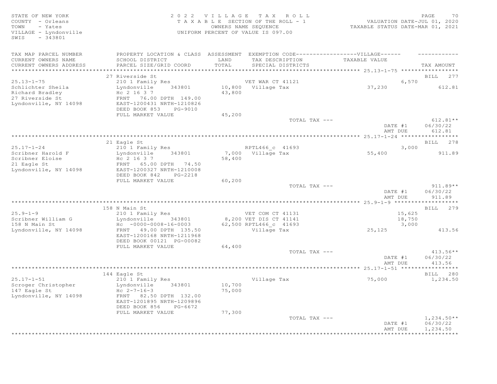STATE OF NEW YORK CONSTRUCTED AS A LOCAL CONSTRUCTED A LOCAL CONSTRUCTION OF A LOCAL CONSTRUCTION OF A LOCAL COMM COUNTY - Orleans T A X A B L E SECTION OF THE ROLL - 1 VALUATION DATE-JUL 01, 2020 TOWN - Yates OWNERS NAME SEQUENCE TAXABLE STATUS DATE-MAR 01, 2021 VILLAGE - Lyndonville UNIFORM PERCENT OF VALUE IS 097.00 SWIS - 343801 TAX MAP PARCEL NUMBER PROPERTY LOCATION & CLASS ASSESSMENT EXEMPTION CODE-------------------VILLAGE------ ----------CURRENT OWNERS NAME SCHOOL DISTRICT LAND TAX DESCRIPTION TAXABLE VALUE CURRENT OWNERS ADDRESS PARCEL SIZE/GRID COORD TOTAL SPECIAL DISTRICTS TAX AMOUNT \*\*\*\*\*\*\*\*\*\*\*\*\*\*\*\*\*\*\*\*\*\*\*\*\*\*\*\*\*\*\*\*\*\*\*\*\*\*\*\*\*\*\*\*\*\*\*\*\*\*\*\*\*\*\*\*\*\*\*\*\*\*\*\*\*\*\*\*\*\*\*\*\*\*\*\*\*\*\*\*\*\*\*\*\*\*\*\*\*\*\*\*\*\*\*\*\*\*\*\*\*\*\* 25.13-1-75 \*\*\*\*\*\*\*\*\*\*\*\*\*\*\*\*\* 27 Riverside St 2003 and 2008 and 2009 and 2008 and 2009 and 2008 and 2008 and 2008 and 2008 and 2008 and 200 25.13-1-75 210 1 Family Res VET WAR CT 41121 6,570 Schlichter Sheila Lyndonville 343801 10,800 Village Tax 37,230 612.81 Richard Bradley  $Hc$  2 16 3 7  $43,800$ 27 Riverside St FRNT 76.00 DPTH 149.00 Lyndonville, NY 14098 EAST-1200431 NRTH-1210826 DEED BOOK 853 PG-9010 FULL MARKET VALUE  $45,200$  TOTAL TAX ---TOTAL TAX  $---$  612.81\*\* DATE #1 06/30/22 AMT DUE 612.81 \*\*\*\*\*\*\*\*\*\*\*\*\*\*\*\*\*\*\*\*\*\*\*\*\*\*\*\*\*\*\*\*\*\*\*\*\*\*\*\*\*\*\*\*\*\*\*\*\*\*\*\*\*\*\*\*\*\*\*\*\*\*\*\*\*\*\*\*\*\*\*\*\*\*\*\*\*\*\*\*\*\*\*\*\*\*\*\*\*\*\*\*\*\*\*\*\*\*\*\*\*\*\* 25.17-1-24 \*\*\*\*\*\*\*\*\*\*\*\*\*\*\*\*\* 21 Eagle St and the state of the state of the state of the state of the state of the state of the state of the state of the state of the state of the state of the state of the state of the state of the state of the state o 25.17-1-24 210 1 Family Res RPTL466 c 41693 3,000 Scribner Harold F Lyndonville 343801 7,000 Village Tax 55,400 911.89 Scribner Eloise  $HC$  2 16 3 7 58,400 21 Eagle St FRNT 65.00 DPTH 74.50 Lyndonville, NY 14098 EAST-1200327 NRTH-1210008 DEED BOOK 842 PG-2218 FULL MARKET VALUE 60,200<br>TOTAL TAX --- $T$ OTAL TAX  $---$  911.89\*\* DATE #1 06/30/22 AMT DUE 911.89 \*\*\*\*\*\*\*\*\*\*\*\*\*\*\*\*\*\*\*\*\*\*\*\*\*\*\*\*\*\*\*\*\*\*\*\*\*\*\*\*\*\*\*\*\*\*\*\*\*\*\*\*\*\*\*\*\*\*\*\*\*\*\*\*\*\*\*\*\*\*\*\*\*\*\*\*\*\*\*\*\*\*\*\*\*\*\*\*\*\*\*\*\*\*\*\*\*\*\*\*\*\*\* 25.9-1-9 \*\*\*\*\*\*\*\*\*\*\*\*\*\*\*\*\*\*\* 158 N Main St **BILL 279** 25.9-1-9 210 1 Family Res VET COM CT 41131 15,625 Scribner William G Lyndonville 343801 8,200 VET DIS CT 41141 18,750 158 N Main St Hc -0000-0008-16-0003 62,500 RPTL466\_c 41693 3,000 Lyndonville, NY 14098 FRNT 49.00 DPTH 135.50 Village Tax 25,125 413.56 EAST-1200168 NRTH-1211968 DEED BOOK 00121 PG-00082 FULL MARKET VALUE 64,400<br>TOTAL TAX --- $T$ OTAL TAX  $---$  413.56\*\* DATE #1 06/30/22 AMT DUE 413.56 \*\*\*\*\*\*\*\*\*\*\*\*\*\*\*\*\*\*\*\*\*\*\*\*\*\*\*\*\*\*\*\*\*\*\*\*\*\*\*\*\*\*\*\*\*\*\*\*\*\*\*\*\*\*\*\*\*\*\*\*\*\*\*\*\*\*\*\*\*\*\*\*\*\*\*\*\*\*\*\*\*\*\*\*\*\*\*\*\*\*\*\*\*\*\*\*\*\*\*\*\*\*\* 25.17-1-51 \*\*\*\*\*\*\*\*\*\*\*\*\*\*\*\*\* 144 Eagle St BILL 280 25.17-1-51 210 1 Family Res Village Tax 75,000 1,234.50 Scroger Christopher Lyndonville 343801 10,700 147 Eagle St Hc 2-7-16-3 75,000 Lyndonville, NY 14098 FRNT 82.50 DPTH 132.00 EAST-1201895 NRTH-1209896 DEED BOOK 856 PG-6672 FULL MARKET VALUE 77,300  $\texttt{TOTAL TAX}$   $\texttt{--}$   $\texttt{--}$   $\texttt{1,234.50**}$  DATE #1 06/30/22 AMT DUE 1, 234.50 \*\*\*\*\*\*\*\*\*\*\*\*\*\*\*\*\*\*\*\*\*\*\*\*\*\*\*\*\*\*\*\*\*\*\*\*\*\*\*\*\*\*\*\*\*\*\*\*\*\*\*\*\*\*\*\*\*\*\*\*\*\*\*\*\*\*\*\*\*\*\*\*\*\*\*\*\*\*\*\*\*\*\*\*\*\*\*\*\*\*\*\*\*\*\*\*\*\*\*\*\*\*\*\*\*\*\*\*\*\*\*\*\*\*\*\*\*\*\*\*\*\*\*\*\*\*\*\*\*\*\*\*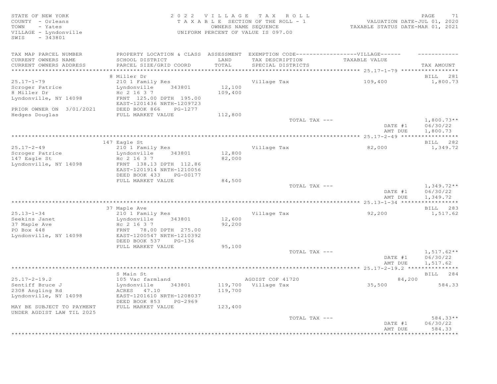# STATE OF NEW YORK SALL RESOLUTION OF A SALL RESOLUTION OF A SALL CHARGE TRANSPORT OF A SALL PAGE TO A SALL PAGE COUNTY - Orleans T A X A B L E SECTION OF THE ROLL - 1 VALUATION DATE-JUL 01, 2020 TOWN - Yates OWNERS NAME SEQUENCE TAXABLE STATUS DATE-MAR 01, 2021 VILLAGE - Lyndonville UNIFORM PERCENT OF VALUE IS 097.00

| TAX MAP PARCEL NUMBER                 | PROPERTY LOCATION & CLASS ASSESSMENT                  |                   | EXEMPTION CODE------------------VILLAGE------ |               |              |
|---------------------------------------|-------------------------------------------------------|-------------------|-----------------------------------------------|---------------|--------------|
| CURRENT OWNERS NAME                   | SCHOOL DISTRICT                                       | LAND              | TAX DESCRIPTION                               | TAXABLE VALUE |              |
| CURRENT OWNERS ADDRESS                | PARCEL SIZE/GRID COORD                                | TOTAL             | SPECIAL DISTRICTS                             |               | TAX AMOUNT   |
| * * * * * * * * * * * * * * * * * * * | *********************************                     |                   |                                               |               |              |
|                                       | 8 Miller Dr                                           |                   |                                               |               | BILL 281     |
| $25.17 - 1 - 79$                      | 210 1 Family Res                                      |                   | Village Tax                                   | 109,400       | 1,800.73     |
| Scroger Patrice<br>8 Miller Dr        | 343801<br>Lyndonville<br>Hc 2 16 3 7                  | 12,100<br>109,400 |                                               |               |              |
| Lyndonville, NY 14098                 | FRNT 125.00 DPTH 195.00                               |                   |                                               |               |              |
|                                       | EAST-1201436 NRTH-1209723                             |                   |                                               |               |              |
| PRIOR OWNER ON 3/01/2021              | DEED BOOK 866<br>PG-1277                              |                   |                                               |               |              |
| Hedges Douglas                        | FULL MARKET VALUE                                     | 112,800           |                                               |               |              |
|                                       |                                                       |                   | TOTAL TAX ---                                 |               | $1,800.73**$ |
|                                       |                                                       |                   |                                               | DATE #1       | 06/30/22     |
|                                       |                                                       |                   |                                               | AMT DUE       | 1,800.73     |
|                                       |                                                       |                   |                                               |               |              |
|                                       | 147 Eagle St                                          |                   |                                               |               | BILL 282     |
| $25.17 - 2 - 49$                      | 210 1 Family Res                                      |                   | Village Tax                                   | 82,000        | 1,349.72     |
| Scroger Patrice<br>147 Eagle St       | Lyndonville<br>343801<br>Hc 2 16 3 7                  | 12,800<br>82,000  |                                               |               |              |
| Lyndonville, NY 14098                 | FRNT 138.13 DPTH 112.86                               |                   |                                               |               |              |
|                                       | EAST-1201914 NRTH-1210056                             |                   |                                               |               |              |
|                                       | DEED BOOK 433<br>PG-00177                             |                   |                                               |               |              |
|                                       | FULL MARKET VALUE                                     | 84,500            |                                               |               |              |
|                                       |                                                       |                   | TOTAL TAX ---                                 |               | $1,349.72**$ |
|                                       |                                                       |                   |                                               | DATE #1       | 06/30/22     |
|                                       |                                                       |                   |                                               | AMT DUE       | 1,349.72     |
|                                       |                                                       |                   |                                               |               |              |
|                                       | 37 Maple Ave                                          |                   |                                               |               | BILL 283     |
| $25.13 - 1 - 34$                      | 210 1 Family Res                                      |                   | Village Tax                                   | 92,200        | 1,517.62     |
| Seekins Janet                         | Lyndonville<br>343801                                 | 12,600            |                                               |               |              |
| 37 Maple Ave<br>PO Box 448            | Hc 2 16 3 7<br>FRNT 78.00 DPTH 275.00                 | 92,200            |                                               |               |              |
| Lyndonville, NY 14098                 | EAST-1200547 NRTH-1210392                             |                   |                                               |               |              |
|                                       | DEED BOOK 537<br>$PG-136$                             |                   |                                               |               |              |
|                                       | FULL MARKET VALUE                                     | 95,100            |                                               |               |              |
|                                       |                                                       |                   | TOTAL TAX ---                                 |               | $1,517.62**$ |
|                                       |                                                       |                   |                                               | DATE #1       | 06/30/22     |
|                                       |                                                       |                   |                                               | AMT DUE       | 1,517.62     |
|                                       |                                                       |                   |                                               |               |              |
|                                       | S Main St                                             |                   |                                               |               | BILL 284     |
| $25.17 - 2 - 19.2$                    | 105 Vac farmland                                      |                   | AGDIST COF 41720                              | 84,200        |              |
| Sentiff Bruce J                       | Lyndonville<br>343801                                 |                   | 119,700 Village Tax                           | 35,500        | 584.33       |
| 2308 Angling Rd                       | ACRES 47.10                                           | 119,700           |                                               |               |              |
| Lyndonville, NY 14098                 | EAST-1201610 NRTH-1208037<br>DEED BOOK 853<br>PG-2969 |                   |                                               |               |              |
| MAY BE SUBJECT TO PAYMENT             | FULL MARKET VALUE                                     | 123,400           |                                               |               |              |
| UNDER AGDIST LAW TIL 2025             |                                                       |                   |                                               |               |              |
|                                       |                                                       |                   | TOTAL TAX ---                                 |               | 584.33**     |
|                                       |                                                       |                   |                                               | DATE #1       | 06/30/22     |
|                                       |                                                       |                   |                                               | AMT DUE       | 584.33       |
|                                       |                                                       |                   |                                               |               | ***********  |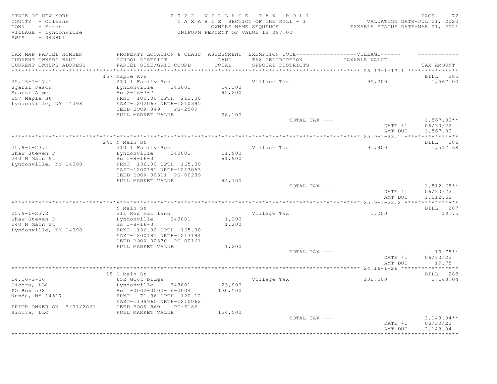STATE OF NEW YORK PAGE 2022 VILLAGE TAX ROLL PAGE POSTATE OF NEW YORK PAGE 2022 VILLAGE TAX ROLL<br>COUNTY - Orleans TAXABLE SECTION OF THE ROLL - 1 VALUATION DATE-JUL 01, 2020<br>TOWN - Yates counters name Sequence that the sec COUNTY - Orleans T A X A B L E SECTION OF THE ROLL - 1<br>TOWN - Yates COUNTERS NAME SEQUENCE TOWN - Yates OWNERS NAME SEQUENCE TAXABLE STATUS DATE-MAR 01, 2021 VILLAGE - Lyndonville UNIFORM PERCENT OF VALUE IS 097.00 SWIS - 343801 TAX MAP PARCEL NUMBER PROPERTY LOCATION & CLASS ASSESSMENT EXEMPTION CODE-------------------VILLAGE------ ----------CURRENT OWNERS NAME SCHOOL DISTRICT LAND TAX DESCRIPTION TAXABLE VALUE CURRENT OWNERS ADDRESS PARCEL SIZE/GRID COORD TOTAL SPECIAL DISTRICTS TAX AMOUNT \*\*\*\*\*\*\*\*\*\*\*\*\*\*\*\*\*\*\*\*\*\*\*\*\*\*\*\*\*\*\*\*\*\*\*\*\*\*\*\*\*\*\*\*\*\*\*\*\*\*\*\*\*\*\*\*\*\*\*\*\*\*\*\*\*\*\*\*\*\*\*\*\*\*\*\*\*\*\*\*\*\*\*\*\*\*\*\*\*\*\*\*\*\*\*\*\*\*\*\*\*\*\* 25.13-1-17.1 \*\*\*\*\*\*\*\*\*\*\*\*\*\*\* 157 Maple Ave BILL 285 25.13-1-17.1 210 1 Family Res Village Tax 95,200 1,567.00 Sgarzi Jason Lyndonville 343801 14,100 Sgarzi Aimee  $AC 2-16-3-7$  95,200 157 Maple St FRNT 100.00 DPTH 212.00 Lyndonville, NY 14098 EAST-1202063 NRTH-1210395 DEED BOOK 849 PG-2589 FULL MARKET VALUE 98,100<br>TOTAL TAX --- $\begin{array}{ccc} {\tt TOTA} & {\tt TAX} & \text{---} \end{array}$  and  $\begin{array}{ccc} {\tt TOTA} & {\tt TAX} & \text{---} \end{array}$  and  $\begin{array}{ccc} {\tt I,567.00**} \end{array}$ DATE #1 06/30/22<br>AMT DUE 1,567.00 AMT DUE 1, 567.00 \*\*\*\*\*\*\*\*\*\*\*\*\*\*\*\*\*\*\*\*\*\*\*\*\*\*\*\*\*\*\*\*\*\*\*\*\*\*\*\*\*\*\*\*\*\*\*\*\*\*\*\*\*\*\*\*\*\*\*\*\*\*\*\*\*\*\*\*\*\*\*\*\*\*\*\*\*\*\*\*\*\*\*\*\*\*\*\*\*\*\*\*\*\*\*\*\*\*\*\*\*\*\* 25.9-1-23.1 \*\*\*\*\*\*\*\*\*\*\*\*\*\*\*\* 240 N Main St **BILL 286** 25.9-1-23.1 210 1 Family Res Village Tax 91,900 1,512.68 Shaw Steven D Lyndonville 343801 11,900 Shaw Steven D<br>240 N Main St<br>Lyndonville, NY 14098 Lyndonville, NY 14098 FRNT 136.00 DPTH 165.00 EAST-1200181 NRTH-1213053 DEED BOOK 00311 PG-00289 FULL MARKET VALUE 94,700<br>TOTAL TAX --- $\texttt{TOTAL TAX}$  ---  $\texttt{1, 512.68**}$ DATE #1 06/30/22<br>AMT DUE 1,512.68 AMT DUE 1, 512.68 \*\*\*\*\*\*\*\*\*\*\*\*\*\*\*\*\*\*\*\*\*\*\*\*\*\*\*\*\*\*\*\*\*\*\*\*\*\*\*\*\*\*\*\*\*\*\*\*\*\*\*\*\*\*\*\*\*\*\*\*\*\*\*\*\*\*\*\*\*\*\*\*\*\*\*\*\*\*\*\*\*\*\*\*\*\*\*\*\*\*\*\*\*\*\*\*\*\*\*\*\*\*\* 25.9-1-23.2 \*\*\*\*\*\*\*\*\*\*\*\*\*\*\*\* N Main St **BILL 287** 25.9-1-23.2 311 Res vac land Village Tax 1,200 19.75 Lyndonville 343801 1,200<br>Hc 1-8-16-3 1,200 Shaw Steven D<br>
240 N Main St<br>
1240 N Main St<br>
240 N Main St<br>
240 N Main St<br>
240 N Main St<br>
26 N Main St<br>
26 N Main St<br>
26 N Main St<br>
26 N Main St<br>
26 N Main St<br>
26 N Main St<br>
26 N Main St<br>
26 N Main St<br>
26 N Main St<br>
26 N Lyndonville, NY 14098 EAST-1200181 NRTH-1213184 DEED BOOK 00330 PG-00161 FULL MARKET VALUE  $1,200$  TOTAL TAX --- $T$ OTAL TAX  $---$  19.75\*\* DATE #1 06/30/22 AMT DUE  $19.75$ \*\*\*\*\*\*\*\*\*\*\*\*\*\*\*\*\*\*\*\*\*\*\*\*\*\*\*\*\*\*\*\*\*\*\*\*\*\*\*\*\*\*\*\*\*\*\*\*\*\*\*\*\*\*\*\*\*\*\*\*\*\*\*\*\*\*\*\*\*\*\*\*\*\*\*\*\*\*\*\*\*\*\*\*\*\*\*\*\*\*\*\*\*\*\*\*\*\*\*\*\*\*\* 24.16-1-26 \*\*\*\*\*\*\*\*\*\*\*\*\*\*\*\*\* 18 S Main St Bill 288 Studies and the set of the set of the set of the set of the set of the set of the set of the set of the set of the set of the set of the set of the set of the set of the set of the set of the set of t 24.16-1-26 652 Govt bldgs Village Tax 130,500 2,148.04 Sicora, LLC Lyndonville 343801 23,900 PO Box 538 Hc -0002-0000-16-0004 130,500 Nunda, NY 14517 **FRNT 71.96 DPTH 120.12**  EAST-1199960 NRTH-1210062 PRIOR OWNER ON 3/01/2021 DEED BOOK 860 PG-6186 FULL MARKET VALUE 134,500<br>TOTAL TAX ---TOTAL TAX  $---$  2,148.04\*\* DATE #1 06/30/22 AMT DUE 2, 148.04 \*\*\*\*\*\*\*\*\*\*\*\*\*\*\*\*\*\*\*\*\*\*\*\*\*\*\*\*\*\*\*\*\*\*\*\*\*\*\*\*\*\*\*\*\*\*\*\*\*\*\*\*\*\*\*\*\*\*\*\*\*\*\*\*\*\*\*\*\*\*\*\*\*\*\*\*\*\*\*\*\*\*\*\*\*\*\*\*\*\*\*\*\*\*\*\*\*\*\*\*\*\*\*\*\*\*\*\*\*\*\*\*\*\*\*\*\*\*\*\*\*\*\*\*\*\*\*\*\*\*\*\*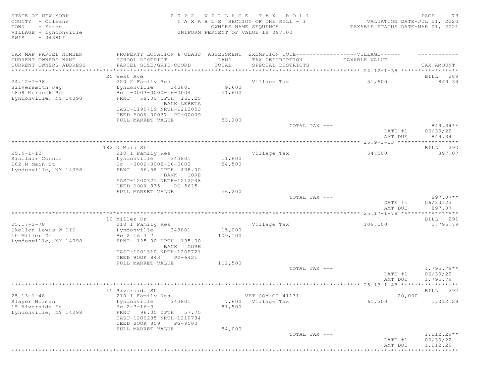| STATE OF NEW YORK<br>COUNTY - Orleans<br>TOWN<br>- Yates<br>VILLAGE - Lyndonville<br>$-343801$<br>SWIS |                                                       | OWNERS NAME SEQUENCE | 2022 VILLAGE TAX ROLL<br>T A X A B L E SECTION OF THE ROLL - 1<br>UNIFORM PERCENT OF VALUE IS 097.00 | VALUATION DATE-JUL 01, 2020<br>TAXABLE STATUS DATE-MAR 01, 2021 | 73<br>PAGE           |
|--------------------------------------------------------------------------------------------------------|-------------------------------------------------------|----------------------|------------------------------------------------------------------------------------------------------|-----------------------------------------------------------------|----------------------|
| TAX MAP PARCEL NUMBER                                                                                  | PROPERTY LOCATION & CLASS ASSESSMENT                  |                      |                                                                                                      | EXEMPTION CODE------------------VILLAGE------                   |                      |
| CURRENT OWNERS NAME                                                                                    | SCHOOL DISTRICT                                       | LAND                 | TAX DESCRIPTION                                                                                      | TAXABLE VALUE                                                   |                      |
| CURRENT OWNERS ADDRESS                                                                                 | PARCEL SIZE/GRID COORD                                | TOTAL                | SPECIAL DISTRICTS                                                                                    |                                                                 | TAX AMOUNT           |
|                                                                                                        | 25 West Ave                                           |                      |                                                                                                      |                                                                 | BILL 289             |
| $24.12 - 1 - 38$                                                                                       | 220 2 Family Res                                      |                      | Village Tax                                                                                          | 51,600                                                          | 849.34               |
| Silversmith Jay                                                                                        | Lyndonville<br>343801                                 | 9,600                |                                                                                                      |                                                                 |                      |
| 1859 Murdock Rd                                                                                        | $HC -0003-0000-16-0004$                               | 51,600               |                                                                                                      |                                                                 |                      |
| Lyndonville, NY 14098                                                                                  | FRNT 58.00 DPTH 161.25                                |                      |                                                                                                      |                                                                 |                      |
|                                                                                                        | BANK LERETA<br>EAST-1199719 NRTH-1212053              |                      |                                                                                                      |                                                                 |                      |
|                                                                                                        | DEED BOOK 00037 PG-00009                              |                      |                                                                                                      |                                                                 |                      |
|                                                                                                        | FULL MARKET VALUE                                     | 53,200               |                                                                                                      |                                                                 |                      |
|                                                                                                        |                                                       |                      | TOTAL TAX ---                                                                                        |                                                                 | 849.34**             |
|                                                                                                        |                                                       |                      |                                                                                                      | DATE #1                                                         | 06/30/22             |
|                                                                                                        |                                                       |                      |                                                                                                      | AMT DUE                                                         | 849.34               |
|                                                                                                        | 182 N Main St                                         |                      |                                                                                                      |                                                                 | BILL 290             |
| $25.9 - 1 - 13$                                                                                        | 210 1 Family Res                                      |                      | Village Tax                                                                                          | 54,500                                                          | 897.07               |
| Sinclair Connor                                                                                        | Lyndonville<br>343801                                 | 11,600               |                                                                                                      |                                                                 |                      |
| 182 N Main St                                                                                          | $Hc - 0002 - 0008 - 16 - 0003$                        | 54,500               |                                                                                                      |                                                                 |                      |
| Lyndonville, NY 14098                                                                                  | FRNT 66.58 DPTH 438.00                                |                      |                                                                                                      |                                                                 |                      |
|                                                                                                        | BANK CORE                                             |                      |                                                                                                      |                                                                 |                      |
|                                                                                                        | EAST-1200321 NRTH-1212248<br>DEED BOOK 835<br>PG-5625 |                      |                                                                                                      |                                                                 |                      |
|                                                                                                        | FULL MARKET VALUE                                     | 56,200               |                                                                                                      |                                                                 |                      |
|                                                                                                        |                                                       |                      | TOTAL TAX ---                                                                                        |                                                                 | 897.07**             |
|                                                                                                        |                                                       |                      |                                                                                                      | DATE #1                                                         | 06/30/22             |
|                                                                                                        |                                                       |                      |                                                                                                      | AMT DUE                                                         | 897.07               |
|                                                                                                        |                                                       |                      |                                                                                                      |                                                                 |                      |
| $25.17 - 1 - 78$                                                                                       | 10 Miller Dr<br>210 1 Family Res                      |                      | Village Tax                                                                                          | 109,100                                                         | BILL 291<br>1,795.79 |
| Skellon Lewis W III                                                                                    | Lyndonville<br>343801                                 | 15,200               |                                                                                                      |                                                                 |                      |
| 10 Miller Dr                                                                                           | Hc 2 16 3 7                                           | 109,100              |                                                                                                      |                                                                 |                      |
| Lyndonville, NY 14098                                                                                  | FRNT 125.00 DPTH 195.00                               |                      |                                                                                                      |                                                                 |                      |
|                                                                                                        | BANK CORE                                             |                      |                                                                                                      |                                                                 |                      |
|                                                                                                        | EAST-1201310 NRTH-1209721                             |                      |                                                                                                      |                                                                 |                      |
|                                                                                                        | DEED BOOK 843<br>PG-6421<br>FULL MARKET VALUE         | 112,500              |                                                                                                      |                                                                 |                      |
|                                                                                                        |                                                       |                      | TOTAL TAX ---                                                                                        |                                                                 | $1,795.79**$         |
|                                                                                                        |                                                       |                      |                                                                                                      | DATE #1                                                         | 06/30/22             |
|                                                                                                        |                                                       |                      |                                                                                                      | AMT DUE                                                         | 1,795.79             |
|                                                                                                        |                                                       |                      |                                                                                                      |                                                                 |                      |
|                                                                                                        | 15 Riverside St                                       |                      |                                                                                                      |                                                                 | BILL 292             |
| $25.13 - 1 - 48$                                                                                       | 210 1 Family Res                                      |                      | VET COM CT 41131                                                                                     | 20,000                                                          |                      |
| Slayer Norman<br>15 Riverside St                                                                       | Lyndonville<br>343801<br>$Hc 2-7-16-3$                | 81,500               | 7,600 Village Tax                                                                                    | 61,500                                                          | 1,012.29             |
| Lyndonville, NY 14098                                                                                  | 96.00 DPTH<br>57.75<br>FRNT                           |                      |                                                                                                      |                                                                 |                      |
|                                                                                                        | EAST-1200285 NRTH-1210784                             |                      |                                                                                                      |                                                                 |                      |
|                                                                                                        | DEED BOOK 859<br>PG-9580                              |                      |                                                                                                      |                                                                 |                      |
|                                                                                                        | FULL MARKET VALUE                                     | 84,000               |                                                                                                      |                                                                 |                      |
|                                                                                                        |                                                       |                      | TOTAL TAX ---                                                                                        |                                                                 | $1,012.29**$         |
|                                                                                                        |                                                       |                      |                                                                                                      | DATE #1                                                         | 06/30/22             |
|                                                                                                        |                                                       |                      |                                                                                                      | AMT DUE                                                         | 1,012.29             |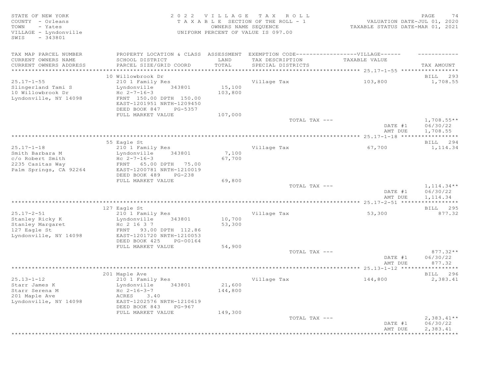STATE OF NEW YORK 2 0 2 2 V I L L A G E T A X R O L L PAGE 74 COUNTY - Orleans T A X A B L E SECTION OF THE ROLL - 1 VALUATION DATE-JUL 01, 2020 TOWN - Yates OWNERS NAME SEQUENCE TAXABLE STATUS DATE-MAR 01, 2021 VILLAGE - Lyndonville UNIFORM PERCENT OF VALUE IS 097.00 SWIS - 343801 TAX MAP PARCEL NUMBER PROPERTY LOCATION & CLASS ASSESSMENT EXEMPTION CODE-------------------VILLAGE------ ----------CURRENT OWNERS NAME SCHOOL DISTRICT LAND TAX DESCRIPTION TAXABLE VALUE CURRENT OWNERS ADDRESS PARCEL SIZE/GRID COORD TOTAL SPECIAL DISTRICTS TAX AMOUNT \*\*\*\*\*\*\*\*\*\*\*\*\*\*\*\*\*\*\*\*\*\*\*\*\*\*\*\*\*\*\*\*\*\*\*\*\*\*\*\*\*\*\*\*\*\*\*\*\*\*\*\*\*\*\*\*\*\*\*\*\*\*\*\*\*\*\*\*\*\*\*\*\*\*\*\*\*\*\*\*\*\*\*\*\*\*\*\*\*\*\*\*\*\*\*\*\*\*\*\*\*\*\* 25.17-1-55 \*\*\*\*\*\*\*\*\*\*\*\*\*\*\*\*\* 10 Willowbrook Dr BILL 293 25.17-1-55 210 1 Family Res Village Tax 103,800 1,708.55 Slingerland Tami S Lyndonville 343801 15,100 10 Willowbrook Dr Hc 2-7-16-3 103,800 Lyndonville, NY 14098 FRNT 150.00 DPTH 150.00 EAST-1201951 NRTH-1209450 DEED BOOK 847 PG-5357 FULL MARKET VALUE  $107,000$  TOTAL TAX --- $\texttt{TOTAL TAX}$   $\texttt{--}$   $\texttt{--}$   $\texttt{1,708.55**}$ DATE #1 06/30/22<br>AMT DUE 1,708.55 AMT DUE 1,708.55 \*\*\*\*\*\*\*\*\*\*\*\*\*\*\*\*\*\*\*\*\*\*\*\*\*\*\*\*\*\*\*\*\*\*\*\*\*\*\*\*\*\*\*\*\*\*\*\*\*\*\*\*\*\*\*\*\*\*\*\*\*\*\*\*\*\*\*\*\*\*\*\*\*\*\*\*\*\*\*\*\*\*\*\*\*\*\*\*\*\*\*\*\*\*\*\*\*\*\*\*\*\*\* 25.17-1-18 \*\*\*\*\*\*\*\*\*\*\*\*\*\*\*\*\* 55 Eagle St BILL 294 25.17-1-18 210 1 Family Res Village Tax 67,700 1,114.34 Smith Barbara M Mundonville 343801 7,100  $c$ /o Robert Smith Hc  $2-7-16-3$  67,700 2235 Casitas Way FRNT 65.00 DPTH 75.00 Palm Springs, CA 92264 EAST-1200781 NRTH-1210019 DEED BOOK 489 PG-238 FULL MARKET VALUE 69,800<br>TOTAL TAX --- $T$ OTAL TAX  $---$  1,114.34\*\* DATE #1 06/30/22<br>AMT DUE 1,114.34 AMT DUE 1, 114.34 \*\*\*\*\*\*\*\*\*\*\*\*\*\*\*\*\*\*\*\*\*\*\*\*\*\*\*\*\*\*\*\*\*\*\*\*\*\*\*\*\*\*\*\*\*\*\*\*\*\*\*\*\*\*\*\*\*\*\*\*\*\*\*\*\*\*\*\*\*\*\*\*\*\*\*\*\*\*\*\*\*\*\*\*\*\*\*\*\*\*\*\*\*\*\*\*\*\*\*\*\*\*\* 25.17-2-51 \*\*\*\*\*\*\*\*\*\*\*\*\*\*\*\*\* 127 Eagle St and the state of the state of the state of the state of the state of the state of the state of the state of the state of the state of the state of the state of the state of the state of the state of the state 25.17-2-51 210 1 Family Res Village Tax 53,300 877.32 Stanley Ricky K Lyndonville 343801 10,700 Stanley Margaret  $\overline{H}$  Hc 2 16 3 7 53,300 127 Eagle Stanley Margaret<br>
127 Eagle St<br>
127 Eagle St<br>
127 Eagle St<br>
14098 EAST-1201720 NRTH-1210053 Lyndonville, NY 14098 EAST-1201720 NRTH-1210053 DEED BOOK 425 PG-00164 FULL MARKET VALUE 54,900<br>TOTAL TAX --- $T$ OTAL TAX  $---$  877.32  $*$ DATE #1 06/30/22 **AMT DUE** 877.32 \*\*\*\*\*\*\*\*\*\*\*\*\*\*\*\*\*\*\*\*\*\*\*\*\*\*\*\*\*\*\*\*\*\*\*\*\*\*\*\*\*\*\*\*\*\*\*\*\*\*\*\*\*\*\*\*\*\*\*\*\*\*\*\*\*\*\*\*\*\*\*\*\*\*\*\*\*\*\*\*\*\*\*\*\*\*\*\*\*\*\*\*\*\*\*\*\*\*\*\*\*\*\* 25.13-1-12 \*\*\*\*\*\*\*\*\*\*\*\*\*\*\*\*\* 201 Maple Ave BILL 296 25.13-1-12 210 1 Family Res Village Tax 144,800 2,383.41 Starr James K Lyndonville 343801 21,600 Starr Serena M  $_{\text{HC}}$  2-16-3-7 144,800 201 Maple Ave ACRES 3.40 Lyndonville, NY 14098 EAST-1202576 NRTH-1210619 DEED BOOK 843 PG-967 FULL MARKET VALUE 149,300<br>TOTAL TAX --- $\texttt{TOTAL TAX}$   $\texttt{--}$   $\texttt{--}$   $\texttt{--}$   $\texttt{--}$   $\texttt{--}$   $\texttt{--}$   $\texttt{--}$   $\texttt{--}$   $\texttt{--}$   $\texttt{--}$   $\texttt{--}$   $\texttt{--}$   $\texttt{--}$   $\texttt{--}$   $\texttt{--}$   $\texttt{--}$   $\texttt{--}$   $\texttt{--}$   $\texttt{--}$   $\texttt{--}$   $\texttt{--}$   $\texttt{--}$   $\texttt{--}$   $\text$ DATE #1 06/30/22<br>AMT DUE 2,383.41 AMT DUE 2, 383.41 \*\*\*\*\*\*\*\*\*\*\*\*\*\*\*\*\*\*\*\*\*\*\*\*\*\*\*\*\*\*\*\*\*\*\*\*\*\*\*\*\*\*\*\*\*\*\*\*\*\*\*\*\*\*\*\*\*\*\*\*\*\*\*\*\*\*\*\*\*\*\*\*\*\*\*\*\*\*\*\*\*\*\*\*\*\*\*\*\*\*\*\*\*\*\*\*\*\*\*\*\*\*\*\*\*\*\*\*\*\*\*\*\*\*\*\*\*\*\*\*\*\*\*\*\*\*\*\*\*\*\*\*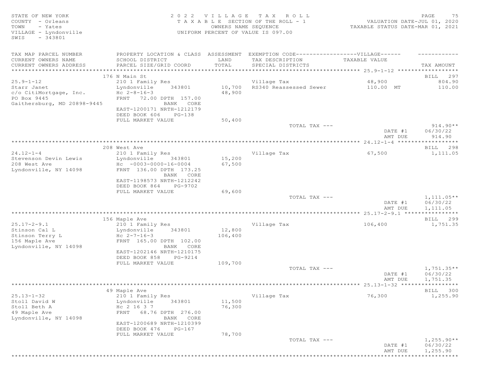| STATE OF NEW YORK<br>COUNTY - Orleans<br>TOWN<br>- Yates<br>VILLAGE - Lyndonville          | 2 0 2 2                                                                                                                                                                      | VILLAGE<br>OWNERS NAME SEQUENCE | TAX ROLL<br>T A X A B L E SECTION OF THE ROLL - 1<br>UNIFORM PERCENT OF VALUE IS 097.00 | VALUATION DATE-JUL 01, 2020<br>TAXABLE STATUS DATE-MAR 01, 2021 | 75<br>PAGE                           |
|--------------------------------------------------------------------------------------------|------------------------------------------------------------------------------------------------------------------------------------------------------------------------------|---------------------------------|-----------------------------------------------------------------------------------------|-----------------------------------------------------------------|--------------------------------------|
| $-343801$<br>SWIS                                                                          |                                                                                                                                                                              |                                 |                                                                                         |                                                                 |                                      |
| TAX MAP PARCEL NUMBER<br>CURRENT OWNERS NAME                                               | PROPERTY LOCATION & CLASS ASSESSMENT EXEMPTION CODE-----------------VILLAGE------<br>SCHOOL DISTRICT                                                                         | LAND<br>TOTAL                   | TAX DESCRIPTION                                                                         | TAXABLE VALUE                                                   |                                      |
| CURRENT OWNERS ADDRESS<br>*************************************                            | PARCEL SIZE/GRID COORD                                                                                                                                                       |                                 | SPECIAL DISTRICTS                                                                       |                                                                 | TAX AMOUNT                           |
|                                                                                            | 176 N Main St                                                                                                                                                                |                                 |                                                                                         |                                                                 | BILL 297                             |
| $25.9 - 1 - 12$                                                                            | 210 1 Family Res                                                                                                                                                             |                                 | Village Tax                                                                             | 48,900                                                          | 804.90                               |
| Starr Janet<br>c/o CitiMortgage, Inc.<br>PO Box 9445<br>Gaithersburg, MD 20898-9445        | Lyndonville<br>343801<br>Hc $2 - 8 - 16 - 3$<br>FRNT 72.00 DPTH 157.00<br>BANK CORE<br>EAST-1200171 NRTH-1212179<br>DEED BOOK 606<br>PG-138<br>FULL MARKET VALUE             | 10,700<br>48,900<br>50,400      | RS340 Reassessed Sewer                                                                  | 110.00 MT                                                       | 110.00                               |
|                                                                                            |                                                                                                                                                                              |                                 | TOTAL TAX ---                                                                           | DATE #1<br>AMT DUE                                              | $914.90**$<br>06/30/22<br>914.90     |
|                                                                                            |                                                                                                                                                                              |                                 |                                                                                         |                                                                 |                                      |
|                                                                                            | 208 West Ave                                                                                                                                                                 |                                 |                                                                                         |                                                                 | BILL 298                             |
| $24.12 - 1 - 4$<br>Stevenson Devin Lewis<br>208 West Ave<br>Lyndonville, NY 14098          | 210 1 Family Res<br>Lyndonville<br>343801<br>$Hc - 0003 - 0000 - 16 - 0004$<br>FRNT 136.00 DPTH 173.25<br>BANK CORE<br>EAST-1198573 NRTH-1212242<br>DEED BOOK 864<br>PG-9702 | 15,200<br>67,500                | Village Tax                                                                             | 67,500                                                          | 1,111.05                             |
|                                                                                            | FULL MARKET VALUE                                                                                                                                                            | 69,600                          |                                                                                         |                                                                 |                                      |
|                                                                                            |                                                                                                                                                                              |                                 | TOTAL TAX ---                                                                           | DATE #1<br>AMT DUE                                              | $1,111.05**$<br>06/30/22<br>1,111.05 |
|                                                                                            |                                                                                                                                                                              |                                 |                                                                                         |                                                                 |                                      |
| $25.17 - 2 - 9.1$                                                                          | 156 Maple Ave<br>210 1 Family Res                                                                                                                                            |                                 | Village Tax                                                                             | 106,400                                                         | BILL 299<br>1,751.35                 |
| Stinson Cal L<br>Stinson Terry L<br>156 Maple Ave<br>Lyndonville, NY 14098                 | Lyndonville<br>343801<br>Hc $2 - 7 - 16 - 3$<br>FRNT 165.00 DPTH 102.00<br>BANK CORE<br>EAST-1202146 NRTH-1210175<br>DEED BOOK 858<br>PG-9214                                | 12,800<br>106,400               |                                                                                         |                                                                 |                                      |
|                                                                                            | FULL MARKET VALUE                                                                                                                                                            | 109,700                         |                                                                                         |                                                                 |                                      |
|                                                                                            |                                                                                                                                                                              |                                 | TOTAL TAX ---                                                                           | DATE #1<br>AMT DUE                                              | $1,751.35**$<br>06/30/22<br>1,751.35 |
|                                                                                            | ******************************                                                                                                                                               |                                 |                                                                                         |                                                                 |                                      |
| $25.13 - 1 - 32$<br>Stoll David W<br>Stoll Beth A<br>49 Maple Ave<br>Lyndonville, NY 14098 | 49 Maple Ave<br>210 1 Family Res<br>Lyndonville<br>343801<br>Hc 2 16 3 7<br>FRNT 68.76 DPTH 276.00<br>BANK CORE<br>EAST-1200689 NRTH-1210399<br>DEED BOOK 476<br>PG-167      | 11,500<br>76,300                | Village Tax                                                                             | 76,300                                                          | BILL 300<br>1,255.90                 |
|                                                                                            | FULL MARKET VALUE                                                                                                                                                            | 78,700                          | TOTAL TAX ---                                                                           | DATE #1<br>AMT DUE                                              | $1,255.90**$<br>06/30/22<br>1,255.90 |
|                                                                                            |                                                                                                                                                                              |                                 |                                                                                         |                                                                 | ***********                          |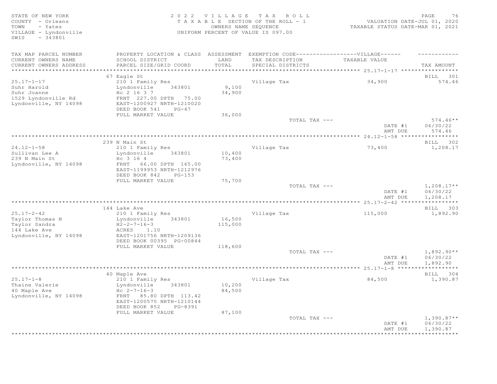STATE OF NEW YORK 2 0 2 2 V I L L A G E T A X R O L L PAGE 76 COUNTY - Orleans T A X A B L E SECTION OF THE ROLL - 1<br>TOWN - Yates COUNTER DATE: DESCRIPTION OF THE ROLL - 1 TOWN - Yates OWNERS NAME SEQUENCE TAXABLE STATUS DATE-MAR 01, 2021 UNIFORM PERCENT OF VALUE IS 097.00 SWIS - 343801 TAX MAP PARCEL NUMBER PROPERTY LOCATION & CLASS ASSESSMENT EXEMPTION CODE-------------------VILLAGE------ ----------CURRENT OWNERS NAME SCHOOL DISTRICT LAND TAX DESCRIPTION TAXABLE VALUE CURRENT OWNERS ADDRESS PARCEL SIZE/GRID COORD TOTAL SPECIAL DISTRICTS TAX AMOUNT \*\*\*\*\*\*\*\*\*\*\*\*\*\*\*\*\*\*\*\*\*\*\*\*\*\*\*\*\*\*\*\*\*\*\*\*\*\*\*\*\*\*\*\*\*\*\*\*\*\*\*\*\*\*\*\*\*\*\*\*\*\*\*\*\*\*\*\*\*\*\*\*\*\*\*\*\*\*\*\*\*\*\*\*\*\*\*\*\*\*\*\*\*\*\*\*\*\*\*\*\*\*\* 25.17-1-17 \*\*\*\*\*\*\*\*\*\*\*\*\*\*\*\*\* er of the state of the state of the state of the state of the state of the state of the state of the state of the state of the state of the state of the state of the state of the state of the state of the state of the stat 25.17-1-17 210 1 Family Res Village Tax 34,900 574.46 Suhr Harold Lyndonville 343801 9,100 Suhr Joanne Hc 2 16 3 7 34,900 1529 Lyndonville Rd FRNT 227.00 DPTH 75.00 Lyndonville, NY 14098 EAST-1200927 NRTH-1210020 DEED BOOK 541 PG-47 FULL MARKET VALUE 36,000<br>TOTAL TAX --- $TOTAL$  TAX  $---$  574.46\*\* DATE #1 06/30/22<br>AMT DUE 574.46 AMT DUE 574.46 \*\*\*\*\*\*\*\*\*\*\*\*\*\*\*\*\*\*\*\*\*\*\*\*\*\*\*\*\*\*\*\*\*\*\*\*\*\*\*\*\*\*\*\*\*\*\*\*\*\*\*\*\*\*\*\*\*\*\*\*\*\*\*\*\*\*\*\*\*\*\*\*\*\*\*\*\*\*\*\*\*\*\*\*\*\*\*\*\*\*\*\*\*\*\*\*\*\*\*\*\*\*\* 24.12-1-58 \*\*\*\*\*\*\*\*\*\*\*\*\*\*\*\*\* 239 N Main St BILL 302 24.12-1-58 210 1 Family Res Village Tax 73,400 1,208.17 Lyndonville 343801 10,400<br>Hc 3 16 4 73,400 24.12-1-50<br>Sullivan Lee A<br>239 N Main St<br>Lyndonville, NY 14098 Lyndonville, NY 14098 FRNT 66.00 DPTH 165.00 EAST-1199953 NRTH-1212976 DEED BOOK 842 PG-153 FULL MARKET VALUE 75,700<br>TOTAL TAX --- $\texttt{TOTAL TAX}$   $\texttt{--}$   $\texttt{--}$   $\texttt{1,208.17**}$ DATE #1 06/30/22<br>AMT DUE 1,208.17 AMT DUE 1, 208.17 \*\*\*\*\*\*\*\*\*\*\*\*\*\*\*\*\*\*\*\*\*\*\*\*\*\*\*\*\*\*\*\*\*\*\*\*\*\*\*\*\*\*\*\*\*\*\*\*\*\*\*\*\*\*\*\*\*\*\*\*\*\*\*\*\*\*\*\*\*\*\*\*\*\*\*\*\*\*\*\*\*\*\*\*\*\*\*\*\*\*\*\*\*\*\*\*\*\*\*\*\*\*\* 25.17-2-42 \*\*\*\*\*\*\*\*\*\*\*\*\*\*\*\*\* 144 Lake Ave BILL 303 25.17-2-42 210 1 Family Res Village Tax 115,000 1,892.90 Taylor Thomas N Lyndonville 343801 16,500 Taylor Thomas N (1992)<br>
Taylor Sandra (1992–2008)<br>
Taylor Sandra (1992–2008)<br>
H2-2-7-16-3 (1.10 (1993)<br>
ACRES (1.10 (1993) 144 Lake Ave ACRES 1.10 Lyndonville, NY 14098 EAST-1201756 NRTH-1209136 DEED BOOK 00395 PG-00844 FULL MARKET VALUE 118,600<br>TOTAL TAX --- $\blacksquare$  Total Tax ---  $\blacksquare$   $\blacksquare$   $\blacksquare$   $\blacksquare$   $\blacksquare$   $\blacksquare$   $\blacksquare$   $\blacksquare$   $\blacksquare$   $\blacksquare$   $\blacksquare$   $\blacksquare$   $\blacksquare$   $\blacksquare$   $\blacksquare$   $\blacksquare$   $\blacksquare$   $\blacksquare$   $\blacksquare$   $\blacksquare$   $\blacksquare$   $\blacksquare$   $\blacksquare$   $\blacksquare$   $\blacksquare$   $\blacksquare$   $\blacksquare$   $\blacksquare$   $\blacks$ DATE #1 06/30/22 AMT DUE 1,892.90 \*\*\*\*\*\*\*\*\*\*\*\*\*\*\*\*\*\*\*\*\*\*\*\*\*\*\*\*\*\*\*\*\*\*\*\*\*\*\*\*\*\*\*\*\*\*\*\*\*\*\*\*\*\*\*\*\*\*\*\*\*\*\*\*\*\*\*\*\*\*\*\*\*\*\*\*\*\*\*\*\*\*\*\*\*\*\*\*\*\*\*\*\*\*\*\*\*\*\*\*\*\*\* 25.17-1-8 \*\*\*\*\*\*\*\*\*\*\*\*\*\*\*\*\*\* 40 Maple Ave BILL 304 25.17-1-8 210 1 Family Res Village Tax 84,500 1,390.87 Thaine Valerie **1**yndonville 343801 10,200 40 Maple Ave Hc 2-7-16-3 84,500 Lyndonville, NY 14098 FRNT 85.80 DPTH 113.42 EAST-1200575 NRTH-1210144 DEED BOOK 852 PG-8391 FULL MARKET VALUE 87,100<br>TOTAL TAX --- $\texttt{TOTAL TAX}$   $\texttt{--}$   $\texttt{--}$   $\texttt{1,390.87**}$  DATE #1 06/30/22 AMT DUE 1, 390.87 \*\*\*\*\*\*\*\*\*\*\*\*\*\*\*\*\*\*\*\*\*\*\*\*\*\*\*\*\*\*\*\*\*\*\*\*\*\*\*\*\*\*\*\*\*\*\*\*\*\*\*\*\*\*\*\*\*\*\*\*\*\*\*\*\*\*\*\*\*\*\*\*\*\*\*\*\*\*\*\*\*\*\*\*\*\*\*\*\*\*\*\*\*\*\*\*\*\*\*\*\*\*\*\*\*\*\*\*\*\*\*\*\*\*\*\*\*\*\*\*\*\*\*\*\*\*\*\*\*\*\*\*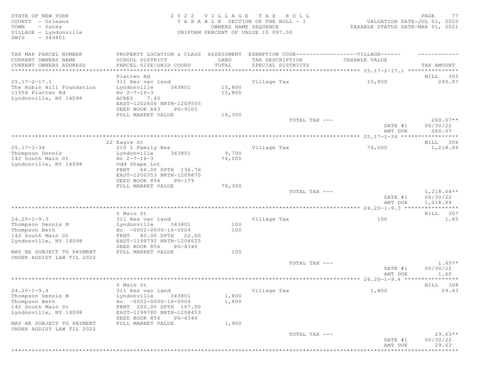SWIS - 343801

#### STATE OF NEW YORK SALL RESOLUTION OF A SALL RESOLUTION OF A SALL CHARGE TRACK AND RESOLUTION OF A SALL PAGE 77 COUNTY - Orleans T A X A B L E SECTION OF THE ROLL - 1 VALUATION DATE-JUL 01, 2020 TOWN - Yates OWNERS NAME SEQUENCE TAXABLE STATUS DATE-MAR 01, 2021 VILLAGE - Lyndonville UNIFORM PERCENT OF VALUE IS 097.00

| TAX MAP PARCEL NUMBER     | PROPERTY LOCATION & CLASS ASSESSMENT      |        | EXEMPTION CODE-----------------VILLAGE------ |               |                             |
|---------------------------|-------------------------------------------|--------|----------------------------------------------|---------------|-----------------------------|
| CURRENT OWNERS NAME       | SCHOOL DISTRICT                           | LAND   | TAX DESCRIPTION                              | TAXABLE VALUE |                             |
| CURRENT OWNERS ADDRESS    | PARCEL SIZE/GRID COORD                    | TOTAL  | SPECIAL DISTRICTS                            |               | TAX AMOUNT                  |
| **********************    | *******************************           |        |                                              |               |                             |
| $25.17 - 2 - 17.1$        | Platten Rd                                |        |                                              |               | BILL 305                    |
| The Robin Hill Foundation | 311 Res vac land<br>Lyndonville<br>343801 | 15,800 | Village Tax                                  | 15,800        | 260.07                      |
| 11556 Platten Rd          | $Hc 2-7-16-3$                             | 15,800 |                                              |               |                             |
| Lyndonville, NY 14098     | 7.40<br>ACRES                             |        |                                              |               |                             |
|                           | EAST-1202606 NRTH-1209555                 |        |                                              |               |                             |
|                           | DEED BOOK 843<br>PG-9105                  |        |                                              |               |                             |
|                           | FULL MARKET VALUE                         | 16,300 |                                              |               |                             |
|                           |                                           |        | TOTAL TAX ---                                |               | $260.07**$                  |
|                           |                                           |        |                                              | DATE #1       | 06/30/22                    |
|                           |                                           |        |                                              | AMT DUE       | 260.07                      |
|                           |                                           |        |                                              |               | ***********                 |
| $25.17 - 1 - 34$          | 22 Eagle St                               |        |                                              |               | BILL 306                    |
| Thompson Dennis           | 210 1 Family Res<br>Lyndonville<br>343801 | 9,700  | Village Tax                                  | 74,000        | 1,218.04                    |
| 142 South Main St         | $Hc 2-7-16-3$                             | 74,000 |                                              |               |                             |
| Lyndonville, NY 14098     | Odd Shape Lot                             |        |                                              |               |                             |
|                           | FRNT 66.00 DPTH 136.76                    |        |                                              |               |                             |
|                           | EAST-1200353 NRTH-1209870                 |        |                                              |               |                             |
|                           | DEED BOOK 854<br>PG-179                   |        |                                              |               |                             |
|                           | FULL MARKET VALUE                         | 76,300 |                                              |               |                             |
|                           |                                           |        | TOTAL TAX ---                                |               | $1,218.04**$                |
|                           |                                           |        |                                              | DATE #1       | 06/30/22                    |
|                           |                                           |        |                                              | AMT DUE       | 1,218.04                    |
|                           | S Main St                                 |        |                                              |               | BILL 307                    |
| $24.20 - 1 - 9.3$         | 311 Res vac land                          |        | Village Tax                                  | 100           | 1.65                        |
| Thompson Dennis M         | Lyndonville<br>343801                     | 100    |                                              |               |                             |
| Thompson Beth             | $Hc - 0002 - 0000 - 16 - 0004$            | 100    |                                              |               |                             |
| 142 South Main St         | FRNT 40.00 DPTH 22.00                     |        |                                              |               |                             |
| Lyndonville, NY 14098     | EAST-1199792 NRTH-1208625                 |        |                                              |               |                             |
|                           | DEED BOOK 856<br>PG-4346                  |        |                                              |               |                             |
| MAY BE SUBJECT TO PAYMENT | FULL MARKET VALUE                         | 100    |                                              |               |                             |
| UNDER AGDIST LAW TIL 2022 |                                           |        |                                              |               |                             |
|                           |                                           |        | TOTAL TAX ---                                |               | $1.65**$                    |
|                           |                                           |        |                                              | DATE #1       | 06/30/22                    |
|                           |                                           |        |                                              | AMT DUE       | 1.65<br>* * * * * * * * * * |
|                           | S Main St                                 |        |                                              |               | BILL 308                    |
| $24.20 - 1 - 9.4$         | 311 Res vac land                          |        | Village Tax                                  | 1,800         | 29.63                       |
| Thompson Dennis M         | Lyndonville<br>343801                     | 1,800  |                                              |               |                             |
| Thompson Beth             | $HC -0002 -0000 -16 -0004$                | 1,800  |                                              |               |                             |
| 142 South Main St         | FRNT 200.00 DPTH 167.00                   |        |                                              |               |                             |
| Lyndonville, NY 14098     | EAST-1199780 NRTH-1208453                 |        |                                              |               |                             |
|                           | DEED BOOK 856<br>PG-4346                  |        |                                              |               |                             |
| MAY BE SUBJECT TO PAYMENT | FULL MARKET VALUE                         | 1,900  |                                              |               |                             |
| UNDER AGDIST LAW TIL 2022 |                                           |        |                                              |               |                             |
|                           |                                           |        | TOTAL TAX ---                                |               | $29.63**$                   |
|                           |                                           |        |                                              | DATE #1       | 06/30/22                    |
|                           |                                           |        |                                              | AMT DUE       | 29.63                       |
|                           |                                           |        |                                              |               |                             |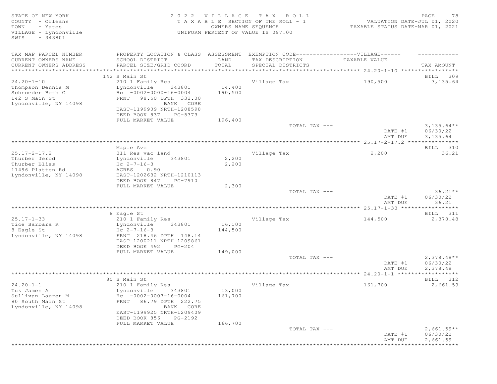| STATE OF NEW YORK                                             |                                                         | 2022 VILLAGE         | TAX ROLL                                                                         |                                  | PAGE<br>78            |
|---------------------------------------------------------------|---------------------------------------------------------|----------------------|----------------------------------------------------------------------------------|----------------------------------|-----------------------|
| COUNTY - Orleans                                              |                                                         |                      | T A X A B L E SECTION OF THE ROLL - 1                                            | VALUATION DATE-JUL 01, 2020      |                       |
| - Yates<br>TOWN<br>VILLAGE - Lyndonville<br>$-343801$<br>SWIS |                                                         | OWNERS NAME SEQUENCE | UNIFORM PERCENT OF VALUE IS 097.00                                               | TAXABLE STATUS DATE-MAR 01, 2021 |                       |
|                                                               |                                                         |                      |                                                                                  |                                  |                       |
| TAX MAP PARCEL NUMBER                                         |                                                         |                      | PROPERTY LOCATION & CLASS ASSESSMENT EXEMPTION CODE----------------VILLAGE------ |                                  |                       |
| CURRENT OWNERS NAME                                           | SCHOOL DISTRICT                                         | LAND                 | TAX DESCRIPTION                                                                  | TAXABLE VALUE                    |                       |
| CURRENT OWNERS ADDRESS<br>***********************             | PARCEL SIZE/GRID COORD                                  | TOTAL                | SPECIAL DISTRICTS                                                                |                                  | TAX AMOUNT            |
|                                                               | 142 S Main St                                           |                      |                                                                                  |                                  | BILL 309              |
| $24.20 - 1 - 10$                                              | 210 1 Family Res                                        |                      | Village Tax                                                                      | 190,500                          | 3,135.64              |
| Thompson Dennis M                                             | Lyndonville<br>343801                                   | 14,400               |                                                                                  |                                  |                       |
| Schroeder Beth C                                              | $Hc - 0002 - 0000 - 16 - 0004$                          | 190,500              |                                                                                  |                                  |                       |
| 142 S Main St                                                 | FRNT 98.50 DPTH 332.00                                  |                      |                                                                                  |                                  |                       |
| Lyndonville, NY 14098                                         | BANK CORE                                               |                      |                                                                                  |                                  |                       |
|                                                               | EAST-1199909 NRTH-1208598                               |                      |                                                                                  |                                  |                       |
|                                                               | DEED BOOK 837<br>PG-5373                                |                      |                                                                                  |                                  |                       |
|                                                               | FULL MARKET VALUE                                       | 196,400              |                                                                                  |                                  |                       |
|                                                               |                                                         |                      | TOTAL TAX ---                                                                    |                                  | $3,135.64**$          |
|                                                               |                                                         |                      |                                                                                  | DATE #1                          | 06/30/22              |
|                                                               |                                                         |                      |                                                                                  | AMT DUE                          | 3,135.64              |
|                                                               |                                                         |                      |                                                                                  |                                  |                       |
|                                                               | Maple Ave                                               |                      |                                                                                  |                                  | BILL 310              |
| $25.17 - 2 - 17.2$                                            | 311 Res vac land                                        |                      | Village Tax                                                                      | 2,200                            | 36.21                 |
| Thurber Jerod                                                 | Lyndonville<br>343801                                   | 2,200                |                                                                                  |                                  |                       |
| Thurber Bliss                                                 | $Hc 2-7-16-3$                                           | 2,200                |                                                                                  |                                  |                       |
| 11496 Platten Rd<br>Lyndonville, NY 14098                     | ACRES<br>0.90<br>EAST-1202632 NRTH-1210113              |                      |                                                                                  |                                  |                       |
|                                                               | DEED BOOK 847<br>PG-7910                                |                      |                                                                                  |                                  |                       |
|                                                               | FULL MARKET VALUE                                       | 2,300                |                                                                                  |                                  |                       |
|                                                               |                                                         |                      | TOTAL TAX ---                                                                    |                                  | $36.21**$             |
|                                                               |                                                         |                      |                                                                                  | DATE #1                          | 06/30/22              |
|                                                               |                                                         |                      |                                                                                  | AMT DUE                          | 36.21                 |
|                                                               |                                                         |                      |                                                                                  |                                  |                       |
|                                                               | 8 Eagle St                                              |                      |                                                                                  |                                  | BILL 311              |
| $25.17 - 1 - 33$                                              | 210 1 Family Res                                        |                      | Village Tax                                                                      | 144,500                          | 2,378.48              |
| Tice Barbara R                                                | Lyndonville<br>343801                                   | 16,100               |                                                                                  |                                  |                       |
| 8 Eagle St                                                    | Hc $2 - 7 - 16 - 3$                                     | 144,500              |                                                                                  |                                  |                       |
| Lyndonville, NY 14098                                         | FRNT 218.46 DPTH 148.14                                 |                      |                                                                                  |                                  |                       |
|                                                               | EAST-1200211 NRTH-1209861                               |                      |                                                                                  |                                  |                       |
|                                                               | DEED BOOK 492<br>$PG-204$                               |                      |                                                                                  |                                  |                       |
|                                                               | FULL MARKET VALUE                                       | 149,000              |                                                                                  |                                  |                       |
|                                                               |                                                         |                      | TOTAL TAX ---                                                                    |                                  | $2,378.48**$          |
|                                                               |                                                         |                      |                                                                                  | DATE #1                          | 06/30/22              |
|                                                               |                                                         |                      |                                                                                  | AMT DUE                          | 2,378.48              |
|                                                               |                                                         |                      |                                                                                  |                                  | * * * * * * * * * * * |
|                                                               | 80 S Main St                                            |                      |                                                                                  |                                  | BILL 312              |
| $24.20 - 1 - 1$                                               | 210 1 Family Res                                        |                      | Village Tax                                                                      | 161,700                          | 2,661.59              |
| Tuk James A                                                   | 343801<br>Lyndonville                                   | 13,000               |                                                                                  |                                  |                       |
| Sullivan Lauren M<br>80 South Main St                         | $HC -0002 -0007 -16 -0004$<br>86.79 DPTH 222.75<br>FRNT | 161,700              |                                                                                  |                                  |                       |
| Lyndonville, NY 14098                                         | BANK CORE                                               |                      |                                                                                  |                                  |                       |
|                                                               | EAST-1199925 NRTH-1209409                               |                      |                                                                                  |                                  |                       |
|                                                               | DEED BOOK 856<br>PG-2192                                |                      |                                                                                  |                                  |                       |
|                                                               | FULL MARKET VALUE                                       | 166,700              |                                                                                  |                                  |                       |
|                                                               |                                                         |                      | TOTAL TAX ---                                                                    |                                  | $2,661.59**$          |
|                                                               |                                                         |                      |                                                                                  | DATE #1                          | 06/30/22              |
|                                                               |                                                         |                      |                                                                                  | AMT DUE                          | 2,661.59              |
|                                                               |                                                         |                      |                                                                                  |                                  | * * * * * * * * * * * |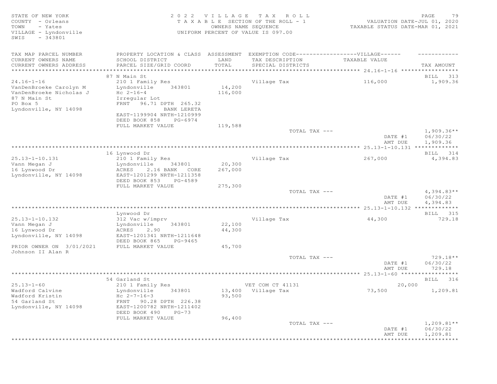SWIS - 343801

#### STATE OF NEW YORK 2 0 2 2 V I L L A G E T A X R O L L PAGE 79 COUNTY - Orleans T A X A B L E SECTION OF THE ROLL - 1 VALUATION DATE-JUL 01, 2020 TOWN - Yates OWNERS NAME SEQUENCE TAXABLE STATUS DATE-MAR 01, 2021 VILLAGE - Lyndonville UNIFORM PERCENT OF VALUE IS 097.00

| TAX MAP PARCEL NUMBER<br>CURRENT OWNERS NAME<br>CURRENT OWNERS ADDRESS                                                     | PROPERTY LOCATION & CLASS ASSESSMENT<br>SCHOOL DISTRICT<br>PARCEL SIZE/GRID COORD                                  | LAND<br>TOTAL     | EXEMPTION CODE------------------VILLAGE------<br>TAX DESCRIPTION<br>SPECIAL DISTRICTS | TAXABLE VALUE      | TAX AMOUNT                           |
|----------------------------------------------------------------------------------------------------------------------------|--------------------------------------------------------------------------------------------------------------------|-------------------|---------------------------------------------------------------------------------------|--------------------|--------------------------------------|
| **********************                                                                                                     |                                                                                                                    | ***********       |                                                                                       |                    |                                      |
|                                                                                                                            | 87 N Main St                                                                                                       |                   |                                                                                       |                    | BILL 313                             |
| $24.16 - 1 - 16$<br>VanDenBroeke Carolyn M<br>VanDenBroeke Nicholas J<br>87 N Main St<br>PO Box 5<br>Lyndonville, NY 14098 | 210 1 Family Res<br>Lyndonville<br>343801<br>$Hc 2-16-4$<br>Irregular Lot<br>FRNT 96.71 DPTH 265.32<br>BANK LERETA | 14,200<br>116,000 | Village Tax                                                                           | 116,000            | 1,909.36                             |
|                                                                                                                            | EAST-1199904 NRTH-1210999<br>DEED BOOK 858<br>PG-6974<br>FULL MARKET VALUE                                         | 119,588           |                                                                                       |                    |                                      |
|                                                                                                                            |                                                                                                                    |                   | TOTAL TAX ---                                                                         | DATE #1<br>AMT DUE | $1,909.36**$<br>06/30/22<br>1,909.36 |
|                                                                                                                            |                                                                                                                    |                   |                                                                                       |                    |                                      |
|                                                                                                                            | 16 Lynwood Dr                                                                                                      |                   |                                                                                       |                    | BILL 314                             |
| $25.13 - 1 - 10.131$<br>Vann Megan J<br>16 Lynwood Dr<br>Lyndonville, NY 14098                                             | 210 1 Family Res<br>Lyndonville<br>343801<br>2.16 BANK<br>ACRES<br>CORE<br>EAST-1201299 NRTH-1211358               | 20,300<br>267,000 | Village Tax                                                                           | 267,000            | 4,394.83                             |
|                                                                                                                            | DEED BOOK 853<br>PG-4589<br>FULL MARKET VALUE                                                                      | 275,300           |                                                                                       |                    |                                      |
|                                                                                                                            |                                                                                                                    |                   | TOTAL TAX ---                                                                         | DATE #1<br>AMT DUE | $4,394.83**$<br>06/30/22<br>4,394.83 |
|                                                                                                                            |                                                                                                                    |                   |                                                                                       |                    |                                      |
|                                                                                                                            | Lynwood Dr                                                                                                         |                   |                                                                                       |                    | BILL 315                             |
| $25.13 - 1 - 10.132$                                                                                                       | 312 Vac w/imprv                                                                                                    |                   | Village Tax                                                                           | 44,300             | 729.18                               |
| Vann Megan J<br>16 Lynwood Dr                                                                                              | Lyndonville<br>343801<br>ACRES<br>2.90                                                                             | 22,100<br>44,300  |                                                                                       |                    |                                      |
| Lyndonville, NY 14098                                                                                                      | EAST-1201341 NRTH-1211648<br>DEED BOOK 865<br>PG-9465                                                              |                   |                                                                                       |                    |                                      |
| PRIOR OWNER ON 3/01/2021<br>Johnson II Alan R                                                                              | FULL MARKET VALUE                                                                                                  | 45,700            |                                                                                       |                    |                                      |
|                                                                                                                            |                                                                                                                    |                   | TOTAL TAX ---                                                                         | DATE #1<br>AMT DUE | 729.18**<br>06/30/22<br>729.18       |
|                                                                                                                            |                                                                                                                    |                   |                                                                                       |                    |                                      |
|                                                                                                                            | 54 Garland St                                                                                                      |                   |                                                                                       |                    | BILL 316                             |
| $25.13 - 1 - 60$                                                                                                           | 210 1 Family Res                                                                                                   |                   | VET COM CT 41131                                                                      | 20,000             |                                      |
| Wadford Calvine<br>Wadford Kristin                                                                                         | Lyndonville<br>343801<br>$Hc 2-7-16-3$                                                                             | 93,500            | 13,400 Village Tax                                                                    | 73,500             | 1,209.81                             |
| 54 Garland St<br>Lyndonville, NY 14098                                                                                     | FRNT 90.28 DPTH 226.38<br>EAST-1200782 NRTH-1211402<br>DEED BOOK 490<br>$PG-73$                                    |                   |                                                                                       |                    |                                      |
|                                                                                                                            | FULL MARKET VALUE                                                                                                  | 96,400            |                                                                                       |                    |                                      |
|                                                                                                                            |                                                                                                                    |                   | TOTAL TAX ---                                                                         | DATE #1<br>AMT DUE | $1,209.81**$<br>06/30/22<br>1,209.81 |
|                                                                                                                            |                                                                                                                    |                   |                                                                                       |                    |                                      |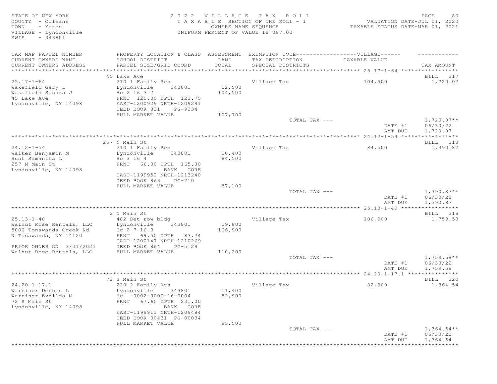STATE OF NEW YORK SALL RESOLUTION OF A SALL AND RESOLUTION OF A SALL CHARGE A SOLUTION OF A SALL CHARGE SOLUTION OF A SALL CHARGE AND RESOLUTION OF A SALL CHARGE A SOLUTION OF A SALL CHARGE A SOLUTION OF A SALL CHARGE A SO COUNTY - Orleans T A X A B L E SECTION OF THE ROLL - 1 VALUATION DATE-JUL 01, 2020 TOWN - Yates OWNERS NAME SEQUENCE TAXABLE STATUS DATE-MAR 01, 2021 VILLAGE - Lyndonville UNIFORM PERCENT OF VALUE IS 097.00 SWIS - 343801 TAX MAP PARCEL NUMBER PROPERTY LOCATION & CLASS ASSESSMENT EXEMPTION CODE------------------VILLAGE------ ------------ CURRENT OWNERS NAME SCHOOL DISTRICT LAND TAX DESCRIPTION TAXABLE VALUE CURRENT OWNERS ADDRESS PARCEL SIZE/GRID COORD TOTAL SPECIAL DISTRICTS TAX AMOUNT \*\*\*\*\*\*\*\*\*\*\*\*\*\*\*\*\*\*\*\*\*\*\*\*\*\*\*\*\*\*\*\*\*\*\*\*\*\*\*\*\*\*\*\*\*\*\*\*\*\*\*\*\*\*\*\*\*\*\*\*\*\*\*\*\*\*\*\*\*\*\*\*\*\*\*\*\*\*\*\*\*\*\*\*\*\*\*\*\*\*\*\*\*\*\*\*\*\*\*\*\*\*\* 25.17-1-64 \*\*\*\*\*\*\*\*\*\*\*\*\*\*\*\*\* 45 Lake Ave BILL 317 25.17-1-64 210 1 Family Res Village Tax 104,500 1,720.07 Wakefield Gary Land Lyndonville 343801 12,500 Wakefield Sandra J  $\,$  Hc 2 16 3 7  $\,$   $\,$  104,500  $\,$ 45 Lake Ave FRNT 120.00 DPTH 123.75 Lyndonville, NY 14098 EAST-1200929 NRTH-1209291 DEED BOOK 831 PG-9334 FULL MARKET VALUE  $107,700$ <br>TOTAL TAX --- $\texttt{TOTAL TAX}$   $\texttt{--}$   $\texttt{--}$   $\texttt{1,720.07**}$ DATE #1 06/30/22<br>AMT DUE 1,720.07 AMT DUE 1, 720.07 \*\*\*\*\*\*\*\*\*\*\*\*\*\*\*\*\*\*\*\*\*\*\*\*\*\*\*\*\*\*\*\*\*\*\*\*\*\*\*\*\*\*\*\*\*\*\*\*\*\*\*\*\*\*\*\*\*\*\*\*\*\*\*\*\*\*\*\*\*\*\*\*\*\*\*\*\*\*\*\*\*\*\*\*\*\*\*\*\*\*\*\*\*\*\*\*\*\*\*\*\*\*\* 24.12-1-54 \*\*\*\*\*\*\*\*\*\*\*\*\*\*\*\*\* 257 N Main St Bill and State Bill and State Bill and State Bill and State Bill and State Bill and State Bill and State Bill and State Bill and State Bill and State Bill and State Bill and State Bill and State Bill and Stat 24.12-1-54 210 1 Family Res 210 1 Village Tax 210 1 210 1 210 1 Family Res 24,500 210 1,390.87<br>Nalker Benjamin M 210 1,390.87 Walker Benjamin M Lyndonville 343801 10,400 Hunt Samantha L  $_{\rm HC}$  3 16 4  $_{\rm HC}$  84,500 257 N Main St FRNT 66.00 DPTH 165.00 Lyndonville, NY 14098 EAST-1199952 NRTH-1213240 DEED BOOK 863 PG-710 FULL MARKET VALUE 87,100<br>TOTAL TAX --- $\texttt{TOTAL TAX}$   $- \texttt{1,390.87**}$ DATE #1 06/30/22 AMT DUE 1, 390.87 \*\*\*\*\*\*\*\*\*\*\*\*\*\*\*\*\*\*\*\*\*\*\*\*\*\*\*\*\*\*\*\*\*\*\*\*\*\*\*\*\*\*\*\*\*\*\*\*\*\*\*\*\*\*\*\*\*\*\*\*\*\*\*\*\*\*\*\*\*\*\*\*\*\*\*\*\*\*\*\*\*\*\*\*\*\*\*\*\*\*\*\*\*\*\*\*\*\*\*\*\*\*\* 25.13-1-40 \*\*\*\*\*\*\*\*\*\*\*\*\*\*\*\*\* 2 N Main St Bill and the set of the set of the set of the set of the set of the set of the set of the set of the set of the set of the set of the set of the set of the set of the set of the set of the set of the set of the 25.13-1-40 482 Det row bldg Village Tax 106,900 1,759.58 Walnut Rose Rentals, LLC Lyndonville 343801 19,800 5000 Tonawanda Creek Rd Hc 2-7-16-3 106,900 N Tonawanda, NY 14120 FRNT 69.50 DPTH 83.74 EAST-1200147 NRTH-1210269 PRIOR OWNER ON 3/01/2021 DEED BOOK 864 PG-5129 Walnut Rose Rentals, LLC FULL MARKET VALUE 110,200  $\texttt{TOTAL TAX}$   $\texttt{--}$   $\texttt{--}$   $\texttt{1,759.58**}$ DATE #1 06/30/22<br>AMT DUE 1,759.58 AMT DUE 1, 759.58 \*\*\*\*\*\*\*\*\*\*\*\*\*\*\*\*\*\*\*\*\*\*\*\*\*\*\*\*\*\*\*\*\*\*\*\*\*\*\*\*\*\*\*\*\*\*\*\*\*\*\*\*\*\*\*\*\*\*\*\*\*\*\*\*\*\*\*\*\*\*\*\*\*\*\*\*\*\*\*\*\*\*\*\*\*\*\*\*\*\*\*\*\*\*\*\*\*\*\*\*\*\*\* 24.20-1-17.1 \*\*\*\*\*\*\*\*\*\*\*\*\*\*\* 72 S Main St BILL 320 24.20-1-17.1 220 2 Family Res Village Tax 82,900 1,364.54 Warriner Dennis Land Lyndonville 1943801 11,400 Warriner Exzilda M Hc -0002-0000-16-0004 82,900 72 S Main St<br>
Lyndonville, NY 14098 FRNT 67.60 DPTH 231.00 Lyndonville, NY 14098 EAST-1199911 NRTH-1209484 DEED BOOK 00431 PG-00034 FULL MARKET VALUE 85,500<br>TOTAL TAX --- $T$ OTAL TAX  $---$  1,364.54\*\* DATE #1 06/30/22<br>AMT DUE 1,364.54 AMT DUE 1, 364.54

\*\*\*\*\*\*\*\*\*\*\*\*\*\*\*\*\*\*\*\*\*\*\*\*\*\*\*\*\*\*\*\*\*\*\*\*\*\*\*\*\*\*\*\*\*\*\*\*\*\*\*\*\*\*\*\*\*\*\*\*\*\*\*\*\*\*\*\*\*\*\*\*\*\*\*\*\*\*\*\*\*\*\*\*\*\*\*\*\*\*\*\*\*\*\*\*\*\*\*\*\*\*\*\*\*\*\*\*\*\*\*\*\*\*\*\*\*\*\*\*\*\*\*\*\*\*\*\*\*\*\*\*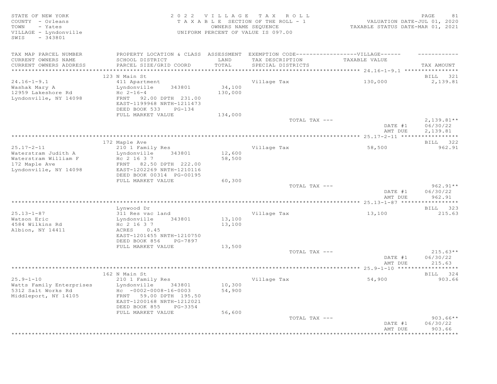| STATE OF NEW YORK<br>COUNTY - Orleans                     |                                                                                   |                   | 2022 VILLAGE TAX ROLL<br>TAXABLE SECTION OF THE ROLL - 1   | VALUATION DATE-JUL 01, 2020      | 81<br>PAGE               |
|-----------------------------------------------------------|-----------------------------------------------------------------------------------|-------------------|------------------------------------------------------------|----------------------------------|--------------------------|
| TOWN<br>- Yates<br>VILLAGE - Lyndonville<br>SWIS - 343801 |                                                                                   |                   | OWNERS NAME SEQUENCE<br>UNIFORM PERCENT OF VALUE IS 097.00 | TAXABLE STATUS DATE-MAR 01, 2021 |                          |
| TAX MAP PARCEL NUMBER                                     | PROPERTY LOCATION & CLASS ASSESSMENT EXEMPTION CODE-----------------VILLAGE------ |                   |                                                            |                                  |                          |
| CURRENT OWNERS NAME                                       | SCHOOL DISTRICT                                                                   | LAND              | TAX DESCRIPTION                                            | TAXABLE VALUE                    |                          |
| CURRENT OWNERS ADDRESS                                    | PARCEL SIZE/GRID COORD                                                            | TOTAL             | SPECIAL DISTRICTS                                          |                                  | TAX AMOUNT               |
| ***********************                                   | *******************************                                                   |                   |                                                            |                                  |                          |
|                                                           | 123 N Main St                                                                     |                   |                                                            |                                  | BILL 321                 |
| $24.16 - 1 - 9.1$                                         | 411 Apartment                                                                     |                   | Village Tax                                                | 130,000                          | 2,139.81                 |
| Washak Mary A<br>12959 Lakeshore Rd                       | Lyndonville<br>343801<br>$Hc 2-16-4$                                              | 34,100<br>130,000 |                                                            |                                  |                          |
| Lyndonville, NY 14098                                     | FRNT 92.00 DPTH 231.00                                                            |                   |                                                            |                                  |                          |
|                                                           | EAST-1199968 NRTH-1211473                                                         |                   |                                                            |                                  |                          |
|                                                           | DEED BOOK 533<br>PG-134                                                           |                   |                                                            |                                  |                          |
|                                                           | FULL MARKET VALUE                                                                 | 134,000           |                                                            |                                  |                          |
|                                                           |                                                                                   |                   | TOTAL TAX ---                                              | DATE #1                          | $2,139.81**$<br>06/30/22 |
|                                                           |                                                                                   |                   |                                                            | AMT DUE                          | 2,139.81                 |
|                                                           |                                                                                   |                   |                                                            |                                  |                          |
|                                                           | 172 Maple Ave                                                                     |                   |                                                            |                                  | BILL 322                 |
| $25.17 - 2 - 11$                                          | 210 1 Family Res                                                                  |                   | Village Tax                                                | 58,500                           | 962.91                   |
| Waterstram Judith A<br>Waterstram William F               | Lyndonville<br>343801<br>Hc 2 16 3 7                                              | 12,600<br>58,500  |                                                            |                                  |                          |
| 172 Maple Ave                                             | FRNT 82.50 DPTH 222.00                                                            |                   |                                                            |                                  |                          |
| Lyndonville, NY 14098                                     | EAST-1202269 NRTH-1210116                                                         |                   |                                                            |                                  |                          |
|                                                           | DEED BOOK 00314 PG-00195                                                          |                   |                                                            |                                  |                          |
|                                                           | FULL MARKET VALUE                                                                 | 60, 300           |                                                            |                                  |                          |
|                                                           |                                                                                   |                   | TOTAL TAX ---                                              | DATE #1                          | $962.91**$<br>06/30/22   |
|                                                           |                                                                                   |                   |                                                            | AMT DUE                          | 962.91                   |
|                                                           |                                                                                   |                   |                                                            |                                  | ***********              |
|                                                           | Lynwood Dr                                                                        |                   |                                                            |                                  | BILL 323                 |
| $25.13 - 1 - 87$                                          | 311 Res vac land                                                                  |                   | Village Tax                                                | 13,100                           | 215.63                   |
| Watson Eric<br>4584 Wilkins Rd                            | 343801<br>Lyndonville<br>Hc 2 16 3 7                                              | 13,100<br>13,100  |                                                            |                                  |                          |
| Albion, NY 14411                                          | ACRES 0.45                                                                        |                   |                                                            |                                  |                          |
|                                                           | EAST-1201455 NRTH-1210750                                                         |                   |                                                            |                                  |                          |
|                                                           | DEED BOOK 856<br>PG-7897                                                          |                   |                                                            |                                  |                          |
|                                                           | FULL MARKET VALUE                                                                 | 13,500            |                                                            |                                  |                          |
|                                                           |                                                                                   |                   | TOTAL TAX ---                                              | DATE #1                          | $215.63**$<br>06/30/22   |
|                                                           |                                                                                   |                   |                                                            | AMT DUE                          | 215.63                   |
|                                                           |                                                                                   |                   |                                                            |                                  |                          |
|                                                           | 162 N Main St                                                                     |                   |                                                            |                                  | BILL 324                 |
| $25.9 - 1 - 10$                                           | 210 1 Family Res                                                                  |                   | Village Tax                                                | 54,900                           | 903.66                   |
| Watts Family Enterprises<br>5312 Salt Works Rd            | Lyndonville<br>343801<br>$Hc - 0002 - 0008 - 16 - 0003$                           | 10,300<br>54,900  |                                                            |                                  |                          |
| Middleport, NY 14105                                      | FRNT 59.00 DPTH 195.50<br>EAST-1200168 NRTH-1212021                               |                   |                                                            |                                  |                          |
|                                                           | DEED BOOK 855<br>PG-3354                                                          |                   |                                                            |                                  |                          |
|                                                           | FULL MARKET VALUE                                                                 | 56,600            | TOTAL TAX ---                                              |                                  | $903.66**$               |
|                                                           |                                                                                   |                   |                                                            | DATE #1                          | 06/30/22                 |
|                                                           |                                                                                   |                   |                                                            | AMT DUE                          | 903.66                   |
|                                                           |                                                                                   |                   | ************************************                       |                                  | * * * * * * * * *        |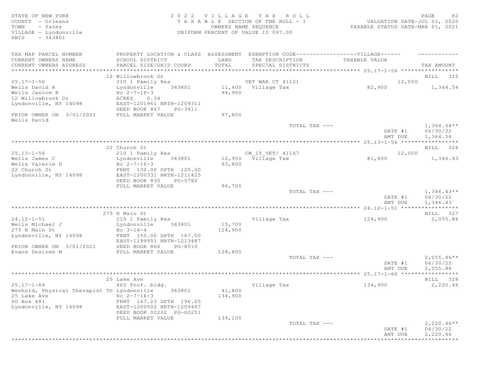| STATE OF NEW YORK<br>2022 VILLAGE TAX ROLL<br>COUNTY - Orleans<br>TAXABLE SECTION OF THE ROLL - 1<br>OWNERS NAME SEQUENCE<br>TOWN<br>- Yates<br>VILLAGE - Lyndonville<br>UNIFORM PERCENT OF VALUE IS 097.00<br>$-343801$<br>SWIS | PAGE<br>82<br>VALUATION DATE-JUL 01, 2020<br>TAXABLE STATUS DATE-MAR 01, 2021 |
|----------------------------------------------------------------------------------------------------------------------------------------------------------------------------------------------------------------------------------|-------------------------------------------------------------------------------|
| PROPERTY LOCATION & CLASS ASSESSMENT EXEMPTION CODE-----------------VILLAGE------<br>TAX MAP PARCEL NUMBER                                                                                                                       |                                                                               |
| CURRENT OWNERS NAME<br>SCHOOL DISTRICT<br>LAND<br>TAX DESCRIPTION<br>TAXABLE VALUE                                                                                                                                               |                                                                               |
| TOTAL<br>CURRENT OWNERS ADDRESS<br>PARCEL SIZE/GRID COORD<br>SPECIAL DISTRICTS                                                                                                                                                   | TAX AMOUNT                                                                    |
| 12 Willowbrook Dr                                                                                                                                                                                                                | BILL 325                                                                      |
| VET WAR CT 41121<br>$25.17 - 1 - 56$<br>210 1 Family Res                                                                                                                                                                         | 12,000                                                                        |
| Wells David R<br>11,400 Village Tax<br>Lyndonville<br>343801<br>82,900                                                                                                                                                           | 1,364.54                                                                      |
| Wells Janice R<br>Hc $2 - 7 - 16 - 3$<br>94,900                                                                                                                                                                                  |                                                                               |
| 12 Willowbrook Dr<br>0.34<br>ACRES                                                                                                                                                                                               |                                                                               |
| Lyndonville, NY 14098<br>EAST-1201961 NRTH-1209311                                                                                                                                                                               |                                                                               |
| DEED BOOK 867<br>PG-3411                                                                                                                                                                                                         |                                                                               |
| PRIOR OWNER ON 3/01/2021<br>FULL MARKET VALUE<br>97,800<br>Wells David                                                                                                                                                           |                                                                               |
| TOTAL TAX ---                                                                                                                                                                                                                    | $1,364.54**$                                                                  |
| DATE #1                                                                                                                                                                                                                          | 06/30/22                                                                      |
| AMT DUE                                                                                                                                                                                                                          | 1,364.54                                                                      |
|                                                                                                                                                                                                                                  |                                                                               |
| 22 Church St                                                                                                                                                                                                                     | BILL 326                                                                      |
| CW 15 VET/ 41167<br>210 1 Family Res<br>$25.13 - 1 - 56$                                                                                                                                                                         | 12,000                                                                        |
| 12,900 Village Tax<br>81,800<br>343801<br>Wells James C<br>Lyndonville<br>Wells Valerie D<br>Hc $2 - 7 - 16 - 3$<br>93,800                                                                                                       | 1,346.43                                                                      |
| 22 Church St<br>FRNT 132.00 DPTH 120.00                                                                                                                                                                                          |                                                                               |
| Lyndonville, NY 14098<br>EAST-1200331 NRTH-1211425                                                                                                                                                                               |                                                                               |
| DEED BOOK 830<br>PG-5782                                                                                                                                                                                                         |                                                                               |
| FULL MARKET VALUE<br>96,700                                                                                                                                                                                                      |                                                                               |
| TOTAL TAX ---<br>DATE #1<br>AMT DUE                                                                                                                                                                                              | $1,346.43**$<br>06/30/22<br>1,346.43                                          |
|                                                                                                                                                                                                                                  |                                                                               |
| 275 N Main St                                                                                                                                                                                                                    | BILL 327                                                                      |
| $24.12 - 1 - 51$<br>210 1 Family Res<br>Village Tax<br>124,900                                                                                                                                                                   | 2,055.86                                                                      |
| Wells Michael J<br>Lyndonville<br>343801<br>15,700                                                                                                                                                                               |                                                                               |
| 275 N Main St<br>$Hc$ 3-16-4<br>124,900                                                                                                                                                                                          |                                                                               |
| Lyndonville, NY 14098<br>FRNT 150.00 DPTH 167.00                                                                                                                                                                                 |                                                                               |
| EAST-1199951 NRTH-1213487                                                                                                                                                                                                        |                                                                               |
| PRIOR OWNER ON 3/01/2021<br>DEED BOOK 866<br>PG-8510                                                                                                                                                                             |                                                                               |
| Evans Desiree M<br>FULL MARKET VALUE<br>128,800                                                                                                                                                                                  |                                                                               |
| TOTAL TAX ---<br>DATE #1                                                                                                                                                                                                         | $2,055.86**$<br>06/30/22                                                      |
| AMT DUE                                                                                                                                                                                                                          | 2,055.86                                                                      |
|                                                                                                                                                                                                                                  |                                                                               |
| 25 Lake Ave                                                                                                                                                                                                                      | BILL 328                                                                      |
| $25.17 - 1 - 66$<br>465 Prof. bldg.<br>Village Tax<br>134,900                                                                                                                                                                    | 2,220.46                                                                      |
| 41,800<br>Wenhold, Physical Therapist Th Lyndonville<br>343801                                                                                                                                                                   |                                                                               |
| 25 Lake Ave<br>$Hc 2-7-16-3$<br>134,900                                                                                                                                                                                          |                                                                               |
| PO Box 481<br>FRNT 147.23 DPTH 196.65                                                                                                                                                                                            |                                                                               |
| Lyndonville, NY 14098<br>EAST-1200502 NRTH-1209467                                                                                                                                                                               |                                                                               |
| DEED BOOK 00232 PG-00251                                                                                                                                                                                                         |                                                                               |
| FULL MARKET VALUE<br>139,100                                                                                                                                                                                                     |                                                                               |
| TOTAL TAX ---<br>DATE #1                                                                                                                                                                                                         | $2,220.46**$<br>06/30/22                                                      |
| AMT DUE                                                                                                                                                                                                                          | 2,220.46                                                                      |
| *****************                                                                                                                                                                                                                | ***********                                                                   |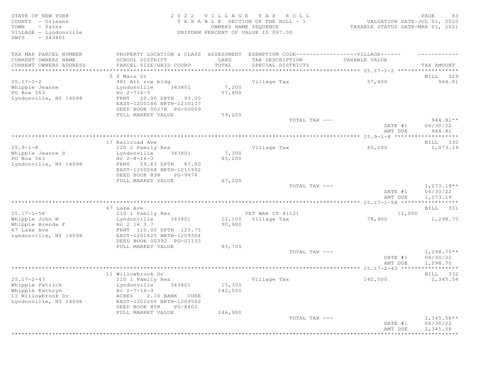STATE OF NEW YORK<br>COUNTY - Orleans and the state of the SECTION OF THE ROLL - 1 (2020)<br>TOWN - Yates and the SEQUENCE COUNTER SUMMERS NAME SEQUENCE THE ROLL - 1 (2021)<br>TOWN - Yates (2021) COUNTY - Orleans T A X A B L E SECTION OF THE ROLL - 1<br>TOWN - Yates COUNTRS NAME SECUENCE TOWN - Yates OWNERS NAME SEQUENCE TAXABLE STATUS DATE-MAR 01, 2021 VILLAGE - Lyndonville UNIFORM PERCENT OF VALUE IS 097.00 SWIS - 343801 TAX MAP PARCEL NUMBER PROPERTY LOCATION & CLASS ASSESSMENT EXEMPTION CODE-------------------VILLAGE------ ----------CURRENT OWNERS NAME SCHOOL DISTRICT LAND TAX DESCRIPTION TAXABLE VALUE CURRENT OWNERS ADDRESS PARCEL SIZE/GRID COORD TOTAL SPECIAL DISTRICTS TAX AMOUNT \*\*\*\*\*\*\*\*\*\*\*\*\*\*\*\*\*\*\*\*\*\*\*\*\*\*\*\*\*\*\*\*\*\*\*\*\*\*\*\*\*\*\*\*\*\*\*\*\*\*\*\*\*\*\*\*\*\*\*\*\*\*\*\*\*\*\*\*\*\*\*\*\*\*\*\*\*\*\*\*\*\*\*\*\*\*\*\*\*\*\*\*\*\*\*\*\*\*\*\*\*\*\* 25.17-1-2 \*\*\*\*\*\*\*\*\*\*\*\*\*\*\*\*\*\* 5 S Main St BILL 329 25.17-1-2 481 Att row bldg Village Tax 57,400 944.81 Whipple Jeanne **Lyndonville** 343801 7,200 PO Box 563 Hc 2-716-3 57,400 Whipple Jeanne<br>
PO Box 563<br>
Lyndonville, NY 14098 FRNT 20.00 DPTH 93.00 EAST-1200146 NRTH-1210137 DEED BOOK 00278 PG-00009 FULL MARKET VALUE 59,200<br>TOTAL TAX --- $\text{total } \text{MAX}$  --- DATE #1 06/30/22 AMT DUE 944.81 \*\*\*\*\*\*\*\*\*\*\*\*\*\*\*\*\*\*\*\*\*\*\*\*\*\*\*\*\*\*\*\*\*\*\*\*\*\*\*\*\*\*\*\*\*\*\*\*\*\*\*\*\*\*\*\*\*\*\*\*\*\*\*\*\*\*\*\*\*\*\*\*\*\*\*\*\*\*\*\*\*\*\*\*\*\*\*\*\*\*\*\*\*\*\*\*\*\*\*\*\*\*\* 25.9-1-8 \*\*\*\*\*\*\*\*\*\*\*\*\*\*\*\*\*\*\* 17 Railroad Ave BILL 330 25.9-1-8 220 2 Family Res 220 2 Family Res 230 2 Family Res 243801 27,300<br>
220 2 Family Res 21,073.19<br>
220 2 Family Res 7,300 20 1,073.19<br>
220 2 Family Res 21,073.19<br>
220 2 Family Res 21,030 200 21,073.19 Lyndonville  $343801$ <br>Hc  $2-8-16-3$ Whipple Jeanne S<br>PO Box 563<br>Lyndonville, NY 14098 Lyndonville, NY 14098 FRNT 59.83 DPTH 87.00 EAST-1200264 NRTH-1211992 DEED BOOK 838 PG-9474 FULL MARKET VALUE 67,200<br>TOTAL TAX --- $T$ OTAL TAX  $---$  1,073.19\*\* DATE #1 06/30/22<br>AMT DUE 1,073.19 AMT DUE 1, 073.19 \*\*\*\*\*\*\*\*\*\*\*\*\*\*\*\*\*\*\*\*\*\*\*\*\*\*\*\*\*\*\*\*\*\*\*\*\*\*\*\*\*\*\*\*\*\*\*\*\*\*\*\*\*\*\*\*\*\*\*\*\*\*\*\*\*\*\*\*\*\*\*\*\*\*\*\*\*\*\*\*\*\*\*\*\*\*\*\*\*\*\*\*\*\*\*\*\*\*\*\*\*\*\* 25.17-1-58 \*\*\*\*\*\*\*\*\*\*\*\*\*\*\*\*\* 67 Lake Ave BILL 331 25.17-1-58 210 1 Family Res VET WAR CT 41121 12,000 Whipple John W Lyndonville 343801 12,100 Village Tax 78,900 1,298.70 Whipple Brenda F Hc 2 16 3 7 90,900 67 Lake Ave FRNT 110.00 DPTH 123.75 EAST-1201625 NRTH-1209304 DEED BOOK 00392 PG-01133 FULL MARKET VALUE 93,700<br>TOTAL TAX --- $\texttt{TOTAL TAX}$   $\texttt{--}$   $\texttt{--}$   $\texttt{1,298.70**}$ DATE #1 06/30/22 AMT DUE 1, 298.70 \*\*\*\*\*\*\*\*\*\*\*\*\*\*\*\*\*\*\*\*\*\*\*\*\*\*\*\*\*\*\*\*\*\*\*\*\*\*\*\*\*\*\*\*\*\*\*\*\*\*\*\*\*\*\*\*\*\*\*\*\*\*\*\*\*\*\*\*\*\*\*\*\*\*\*\*\*\*\*\*\*\*\*\*\*\*\*\*\*\*\*\*\*\*\*\*\*\*\*\*\*\*\* 25.17-2-43 \*\*\*\*\*\*\*\*\*\*\*\*\*\*\*\*\* 11 Willowbrook Dr BILL 332 25.17-2-43 210 1 Family Res Village Tax 142,500 2,345.56 Whipple Patrick Lyndonville 343801 15,300 Whipple Kathryn  $HC$   $2-7-16-3$   $142,500$ 11 Willowbrook Dr ACRES 2.10 BANK CORE Lyndonville, NY 14098 EAST-1202260 NRTH-1209502 DEED BOOK 858 PG-8402 FULL MARKET VALUE 146,900<br>TOTAL TAX --- $\texttt{TOTAL TAX}$   $\texttt{--}$   $\texttt{--}$   $\texttt{--}$   $\texttt{--}$   $\texttt{--}$   $\texttt{--}$   $\texttt{--}$   $\texttt{--}$   $\texttt{--}$   $\texttt{--}$   $\texttt{--}$   $\texttt{--}$   $\texttt{--}$   $\texttt{--}$   $\texttt{--}$   $\texttt{--}$   $\texttt{--}$   $\texttt{--}$   $\texttt{--}$   $\texttt{--}$   $\texttt{--}$   $\texttt{--}$   $\texttt{--}$   $\text$ DATE #1 06/30/22<br>AMT DUE 2,345.56 AMT DUE 2, 345.56 \*\*\*\*\*\*\*\*\*\*\*\*\*\*\*\*\*\*\*\*\*\*\*\*\*\*\*\*\*\*\*\*\*\*\*\*\*\*\*\*\*\*\*\*\*\*\*\*\*\*\*\*\*\*\*\*\*\*\*\*\*\*\*\*\*\*\*\*\*\*\*\*\*\*\*\*\*\*\*\*\*\*\*\*\*\*\*\*\*\*\*\*\*\*\*\*\*\*\*\*\*\*\*\*\*\*\*\*\*\*\*\*\*\*\*\*\*\*\*\*\*\*\*\*\*\*\*\*\*\*\*\*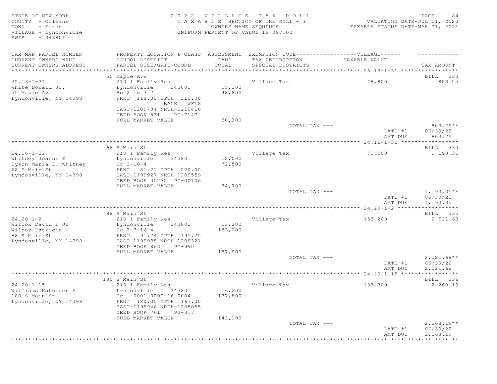| STATE OF NEW YORK<br>COUNTY - Orleans                         |                                                      | 2022 VILLAGE         | TAX ROLL<br>T A X A B L E SECTION OF THE ROLL - 1 | VALUATION DATE-JUL 01, 2020      | PAGE<br>84                      |
|---------------------------------------------------------------|------------------------------------------------------|----------------------|---------------------------------------------------|----------------------------------|---------------------------------|
| - Yates<br>TOWN<br>VILLAGE - Lyndonville<br>$-343801$<br>SWIS |                                                      | OWNERS NAME SEQUENCE | UNIFORM PERCENT OF VALUE IS 097.00                | TAXABLE STATUS DATE-MAR 01, 2021 |                                 |
| TAX MAP PARCEL NUMBER                                         | PROPERTY LOCATION & CLASS ASSESSMENT                 |                      | EXEMPTION CODE------------------VILLAGE------     |                                  |                                 |
| CURRENT OWNERS NAME                                           | SCHOOL DISTRICT                                      | LAND                 | TAX DESCRIPTION                                   | TAXABLE VALUE                    |                                 |
| CURRENT OWNERS ADDRESS                                        | PARCEL SIZE/GRID COORD                               | TOTAL                | SPECIAL DISTRICTS                                 |                                  | TAX AMOUNT                      |
| ***********************                                       |                                                      |                      |                                                   |                                  |                                 |
|                                                               | 55 Maple Ave                                         |                      |                                                   |                                  | BILL 333                        |
| $25.13 - 1 - 31$                                              | 210 1 Family Res                                     |                      | Village Tax                                       | 48,800                           | 803.25                          |
| White Donald Jr.                                              | Lyndonville<br>343801                                | 15,300               |                                                   |                                  |                                 |
| 55 Maple Ave<br>Lyndonville, NY 14098                         | Hc 2 16 3 7<br>FRNT 118.00 DPTH 310.00               | 48,800               |                                                   |                                  |                                 |
|                                                               | BANK WFTS                                            |                      |                                                   |                                  |                                 |
|                                                               | EAST-1200784 NRTH-1210416                            |                      |                                                   |                                  |                                 |
|                                                               | DEED BOOK 831<br>PG-7147                             |                      |                                                   |                                  |                                 |
|                                                               | FULL MARKET VALUE                                    | 50,300               |                                                   |                                  |                                 |
|                                                               |                                                      |                      | TOTAL TAX ---                                     |                                  | 803.25**                        |
|                                                               |                                                      |                      |                                                   | DATE #1                          | 06/30/22                        |
|                                                               |                                                      |                      |                                                   | AMT DUE                          | 803.25                          |
|                                                               | 68 S Main St                                         |                      |                                                   |                                  | BILL 334                        |
| $24.16 - 1 - 32$                                              | 210 1 Family Res                                     |                      | Village Tax                                       | 72,500                           | 1,193.35                        |
| Whitney Joanne E                                              | Lyndonville<br>343801                                | 12,000               |                                                   |                                  |                                 |
| Tyson Maria L. Whitney                                        | $Hc 2-16-4$                                          | 72,500               |                                                   |                                  |                                 |
| 68 S Main St                                                  | FRNT 81.21 DPTH 220.00                               |                      |                                                   |                                  |                                 |
| Lyndonville, NY 14098                                         | EAST-1199927 NRTH-1209559                            |                      |                                                   |                                  |                                 |
|                                                               | DEED BOOK 00232 PG-00106                             |                      |                                                   |                                  |                                 |
|                                                               | FULL MARKET VALUE                                    | 74,700               | TOTAL TAX ---                                     |                                  | $1,193.35**$                    |
|                                                               |                                                      |                      |                                                   | DATE #1<br>AMT DUE               | 06/30/22<br>1,193.35            |
|                                                               |                                                      |                      |                                                   |                                  | * * * * * * * * * * *           |
|                                                               | 88 S Main St                                         |                      |                                                   |                                  | BILL 335                        |
| $24.20 - 1 - 2$                                               | 210 1 Family Res                                     |                      | Village Tax                                       | 153,200                          | 2,521.68                        |
| Wilcox David E Jr                                             | 343801<br>Lyndonville                                | 13,200               |                                                   |                                  |                                 |
| Wilcox Patricia                                               | Hc $2 - 7 - 16 - 4$                                  | 153,200              |                                                   |                                  |                                 |
| 88 S Main St                                                  | FRNT 91.74 DPTH 195.25                               |                      |                                                   |                                  |                                 |
| Lyndonville, NY 14098                                         | EAST-1199938 NRTH-1209321<br>DEED BOOK 863<br>PG-990 |                      |                                                   |                                  |                                 |
|                                                               | FULL MARKET VALUE                                    | 157,900              |                                                   |                                  |                                 |
|                                                               |                                                      |                      | TOTAL TAX ---                                     |                                  | $2,521.68**$                    |
|                                                               |                                                      |                      |                                                   | DATE #1                          | 06/30/22                        |
|                                                               |                                                      |                      |                                                   | AMT DUE                          | 2,521.68                        |
|                                                               |                                                      |                      |                                                   |                                  | * * * * * * * * * * *           |
|                                                               | 180 S Main St                                        |                      |                                                   |                                  | BILL 336                        |
| $24.20 - 1 - 15$<br>Williams Kathleen A                       | 210 1 Family Res<br>343801<br>Lyndonville            | 16,200               | Village Tax                                       | 137,800                          | 2,268.19                        |
| 180 S Main St                                                 | $HC -0001-0000-16-0004$                              | 137,800              |                                                   |                                  |                                 |
| Lyndonville, NY 14098                                         | FRNT 180.00 DPTH 167.00                              |                      |                                                   |                                  |                                 |
|                                                               | EAST-1199946 NRTH-1208055                            |                      |                                                   |                                  |                                 |
|                                                               | DEED BOOK 761<br>PG-317                              |                      |                                                   |                                  |                                 |
|                                                               | FULL MARKET VALUE                                    | 142,100              |                                                   |                                  |                                 |
|                                                               |                                                      |                      | TOTAL TAX ---                                     |                                  | $2,268.19**$                    |
|                                                               |                                                      |                      |                                                   | DATE #1                          | 06/30/22                        |
|                                                               |                                                      |                      |                                                   | AMT DUE                          | 2,268.19<br>* * * * * * * * * * |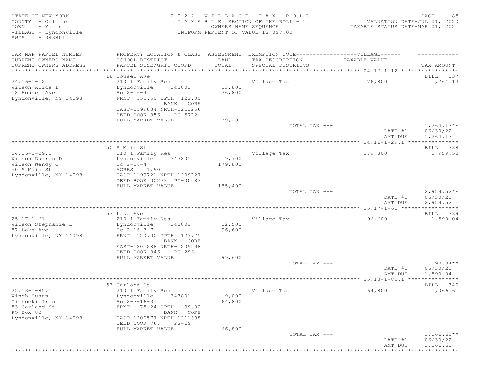| STATE OF NEW YORK<br>COUNTY - Orleans<br>- Yates<br>TOWN |                                                                                  | 2022 VILLAGE<br>OWNERS NAME SEQUENCE | TAX ROLL<br>T A X A B L E SECTION OF THE ROLL - 1 | VALUATION DATE-JUL 01, 2020<br>TAXABLE STATUS DATE-MAR 01, 2021 | PAGE<br>85               |
|----------------------------------------------------------|----------------------------------------------------------------------------------|--------------------------------------|---------------------------------------------------|-----------------------------------------------------------------|--------------------------|
| VILLAGE - Lyndonville<br>$-343801$<br>SWIS               |                                                                                  |                                      | UNIFORM PERCENT OF VALUE IS 097.00                |                                                                 |                          |
| TAX MAP PARCEL NUMBER                                    | PROPERTY LOCATION & CLASS ASSESSMENT EXEMPTION CODE----------------VILLAGE------ |                                      |                                                   |                                                                 |                          |
| CURRENT OWNERS NAME                                      | SCHOOL DISTRICT                                                                  | LAND                                 | TAX DESCRIPTION                                   | TAXABLE VALUE                                                   |                          |
| CURRENT OWNERS ADDRESS                                   | PARCEL SIZE/GRID COORD                                                           | TOTAL                                | SPECIAL DISTRICTS                                 |                                                                 | TAX AMOUNT               |
| ***********************                                  |                                                                                  |                                      |                                                   |                                                                 |                          |
| $24.16 - 1 - 12$                                         | 18 Housel Ave                                                                    |                                      |                                                   | 76,800                                                          | BILL 337<br>1,264.13     |
| Wilson Alice L                                           | 210 1 Family Res<br>Lyndonville<br>343801                                        | 13,800                               | Village Tax                                       |                                                                 |                          |
| 18 Housel Ave                                            | $Hc 2-16-4$                                                                      | 76,800                               |                                                   |                                                                 |                          |
| Lyndonville, NY 14098                                    | FRNT 155.50 DPTH 122.00                                                          |                                      |                                                   |                                                                 |                          |
|                                                          | BANK CORE                                                                        |                                      |                                                   |                                                                 |                          |
|                                                          | EAST-1199834 NRTH-1211256                                                        |                                      |                                                   |                                                                 |                          |
|                                                          | DEED BOOK 856<br>PG-5772                                                         |                                      |                                                   |                                                                 |                          |
|                                                          | FULL MARKET VALUE                                                                | 79,200                               |                                                   |                                                                 |                          |
|                                                          |                                                                                  |                                      | TOTAL TAX ---                                     | DATE #1                                                         | $1,264.13**$<br>06/30/22 |
|                                                          |                                                                                  |                                      |                                                   | AMT DUE                                                         | 1,264.13                 |
|                                                          |                                                                                  |                                      |                                                   |                                                                 |                          |
|                                                          | 50 S Main St                                                                     |                                      |                                                   |                                                                 | BILL 338                 |
| $24.16 - 1 - 29.1$                                       | 210 1 Family Res                                                                 |                                      | Village Tax                                       | 179,800                                                         | 2,959.52                 |
| Wilson Darren D                                          | Lyndonville<br>343801                                                            | 19,700                               |                                                   |                                                                 |                          |
| Wilson Wendy O                                           | Hc $2 - 16 - 4$                                                                  | 179,800                              |                                                   |                                                                 |                          |
| 50 S Main St                                             | ACRES<br>1.90                                                                    |                                      |                                                   |                                                                 |                          |
| Lyndonville, NY 14098                                    | EAST-1199721 NRTH-1209727                                                        |                                      |                                                   |                                                                 |                          |
|                                                          | DEED BOOK 00273 PG-00083<br>FULL MARKET VALUE                                    | 185,400                              |                                                   |                                                                 |                          |
|                                                          |                                                                                  |                                      | TOTAL TAX ---                                     |                                                                 | $2,959.52**$             |
|                                                          |                                                                                  |                                      |                                                   | DATE #1                                                         | 06/30/22                 |
|                                                          |                                                                                  |                                      |                                                   | AMT DUE                                                         | 2,959.52                 |
|                                                          |                                                                                  |                                      |                                                   |                                                                 | * * * * * * * * * * *    |
|                                                          | 57 Lake Ave                                                                      |                                      |                                                   |                                                                 | BILL 339                 |
| $25.17 - 1 - 61$                                         | 210 1 Family Res                                                                 |                                      | Village Tax                                       | 96,600                                                          | 1,590.04                 |
| Wilson Stephanie L                                       | 343801<br>Lyndonville                                                            | 12,500                               |                                                   |                                                                 |                          |
| 57 Lake Ave                                              | Hc 2 16 3 7                                                                      | 96,600                               |                                                   |                                                                 |                          |
| Lyndonville, NY 14098                                    | FRNT 120.00 DPTH 123.75<br>BANK CORE                                             |                                      |                                                   |                                                                 |                          |
|                                                          | EAST-1201288 NRTH-1209298                                                        |                                      |                                                   |                                                                 |                          |
|                                                          | DEED BOOK 846<br>PG-296                                                          |                                      |                                                   |                                                                 |                          |
|                                                          | FULL MARKET VALUE                                                                | 99,600                               |                                                   |                                                                 |                          |
|                                                          |                                                                                  |                                      | TOTAL TAX ---                                     |                                                                 | $1,590.04**$             |
|                                                          |                                                                                  |                                      |                                                   | DATE #1                                                         | 06/30/22                 |
|                                                          |                                                                                  |                                      |                                                   | AMT DUE                                                         | 1,590.04                 |
|                                                          |                                                                                  |                                      |                                                   |                                                                 |                          |
| $25.13 - 1 - 85.1$                                       | 53 Garland St                                                                    |                                      |                                                   | 64,800                                                          | BILL 340                 |
| Winch Susan                                              | 210 1 Family Res<br>Lyndonville<br>343801                                        | 9,000                                | Village Tax                                       |                                                                 | 1,066.61                 |
| Cichocki Irene                                           | Hc $2 - 7 - 16 - 3$                                                              | 64,800                               |                                                   |                                                                 |                          |
| 53 Garland St                                            | FRNT 75.24 DPTH<br>99.00                                                         |                                      |                                                   |                                                                 |                          |
| PO Box 82                                                | BANK CORE                                                                        |                                      |                                                   |                                                                 |                          |
| Lyndonville, NY 14098                                    | EAST-1200577 NRTH-1211398                                                        |                                      |                                                   |                                                                 |                          |
|                                                          | DEED BOOK 767<br>$PG-69$                                                         |                                      |                                                   |                                                                 |                          |
|                                                          | FULL MARKET VALUE                                                                | 66,800                               |                                                   |                                                                 |                          |
|                                                          |                                                                                  |                                      | TOTAL TAX ---                                     |                                                                 | $1,066.61**$             |
|                                                          |                                                                                  |                                      |                                                   | DATE #1                                                         | 06/30/22                 |
|                                                          |                                                                                  |                                      |                                                   | AMT DUE                                                         | 1,066.61<br>***********  |
|                                                          |                                                                                  |                                      |                                                   |                                                                 |                          |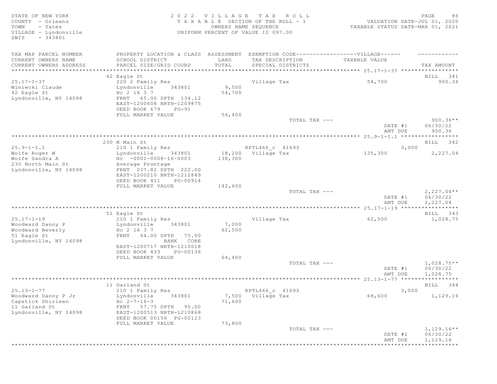STATE OF NEW YORK SALL SALL A GUID AND RESOLUTION OF THE SALL CHARGE CONTROLL CONTROLLY A SALL CHARGE SOME SAG COUNTY - Orleans T A X A B L E SECTION OF THE ROLL - 1 VALUATION DATE-JUL 01, 2020 TOWN - Yates OWNERS NAME SEQUENCE TAXABLE STATUS DATE-MAR 01, 2021 TOWN - Yates<br>
VILLAGE - Lyndonville<br>
VILLAGE - Lyndonville<br>
UNIFORM PERCENT OF VALUE IS 097.00 SWIS - 343801 TAX MAP PARCEL NUMBER PROPERTY LOCATION & CLASS ASSESSMENT EXEMPTION CODE------------------VILLAGE------ ------------ CURRENT OWNERS NAME SCHOOL DISTRICT LAND TAX DESCRIPTION TAXABLE VALUE CURRENT OWNERS ADDRESS PARCEL SIZE/GRID COORD TOTAL SPECIAL DISTRICTS TAX AMOUNT \*\*\*\*\*\*\*\*\*\*\*\*\*\*\*\*\*\*\*\*\*\*\*\*\*\*\*\*\*\*\*\*\*\*\*\*\*\*\*\*\*\*\*\*\*\*\*\*\*\*\*\*\*\*\*\*\*\*\*\*\*\*\*\*\*\*\*\*\*\*\*\*\*\*\*\*\*\*\*\*\*\*\*\*\*\*\*\*\*\*\*\*\*\*\*\*\*\*\*\*\*\*\* 25.17-1-37 \*\*\*\*\*\*\*\*\*\*\*\*\*\*\*\*\* and the set of the set of the set of the set of the set of the set of the set of the set of the set of the set of the set of the set of the set of the set of the set of the set of the set of the set of the set of the set o 25.17-1-37 220 2 Family Res Village Tax 54,700 900.36 Winiecki Claude Lyndonville 343801 9,500 42 Eagle St Hc 2 16 3 7 54,700 Lyndonville, NY 14098 FRNT 65.00 DPTH 134.12 EAST-1200608 NRTH-1209875 DEED BOOK 679 PG-91 FULL MARKET VALUE 56,400<br>TOTAL TAX --- TOTAL TAX --- 900.36\*\* DATE #1 06/30/22 AMT DUE 900.36 \*\*\*\*\*\*\*\*\*\*\*\*\*\*\*\*\*\*\*\*\*\*\*\*\*\*\*\*\*\*\*\*\*\*\*\*\*\*\*\*\*\*\*\*\*\*\*\*\*\*\*\*\*\*\*\*\*\*\*\*\*\*\*\*\*\*\*\*\*\*\*\*\*\*\*\*\*\*\*\*\*\*\*\*\*\*\*\*\*\*\*\*\*\*\*\*\*\*\*\*\*\*\* 25.9-1-1.1 \*\*\*\*\*\*\*\*\*\*\*\*\*\*\*\*\* 230 N Main St Bill and State Bill and State Bill and State Bill and State Bill and State Bill and State Bill and State Bill and State Bill and State Bill and State Bill and State Bill and State Bill and State Bill and Stat 25.9-1-1.1 210 1 Family Res RPTL466 c 41693 3,000 Wolfe Roger W Lyndonville 343801 18,200 Village Tax 135,300 2,227.04 Wolfe Sandra A Hc -0001-0008-16-0003 138,300 230 North Main St Average Frontage Lyndonville, NY 14098 FRNT 237.82 DPTH 222.00 EAST-1200210 NRTH-1212849 DEED BOOK 411 PG-00914 FULL MARKET VALUE  $142,600$  TOTAL TAX --- $\texttt{TOTAL TAX}$   $---$  2,227.04\*\* DATE #1 06/30/22 AMT DUE 2, 227.04 \*\*\*\*\*\*\*\*\*\*\*\*\*\*\*\*\*\*\*\*\*\*\*\*\*\*\*\*\*\*\*\*\*\*\*\*\*\*\*\*\*\*\*\*\*\*\*\*\*\*\*\*\*\*\*\*\*\*\*\*\*\*\*\*\*\*\*\*\*\*\*\*\*\*\*\*\*\*\*\*\*\*\*\*\*\*\*\*\*\*\*\*\*\*\*\*\*\*\*\*\*\*\* 25.17-1-19 \*\*\*\*\*\*\*\*\*\*\*\*\*\*\*\*\* 51 Eagle St BILL 343 25.17-1-19 210 1 Family Res Village Tax 62,500 1,028.75 Woodward Danny P Lyndonville 343801 7,000 Woodward Beverly  $Hc$  2 16 3 7 62,500 51 Eagle St FRNT 64.00 DPTH 75.00 Lyndonville, NY 14098 BANK CORE EAST-1200717 NRTH-1210018 DEED BOOK 433 PG-00136 FULL MARKET VALUE 64,400<br>TOTAL TAX --- $\texttt{TOTAL TAX}$   $\texttt{--}$   $\texttt{--}$   $\texttt{1,028.75**}$ DATE #1 06/30/22 AMT DUE 1,028.75 \*\*\*\*\*\*\*\*\*\*\*\*\*\*\*\*\*\*\*\*\*\*\*\*\*\*\*\*\*\*\*\*\*\*\*\*\*\*\*\*\*\*\*\*\*\*\*\*\*\*\*\*\*\*\*\*\*\*\*\*\*\*\*\*\*\*\*\*\*\*\*\*\*\*\*\*\*\*\*\*\*\*\*\*\*\*\*\*\*\*\*\*\*\*\*\*\*\*\*\*\*\*\* 25.13-1-77 \*\*\*\*\*\*\*\*\*\*\*\*\*\*\*\*\* 11 Garland St BILL 344 25.13-1-77 210 1 Family Res RPTL466\_c 41693 3,000 Woodward Danny P Jr Lyndonville 343801 7,500 Village Tax 68,600 1,129.16 Capstick Shirleen  $He$   $2-7-16-3$   $71,600$ 11 Garland St FRNT 57.75 DPTH 95.00 Lyndonville, NY 14098 EAST-1200513 NRTH-1210868 DEED BOOK 00156 PG-00123 FULL MARKET VALUE 73,800<br>TOTAL TAX --- $T$ OTAL TAX  $---$  1,129.16\*\* DATE #1 06/30/22<br>AMT DUE 1,129.16 AMT DUE 1, 129.16 \*\*\*\*\*\*\*\*\*\*\*\*\*\*\*\*\*\*\*\*\*\*\*\*\*\*\*\*\*\*\*\*\*\*\*\*\*\*\*\*\*\*\*\*\*\*\*\*\*\*\*\*\*\*\*\*\*\*\*\*\*\*\*\*\*\*\*\*\*\*\*\*\*\*\*\*\*\*\*\*\*\*\*\*\*\*\*\*\*\*\*\*\*\*\*\*\*\*\*\*\*\*\*\*\*\*\*\*\*\*\*\*\*\*\*\*\*\*\*\*\*\*\*\*\*\*\*\*\*\*\*\*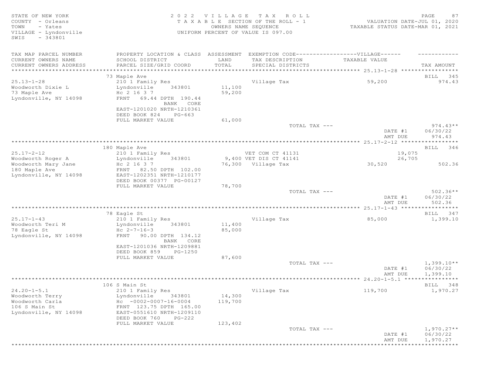| STATE OF NEW YORK       | 2 0 2 2                              | VILLAGE              | TAX ROLL                                      |                                  | PAGE<br>87           |
|-------------------------|--------------------------------------|----------------------|-----------------------------------------------|----------------------------------|----------------------|
| COUNTY - Orleans        | T A X A B L E                        |                      | SECTION OF THE ROLL - 1                       | VALUATION DATE-JUL 01, 2020      |                      |
| TOWN<br>- Yates         |                                      | OWNERS NAME SEQUENCE |                                               | TAXABLE STATUS DATE-MAR 01, 2021 |                      |
| VILLAGE - Lyndonville   |                                      |                      | UNIFORM PERCENT OF VALUE IS 097.00            |                                  |                      |
| $-343801$<br>SWIS       |                                      |                      |                                               |                                  |                      |
|                         |                                      |                      |                                               |                                  |                      |
| TAX MAP PARCEL NUMBER   | PROPERTY LOCATION & CLASS ASSESSMENT |                      | EXEMPTION CODE------------------VILLAGE------ |                                  |                      |
| CURRENT OWNERS NAME     | SCHOOL DISTRICT                      | LAND                 | TAX DESCRIPTION                               | TAXABLE VALUE                    |                      |
| CURRENT OWNERS ADDRESS  | PARCEL SIZE/GRID COORD               | TOTAL                | SPECIAL DISTRICTS                             |                                  | TAX AMOUNT           |
| *********************** |                                      |                      |                                               |                                  |                      |
|                         | 73 Maple Ave                         |                      |                                               |                                  | 345<br>BILL          |
| $25.13 - 1 - 28$        | 210 1 Family Res                     |                      | Village Tax                                   | 59,200                           | 974.43               |
| Woodworth Dixie L       | Lyndonville<br>343801                | 11,100               |                                               |                                  |                      |
| 73 Maple Ave            | Hc 2 16 3 7                          | 59,200               |                                               |                                  |                      |
| Lyndonville, NY 14098   | 69.44 DPTH 190.44<br>FRNT            |                      |                                               |                                  |                      |
|                         | BANK CORE                            |                      |                                               |                                  |                      |
|                         | EAST-1201020 NRTH-1210361            |                      |                                               |                                  |                      |
|                         | DEED BOOK 824<br>PG-663              |                      |                                               |                                  |                      |
|                         | FULL MARKET VALUE                    | 61,000               |                                               |                                  |                      |
|                         |                                      |                      | TOTAL TAX ---                                 |                                  | $974.43**$           |
|                         |                                      |                      |                                               | DATE #1                          | 06/30/22             |
|                         |                                      |                      |                                               | AMT DUE                          | 974.43               |
|                         |                                      |                      |                                               |                                  |                      |
|                         | 180 Maple Ave                        |                      |                                               |                                  | BILL 346             |
| $25.17 - 2 - 12$        | 210 1 Family Res                     |                      | VET COM CT 41131                              | 19,075                           |                      |
| Woodworth Roger A       | Lyndonville<br>343801                |                      | 9,400 VET DIS CT 41141                        | 26,705                           |                      |
| Woodworth Mary Jane     | Hc 2 16 3 7                          |                      | 76,300 Village Tax                            | 30,520                           | 502.36               |
| 180 Maple Ave           | FRNT 82.50 DPTH 102.00               |                      |                                               |                                  |                      |
| Lyndonville, NY 14098   | EAST-1202351 NRTH-1210177            |                      |                                               |                                  |                      |
|                         | DEED BOOK 00377 PG-00127             |                      |                                               |                                  |                      |
|                         | FULL MARKET VALUE                    | 78,700               |                                               |                                  |                      |
|                         |                                      |                      | TOTAL TAX ---                                 |                                  | $502.36**$           |
|                         |                                      |                      |                                               | DATE #1                          | 06/30/22             |
|                         |                                      |                      |                                               | AMT DUE                          | 502.36               |
|                         | 78 Eagle St                          |                      |                                               |                                  | BILL 347             |
| $25.17 - 1 - 43$        |                                      |                      | Village Tax                                   | 85,000                           | 1,399.10             |
|                         | 210 1 Family Res                     |                      |                                               |                                  |                      |
| Woodworth Teri M        | Lyndonville<br>343801                | 11,400               |                                               |                                  |                      |
| 78 Eagle St             | Hc $2 - 7 - 16 - 3$                  | 85,000               |                                               |                                  |                      |
| Lyndonville, NY 14098   | FRNT 90.00 DPTH 134.12               |                      |                                               |                                  |                      |
|                         | BANK CORE                            |                      |                                               |                                  |                      |
|                         | EAST-1201036 NRTH-1209881            |                      |                                               |                                  |                      |
|                         | DEED BOOK 859<br>PG-1250             |                      |                                               |                                  |                      |
|                         | FULL MARKET VALUE                    | 87,600               | TOTAL TAX ---                                 |                                  |                      |
|                         |                                      |                      |                                               |                                  | $1,399.10**$         |
|                         |                                      |                      |                                               | DATE #1                          | 06/30/22             |
|                         |                                      |                      |                                               | AMT DUE                          | 1,399.10             |
|                         | 106 S Main St                        |                      |                                               |                                  | BILL 348             |
| $24.20 - 1 - 5.1$       | 210 1 Family Res                     |                      | Village Tax                                   | 119,700                          | 1,970.27             |
|                         |                                      |                      |                                               |                                  |                      |
| Woodworth Terry         | Lyndonville<br>343801                | 14,300               |                                               |                                  |                      |
| Woodworth Carla         | $HC -0002 -0007 -16 -0004$           | 119,700              |                                               |                                  |                      |
| 106 S Main St           | FRNT 123.75 DPTH 165.00              |                      |                                               |                                  |                      |
| Lyndonville, NY 14098   | EAST-0551610 NRTH-1209110            |                      |                                               |                                  |                      |
|                         | DEED BOOK 760<br>$PG-222$            |                      |                                               |                                  |                      |
|                         | FULL MARKET VALUE                    | 123,402              |                                               |                                  |                      |
|                         |                                      |                      | TOTAL TAX ---                                 |                                  | $1,970.27**$         |
|                         |                                      |                      |                                               | DATE #1                          | 06/30/22             |
|                         |                                      |                      |                                               | AMT DUE                          | 1,970.27             |
|                         |                                      |                      |                                               |                                  | ******************** |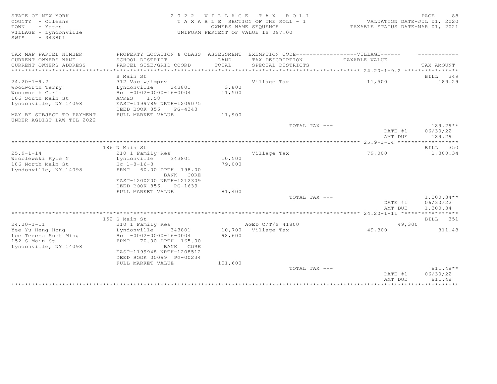STATE OF NEW YORK CONSULTED STATE OF NEW YORK AND STATE A LOUD COUNTY - OF LEASURE SOLUCT A LOUD OF THE ROLL - 1<br>2020 TA X A B L E SECTION OF THE ROLL - 1 VALUATION DATE-JUL 01, 2020<br>2021 TOWN - Yates Samme States COUNERS COUNTY - Orleans T A X A B L E SECTION OF THE ROLL - 1 TOWN - Yates OWNERS NAME SEQUENCE TAXABLE STATUS DATE-MAR 01, 2021 VILLAGE - Lyndonville UNIFORM PERCENT OF VALUE IS 097.00 SWIS - 343801 TAX MAP PARCEL NUMBER BROPERTY LOCATION & CLASS ASSESSMENT EXEMPTION CODE-------------------VILLAGE------ ----------CURRENT OWNERS NAME SCHOOL DISTRICT LAND TAX DESCRIPTION TAXABLE VALUE CURRENT OWNERS ADDRESS PARCEL SIZE/GRID COORD TOTAL SPECIAL DISTRICTS TAX AMOUNT \*\*\*\*\*\*\*\*\*\*\*\*\*\*\*\*\*\*\*\*\*\*\*\*\*\*\*\*\*\*\*\*\*\*\*\*\*\*\*\*\*\*\*\*\*\*\*\*\*\*\*\*\*\*\*\*\*\*\*\*\*\*\*\*\*\*\*\*\*\*\*\*\*\*\*\*\*\*\*\*\*\*\*\*\*\*\*\*\*\*\*\*\*\*\*\*\*\*\*\*\*\*\* 24.20-1-9.2 \*\*\*\*\*\*\*\*\*\*\*\*\*\*\*\* S Main St Bill and Stephen Stephen Stephen Stephen Stephen Stephen Stephen Stephen Stephen Stephen Stephen Stephen Stephen Stephen Stephen Stephen Stephen Stephen Stephen Stephen Stephen Stephen Stephen Stephen Stephen Ste 24.20-1-9.2 312 Vac w/imprv Village Tax 11,500 189.29 Woodworth Terry Lyndonville 343801 3,800 Woodworth Carla Hc -0002-0000-16-0004 11,500 106 South Main St **ACRES** 1.58 Lyndonville, NY 14098 EAST-1199789 NRTH-1209075 DEED BOOK 856 PG-4343 MAY BE SUBJECT TO PAYMENT FULL MARKET VALUE  $11,900$ UNDER AGDIST LAW TIL 2022  $T$ OTAL TAX  $---$  189.29\*\* DATE #1 06/30/22<br>AMT DUE 189.29 AMT DUE 189.29 \*\*\*\*\*\*\*\*\*\*\*\*\*\*\*\*\*\*\*\*\*\*\*\*\*\*\*\*\*\*\*\*\*\*\*\*\*\*\*\*\*\*\*\*\*\*\*\*\*\*\*\*\*\*\*\*\*\*\*\*\*\*\*\*\*\*\*\*\*\*\*\*\*\*\*\*\*\*\*\*\*\*\*\*\*\*\*\*\*\*\*\*\*\*\*\*\*\*\*\*\*\*\* 25.9-1-14 \*\*\*\*\*\*\*\*\*\*\*\*\*\*\*\*\*\* 186 N Main St Bill and Stephen Stephen Stephen Stephen Stephen Stephen Stephen Stephen Stephen Stephen Stephen Stephen Stephen Stephen Stephen Stephen Stephen Stephen Stephen Stephen Stephen Stephen Stephen Stephen Stephen 25.9-1-14 210 1 Family Res Village Tax 79,000 1,300.34 Wroblewski Kyle N Lyndonville 343801 10,500 186 North Main St Hc 1-8-16-3 79,000 Lyndonville, NY 14098 FRNT 60.00 DPTH 198.00 BANK CORE EAST-1200200 NRTH-1212309 DEED BOOK 856 PG-1639 FULL MARKET VALUE 81,400<br>TOTAL TAX --- $\texttt{TOTAL TAX}$   $\texttt{--}$   $\texttt{--}$   $\texttt{1,300.34**}$ DATE #1 06/30/22<br>AMT DUE 1,300.34 AMT DUE 1, 300.34 \*\*\*\*\*\*\*\*\*\*\*\*\*\*\*\*\*\*\*\*\*\*\*\*\*\*\*\*\*\*\*\*\*\*\*\*\*\*\*\*\*\*\*\*\*\*\*\*\*\*\*\*\*\*\*\*\*\*\*\*\*\*\*\*\*\*\*\*\*\*\*\*\*\*\*\*\*\*\*\*\*\*\*\*\*\*\*\*\*\*\*\*\*\*\*\*\*\*\*\*\*\*\* 24.20-1-11 \*\*\*\*\*\*\*\*\*\*\*\*\*\*\*\*\* 152 S Main St Bill and State Bill and State Bill and State Bill and State Bill and State Bill and State Bill and State Bill and State Bill and State Bill and State Bill and State Bill and State Bill and State Bill and Stat 24.20-1-11 210 1 Family Res AGED C/T/S 41800 20-1-11 49,300 Yee Yu Heng Hong Lyndonville 343801 10,700 Village Tax 49,300 811.48 Lee Teresa Suet Ming Hc -0002-0000-16-0004 98,600 152 S Main St FRNT 70.00 DPTH 165.00 Lyndonville, NY 14098 BANK CORE EAST-1199948 NRTH-1208512 DEED BOOK 00099 PG-00234 FULL MARKET VALUE  $101,600$ <br>TOTAL TAX --- $T$ OTAL TAX  $---$  811.48\*\* DATE #1 06/30/22<br>AMT DUE 811.48 AMT DUE 811.48

\*\*\*\*\*\*\*\*\*\*\*\*\*\*\*\*\*\*\*\*\*\*\*\*\*\*\*\*\*\*\*\*\*\*\*\*\*\*\*\*\*\*\*\*\*\*\*\*\*\*\*\*\*\*\*\*\*\*\*\*\*\*\*\*\*\*\*\*\*\*\*\*\*\*\*\*\*\*\*\*\*\*\*\*\*\*\*\*\*\*\*\*\*\*\*\*\*\*\*\*\*\*\*\*\*\*\*\*\*\*\*\*\*\*\*\*\*\*\*\*\*\*\*\*\*\*\*\*\*\*\*\*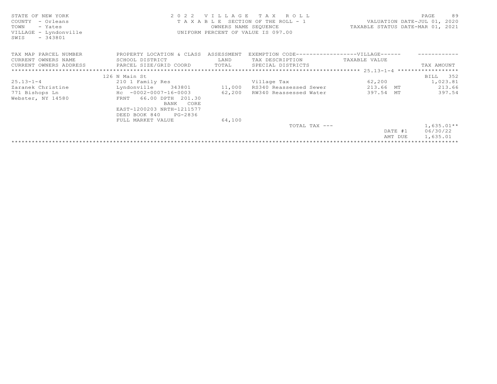| STATE OF NEW YORK                          |                                                                                                                                                                                                                                                 |                                                                                           | 2022 VILLAGE TAX ROLL                        |               | 89<br>PAGE                       |  |
|--------------------------------------------|-------------------------------------------------------------------------------------------------------------------------------------------------------------------------------------------------------------------------------------------------|-------------------------------------------------------------------------------------------|----------------------------------------------|---------------|----------------------------------|--|
| COUNTY - Orleans<br>TOWN<br>- Yates        |                                                                                                                                                                                                                                                 | T A X A B L E SECTION OF THE ROLL - 1 WALUATION DATE-JUL 01, 2020<br>OWNERS NAME SEQUENCE |                                              |               | TAXABLE STATUS DATE-MAR 01, 2021 |  |
| VILLAGE - Lyndonville<br>$-343801$<br>SWIS |                                                                                                                                                                                                                                                 |                                                                                           | UNIFORM PERCENT OF VALUE IS 097.00           |               |                                  |  |
| TAX MAP PARCEL NUMBER                      | PROPERTY LOCATION & CLASS ASSESSMENT                                                                                                                                                                                                            |                                                                                           | EXEMPTION CODE-----------------VILLAGE------ |               |                                  |  |
| CURRENT OWNERS NAME                        | SCHOOL DISTRICT                                                                                                                                                                                                                                 | LAND                                                                                      | TAX DESCRIPTION                              | TAXABLE VALUE |                                  |  |
|                                            | $\begin{tabular}{lllllll} \textbf{CURRENT} & \textbf{WWERS} & \textbf{ADDRESS} & \textbf{PARCH} & \textbf{SIZE/GRID COORD} & \textbf{TOTAL} & \textbf{SPECIAL DISTRICTS} & \textbf{TSTRICTS} & \textbf{TAX AMOUNT} \end{tabular} \end{tabular}$ |                                                                                           |                                              |               |                                  |  |
|                                            |                                                                                                                                                                                                                                                 |                                                                                           |                                              |               |                                  |  |
|                                            | 126 N Main St                                                                                                                                                                                                                                   |                                                                                           |                                              |               | BILL 352                         |  |
| $25.13 - 1 - 4$                            | 210 1 Family Res                                                                                                                                                                                                                                |                                                                                           | Village Tax                                  | 62, 200       | 1,023.81                         |  |
| Zaranek Christine                          | 343801<br>Lyndonville                                                                                                                                                                                                                           | 11,000                                                                                    | RS340 Reassessed Sewer                       | 213.66 MT     | 213.66                           |  |
| 771 Bishops Ln                             | $Hc - 0002 - 0007 - 16 - 0003$                                                                                                                                                                                                                  | 62,200                                                                                    | RW340 Reassessed Water                       | 397.54 MT     | 397.54                           |  |
| Webster, NY 14580                          | FRNT 66.00 DPTH 201.30                                                                                                                                                                                                                          |                                                                                           |                                              |               |                                  |  |
|                                            | BANK CORE                                                                                                                                                                                                                                       |                                                                                           |                                              |               |                                  |  |
|                                            | EAST-1200203 NRTH-1211577                                                                                                                                                                                                                       |                                                                                           |                                              |               |                                  |  |
|                                            | DEED BOOK 840<br>PG-2836                                                                                                                                                                                                                        |                                                                                           |                                              |               |                                  |  |
|                                            | FULL MARKET VALUE                                                                                                                                                                                                                               | 64,100                                                                                    |                                              |               |                                  |  |
|                                            |                                                                                                                                                                                                                                                 |                                                                                           | TOTAL TAX ---                                |               | $1,635.01**$                     |  |
|                                            |                                                                                                                                                                                                                                                 |                                                                                           |                                              | DATE #1       | 06/30/22                         |  |
|                                            |                                                                                                                                                                                                                                                 |                                                                                           |                                              | AMT DUE       | 1,635.01                         |  |
|                                            |                                                                                                                                                                                                                                                 |                                                                                           |                                              |               |                                  |  |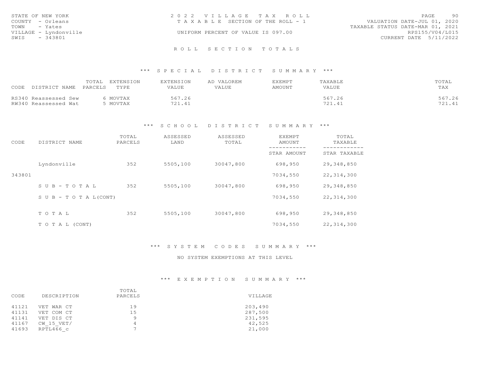| STATE OF NEW YORK<br>COUNTY - Orleans     | 2022 VILLAGE TAX ROLL<br>T A X A B L E SECTION OF THE ROLL - 1 | PAGE<br>90<br>VALUATION DATE-JUL 01, 2020 |  |
|-------------------------------------------|----------------------------------------------------------------|-------------------------------------------|--|
| TOWN - Yates                              |                                                                | TAXABLE STATUS DATE-MAR 01, 2021          |  |
| VILLAGE - Lyndonville<br>SWIS<br>- 343801 | UNIFORM PERCENT OF VALUE IS 097.00                             | RPS155/V04/L015<br>CURRENT DATE 5/11/2022 |  |
|                                           |                                                                |                                           |  |

#### \*\*\* S P E C I A L D I S T R I C T S U M M A R Y \*\*\*

|                                | EXTENSION<br>TOTAL | EXTENSION | AD VALOREM | EXEMPT | TAXABLE | TOTAL  |
|--------------------------------|--------------------|-----------|------------|--------|---------|--------|
| CODE<br>DISTRICT NAME  PARCELS | TYPE               | VALUE     | VALUE      | AMOUNT | VALUE   | TAX    |
|                                |                    |           |            |        |         |        |
| RS340 Reassessed Sew           | MOVTAX             | 567.26    |            |        | 567.26  | 567.26 |
| RW340 Reassessed Wat           | MOVTAX             | 721.41    |            |        | 721.41  | 721.41 |

#### \*\*\* S C H O O L D I S T R I C T S U M M A R Y \*\*\*

| CODE   | DISTRICT NAME      | TOTAL<br>PARCELS | ASSESSED<br>LAND | ASSESSED<br>TOTAL | EXEMPT<br>AMOUNT         | TOTAL<br>TAXABLE         |
|--------|--------------------|------------------|------------------|-------------------|--------------------------|--------------------------|
|        |                    |                  |                  |                   | ---------<br>STAR AMOUNT | --------<br>STAR TAXABLE |
|        | Lyndonville        | 352              | 5505,100         | 30047,800         | 698,950                  | 29,348,850               |
| 343801 |                    |                  |                  |                   | 7034,550                 | 22, 314, 300             |
|        | SUB-TOTAL          | 352              | 5505,100         | 30047,800         | 698,950                  | 29,348,850               |
|        | SUB - TO TAL(CONT) |                  |                  |                   | 7034,550                 | 22, 314, 300             |
|        |                    |                  |                  |                   |                          |                          |
|        | TOTAL              | 352              | 5505,100         | 30047,800         | 698,950                  | 29,348,850               |
|        | T O T A L (CONT)   |                  |                  |                   | 7034,550                 | 22, 314, 300             |

#### \*\*\* S Y S T E M C O D E S S U M M A R Y \*\*\*

#### NO SYSTEM EXEMPTIONS AT THIS LEVEL

#### \*\*\* E X E M P T I O N S U M M A R Y \*\*\*

|       |             | TOTAL          |         |  |
|-------|-------------|----------------|---------|--|
| CODE  | DESCRIPTION | PARCELS        | VILLAGE |  |
| 41121 | VET WAR CT  | 19             | 203,490 |  |
| 41131 | VET COM CT  | 15             | 287,500 |  |
| 41141 | VET DIS CT  | Q              | 231,595 |  |
| 41167 | CW 15 VET/  | 4              | 42,525  |  |
| 41693 | RPTL466 c   | $\overline{ }$ | 21,000  |  |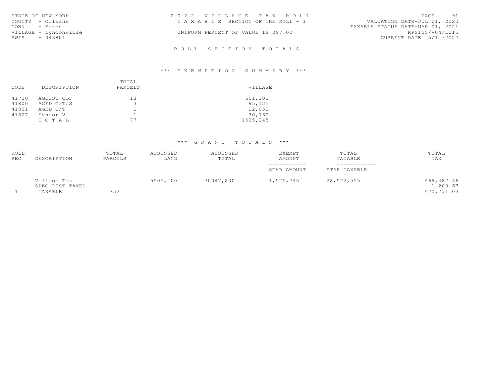| STATE OF NEW YORK     | 2022 VILLAGE TAX ROLL                 | PAGE 91                          |
|-----------------------|---------------------------------------|----------------------------------|
| COUNTY - Orleans      | T A X A B L E SECTION OF THE ROLL - 1 | VALUATION DATE-JUL 01, 2020      |
| TOWN - Yates          |                                       | TAXABLE STATUS DATE-MAR 01, 2021 |
| VILLAGE - Lyndonville | UNIFORM PERCENT OF VALUE IS 097.00    | RPS155/V04/L015                  |
| SWIS - 343801         |                                       | CURRENT DATE 5/11/2022           |
|                       |                                       |                                  |

## \*\*\* E X E M P T I O N S U M M A R Y \*\*\*

|       |             | TOTAL    |          |  |
|-------|-------------|----------|----------|--|
| CODE  | DESCRIPTION | PARCELS  | VILLAGE  |  |
| 41720 | AGDIST COF  | 18       | 601,200  |  |
| 41800 | AGED C/T/S  | ∍<br>ت   | 95,125   |  |
| 41801 | AGED C/T    | ᅩ        | 12,050   |  |
| 41807 | Senior V    | <b>.</b> | 30,760   |  |
|       | TOTAL       | 77       | 1525,245 |  |

# \*\*\* G R A N D T O T A L S \*\*\*

| ROLL<br>SEC | DESCRIPTION                               | TOTAL<br>PARCELS | ASSESSED<br>LAND | ASSESSED<br>TOTAL | EXEMPT<br><b>AMOUNT</b> | TOTAL<br>TAXABLE | TOTAL<br>TAX                         |
|-------------|-------------------------------------------|------------------|------------------|-------------------|-------------------------|------------------|--------------------------------------|
|             |                                           |                  |                  |                   | -----------             | ------------     |                                      |
|             |                                           |                  |                  |                   | STAR AMOUNT             | STAR TAXABLE     |                                      |
|             | Village Tax<br>SPEC DIST TAXES<br>TAXABLE | 352              | 5505,100         | 30047,800         | 1,525,245               | 28, 522, 555     | 469,482.36<br>1,288.67<br>470,771.03 |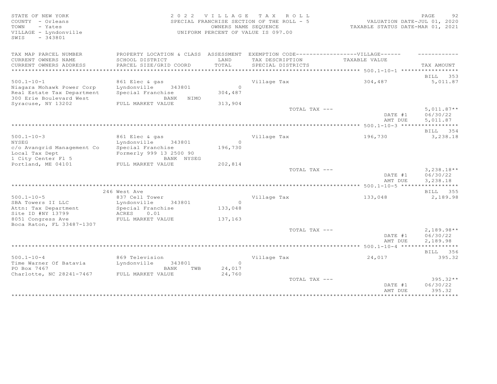STATE OF NEW YORK SALL STATE OF NEW YORK STATE OF NEW YORK SALL SERVICE SERVICE SERVICE SERVICE SERVICE SERVICE COUNTY - Orleans SPECIAL FRANCHISE SECTION OF THE ROLL - 5 VALUATION DATE-JUL 01, 2020 TOWN - Yates OWNERS NAME SEQUENCE TAXABLE STATUS DATE-MAR 01, 2021 VILLAGE - Lyndonville UNIFORM PERCENT OF VALUE IS 097.00 SWIS - 343801 TAX MAP PARCEL NUMBER PROPERTY LOCATION & CLASS ASSESSMENT EXEMPTION CODE------------------VILLAGE------ -----------CURRENT OWNERS NAME SCHOOL DISTRICT LAND TAX DESCRIPTION TAXABLE VALUE CURRENT OWNERS ADDRESS PARCEL SIZE/GRID COORD TOTAL SPECIAL DISTRICTS TAX AMOUNT \*\*\*\*\*\*\*\*\*\*\*\*\*\*\*\*\*\*\*\*\*\*\*\*\*\*\*\*\*\*\*\*\*\*\*\*\*\*\*\*\*\*\*\*\*\*\*\*\*\*\*\*\*\*\*\*\*\*\*\*\*\*\*\*\*\*\*\*\*\*\*\*\*\*\*\*\*\*\*\*\*\*\*\*\*\*\*\*\*\*\*\*\*\*\*\*\*\*\*\*\*\*\* 500.1-10-1 \*\*\*\*\*\*\*\*\*\*\*\*\*\*\*\*\* BILL 353 500.1-10-1 861 Elec & gas Village Tax 304,487 5,011.87 Niagara Mohawk Power Corp Lyndonville 343801 0 Real Estate Tax Department Special Franchise 304,487 300 Erie Boulevard West **BANK** NIMO Syracuse, NY 13202 FULL MARKET VALUE 313,904  $\texttt{TOTAL TAX}$   $---$  5,011.87\*\* DATE #1 06/30/22<br>AMT DUE 5,011.87 AMT DUE 5, 011.87 \*\*\*\*\*\*\*\*\*\*\*\*\*\*\*\*\*\*\*\*\*\*\*\*\*\*\*\*\*\*\*\*\*\*\*\*\*\*\*\*\*\*\*\*\*\*\*\*\*\*\*\*\*\*\*\*\*\*\*\*\*\*\*\*\*\*\*\*\*\*\*\*\*\*\*\*\*\*\*\*\*\*\*\*\*\*\*\*\*\*\*\*\*\*\*\*\*\*\*\*\*\*\* 500.1-10-3 \*\*\*\*\*\*\*\*\*\*\*\*\*\*\*\*\* BILL 354 500.1-10-3 861 Elec & gas Village Tax 196,730 3,238.18 NYSEG Lyndonville 343801 0 c/o Avangrid Management Co Special Franchise 196,730 Local Tax Dept Formerly 999 13 2500 90 1 City Center Fl 5 BANK NYSEG Portland, ME 04101 FULL MARKET VALUE 202,814  $\texttt{TOTAL TAX}$  ---  $\texttt{3,238.18**}$  DATE #1 06/30/22 AMT DUE 3, 238.18 \*\*\*\*\*\*\*\*\*\*\*\*\*\*\*\*\*\*\*\*\*\*\*\*\*\*\*\*\*\*\*\*\*\*\*\*\*\*\*\*\*\*\*\*\*\*\*\*\*\*\*\*\*\*\*\*\*\*\*\*\*\*\*\*\*\*\*\*\*\*\*\*\*\*\*\*\*\*\*\*\*\*\*\*\*\*\*\*\*\*\*\*\*\*\*\*\*\*\*\*\*\*\* 500.1-10-5 \*\*\*\*\*\*\*\*\*\*\*\*\*\*\*\*\* 246 West Ave BILL 355 500.1-10-5 837 Cell Tower Village Tax 133,048 2,189.98 SBA Towers II LLC **Lyndonville** 343801 0 Attn: Tax Department Special Franchise 133,048 Site ID #NY 13799 ACRES 0.01 8051 Congress Ave FULL MARKET VALUE 137,163 Boca Raton, FL 33487-1307  $\texttt{TOTAL TAX}$   $- \texttt{2,189.98**}$ DATE #1 06/30/22<br>AMT DUE 2,189.98 AMT DUE 2, 189.98 \*\*\*\*\*\*\*\*\*\*\*\*\*\*\*\*\*\*\*\*\*\*\*\*\*\*\*\*\*\*\*\*\*\*\*\*\*\*\*\*\*\*\*\*\*\*\*\*\*\*\*\*\*\*\*\*\*\*\*\*\*\*\*\*\*\*\*\*\*\*\*\*\*\*\*\*\*\*\*\*\*\*\*\*\*\*\*\*\*\*\*\*\*\*\*\*\*\*\*\*\*\*\* 500.1-10-4 \*\*\*\*\*\*\*\*\*\*\*\*\*\*\*\*\* BILL 356 500.1-10-4 869 Television Village Tax 24,017 395.32 Time Warner Of Batavia Lyndonville 343801 0 PO Box 7467 BANK TWB 24,017  $\text{Charlotte}$ , NC 28241-7467 FULL MARKET VALUE  $24,760$  $TOTAL$  TAX  $---$  395.32  $*$ DATE #1 06/30/22 AMT DUE 395.32 \*\*\*\*\*\*\*\*\*\*\*\*\*\*\*\*\*\*\*\*\*\*\*\*\*\*\*\*\*\*\*\*\*\*\*\*\*\*\*\*\*\*\*\*\*\*\*\*\*\*\*\*\*\*\*\*\*\*\*\*\*\*\*\*\*\*\*\*\*\*\*\*\*\*\*\*\*\*\*\*\*\*\*\*\*\*\*\*\*\*\*\*\*\*\*\*\*\*\*\*\*\*\*\*\*\*\*\*\*\*\*\*\*\*\*\*\*\*\*\*\*\*\*\*\*\*\*\*\*\*\*\*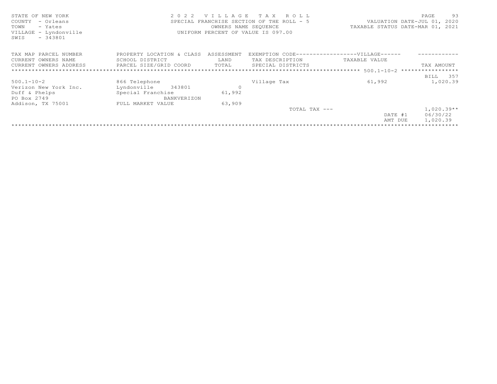| STATE OF NEW YORK<br>COUNTY<br>- Orleans<br>TOWN<br>- Yates<br>VILLAGE - Lyndonville<br>$-343801$<br>SWIS |                                      |                | 2022 VILLAGE TAX ROLL<br>OWNERS NAME SEQUENCE<br>UNIFORM PERCENT OF VALUE IS 097.00 | SPECIAL FRANCHISE SECTION OF THE ROLL - 5 VALUATION DATE-JUL 01, 2020<br>TAXABLE STATUS DATE-MAR 01, 2021 | 93<br>PAGE   |  |
|-----------------------------------------------------------------------------------------------------------|--------------------------------------|----------------|-------------------------------------------------------------------------------------|-----------------------------------------------------------------------------------------------------------|--------------|--|
| TAX MAP PARCEL NUMBER                                                                                     | PROPERTY LOCATION & CLASS ASSESSMENT |                |                                                                                     | EXEMPTION CODE------------------VILLAGE------                                                             |              |  |
| CURRENT OWNERS NAME                                                                                       | SCHOOL DISTRICT                      | LAND           | TAX DESCRIPTION                                                                     | TAXABLE VALUE                                                                                             |              |  |
| CURRENT OWNERS ADDRESS FARCEL SIZE/GRID COORD TOTAL                                                       |                                      |                | SPECIAL DISTRICTS                                                                   |                                                                                                           | TAX AMOUNT   |  |
|                                                                                                           |                                      |                |                                                                                     |                                                                                                           |              |  |
|                                                                                                           |                                      |                |                                                                                     |                                                                                                           | BILL 357     |  |
| $500.1 - 10 - 2$                                                                                          | 866 Telephone                        |                | Village Tax                                                                         | 61,992                                                                                                    | 1,020.39     |  |
| Verizon New York Inc.                                                                                     | Lyndonville 343801                   | $\overline{0}$ |                                                                                     |                                                                                                           |              |  |
| Duff & Phelps                                                                                             | Special Franchise                    | 61,992         |                                                                                     |                                                                                                           |              |  |
| PO Box 2749                                                                                               | BANKVERIZON                          |                |                                                                                     |                                                                                                           |              |  |
| Addison, TX 75001                                                                                         | FULL MARKET VALUE                    | 63,909         |                                                                                     |                                                                                                           |              |  |
|                                                                                                           |                                      |                | TOTAL TAX $---$                                                                     |                                                                                                           | $1,020.39**$ |  |
|                                                                                                           |                                      |                |                                                                                     | DATE #1                                                                                                   | 06/30/22     |  |
|                                                                                                           |                                      |                |                                                                                     | AMT DUE                                                                                                   | 1,020.39     |  |
|                                                                                                           |                                      |                |                                                                                     |                                                                                                           |              |  |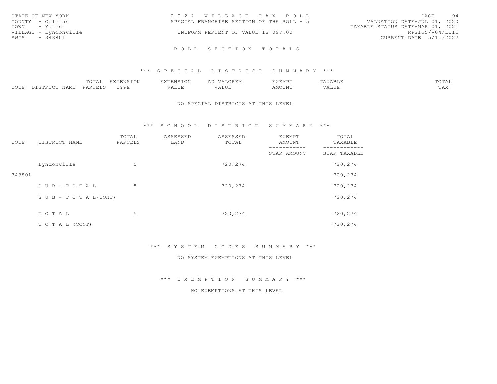| STATE OF NEW YORK     | 2022 VILLAGE TAX ROLL                     | PAGE<br>94                       |
|-----------------------|-------------------------------------------|----------------------------------|
| COUNTY - Orleans      | SPECIAL FRANCHISE SECTION OF THE ROLL - 5 | VALUATION DATE-JUL 01, 2020      |
| TOWN - Yates          |                                           | TAXABLE STATUS DATE-MAR 01, 2021 |
| VILLAGE - Lyndonville | UNIFORM PERCENT OF VALUE IS 097.00        | RPS155/V04/L015                  |
| SWIS - 343801         |                                           | CURRENT DATE 5/11/2022           |
|                       |                                           |                                  |
|                       | ROLL SECTION TOTALS                       |                                  |

#### \*\*\* S P E C I A L D I S T R I C T S U M M A R Y \*\*\*

|                         | 0.171   | EXTENSION      | $\cdot$ mmazo $\tau$ = $\tau$<br>LAILNƏIUI | $\sim$ $\sim$ $\sim$ $\sim$ $\sim$<br>VALOREM | <b>LALLAD</b><br>EXEMF - | $\cdots$<br>'AAADL. | $\sim$ m $\sim$<br>LOTAT |
|-------------------------|---------|----------------|--------------------------------------------|-----------------------------------------------|--------------------------|---------------------|--------------------------|
| CODE<br>NAME<br>DISTRI! | FARCELL | התערד.<br>---- | $\tau \tau \tau \tau \tau \tau$<br>YALUL   | $-777$<br>.                                   | AMOUNT                   |                     | $-1$<br>$\pm \sqrt{24}$  |

#### NO SPECIAL DISTRICTS AT THIS LEVEL

\*\*\* S C H O O L D I S T R I C T S U M M A R Y \*\*\*

| CODE   | DISTRICT NAME              | TOTAL<br>PARCELS | ASSESSED<br>LAND | ASSESSED<br>TOTAL | EXEMPT<br>AMOUNT | TOTAL<br>TAXABLE<br>-------- |
|--------|----------------------------|------------------|------------------|-------------------|------------------|------------------------------|
|        |                            |                  |                  |                   | STAR AMOUNT      | STAR TAXABLE                 |
|        | Lyndonville                | 5                |                  | 720,274           |                  | 720,274                      |
| 343801 |                            |                  |                  |                   |                  | 720,274                      |
|        | $S$ U B - T O T A L        | 5                |                  | 720,274           |                  | 720,274                      |
|        | S U B - T O T A $L$ (CONT) |                  |                  |                   |                  | 720,274                      |
|        |                            |                  |                  |                   |                  |                              |
|        | TO TAL                     | 5                |                  | 720,274           |                  | 720,274                      |
|        | T O T A L (CONT)           |                  |                  |                   |                  | 720,274                      |

\*\*\* S Y S T E M C O D E S S U M M A R Y \*\*\*

NO SYSTEM EXEMPTIONS AT THIS LEVEL

\*\*\* E X E M P T I O N S U M M A R Y \*\*\*

NO EXEMPTIONS AT THIS LEVEL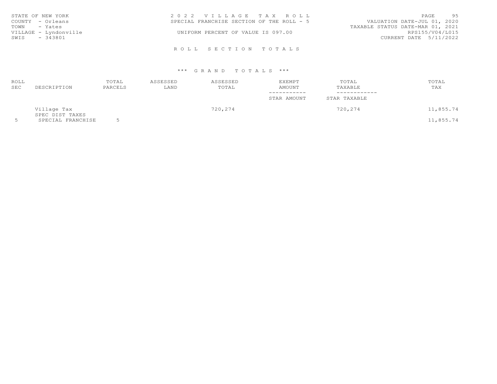| STATE OF NEW YORK     | 2022 VILLAGE TAX ROLL                     | PAGE 95                          |
|-----------------------|-------------------------------------------|----------------------------------|
| COUNTY - Orleans      | SPECIAL FRANCHISE SECTION OF THE ROLL - 5 | VALUATION DATE-JUL 01, 2020      |
| TOWN - Yates          |                                           | TAXABLE STATUS DATE-MAR 01, 2021 |
| VILLAGE - Lyndonville | UNIFORM PERCENT OF VALUE IS 097.00        | RPS155/V04/L015                  |
| SWIS<br>- 343801      |                                           | CURRENT DATE 5/11/2022           |
|                       |                                           |                                  |
|                       | ROLL SECTION TOTALS                       |                                  |

## \*\*\* G R A N D T O T A L S \*\*\*

| ROLL<br>SEC | DESCRIPTION                    | TOTAL<br>PARCELS | ASSESSED<br>LAND | ASSESSED<br>TOTAL | EXEMPT<br><b>AMOUNT</b><br>-----------<br>STAR AMOUNT | TOTAL<br>TAXABLE<br>------------<br>STAR TAXABLE | TOTAL<br>TAX |  |
|-------------|--------------------------------|------------------|------------------|-------------------|-------------------------------------------------------|--------------------------------------------------|--------------|--|
|             | Village Tax<br>SPEC DIST TAXES |                  |                  | 720,274           |                                                       | 720,274                                          | 11,855.74    |  |
|             | SPECIAL FRANCHISE              |                  |                  |                   |                                                       |                                                  | 11,855.74    |  |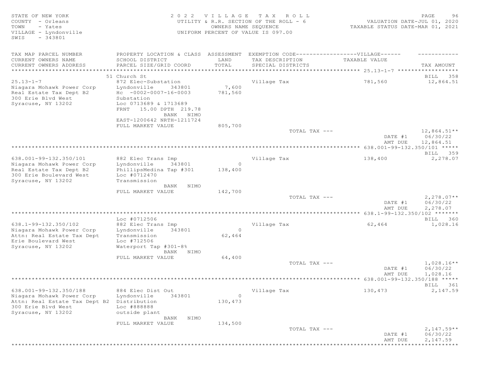| STATE OF NEW YORK<br>COUNTY - Orleans<br>TOWN<br>- Yates<br>VILLAGE - Lyndonville<br>$-343801$<br>SWIS | 2 0 2 2                                            | VILLAGE<br>OWNERS NAME SEQUENCE | T A X<br>ROLL<br>UTILITY & R.R. SECTION OF THE ROLL - 6<br>UNIFORM PERCENT OF VALUE IS 097.00 | VALUATION DATE-JUL 01, 2020<br>TAXABLE STATUS DATE-MAR 01, 2021 | 96<br>PAGE                |
|--------------------------------------------------------------------------------------------------------|----------------------------------------------------|---------------------------------|-----------------------------------------------------------------------------------------------|-----------------------------------------------------------------|---------------------------|
| TAX MAP PARCEL NUMBER                                                                                  | PROPERTY LOCATION & CLASS                          | ASSESSMENT                      |                                                                                               | EXEMPTION CODE------------------VILLAGE------                   |                           |
| CURRENT OWNERS NAME                                                                                    | SCHOOL DISTRICT                                    | LAND                            | TAX DESCRIPTION                                                                               | TAXABLE VALUE                                                   |                           |
| CURRENT OWNERS ADDRESS                                                                                 | PARCEL SIZE/GRID COORD                             | TOTAL                           | SPECIAL DISTRICTS                                                                             |                                                                 | TAX AMOUNT                |
| ***************************                                                                            |                                                    |                                 |                                                                                               |                                                                 |                           |
| $25.13 - 1 - 7$                                                                                        | 51 Church St<br>872 Elec-Substation                |                                 | Village Tax                                                                                   | 781,560                                                         | BILL 358<br>12,864.51     |
| Niagara Mohawk Power Corp                                                                              | Lyndonville<br>343801                              | 7,600                           |                                                                                               |                                                                 |                           |
| Real Estate Tax Dept B2                                                                                | $Hc - 0002 - 0007 - 16 - 0003$                     | 781,560                         |                                                                                               |                                                                 |                           |
| 300 Erie Blvd West                                                                                     | Substation                                         |                                 |                                                                                               |                                                                 |                           |
| Syracuse, NY 13202                                                                                     | Loc 0713689 & 1713689<br>15.00 DPTH 219.78<br>FRNT |                                 |                                                                                               |                                                                 |                           |
|                                                                                                        | BANK NIMO<br>EAST-1200642 NRTH-1211724             |                                 |                                                                                               |                                                                 |                           |
|                                                                                                        | FULL MARKET VALUE                                  | 805,700                         |                                                                                               |                                                                 |                           |
|                                                                                                        |                                                    |                                 | TOTAL TAX ---                                                                                 | DATE #1                                                         | $12,864.51**$<br>06/30/22 |
|                                                                                                        |                                                    |                                 |                                                                                               | AMT DUE                                                         | 12,864.51                 |
|                                                                                                        |                                                    |                                 |                                                                                               | 638.001-99-132.350/101 *****                                    |                           |
|                                                                                                        |                                                    |                                 |                                                                                               |                                                                 | BILL 359                  |
| 638.001-99-132.350/101                                                                                 | 882 Elec Trans Imp<br>Lyndonville<br>343801        | $\circ$                         | Village Tax                                                                                   | 138,400                                                         | 2,278.07                  |
| Niagara Mohawk Power Corp<br>Real Estate Tax Dept B2                                                   | PhillipsMedina Tap #301                            | 138,400                         |                                                                                               |                                                                 |                           |
| 300 Erie Boulevard West                                                                                | Loc #0712470                                       |                                 |                                                                                               |                                                                 |                           |
| Syracuse, NY 13202                                                                                     | Transmission                                       |                                 |                                                                                               |                                                                 |                           |
|                                                                                                        | BANK NIMO                                          |                                 |                                                                                               |                                                                 |                           |
|                                                                                                        | FULL MARKET VALUE                                  | 142,700                         |                                                                                               |                                                                 |                           |
|                                                                                                        |                                                    |                                 | TOTAL TAX ---                                                                                 | DATE #1                                                         | $2,278.07**$<br>06/30/22  |
|                                                                                                        |                                                    |                                 |                                                                                               | AMT DUE                                                         | 2,278.07                  |
|                                                                                                        |                                                    |                                 |                                                                                               | $638.1 - 99 - 132.350 / 102$ *******                            |                           |
|                                                                                                        | Loc #0712506                                       |                                 |                                                                                               |                                                                 | BILL 360                  |
| 638.1-99-132.350/102                                                                                   | 882 Elec Trans Imp                                 |                                 | Village Tax                                                                                   | 62,464                                                          | 1,028.16                  |
| Niagara Mohawk Power Corp                                                                              | 343801<br>Lyndonville                              | $\circ$                         |                                                                                               |                                                                 |                           |
| Attn: Real Estate Tax Dept                                                                             | Transmission<br>Loc #712506                        | 62,464                          |                                                                                               |                                                                 |                           |
| Erie Boulevard West<br>Syracuse, NY 13202                                                              | Waterport Tap #301-8%                              |                                 |                                                                                               |                                                                 |                           |
|                                                                                                        | BANK NIMO                                          |                                 |                                                                                               |                                                                 |                           |
|                                                                                                        | FULL MARKET VALUE                                  | 64,400                          |                                                                                               |                                                                 |                           |
|                                                                                                        |                                                    |                                 | TOTAL TAX ---                                                                                 |                                                                 | $1,028.16**$              |
|                                                                                                        |                                                    |                                 |                                                                                               | DATE #1                                                         | 06/30/22                  |
|                                                                                                        |                                                    |                                 |                                                                                               | AMT DUE                                                         | 1,028.16                  |
|                                                                                                        |                                                    |                                 |                                                                                               |                                                                 | BILL 361                  |
| 638.001-99-132.350/188                                                                                 | 884 Elec Dist Out                                  |                                 | Village Tax                                                                                   | 130,473                                                         | 2,147.59                  |
| Niagara Mohawk Power Corp                                                                              | Lyndonville<br>343801                              | $\circ$                         |                                                                                               |                                                                 |                           |
| Attn: Real Estate Tax Dept B2                                                                          | Distribution                                       | 130,473                         |                                                                                               |                                                                 |                           |
| 300 Erie Blvd West                                                                                     | Loc #888888                                        |                                 |                                                                                               |                                                                 |                           |
| Syracuse, NY 13202                                                                                     | outside plant                                      |                                 |                                                                                               |                                                                 |                           |
|                                                                                                        | BANK<br>NIMO                                       |                                 |                                                                                               |                                                                 |                           |
|                                                                                                        | FULL MARKET VALUE                                  | 134,500                         | TOTAL TAX ---                                                                                 |                                                                 | $2,147.59**$              |
|                                                                                                        |                                                    |                                 |                                                                                               | DATE #1                                                         | 06/30/22                  |
|                                                                                                        |                                                    |                                 |                                                                                               | AMT DUE                                                         | 2,147.59                  |
|                                                                                                        |                                                    |                                 |                                                                                               |                                                                 | * * * * * * * * * * *     |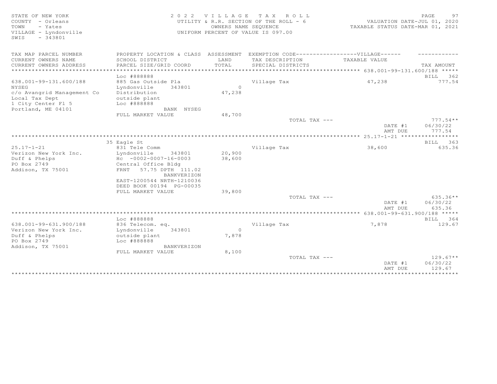| STATE OF NEW YORK<br>COUNTY - Orleans<br>- Yates<br>TOWN<br>VILLAGE - Lyndonville<br>$-343801$<br>SWIS |                                                                                                  | 2022 VILLAGE      | TAX ROLL<br>UTILITY & R.R. SECTION OF THE ROLL - 6<br>OWNERS NAME SEQUENCE<br>UNIFORM PERCENT OF VALUE IS 097.00 | VALUATION DATE-JUL 01, 2020<br>TAXABLE STATUS DATE-MAR 01, 2021                   | PAGE<br>97                       |
|--------------------------------------------------------------------------------------------------------|--------------------------------------------------------------------------------------------------|-------------------|------------------------------------------------------------------------------------------------------------------|-----------------------------------------------------------------------------------|----------------------------------|
| TAX MAP PARCEL NUMBER                                                                                  | PROPERTY LOCATION & CLASS ASSESSMENT                                                             |                   | EXEMPTION CODE------------------VILLAGE------                                                                    |                                                                                   |                                  |
| CURRENT OWNERS NAME<br>CURRENT OWNERS ADDRESS<br>* * * * * * * * * * * * * * * * * * * *               | SCHOOL DISTRICT<br>PARCEL SIZE/GRID COORD                                                        | LAND<br>TOTAL     | TAX DESCRIPTION<br>SPECIAL DISTRICTS                                                                             | TAXABLE VALUE                                                                     | TAX AMOUNT                       |
|                                                                                                        | Loc #888888                                                                                      |                   |                                                                                                                  | ***********************************    638.001-99-131.600/188                **** | BILL 362                         |
| 638.001-99-131.600/188<br>NYSEG<br>c/o Avangrid Management Co<br>Local Tax Dept<br>1 City Center Fl 5  | 885 Gas Outside Pla<br>Lyndonville<br>343801<br>Distribution<br>outside plant<br>Loc #888888     | $\circ$<br>47,238 | Village Tax                                                                                                      | 47,238                                                                            | 777.54                           |
| Portland, ME 04101                                                                                     | BANK NYSEG                                                                                       |                   |                                                                                                                  |                                                                                   |                                  |
|                                                                                                        | FULL MARKET VALUE                                                                                | 48,700            |                                                                                                                  |                                                                                   |                                  |
|                                                                                                        |                                                                                                  |                   | TOTAL TAX ---                                                                                                    | DATE #1<br>AMT DUE                                                                | $777.54**$<br>06/30/22<br>777.54 |
|                                                                                                        |                                                                                                  |                   |                                                                                                                  |                                                                                   |                                  |
|                                                                                                        | 35 Eagle St                                                                                      |                   |                                                                                                                  |                                                                                   | BILL 363                         |
| $25.17 - 1 - 21$                                                                                       | 831 Tele Comm                                                                                    |                   | Village Tax                                                                                                      | 38,600                                                                            | 635.36                           |
| Verizon New York Inc.                                                                                  | Lyndonville<br>343801                                                                            | 20,900            |                                                                                                                  |                                                                                   |                                  |
| Duff & Phelps                                                                                          | $Hc - 0002 - 0007 - 16 - 0003$                                                                   | 38,600            |                                                                                                                  |                                                                                   |                                  |
| PO Box 2749<br>Addison, TX 75001                                                                       | Central Office Bldg<br>FRNT 57.75 DPTH 111.02<br><b>BANKVERIZON</b><br>EAST-1200544 NRTH-1210036 |                   |                                                                                                                  |                                                                                   |                                  |
|                                                                                                        | DEED BOOK 00194 PG-00035                                                                         |                   |                                                                                                                  |                                                                                   |                                  |
|                                                                                                        | FULL MARKET VALUE                                                                                | 39,800            |                                                                                                                  |                                                                                   |                                  |
|                                                                                                        |                                                                                                  |                   | TOTAL TAX ---                                                                                                    |                                                                                   | $635.36**$                       |
|                                                                                                        |                                                                                                  |                   |                                                                                                                  | DATE #1                                                                           | 06/30/22                         |
|                                                                                                        |                                                                                                  |                   |                                                                                                                  | AMT DUE                                                                           | 635.36                           |
|                                                                                                        | Loc #888888                                                                                      |                   |                                                                                                                  |                                                                                   | BILL 364                         |
| 638.001-99-631.900/188                                                                                 | 836 Telecom. eq.                                                                                 |                   | Village Tax                                                                                                      | 7,878                                                                             | 129.67                           |
| Verizon New York Inc.                                                                                  | 343801<br>Lyndonville                                                                            | $\circ$           |                                                                                                                  |                                                                                   |                                  |
| Duff & Phelps                                                                                          | outside plant                                                                                    | 7,878             |                                                                                                                  |                                                                                   |                                  |
| PO Box 2749                                                                                            | Loc #888888                                                                                      |                   |                                                                                                                  |                                                                                   |                                  |
| Addison, TX 75001                                                                                      | <b>BANKVERIZON</b>                                                                               |                   |                                                                                                                  |                                                                                   |                                  |
|                                                                                                        | FULL MARKET VALUE                                                                                | 8,100             |                                                                                                                  |                                                                                   |                                  |
|                                                                                                        |                                                                                                  |                   | TOTAL TAX ---                                                                                                    |                                                                                   | $129.67**$                       |
|                                                                                                        |                                                                                                  |                   |                                                                                                                  | DATE #1                                                                           | 06/30/22                         |
|                                                                                                        |                                                                                                  |                   |                                                                                                                  | AMT DUE                                                                           | 129.67                           |
|                                                                                                        |                                                                                                  |                   |                                                                                                                  | ***********************************                                               |                                  |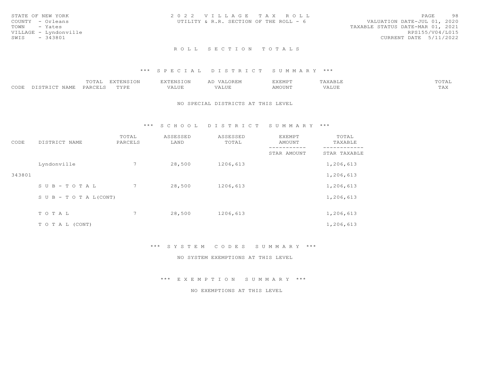| STATE OF NEW YORK     | 2022 VILLAGE TAX ROLL                  | PAGE<br>98                       |  |
|-----------------------|----------------------------------------|----------------------------------|--|
| COUNTY - Orleans      | UTILITY & R.R. SECTION OF THE ROLL - 6 | VALUATION DATE-JUL 01, 2020      |  |
| TOWN - Yates          |                                        | TAXABLE STATUS DATE-MAR 01, 2021 |  |
| VILLAGE - Lyndonville |                                        | RPS155/V04/L015                  |  |
| SWIS<br>- 343801      |                                        | CURRENT DATE 5/11/2022           |  |
|                       |                                        |                                  |  |

#### \*\*\* S P E C I A L D I S T R I C T S U M M A R Y \*\*\*

|                          | ጣ∩ጥአ<br>.vial | EXTENSION                     | <b>EXTENSION</b> | VALOREM           | <b>EXEMPT</b> | VADIE<br>. AAAD LE | TOTAL             |
|--------------------------|---------------|-------------------------------|------------------|-------------------|---------------|--------------------|-------------------|
| CODE<br>NAME<br>DISTRICT | PARCELS       | <b>TYPR</b><br><u>+ + + +</u> | VALUE            | 77 T TIM<br>'Alul | AMOUNT        | 1 2 3 3 4 5 6      | $m \times$<br>⊥⇔∧ |

#### NO SPECIAL DISTRICTS AT THIS LEVEL

\*\*\* S C H O O L D I S T R I C T S U M M A R Y \*\*\*

| CODE   | DISTRICT NAME      | TOTAL<br>PARCELS | ASSESSED<br>LAND | ASSESSED<br>TOTAL | EXEMPT<br>AMOUNT | TOTAL<br>TAXABLE |
|--------|--------------------|------------------|------------------|-------------------|------------------|------------------|
|        |                    |                  |                  |                   | STAR AMOUNT      | STAR TAXABLE     |
|        | Lyndonville        |                  | 28,500           | 1206,613          |                  | 1,206,613        |
| 343801 |                    |                  |                  |                   |                  | 1,206,613        |
|        | SUB-TOTAL          |                  | 28,500           | 1206,613          |                  | 1,206,613        |
|        | SUB - TO TAL(CONT) |                  |                  |                   |                  | 1,206,613        |
|        | TOTAL              | $7^{\circ}$      | 28,500           | 1206,613          |                  | 1,206,613        |
|        |                    |                  |                  |                   |                  |                  |
|        | T O T A L (CONT)   |                  |                  |                   |                  | 1,206,613        |

\*\*\* S Y S T E M C O D E S S U M M A R Y \*\*\*

NO SYSTEM EXEMPTIONS AT THIS LEVEL

\*\*\* E X E M P T I O N S U M M A R Y \*\*\*

NO EXEMPTIONS AT THIS LEVEL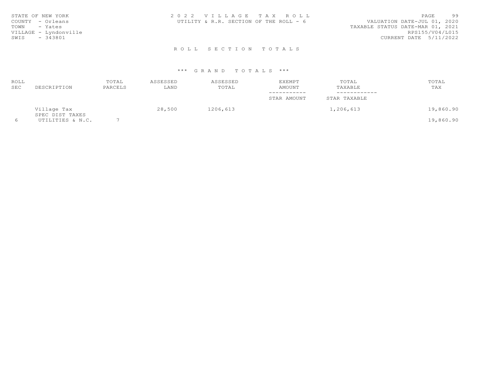| STATE OF NEW YORK     | 2022 VILLAGE TAX ROLL                  | - 99<br>PAGE                     |  |
|-----------------------|----------------------------------------|----------------------------------|--|
| COUNTY - Orleans      | UTILITY & R.R. SECTION OF THE ROLL - 6 | VALUATION DATE-JUL 01, 2020      |  |
| TOWN<br>- Yates       |                                        | TAXABLE STATUS DATE-MAR 01, 2021 |  |
| VILLAGE - Lyndonville |                                        | RPS155/V04/L015                  |  |
| - 343801<br>SWIS      |                                        | CURRENT DATE 5/11/2022           |  |
|                       |                                        |                                  |  |

## \*\*\* G R A N D T O T A L S \*\*\*

| ROLL       |                                | TOTAL   | ASSESSED | ASSESSED | EXEMPT      | TOTAL        | TOTAL     |
|------------|--------------------------------|---------|----------|----------|-------------|--------------|-----------|
| <b>SEC</b> | DESCRIPTION                    | PARCELS | LAND     | TOTAL    | AMOUNT      | TAXABLE      | TAX       |
|            |                                |         |          |          | ----------- | ------------ |           |
|            |                                |         |          |          | STAR AMOUNT | STAR TAXABLE |           |
|            | Village Tax<br>SPEC DIST TAXES |         | 28,500   | 1206,613 |             | 1,206,613    | 19,860.90 |
|            | UTILITIES & N.C.               |         |          |          |             |              | 19,860.90 |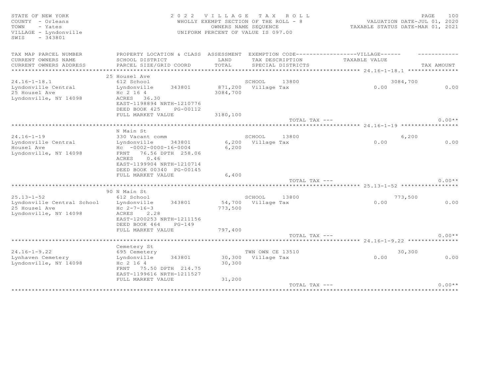| EXEMPTION CODE------------------VILLAGE------<br>TAX MAP PARCEL NUMBER<br>PROPERTY LOCATION & CLASS ASSESSMENT<br>CURRENT OWNERS NAME<br>SCHOOL DISTRICT<br>LAND<br>TAX DESCRIPTION<br>TAXABLE VALUE<br>TOTAL<br>CURRENT OWNERS ADDRESS<br>PARCEL SIZE/GRID COORD<br>TAX AMOUNT<br>SPECIAL DISTRICTS<br>************************<br>25 Housel Ave<br>$24.16 - 1 - 18.1$<br>612 School<br>3084,700<br>SCHOOL<br>13800<br>Lyndonville Central<br>871,200 Village Tax<br>0.00<br>0.00<br>Lyndonville<br>343801<br>25 Housel Ave<br>Hc 2 16 4<br>3084,700<br>ACRES 36.30<br>Lyndonville, NY 14098<br>EAST-1198894 NRTH-1210776<br>DEED BOOK 425<br>PG-00112<br>FULL MARKET VALUE<br>3180,100<br>$0.00**$<br>TOTAL TAX ---<br>N Main St<br>$24.16 - 1 - 19$<br>6,200<br>330 Vacant comm<br>SCHOOL<br>13800<br>Lyndonville Central<br>6,200 Village Tax<br>0.00<br>0.00<br>Lyndonville<br>343801<br>Housel Ave<br>$Hc - 0002 - 0000 - 16 - 0004$<br>6,200<br>FRNT 76.56 DPTH 258.06<br>Lyndonville, NY 14098<br>0.46<br>ACRES<br>EAST-1199904 NRTH-1210714<br>DEED BOOK 00340 PG-00145<br>FULL MARKET VALUE<br>6,400<br>TOTAL TAX ---<br>$0.00**$<br>90 N Main St<br>$25.13 - 1 - 52$<br>612 School<br>13800<br>SCHOOL<br>773,500<br>54,700 Village Tax<br>0.00<br>0.00<br>Lyndonville Central School<br>343801<br>Lyndonville<br>25 Housel Ave<br>773,500<br>$Hc 2-7-16-3$<br>Lyndonville, NY 14098<br>2.28<br>ACRES<br>EAST-1200253 NRTH-1211156<br>DEED BOOK 464<br>$PG-149$<br>797,400<br>FULL MARKET VALUE<br>$0.00**$<br>TOTAL TAX ---<br>Cemetery St<br>$24.16 - 1 - 9.22$<br>TWN OWN CE 13510<br>30,300<br>695 Cemetery<br>30,300 Village Tax<br>0.00<br>Lynhaven Cemetery<br>Lyndonville<br>343801<br>0.00<br>Lyndonville, NY 14098<br>30,300<br>Hc 2 16 4<br>FRNT 75.50 DPTH 214.75<br>EAST-1199616 NRTH-1211527<br>31,200<br>FULL MARKET VALUE<br>$0.00**$<br>TOTAL TAX --- | STATE OF NEW YORK<br>COUNTY - Orleans<br>- Yates<br>TOWN<br>VILLAGE - Lyndonville<br>$-343801$<br>SWIS | 2 0 2 2 | <b>VILLAGE</b> | TAX ROLL<br>WHOLLY EXEMPT SECTION OF THE ROLL - 8<br>OWNERS NAME SEOUENCE<br>UNIFORM PERCENT OF VALUE IS 097.00 | TAXABLE STATUS DATE-MAR 01, 2021 | PAGE<br>100<br>VALUATION DATE-JUL 01, 2020 |
|----------------------------------------------------------------------------------------------------------------------------------------------------------------------------------------------------------------------------------------------------------------------------------------------------------------------------------------------------------------------------------------------------------------------------------------------------------------------------------------------------------------------------------------------------------------------------------------------------------------------------------------------------------------------------------------------------------------------------------------------------------------------------------------------------------------------------------------------------------------------------------------------------------------------------------------------------------------------------------------------------------------------------------------------------------------------------------------------------------------------------------------------------------------------------------------------------------------------------------------------------------------------------------------------------------------------------------------------------------------------------------------------------------------------------------------------------------------------------------------------------------------------------------------------------------------------------------------------------------------------------------------------------------------------------------------------------------------------------------------------------------------------------------------------------------------------------------------------------------------------------------|--------------------------------------------------------------------------------------------------------|---------|----------------|-----------------------------------------------------------------------------------------------------------------|----------------------------------|--------------------------------------------|
|                                                                                                                                                                                                                                                                                                                                                                                                                                                                                                                                                                                                                                                                                                                                                                                                                                                                                                                                                                                                                                                                                                                                                                                                                                                                                                                                                                                                                                                                                                                                                                                                                                                                                                                                                                                                                                                                                  |                                                                                                        |         |                |                                                                                                                 |                                  |                                            |
|                                                                                                                                                                                                                                                                                                                                                                                                                                                                                                                                                                                                                                                                                                                                                                                                                                                                                                                                                                                                                                                                                                                                                                                                                                                                                                                                                                                                                                                                                                                                                                                                                                                                                                                                                                                                                                                                                  |                                                                                                        |         |                |                                                                                                                 |                                  |                                            |
|                                                                                                                                                                                                                                                                                                                                                                                                                                                                                                                                                                                                                                                                                                                                                                                                                                                                                                                                                                                                                                                                                                                                                                                                                                                                                                                                                                                                                                                                                                                                                                                                                                                                                                                                                                                                                                                                                  |                                                                                                        |         |                |                                                                                                                 |                                  |                                            |
|                                                                                                                                                                                                                                                                                                                                                                                                                                                                                                                                                                                                                                                                                                                                                                                                                                                                                                                                                                                                                                                                                                                                                                                                                                                                                                                                                                                                                                                                                                                                                                                                                                                                                                                                                                                                                                                                                  |                                                                                                        |         |                |                                                                                                                 |                                  |                                            |
|                                                                                                                                                                                                                                                                                                                                                                                                                                                                                                                                                                                                                                                                                                                                                                                                                                                                                                                                                                                                                                                                                                                                                                                                                                                                                                                                                                                                                                                                                                                                                                                                                                                                                                                                                                                                                                                                                  |                                                                                                        |         |                |                                                                                                                 |                                  |                                            |
|                                                                                                                                                                                                                                                                                                                                                                                                                                                                                                                                                                                                                                                                                                                                                                                                                                                                                                                                                                                                                                                                                                                                                                                                                                                                                                                                                                                                                                                                                                                                                                                                                                                                                                                                                                                                                                                                                  |                                                                                                        |         |                |                                                                                                                 |                                  |                                            |
|                                                                                                                                                                                                                                                                                                                                                                                                                                                                                                                                                                                                                                                                                                                                                                                                                                                                                                                                                                                                                                                                                                                                                                                                                                                                                                                                                                                                                                                                                                                                                                                                                                                                                                                                                                                                                                                                                  |                                                                                                        |         |                |                                                                                                                 |                                  |                                            |
|                                                                                                                                                                                                                                                                                                                                                                                                                                                                                                                                                                                                                                                                                                                                                                                                                                                                                                                                                                                                                                                                                                                                                                                                                                                                                                                                                                                                                                                                                                                                                                                                                                                                                                                                                                                                                                                                                  |                                                                                                        |         |                |                                                                                                                 |                                  |                                            |
|                                                                                                                                                                                                                                                                                                                                                                                                                                                                                                                                                                                                                                                                                                                                                                                                                                                                                                                                                                                                                                                                                                                                                                                                                                                                                                                                                                                                                                                                                                                                                                                                                                                                                                                                                                                                                                                                                  |                                                                                                        |         |                |                                                                                                                 |                                  |                                            |
|                                                                                                                                                                                                                                                                                                                                                                                                                                                                                                                                                                                                                                                                                                                                                                                                                                                                                                                                                                                                                                                                                                                                                                                                                                                                                                                                                                                                                                                                                                                                                                                                                                                                                                                                                                                                                                                                                  |                                                                                                        |         |                |                                                                                                                 |                                  |                                            |
|                                                                                                                                                                                                                                                                                                                                                                                                                                                                                                                                                                                                                                                                                                                                                                                                                                                                                                                                                                                                                                                                                                                                                                                                                                                                                                                                                                                                                                                                                                                                                                                                                                                                                                                                                                                                                                                                                  |                                                                                                        |         |                |                                                                                                                 |                                  |                                            |
|                                                                                                                                                                                                                                                                                                                                                                                                                                                                                                                                                                                                                                                                                                                                                                                                                                                                                                                                                                                                                                                                                                                                                                                                                                                                                                                                                                                                                                                                                                                                                                                                                                                                                                                                                                                                                                                                                  |                                                                                                        |         |                |                                                                                                                 |                                  |                                            |
|                                                                                                                                                                                                                                                                                                                                                                                                                                                                                                                                                                                                                                                                                                                                                                                                                                                                                                                                                                                                                                                                                                                                                                                                                                                                                                                                                                                                                                                                                                                                                                                                                                                                                                                                                                                                                                                                                  |                                                                                                        |         |                |                                                                                                                 |                                  |                                            |
|                                                                                                                                                                                                                                                                                                                                                                                                                                                                                                                                                                                                                                                                                                                                                                                                                                                                                                                                                                                                                                                                                                                                                                                                                                                                                                                                                                                                                                                                                                                                                                                                                                                                                                                                                                                                                                                                                  |                                                                                                        |         |                |                                                                                                                 |                                  |                                            |
|                                                                                                                                                                                                                                                                                                                                                                                                                                                                                                                                                                                                                                                                                                                                                                                                                                                                                                                                                                                                                                                                                                                                                                                                                                                                                                                                                                                                                                                                                                                                                                                                                                                                                                                                                                                                                                                                                  |                                                                                                        |         |                |                                                                                                                 |                                  |                                            |
|                                                                                                                                                                                                                                                                                                                                                                                                                                                                                                                                                                                                                                                                                                                                                                                                                                                                                                                                                                                                                                                                                                                                                                                                                                                                                                                                                                                                                                                                                                                                                                                                                                                                                                                                                                                                                                                                                  |                                                                                                        |         |                |                                                                                                                 |                                  |                                            |
|                                                                                                                                                                                                                                                                                                                                                                                                                                                                                                                                                                                                                                                                                                                                                                                                                                                                                                                                                                                                                                                                                                                                                                                                                                                                                                                                                                                                                                                                                                                                                                                                                                                                                                                                                                                                                                                                                  |                                                                                                        |         |                |                                                                                                                 |                                  |                                            |
|                                                                                                                                                                                                                                                                                                                                                                                                                                                                                                                                                                                                                                                                                                                                                                                                                                                                                                                                                                                                                                                                                                                                                                                                                                                                                                                                                                                                                                                                                                                                                                                                                                                                                                                                                                                                                                                                                  |                                                                                                        |         |                |                                                                                                                 |                                  |                                            |
|                                                                                                                                                                                                                                                                                                                                                                                                                                                                                                                                                                                                                                                                                                                                                                                                                                                                                                                                                                                                                                                                                                                                                                                                                                                                                                                                                                                                                                                                                                                                                                                                                                                                                                                                                                                                                                                                                  |                                                                                                        |         |                |                                                                                                                 |                                  |                                            |
|                                                                                                                                                                                                                                                                                                                                                                                                                                                                                                                                                                                                                                                                                                                                                                                                                                                                                                                                                                                                                                                                                                                                                                                                                                                                                                                                                                                                                                                                                                                                                                                                                                                                                                                                                                                                                                                                                  |                                                                                                        |         |                |                                                                                                                 |                                  |                                            |
|                                                                                                                                                                                                                                                                                                                                                                                                                                                                                                                                                                                                                                                                                                                                                                                                                                                                                                                                                                                                                                                                                                                                                                                                                                                                                                                                                                                                                                                                                                                                                                                                                                                                                                                                                                                                                                                                                  |                                                                                                        |         |                |                                                                                                                 |                                  |                                            |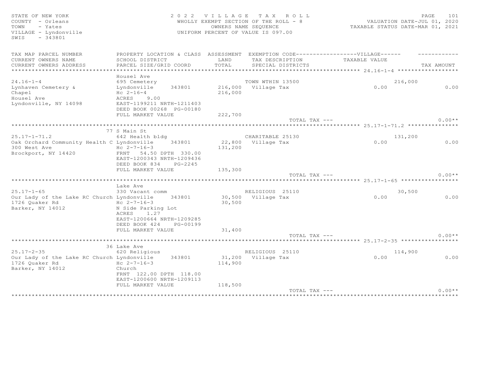SWIS - 343801

#### STATE OF NEW YORK SALL STATE OF NEW YORK STATE OF NEW YORK STATE OF NEW YORK SALL STATE OF NEW YORK SALL STATE OF DAGE 2012 COUNTY - Orleans WHOLLY EXEMPT SECTION OF THE ROLL - 8 VALUATION DATE-JUL 01, 2020 TOWN - Yates OWNERS NAME SEQUENCE TAXABLE STATUS DATE-MAR 01, 2021 VILLAGE - Lyndonville UNIFORM PERCENT OF VALUE IS 097.00

| TAX MAP PARCEL NUMBER                      | PROPERTY LOCATION & CLASS ASSESSMENT                  |         | EXEMPTION CODE------------------VILLAGE------ |                                                                 |            |
|--------------------------------------------|-------------------------------------------------------|---------|-----------------------------------------------|-----------------------------------------------------------------|------------|
| CURRENT OWNERS NAME                        | SCHOOL DISTRICT                                       | LAND    | TAX DESCRIPTION                               | TAXABLE VALUE                                                   |            |
| CURRENT OWNERS ADDRESS                     | PARCEL SIZE/GRID COORD                                | TOTAL   | SPECIAL DISTRICTS                             |                                                                 | TAX AMOUNT |
|                                            |                                                       |         |                                               | ·******************************** 24.16-1-4 ******************* |            |
|                                            | Housel Ave                                            |         |                                               |                                                                 |            |
| $24.16 - 1 - 4$                            | 695 Cemetery                                          |         | TOWN WTHIN 13500                              | 216,000                                                         |            |
| Lynhaven Cemetery &                        | 343801<br>Lyndonville                                 |         | 216,000 Village Tax                           | 0.00                                                            | 0.00       |
| Chapel                                     | $Hc 2-16-4$                                           | 216,000 |                                               |                                                                 |            |
| Housel Ave                                 | ACRES 9.00                                            |         |                                               |                                                                 |            |
| Lyndonville, NY 14098                      | EAST-1199211 NRTH-1211403<br>DEED BOOK 00268 PG-00180 |         |                                               |                                                                 |            |
|                                            | FULL MARKET VALUE                                     | 222,700 |                                               |                                                                 |            |
|                                            |                                                       |         | TOTAL TAX ---                                 |                                                                 | $0.00**$   |
|                                            |                                                       |         |                                               |                                                                 |            |
|                                            | 77 S Main St                                          |         |                                               |                                                                 |            |
| $25.17 - 1 - 71.2$                         | 642 Health bldg                                       |         | CHARITABLE 25130                              | 131,200                                                         |            |
| Oak Orchard Community Health C Lyndonville | 343801                                                |         | 22,800 Village Tax                            | 0.00                                                            | 0.00       |
| 300 West Ave                               | Hc $2 - 7 - 16 - 3$                                   | 131,200 |                                               |                                                                 |            |
| Brockport, NY 14420                        | FRNT 54.50 DPTH 330.00                                |         |                                               |                                                                 |            |
|                                            | EAST-1200343 NRTH-1209436                             |         |                                               |                                                                 |            |
|                                            | DEED BOOK 834<br>PG-2245                              |         |                                               |                                                                 |            |
|                                            | FULL MARKET VALUE                                     | 135,300 | TOTAL TAX ---                                 |                                                                 | $0.00**$   |
|                                            |                                                       |         |                                               |                                                                 |            |
|                                            | Lake Ave                                              |         |                                               |                                                                 |            |
| $25.17 - 1 - 65$                           | 330 Vacant comm                                       |         | RELIGIOUS 25110                               | 30,500                                                          |            |
| Our Lady of the Lake RC Church Lyndonville | 343801                                                |         | 30,500 Village Tax                            | 0.00                                                            | 0.00       |
| 1726 Quaker Rd                             | Hc $2 - 7 - 16 - 3$                                   | 30,500  |                                               |                                                                 |            |
| Barker, NY 14012                           | N Side Parking Lot                                    |         |                                               |                                                                 |            |
|                                            | ACRES<br>1.27                                         |         |                                               |                                                                 |            |
|                                            | EAST-1200664 NRTH-1209285                             |         |                                               |                                                                 |            |
|                                            | DEED BOOK 424<br>PG-00199                             |         |                                               |                                                                 |            |
|                                            | FULL MARKET VALUE                                     | 31,400  | TOTAL TAX ---                                 |                                                                 | $0.00**$   |
|                                            |                                                       |         |                                               |                                                                 |            |
|                                            | 36 Lake Ave                                           |         |                                               |                                                                 |            |
| $25.17 - 2 - 35$                           | 620 Religious                                         |         | RELIGIOUS 25110                               | 114,900                                                         |            |
| Our Lady of the Lake RC Church Lyndonville | 343801                                                |         | 31,200 Village Tax                            | 0.00                                                            | 0.00       |
| 1726 Ouaker Rd                             | Hc $2 - 7 - 16 - 3$                                   | 114,900 |                                               |                                                                 |            |
| Barker, NY 14012                           | Church                                                |         |                                               |                                                                 |            |
|                                            | FRNT 122.00 DPTH 118.00                               |         |                                               |                                                                 |            |
|                                            | EAST-1200600 NRTH-1209113                             |         |                                               |                                                                 |            |
|                                            | FULL MARKET VALUE                                     | 118,500 |                                               |                                                                 |            |
|                                            |                                                       |         | TOTAL TAX ---                                 |                                                                 | $0.00**$   |
|                                            |                                                       |         |                                               |                                                                 |            |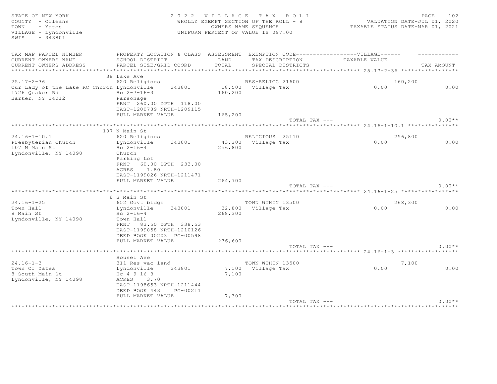| STATE OF NEW YORK<br>COUNTY - Orleans<br>- Yates<br>TOWN<br>VILLAGE - Lyndonville<br>SWIS<br>$-343801$ |                                                                                   |         | 2022 VILLAGE TAX ROLL<br>WHOLLY EXEMPT SECTION OF THE ROLL - 8<br>OWNERS NAME SEQUENCE<br>UNIFORM PERCENT OF VALUE IS 097.00 | VALUATION DATE-JUL 01, 2020<br>TAXABLE STATUS DATE-MAR 01, 2021 | PAGE<br>102 |
|--------------------------------------------------------------------------------------------------------|-----------------------------------------------------------------------------------|---------|------------------------------------------------------------------------------------------------------------------------------|-----------------------------------------------------------------|-------------|
| TAX MAP PARCEL NUMBER                                                                                  | PROPERTY LOCATION & CLASS ASSESSMENT EXEMPTION CODE-----------------VILLAGE------ |         |                                                                                                                              |                                                                 |             |
| CURRENT OWNERS NAME                                                                                    | SCHOOL DISTRICT                                                                   | LAND    | TAX DESCRIPTION                                                                                                              | TAXABLE VALUE                                                   |             |
| CURRENT OWNERS ADDRESS                                                                                 | PARCEL SIZE/GRID COORD                                                            | TOTAL   | SPECIAL DISTRICTS                                                                                                            |                                                                 | TAX AMOUNT  |
|                                                                                                        | 38 Lake Ave                                                                       |         |                                                                                                                              |                                                                 |             |
| $25.17 - 2 - 36$                                                                                       | 620 Religious                                                                     |         | RES-RELIGC 21600                                                                                                             | 160,200                                                         |             |
| Our Lady of the Lake RC Church Lyndonville 343801                                                      |                                                                                   |         | 18,500 Village Tax                                                                                                           | 0.00                                                            | 0.00        |
| 1726 Quaker Rd                                                                                         | $Hc \t2-7-16-3$                                                                   | 160,200 |                                                                                                                              |                                                                 |             |
| Barker, NY 14012                                                                                       | Parsonage<br>FRNT 260.00 DPTH 118.00<br>EAST-1200789 NRTH-1209115                 |         |                                                                                                                              |                                                                 |             |
|                                                                                                        | FULL MARKET VALUE                                                                 | 165,200 |                                                                                                                              |                                                                 |             |
|                                                                                                        |                                                                                   |         | TOTAL TAX ---                                                                                                                |                                                                 | $0.00**$    |
|                                                                                                        |                                                                                   |         |                                                                                                                              |                                                                 |             |
|                                                                                                        | 107 N Main St                                                                     |         |                                                                                                                              |                                                                 |             |
| $24.16 - 1 - 10.1$<br>Presbyterian Church                                                              | 620 Religious<br>Lyndonville<br>343801                                            |         | RELIGIOUS 25110<br>43,200 Village Tax                                                                                        | 256,800<br>0.00                                                 | 0.00        |
| 107 N Main St                                                                                          | $Hc 2-16-4$                                                                       | 256,800 |                                                                                                                              |                                                                 |             |
| Lyndonville, NY 14098                                                                                  | Church                                                                            |         |                                                                                                                              |                                                                 |             |
|                                                                                                        | Parking Lot                                                                       |         |                                                                                                                              |                                                                 |             |
|                                                                                                        | FRNT 60.00 DPTH 233.00                                                            |         |                                                                                                                              |                                                                 |             |
|                                                                                                        | ACRES 1.80                                                                        |         |                                                                                                                              |                                                                 |             |
|                                                                                                        | EAST-1199826 NRTH-1211471                                                         |         |                                                                                                                              |                                                                 |             |
|                                                                                                        | FULL MARKET VALUE                                                                 | 264,700 |                                                                                                                              |                                                                 |             |
|                                                                                                        |                                                                                   |         | TOTAL TAX ---                                                                                                                |                                                                 | $0.00**$    |
|                                                                                                        |                                                                                   |         |                                                                                                                              |                                                                 |             |
|                                                                                                        | 8 S Main St                                                                       |         |                                                                                                                              |                                                                 |             |
| $24.16 - 1 - 25$                                                                                       | 652 Govt bldgs                                                                    |         | TOWN WTHIN 13500                                                                                                             | 268,300                                                         |             |
| Town Hall<br>8 Main St                                                                                 | 343801<br>Lyndonville                                                             |         | 32,800 Village Tax                                                                                                           | 0.00                                                            | 0.00        |
| Lyndonville, NY 14098                                                                                  | $Hc 2-16-4$<br>Town Hall                                                          | 268,300 |                                                                                                                              |                                                                 |             |
|                                                                                                        | 83.50 DPTH 338.53<br>FRNT                                                         |         |                                                                                                                              |                                                                 |             |
|                                                                                                        | EAST-1199858 NRTH-1210126                                                         |         |                                                                                                                              |                                                                 |             |
|                                                                                                        | DEED BOOK 00203 PG-00598                                                          |         |                                                                                                                              |                                                                 |             |
|                                                                                                        | FULL MARKET VALUE                                                                 | 276,600 |                                                                                                                              |                                                                 |             |
|                                                                                                        |                                                                                   |         | TOTAL TAX ---                                                                                                                |                                                                 | $0.00**$    |
|                                                                                                        |                                                                                   |         |                                                                                                                              |                                                                 |             |
|                                                                                                        | Housel Ave                                                                        |         |                                                                                                                              |                                                                 |             |
| $24.16 - 1 - 3$                                                                                        | 311 Res vac land                                                                  |         | TOWN WTHIN 13500                                                                                                             | 7,100                                                           |             |
| Town Of Yates                                                                                          | 343801<br>Lyndonville                                                             |         | 7,100 Village Tax                                                                                                            | 0.00                                                            | 0.00        |
| 8 South Main St                                                                                        | Hc 4 9 16 3                                                                       | 7,100   |                                                                                                                              |                                                                 |             |
| Lyndonville, NY 14098                                                                                  | 3.70<br>ACRES                                                                     |         |                                                                                                                              |                                                                 |             |
|                                                                                                        | EAST-1198653 NRTH-1211444                                                         |         |                                                                                                                              |                                                                 |             |
|                                                                                                        | DEED BOOK 443<br>PG-00211                                                         |         |                                                                                                                              |                                                                 |             |
|                                                                                                        | FULL MARKET VALUE                                                                 | 7,300   |                                                                                                                              |                                                                 |             |
|                                                                                                        |                                                                                   |         | TOTAL TAX ---                                                                                                                |                                                                 | $0.00**$    |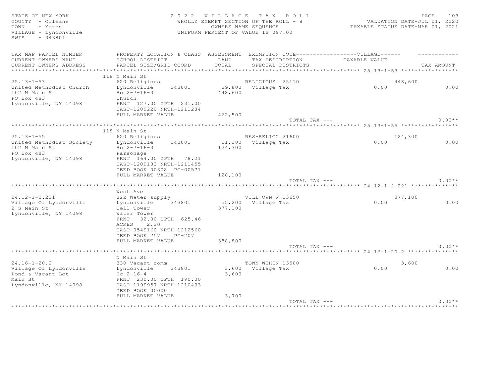| STATE OF NEW YORK<br>COUNTY - Orleans<br>- Yates<br>TOWN<br>VILLAGE - Lyndonville<br>SWIS<br>$-343801$ | 2 0 2 2                                                                                                        |         | VILLAGE TAX ROLL<br>WHOLLY EXEMPT SECTION OF THE ROLL - 8<br>OWNERS NAME SEQUENCE<br>UNIFORM PERCENT OF VALUE IS 097.00 | VALUATION DATE-JUL 01, 2020<br>TAXABLE STATUS DATE-MAR 01, 2021 | PAGE<br>103 |
|--------------------------------------------------------------------------------------------------------|----------------------------------------------------------------------------------------------------------------|---------|-------------------------------------------------------------------------------------------------------------------------|-----------------------------------------------------------------|-------------|
| TAX MAP PARCEL NUMBER                                                                                  | PROPERTY LOCATION & CLASS ASSESSMENT EXEMPTION CODE-----------------VILLAGE------                              |         |                                                                                                                         |                                                                 |             |
| CURRENT OWNERS NAME                                                                                    | SCHOOL DISTRICT                                                                                                | LAND    | TAX DESCRIPTION                                                                                                         | TAXABLE VALUE                                                   |             |
| CURRENT OWNERS ADDRESS                                                                                 | PARCEL SIZE/GRID COORD                                                                                         | TOTAL   | SPECIAL DISTRICTS                                                                                                       |                                                                 | TAX AMOUNT  |
|                                                                                                        | 118 N Main St                                                                                                  |         |                                                                                                                         |                                                                 |             |
| $25.13 - 1 - 53$                                                                                       | 620 Religious                                                                                                  |         | RELIGIOUS 25110                                                                                                         | 448,600                                                         |             |
| United Methodist Church<br>102 N Main St<br>PO Box 483                                                 | Lyndonville 343801<br>Hc $2 - 7 - 16 - 3$<br>Church                                                            | 448,600 | 39,800 Village Tax                                                                                                      | 0.00                                                            | 0.00        |
| Lyndonville, NY 14098                                                                                  | FRNT 127.00 DPTH 231.00<br>EAST-1200220 NRTH-1211284                                                           |         |                                                                                                                         |                                                                 |             |
|                                                                                                        | FULL MARKET VALUE                                                                                              | 462,500 | TOTAL TAX ---                                                                                                           |                                                                 | $0.00**$    |
|                                                                                                        |                                                                                                                |         |                                                                                                                         |                                                                 |             |
|                                                                                                        | 118 N Main St                                                                                                  |         |                                                                                                                         |                                                                 |             |
| $25.13 - 1 - 55$<br>United Methodist Society                                                           | 620 Religious<br>Lyndonville 343801                                                                            |         | RES-RELIGC 21600<br>11,300 Village Tax                                                                                  | 124,300<br>0.00                                                 | 0.00        |
| 102 N Main St<br>PO Box 483<br>Lyndonville, NY 14098                                                   | $Hc 2-7-16-3$<br>Parsonage<br>FRNT 164.00 DPTH 78.21<br>EAST-1200183 NRTH-1211455<br>DEED BOOK 00308 PG-00571  | 124,300 |                                                                                                                         |                                                                 |             |
|                                                                                                        | FULL MARKET VALUE                                                                                              | 128,100 |                                                                                                                         |                                                                 |             |
|                                                                                                        |                                                                                                                |         | TOTAL TAX ---                                                                                                           |                                                                 | $0.00**$    |
| **************************                                                                             |                                                                                                                |         |                                                                                                                         |                                                                 |             |
| $24.12 - 1 - 2.221$                                                                                    | West Ave                                                                                                       |         | VILL OWN W 13650                                                                                                        |                                                                 |             |
| Village Of Lyndonville<br>2 S Main St                                                                  | 822 Water supply<br>Lyndonville 343801<br>Cell Tower                                                           | 377,100 | 55,200 Village Tax                                                                                                      | 377,100<br>0.00                                                 | 0.00        |
| Lyndonville, NY 14098                                                                                  | Water Tower<br>FRNT 32.00 DPTH 625.46<br>2.30<br>ACRES<br>EAST-0549160 NRTH-1212560<br>DEED BOOK 757<br>PG-207 |         |                                                                                                                         |                                                                 |             |
|                                                                                                        | FULL MARKET VALUE                                                                                              | 388,800 |                                                                                                                         |                                                                 |             |
|                                                                                                        |                                                                                                                |         | TOTAL TAX ---                                                                                                           |                                                                 | $0.00**$    |
|                                                                                                        | N Main St                                                                                                      |         |                                                                                                                         |                                                                 |             |
| $24.16 - 1 - 20.2$                                                                                     | 330 Vacant comm                                                                                                |         | TOWN WTHIN 13500                                                                                                        | 3,600                                                           |             |
| Village Of Lyndonville                                                                                 | Lyndonville<br>343801                                                                                          |         | 3,600 Village Tax                                                                                                       | 0.00                                                            | 0.00        |
| Pond & Vacant Lot<br>Main St                                                                           | $Hc 2-16-4$<br>FRNT 230.00 DPTH 190.00                                                                         | 3,600   |                                                                                                                         |                                                                 |             |
| Lyndonville, NY 14098                                                                                  | EAST-1199957 NRTH-1210493<br>DEED BOOK 00000                                                                   |         |                                                                                                                         |                                                                 |             |
|                                                                                                        | FULL MARKET VALUE                                                                                              | 3,700   |                                                                                                                         |                                                                 |             |
|                                                                                                        |                                                                                                                |         | TOTAL TAX ---                                                                                                           |                                                                 | $0.00**$    |

\*\*\*\*\*\*\*\*\*\*\*\*\*\*\*\*\*\*\*\*\*\*\*\*\*\*\*\*\*\*\*\*\*\*\*\*\*\*\*\*\*\*\*\*\*\*\*\*\*\*\*\*\*\*\*\*\*\*\*\*\*\*\*\*\*\*\*\*\*\*\*\*\*\*\*\*\*\*\*\*\*\*\*\*\*\*\*\*\*\*\*\*\*\*\*\*\*\*\*\*\*\*\*\*\*\*\*\*\*\*\*\*\*\*\*\*\*\*\*\*\*\*\*\*\*\*\*\*\*\*\*\*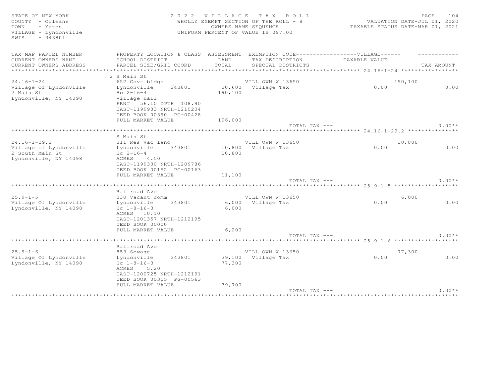| STATE OF NEW YORK<br>COUNTY - Orleans<br>TOWN<br>- Yates<br>VILLAGE - Lyndonville<br>SWIS<br>$-343801$ | 2 0 2 2                                                                                                            | VILLAGE<br>TAX ROLL<br>WHOLLY EXEMPT SECTION OF THE ROLL - 8<br>OWNERS NAME SEQUENCE<br>UNIFORM PERCENT OF VALUE IS 097.00 | VALUATION DATE-JUL 01, 2020<br>TAXABLE STATUS DATE-MAR 01, 2021 | PAGE<br>104 |
|--------------------------------------------------------------------------------------------------------|--------------------------------------------------------------------------------------------------------------------|----------------------------------------------------------------------------------------------------------------------------|-----------------------------------------------------------------|-------------|
| TAX MAP PARCEL NUMBER                                                                                  |                                                                                                                    | PROPERTY LOCATION & CLASS ASSESSMENT EXEMPTION CODE----------------VILLAGE------                                           |                                                                 |             |
| CURRENT OWNERS NAME                                                                                    | SCHOOL DISTRICT                                                                                                    | LAND<br>TAX DESCRIPTION                                                                                                    | TAXABLE VALUE                                                   |             |
| CURRENT OWNERS ADDRESS                                                                                 | PARCEL SIZE/GRID COORD                                                                                             | TOTAL<br>SPECIAL DISTRICTS                                                                                                 |                                                                 | TAX AMOUNT  |
|                                                                                                        |                                                                                                                    |                                                                                                                            |                                                                 |             |
| $24.16 - 1 - 24$                                                                                       | 2 S Main St<br>652 Govt bldgs                                                                                      | VILL OWN W 13650                                                                                                           | 190,100                                                         |             |
| Village Of Lyndonville                                                                                 | Lyndonville<br>343801                                                                                              | 20,600 Village Tax                                                                                                         | 0.00                                                            | 0.00        |
| 2 Main St<br>Lyndonville, NY 14098                                                                     | $Hc 2-16-4$<br>Village Hall<br>FRNT 56.10 DPTH 108.90                                                              | 190,100                                                                                                                    |                                                                 |             |
|                                                                                                        | EAST-1199983 NRTH-1210204                                                                                          |                                                                                                                            |                                                                 |             |
|                                                                                                        | DEED BOOK 00390 PG-00428                                                                                           |                                                                                                                            |                                                                 |             |
|                                                                                                        | FULL MARKET VALUE                                                                                                  | 196,000                                                                                                                    |                                                                 |             |
|                                                                                                        |                                                                                                                    | TOTAL TAX ---                                                                                                              |                                                                 | $0.00**$    |
|                                                                                                        | S Main St                                                                                                          |                                                                                                                            |                                                                 |             |
| $24.16 - 1 - 29.2$                                                                                     | 311 Res vac land                                                                                                   | VILL OWN W 13650                                                                                                           | 10,800                                                          |             |
| Village of Lyndonville                                                                                 | Lyndonville<br>343801                                                                                              | 10,800 Village Tax                                                                                                         | 0.00                                                            | 0.00        |
| 2 South Main St<br>Lyndonville, NY 14098                                                               | $Hc \t2-16-4$<br>ACRES 4.50<br>EAST-1199330 NRTH-1209786<br>DEED BOOK 00152 PG-00163                               | 10,800                                                                                                                     |                                                                 |             |
|                                                                                                        | FULL MARKET VALUE                                                                                                  | 11,100                                                                                                                     |                                                                 |             |
|                                                                                                        |                                                                                                                    | TOTAL TAX ---                                                                                                              |                                                                 | $0.00**$    |
|                                                                                                        | ******************************                                                                                     |                                                                                                                            |                                                                 |             |
|                                                                                                        | Railroad Ave                                                                                                       |                                                                                                                            |                                                                 |             |
| $25.9 - 1 - 5$<br>Village Of Lyndonville                                                               | 330 Vacant comm<br>343801<br>Lyndonville                                                                           | VILL OWN W 13650<br>6,000 Village Tax                                                                                      | 6,000<br>0.00                                                   | 0.00        |
| Lyndonville, NY 14098                                                                                  | $Hc$ 1-8-16-3<br>ACRES 10.10<br>EAST-1201357 NRTH-1212195<br>DEED BOOK 00000<br>FULL MARKET VALUE                  | 6,000<br>6,200                                                                                                             |                                                                 |             |
|                                                                                                        |                                                                                                                    | TOTAL TAX ---                                                                                                              |                                                                 | $0.00**$    |
|                                                                                                        |                                                                                                                    |                                                                                                                            |                                                                 |             |
|                                                                                                        | Railroad Ave                                                                                                       |                                                                                                                            |                                                                 |             |
| $25.9 - 1 - 6$                                                                                         | 853 Sewage                                                                                                         | VILL OWN W 13650                                                                                                           | 77,300                                                          |             |
| Village Of Lyndonville<br>Lyndonville, NY 14098                                                        | 343801<br>Lyndonville<br>$Hc$ $1-8-16-3$<br>5.20<br>ACRES<br>EAST-1200725 NRTH-1212191<br>DEED BOOK 00355 PG-00563 | 39,100 Village Tax<br>77,300                                                                                               | 0.00                                                            | 0.00        |
|                                                                                                        | FULL MARKET VALUE                                                                                                  | 79,700                                                                                                                     |                                                                 |             |
|                                                                                                        |                                                                                                                    | TOTAL TAX ---                                                                                                              |                                                                 | $0.00**$    |
|                                                                                                        |                                                                                                                    |                                                                                                                            |                                                                 |             |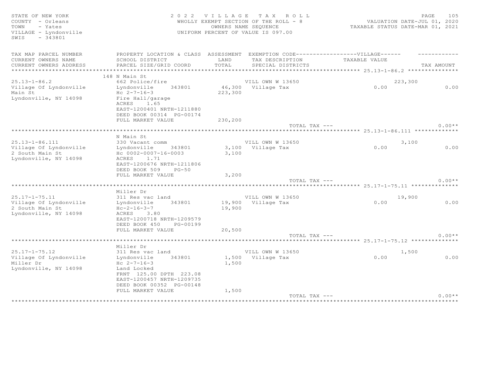| COUNTY - Orleans<br>- Yates<br>TOWN<br>VILLAGE - Lyndonville<br>$-343801$<br>SWIS         |                                                                                                                                                         |                  | WHOLLY EXEMPT SECTION OF THE ROLL - 8<br>OWNERS NAME SEQUENCE<br>UNIFORM PERCENT OF VALUE IS 097.00 | VALUATION DATE-JUL 01, 2020<br>TAXABLE STATUS DATE-MAR 01, 2021 |            |
|-------------------------------------------------------------------------------------------|---------------------------------------------------------------------------------------------------------------------------------------------------------|------------------|-----------------------------------------------------------------------------------------------------|-----------------------------------------------------------------|------------|
| TAX MAP PARCEL NUMBER                                                                     | PROPERTY LOCATION & CLASS ASSESSMENT EXEMPTION CODE-----------------VILLAGE------                                                                       |                  |                                                                                                     |                                                                 |            |
| CURRENT OWNERS NAME<br>CURRENT OWNERS ADDRESS                                             | SCHOOL DISTRICT<br>PARCEL SIZE/GRID COORD                                                                                                               | LAND<br>TOTAL    | TAX DESCRIPTION<br>SPECIAL DISTRICTS                                                                | TAXABLE VALUE                                                   | TAX AMOUNT |
|                                                                                           |                                                                                                                                                         |                  |                                                                                                     |                                                                 |            |
|                                                                                           | 148 N Main St                                                                                                                                           |                  |                                                                                                     |                                                                 |            |
| $25.13 - 1 - 86.2$                                                                        | 662 Police/fire                                                                                                                                         |                  | VILL OWN W 13650                                                                                    | 223,300                                                         |            |
| Village Of Lyndonville<br>Main St<br>Lyndonville, NY 14098                                | 343801<br>Lyndonville<br>Hc $2 - 7 - 16 - 3$<br>Fire Hall/garage<br>ACRES 1.65<br>EAST-1200401 NRTH-1211880<br>DEED BOOK 00314 PG-00174                 | 223,300          | 46,300 Village Tax                                                                                  | 0.00                                                            | 0.00       |
|                                                                                           | FULL MARKET VALUE                                                                                                                                       | 230,200          | TOTAL TAX ---                                                                                       |                                                                 | $0.00**$   |
|                                                                                           |                                                                                                                                                         |                  |                                                                                                     |                                                                 |            |
|                                                                                           | N Main St                                                                                                                                               |                  |                                                                                                     |                                                                 |            |
| $25.13 - 1 - 86.111$                                                                      | 330 Vacant comm                                                                                                                                         |                  | VILL OWN W 13650                                                                                    | 3,100                                                           |            |
| Village Of Lyndonville<br>2 South Main St<br>Lyndonville, NY 14098                        | Lyndonville<br>343801<br>Hc 0002-0007-16-0003<br>1.71<br>ACRES<br>EAST-1200676 NRTH-1211806<br>DEED BOOK 509<br>$PG-50$<br>FULL MARKET VALUE            | 3,100<br>3,200   | 3,100 Village Tax                                                                                   | 0.00                                                            | 0.00       |
|                                                                                           |                                                                                                                                                         |                  | TOTAL TAX ---                                                                                       |                                                                 | $0.00**$   |
|                                                                                           |                                                                                                                                                         |                  |                                                                                                     |                                                                 |            |
|                                                                                           | Miller Dr                                                                                                                                               |                  |                                                                                                     |                                                                 |            |
| $25.17 - 1 - 75.11$<br>Village Of Lyndonville<br>2 South Main St<br>Lyndonville, NY 14098 | 311 Res vac land<br>343801<br>Lyndonville<br>$Hc-2-16-3-7$<br>ACRES 3.80<br>EAST-1200718 NRTH-1209579<br>DEED BOOK 450<br>PG-00199<br>FULL MARKET VALUE | 19,900<br>20,500 | VILL OWN W 13650<br>19,900 Village Tax                                                              | 19,900<br>0.00                                                  | 0.00       |
|                                                                                           |                                                                                                                                                         |                  | TOTAL TAX ---                                                                                       |                                                                 | $0.00**$   |
|                                                                                           |                                                                                                                                                         |                  |                                                                                                     |                                                                 |            |
| $25.17 - 1 - 75.12$                                                                       | Miller Dr<br>311 Res vac land                                                                                                                           |                  | VILL OWN W 13650                                                                                    | 1,500                                                           |            |
| Village Of Lyndonville<br>Miller Dr<br>Lyndonville, NY 14098                              | Lyndonville<br>343801<br>Hc $2 - 7 - 16 - 3$<br>Land Locked<br>FRNT 125.00 DPTH 223.08<br>EAST-1200457 NRTH-1209735<br>DEED BOOK 00352 PG-00148         | 1,500            | 1,500 Village Tax                                                                                   | 0.00                                                            | 0.00       |
|                                                                                           | FULL MARKET VALUE                                                                                                                                       | 1,500            |                                                                                                     |                                                                 |            |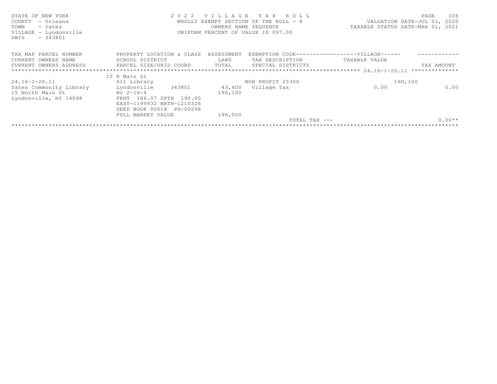| STATE OF NEW YORK<br>2022 VILLAGE TAX ROLL<br>PAGE<br>COUNTY - Orleans<br>WHOLLY EXEMPT SECTION OF THE ROLL - 8<br>VALUATION DATE-JUL 01, 2020<br>TAXABLE STATUS DATE-MAR 01, 2021<br>TOWN<br>- Yates<br>OWNERS NAME SEQUENCE<br>UNIFORM PERCENT OF VALUE IS 097.00<br>VILLAGE - Lyndonville<br>$-343801$<br>SWIS | 106      |
|-------------------------------------------------------------------------------------------------------------------------------------------------------------------------------------------------------------------------------------------------------------------------------------------------------------------|----------|
| PROPERTY LOCATION & CLASS ASSESSMENT<br>TAX MAP PARCEL NUMBER<br>EXEMPTION CODE------------------VILLAGE------                                                                                                                                                                                                    |          |
| CURRENT OWNERS NAME<br>LAND<br>TAX DESCRIPTION<br>SCHOOL DISTRICT<br>TAXABLE VALUE                                                                                                                                                                                                                                |          |
| CURRENT OWNERS ADDRESS FARCEL SIZE/GRID COORD TOTAL<br>SPECIAL DISTRICTS<br>TAX AMOUNT                                                                                                                                                                                                                            |          |
|                                                                                                                                                                                                                                                                                                                   |          |
| 15 N Main St                                                                                                                                                                                                                                                                                                      |          |
| $24.16 - 1 - 20.11$<br>190,100<br>611 Library<br>NON PROFIT 25300                                                                                                                                                                                                                                                 |          |
| Yates Community Library<br>Lyndonville<br>343801<br>0.00<br>43,400 Village Tax                                                                                                                                                                                                                                    | 0.00     |
| 15 North Main St<br>$Hc \t2-16-4$<br>190,100                                                                                                                                                                                                                                                                      |          |
| FRNT 186.07 DPTH 190.00<br>Lyndonville, NY 14098                                                                                                                                                                                                                                                                  |          |
| EAST-1199932 NRTH-1210326                                                                                                                                                                                                                                                                                         |          |
| DEED BOOK 00018 PG-00298                                                                                                                                                                                                                                                                                          |          |
| FULL MARKET VALUE<br>196,000                                                                                                                                                                                                                                                                                      |          |
| TOTAL TAX ---                                                                                                                                                                                                                                                                                                     | $0.00**$ |
|                                                                                                                                                                                                                                                                                                                   |          |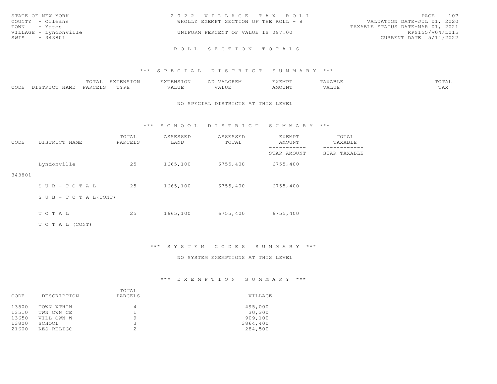| STATE OF NEW YORK     | 2022 VILLAGE TAX ROLL                 | 107<br>PAGE                      |
|-----------------------|---------------------------------------|----------------------------------|
| COUNTY - Orleans      | WHOLLY EXEMPT SECTION OF THE ROLL - 8 | VALUATION DATE-JUL 01, 2020      |
| TOWN - Yates          |                                       | TAXABLE STATUS DATE-MAR 01, 2021 |
| VILLAGE - Lyndonville | UNIFORM PERCENT OF VALUE IS 097.00    | RPS155/V04/L015                  |
| SWIS - 343801         |                                       | CURRENT DATE 5/11/2022           |
|                       |                                       |                                  |
|                       | ROLL SECTION TOTALS                   |                                  |

# \*\*\* S P E C I A L D I S T R I C T S U M M A R Y \*\*\*

|      |                  | TOTAL   | EXTENSION | <b>EXTENSION</b> | VALOREM | <b>EXEMPT</b> | TAXABLE              | TOTAL               |
|------|------------------|---------|-----------|------------------|---------|---------------|----------------------|---------------------|
| CODE | NAME<br>DISTRICT | PARCELS | TYPE      | VALUE            | VALUE   | AMOUNT        | 77 T TIM<br>7 A LU L | $m \times r$<br>TAA |

#### NO SPECIAL DISTRICTS AT THIS LEVEL

\*\*\* S C H O O L D I S T R I C T S U M M A R Y \*\*\*

| CODE   | DISTRICT NAME              | TOTAL<br>PARCELS | ASSESSED<br>LAND | ASSESSED<br>TOTAL | EXEMPT<br>AMOUNT | TOTAL<br>TAXABLE |
|--------|----------------------------|------------------|------------------|-------------------|------------------|------------------|
|        |                            |                  |                  |                   | STAR AMOUNT      | STAR TAXABLE     |
|        | Lyndonville                | 25               | 1665,100         | 6755,400          | 6755,400         |                  |
| 343801 |                            |                  |                  |                   |                  |                  |
|        | SUB-TOTAL                  | 25               | 1665,100         | 6755,400          | 6755,400         |                  |
|        | S U B - T O T A $L$ (CONT) |                  |                  |                   |                  |                  |
|        | TOTAL                      | 25               | 1665,100         | 6755,400          | 6755,400         |                  |
|        |                            |                  |                  |                   |                  |                  |
|        | TO TAL (CONT)              |                  |                  |                   |                  |                  |

\*\*\* S Y S T E M C O D E S S U M M A R Y \*\*\*

#### NO SYSTEM EXEMPTIONS AT THIS LEVEL

\*\*\* E X E M P T I O N S U M M A R Y \*\*\*

|       |             | TOTAL                          |          |  |
|-------|-------------|--------------------------------|----------|--|
| CODE  | DESCRIPTION | PARCELS                        | VILLAGE  |  |
| 13500 | TOWN WTHIN  | 4                              | 495,000  |  |
| 13510 | TWN OWN CE  |                                | 30,300   |  |
| 13650 | VILL OWN W  | $\circ$                        | 909,100  |  |
| 13800 | SCHOOL      | $\overline{\phantom{0}}$<br>٠, | 3864,400 |  |
| 21600 | RES-RELIGC  | $\hat{ }$                      | 284,500  |  |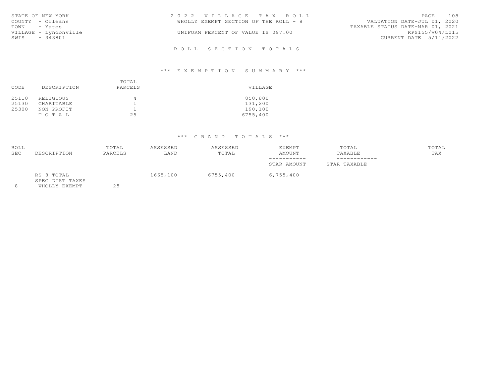| STATE OF NEW YORK     | 2022 VILLAGE TAX ROLL                 | PAGE 108                         |  |
|-----------------------|---------------------------------------|----------------------------------|--|
| COUNTY - Orleans      | WHOLLY EXEMPT SECTION OF THE ROLL - 8 | VALUATION DATE-JUL 01, 2020      |  |
| TOWN - Yates          |                                       | TAXABLE STATUS DATE-MAR 01, 2021 |  |
| VILLAGE - Lyndonville | UNIFORM PERCENT OF VALUE IS 097.00    | RPS155/V04/L015                  |  |
| SWIS<br>- 343801      |                                       | CURRENT DATE 5/11/2022           |  |
|                       |                                       |                                  |  |

# R O L L S E C T I O N T O T A L S

# \*\*\* E X E M P T I O N S U M M A R Y \*\*\*

| CODE  | DESCRIPTION | TOTAL<br>PARCELS | VILLAGE  |  |
|-------|-------------|------------------|----------|--|
| 25110 | RELIGIOUS   | 4                | 850,800  |  |
| 25130 | CHARITABLE  |                  | 131,200  |  |
| 25300 | NON PROFIT  | ᅩ                | 190,100  |  |
|       | TOTAL       | 25               | 6755,400 |  |

# \*\*\* G R A N D T O T A L S \*\*\*

| ROLL<br><b>SEC</b> | DESCRIPTION                   | TOTAL<br>PARCELS | ASSESSED<br>LAND | ASSESSED<br>TOTAL | EXEMPT<br><b>AMOUNT</b>    | TOTAL<br>TAXABLE             | TOTAL<br>TAX |  |
|--------------------|-------------------------------|------------------|------------------|-------------------|----------------------------|------------------------------|--------------|--|
|                    |                               |                  |                  |                   | -----------<br>STAR AMOUNT | ------------<br>STAR TAXABLE |              |  |
|                    | RS 8 TOTAL<br>SPEC DIST TAXES |                  | 1665,100         | 6755,400          | 6,755,400                  |                              |              |  |

8 WHOLLY EXEMPT 25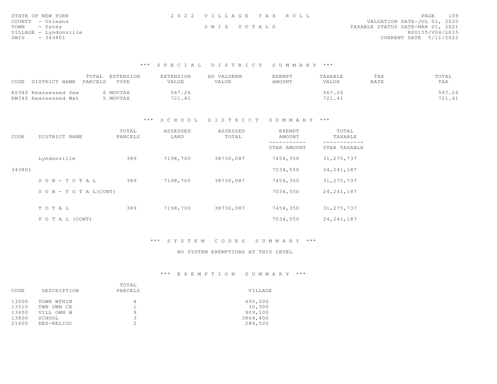| STATE OF NEW YORK     | 2022 VILLAGE TAX ROLL | PAGE 109                         |
|-----------------------|-----------------------|----------------------------------|
| COUNTY - Orleans      |                       | VALUATION DATE-JUL 01, 2020      |
| TOWN - Yates          | SWIS TOTALS           | TAXABLE STATUS DATE-MAR 01, 2021 |
| VILLAGE - Lyndonville |                       | RPS155/V04/L015                  |
| $-343801$<br>SWIS     |                       | CURRENT DATE 5/11/2022           |

#### \*\*\* S P E C I A L D I S T R I C T S U M M A R Y \*\*\*

| DISTRICT NAME<br>CODE                        | EXTENSION<br>TOTAL<br>PARCELS<br>TYPE | EXTENSION<br>VALUE | VALOREM<br>VALUE | <b>EXEMPT</b><br>AMOUNT | TAXABLE<br>VALUE | TAX<br>RATE | TOTAL<br>TAX              |
|----------------------------------------------|---------------------------------------|--------------------|------------------|-------------------------|------------------|-------------|---------------------------|
| RS340 Reassessed Sew<br>RW340 Reassessed Wat | MOVTAX<br>MOVTAX                      | 567.26<br>721.41   |                  |                         | 567.26<br>721.41 |             | 567.26<br>721 41<br>21.TJ |

# \*\*\* S C H O O L D I S T R I C T S U M M A R Y \*\*\*

| CODE   | DISTRICT NAME              | TOTAL<br>PARCELS | ASSESSED<br>LAND | ASSESSED<br>TOTAL | EXEMPT<br>AMOUNT | TOTAL<br>TAXABLE |
|--------|----------------------------|------------------|------------------|-------------------|------------------|------------------|
|        |                            |                  |                  |                   | STAR AMOUNT      | STAR TAXABLE     |
|        | Lyndonville                | 389              | 7198,700         | 38730,087         | 7454,350         | 31, 275, 737     |
| 343801 |                            |                  |                  |                   | 7034,550         | 24, 241, 187     |
|        | $S \cup B - T \cup T A L$  | 389              | 7198,700         | 38730,087         | 7454,350         | 31, 275, 737     |
|        | S U B - T O T A $L$ (CONT) |                  |                  |                   | 7034,550         | 24, 241, 187     |
|        |                            |                  |                  |                   |                  |                  |
|        | TO TAL                     | 389              | 7198,700         | 38730,087         | 7454,350         | 31, 275, 737     |
|        | T O T A L (CONT)           |                  |                  |                   | 7034,550         | 24, 241, 187     |

# \*\*\* S Y S T E M C O D E S S U M M A R Y \*\*\*

#### NO SYSTEM EXEMPTIONS AT THIS LEVEL

# \*\*\* E X E M P T I O N S U M M A R Y \*\*\*

|       |             | TOTAL   |          |  |
|-------|-------------|---------|----------|--|
| CODE  | DESCRIPTION | PARCELS | VILLAGE  |  |
| 13500 | TOWN WTHIN  |         | 495,000  |  |
| 13510 | TWN OWN CE  |         | 30,300   |  |
| 13650 | VILL OWN W  | Q       | 909,100  |  |
| 13800 | SCHOOL      |         | 3864,400 |  |
| 21600 | RES-RELIGC  | $\sim$  | 284,500  |  |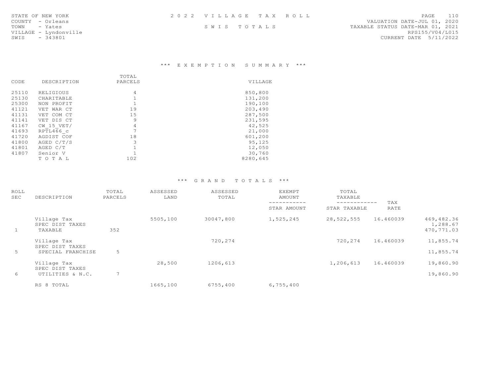| STATE OF NEW YORK     | 2022 VILLAGE TAX ROLL | 110<br>PAGE                      |
|-----------------------|-----------------------|----------------------------------|
| COUNTY - Orleans      |                       | VALUATION DATE-JUL 01, 2020      |
| TOWN - Yates          | SWIS TOTALS           | TAXABLE STATUS DATE-MAR 01, 2021 |
| VILLAGE - Lyndonville |                       | RPS155/V04/L015                  |
| SWIS<br>- 343801      |                       | CURRENT DATE 5/11/2022           |

\*\*\* E X E M P T I O N S U M M A R Y \*\*\*

|       |             | TOTAL                    |          |  |
|-------|-------------|--------------------------|----------|--|
| CODE  | DESCRIPTION | PARCELS                  | VILLAGE  |  |
|       |             |                          |          |  |
| 25110 | RELIGIOUS   | 4                        | 850,800  |  |
| 25130 | CHARITABLE  |                          | 131,200  |  |
| 25300 | NON PROFIT  |                          | 190,100  |  |
| 41121 | VET WAR CT  | 19                       | 203,490  |  |
| 41131 | VET COM CT  | 15                       | 287,500  |  |
| 41141 | VET DIS CT  | 9                        | 231,595  |  |
| 41167 | CW 15 VET/  | 4                        | 42,525   |  |
| 41693 | RPTL466 c   | $\overline{\phantom{0}}$ | 21,000   |  |
| 41720 | AGDIST COF  | 18                       | 601,200  |  |
| 41800 | AGED C/T/S  | 3                        | 95,125   |  |
| 41801 | AGED C/T    |                          | 12,050   |  |
| 41807 | Senior V    |                          | 30,760   |  |
|       | TOTAL       | 102                      | 8280,645 |  |

# \*\*\* G R A N D T O T A L S \*\*\*

| ROLL<br>SEC | DESCRIPTION                               | TOTAL<br>PARCELS | ASSESSED<br>LAND | ASSESSED<br>TOTAL | EXEMPT<br>AMOUNT           | TOTAL<br>TAXABLE             |             |                                      |  |
|-------------|-------------------------------------------|------------------|------------------|-------------------|----------------------------|------------------------------|-------------|--------------------------------------|--|
|             |                                           |                  |                  |                   | -----------<br>STAR AMOUNT | ------------<br>STAR TAXABLE | TAX<br>RATE |                                      |  |
| - 100       | Village Tax<br>SPEC DIST TAXES<br>TAXABLE | 352              | 5505,100         | 30047,800         | 1,525,245                  | 28,522,555                   | 16.460039   | 469,482.36<br>1,288.67<br>470,771.03 |  |
|             | Village Tax<br>SPEC DIST TAXES            |                  |                  | 720,274           |                            | 720,274                      | 16.460039   | 11,855.74<br>11,855.74               |  |
| 5           | SPECIAL FRANCHISE                         | $\overline{z}$   |                  |                   |                            |                              |             |                                      |  |
|             | Village Tax<br>SPEC DIST TAXES            |                  | 28,500           | 1206,613          |                            | 1,206,613                    | 16.460039   | 19,860.90                            |  |
| 6           | UTILITIES & N.C.                          | 7                |                  |                   |                            |                              |             | 19,860.90                            |  |
|             | RS 8 TOTAL                                |                  | 1665,100         | 6755,400          | 6,755,400                  |                              |             |                                      |  |